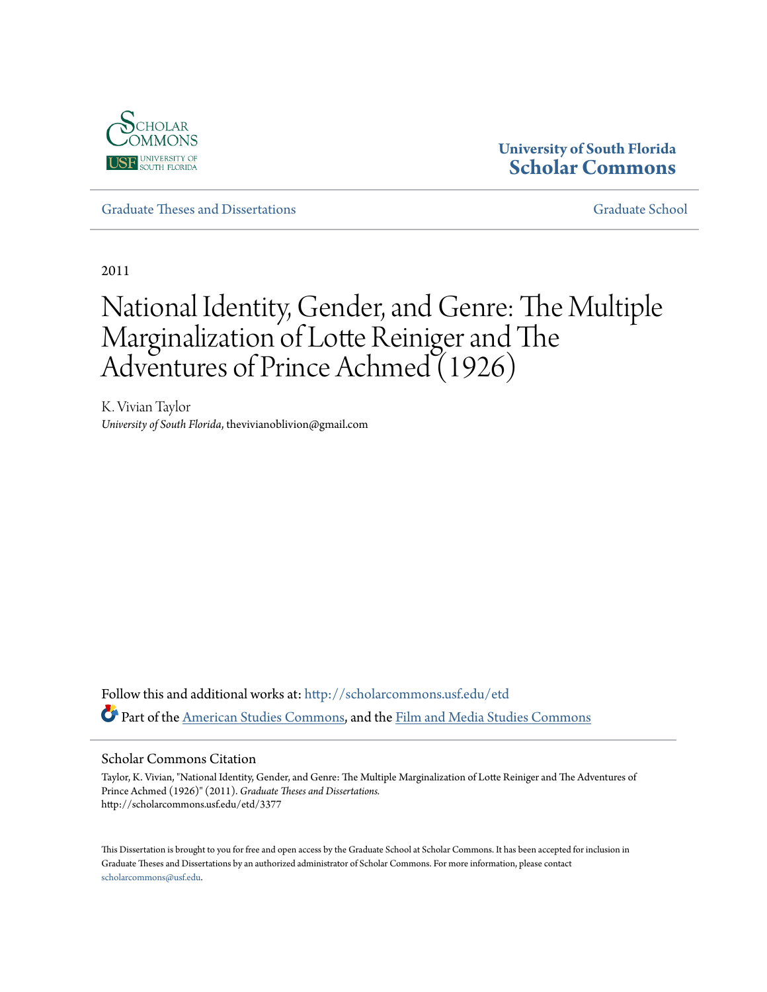

## **University of South Florida [Scholar Commons](http://scholarcommons.usf.edu?utm_source=scholarcommons.usf.edu%2Fetd%2F3377&utm_medium=PDF&utm_campaign=PDFCoverPages)**

[Graduate Theses and Dissertations](http://scholarcommons.usf.edu/etd?utm_source=scholarcommons.usf.edu%2Fetd%2F3377&utm_medium=PDF&utm_campaign=PDFCoverPages) [Graduate School](http://scholarcommons.usf.edu/grad?utm_source=scholarcommons.usf.edu%2Fetd%2F3377&utm_medium=PDF&utm_campaign=PDFCoverPages)

2011

# National Identity, Gender, and Genre: The Multiple Marginalization of Lotte Reiniger and The Adventures of Prince Achmed (1926)

K. Vivian Taylor *University of South Florida*, thevivianoblivion@gmail.com

Follow this and additional works at: [http://scholarcommons.usf.edu/etd](http://scholarcommons.usf.edu/etd?utm_source=scholarcommons.usf.edu%2Fetd%2F3377&utm_medium=PDF&utm_campaign=PDFCoverPages) Part of the [American Studies Commons](http://network.bepress.com/hgg/discipline/439?utm_source=scholarcommons.usf.edu%2Fetd%2F3377&utm_medium=PDF&utm_campaign=PDFCoverPages), and the [Film and Media Studies Commons](http://network.bepress.com/hgg/discipline/563?utm_source=scholarcommons.usf.edu%2Fetd%2F3377&utm_medium=PDF&utm_campaign=PDFCoverPages)

#### Scholar Commons Citation

Taylor, K. Vivian, "National Identity, Gender, and Genre: The Multiple Marginalization of Lotte Reiniger and The Adventures of Prince Achmed (1926)" (2011). *Graduate Theses and Dissertations.* http://scholarcommons.usf.edu/etd/3377

This Dissertation is brought to you for free and open access by the Graduate School at Scholar Commons. It has been accepted for inclusion in Graduate Theses and Dissertations by an authorized administrator of Scholar Commons. For more information, please contact [scholarcommons@usf.edu](mailto:scholarcommons@usf.edu).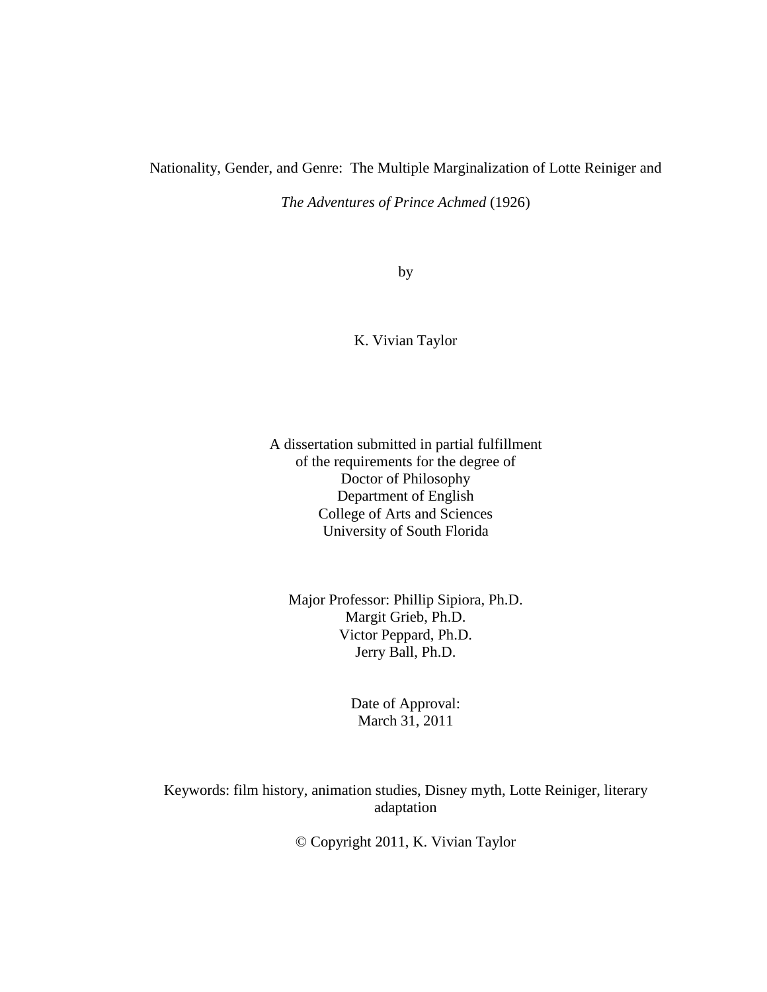### Nationality, Gender, and Genre: The Multiple Marginalization of Lotte Reiniger and

*The Adventures of Prince Achmed* (1926)

by

#### K. Vivian Taylor

A dissertation submitted in partial fulfillment of the requirements for the degree of Doctor of Philosophy Department of English College of Arts and Sciences University of South Florida

Major Professor: Phillip Sipiora, Ph.D. Margit Grieb, Ph.D. Victor Peppard, Ph.D. Jerry Ball, Ph.D.

> Date of Approval: March 31, 2011

Keywords: film history, animation studies, Disney myth, Lotte Reiniger, literary adaptation

© Copyright 2011, K. Vivian Taylor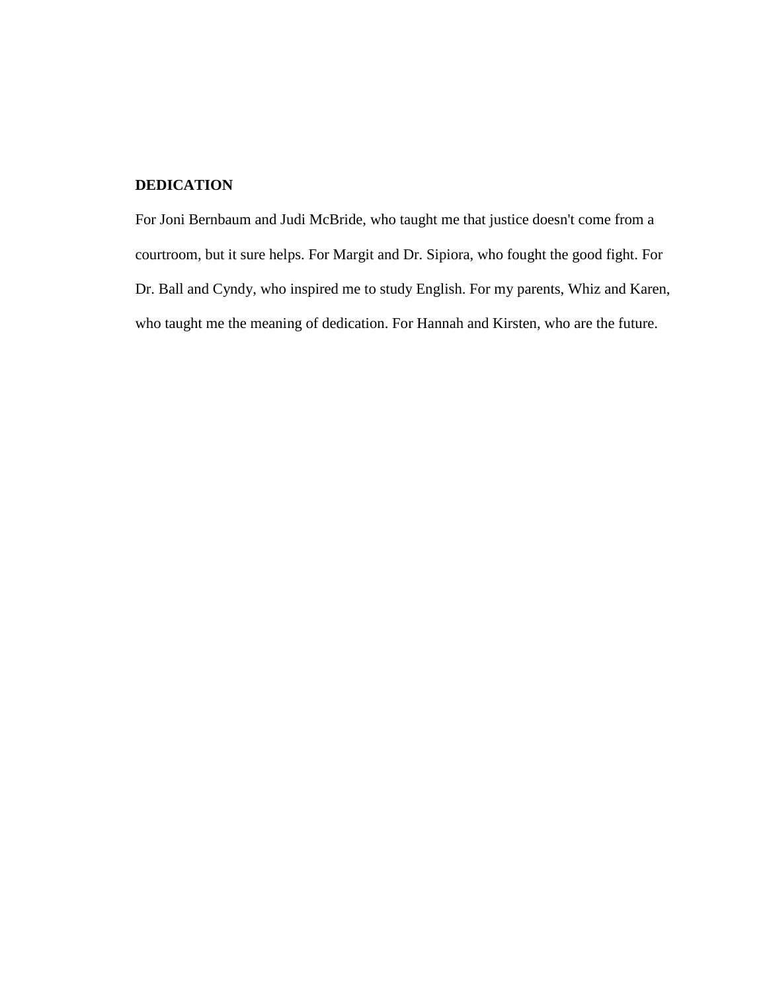#### **DEDICATION**

For Joni Bernbaum and Judi McBride, who taught me that justice doesn't come from a courtroom, but it sure helps. For Margit and Dr. Sipiora, who fought the good fight. For Dr. Ball and Cyndy, who inspired me to study English. For my parents, Whiz and Karen, who taught me the meaning of dedication. For Hannah and Kirsten, who are the future.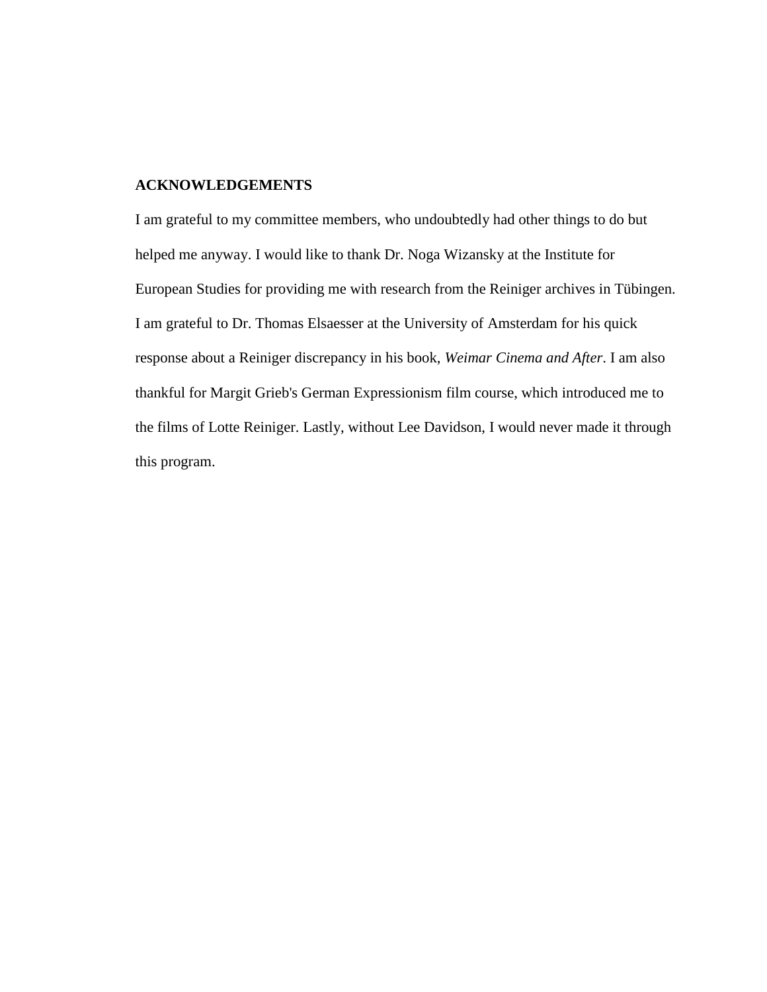#### **ACKNOWLEDGEMENTS**

I am grateful to my committee members, who undoubtedly had other things to do but helped me anyway. I would like to thank Dr. Noga Wizansky at the Institute for European Studies for providing me with research from the Reiniger archives in Tübingen. I am grateful to Dr. Thomas Elsaesser at the University of Amsterdam for his quick response about a Reiniger discrepancy in his book, *Weimar Cinema and After*. I am also thankful for Margit Grieb's German Expressionism film course, which introduced me to the films of Lotte Reiniger. Lastly, without Lee Davidson, I would never made it through this program.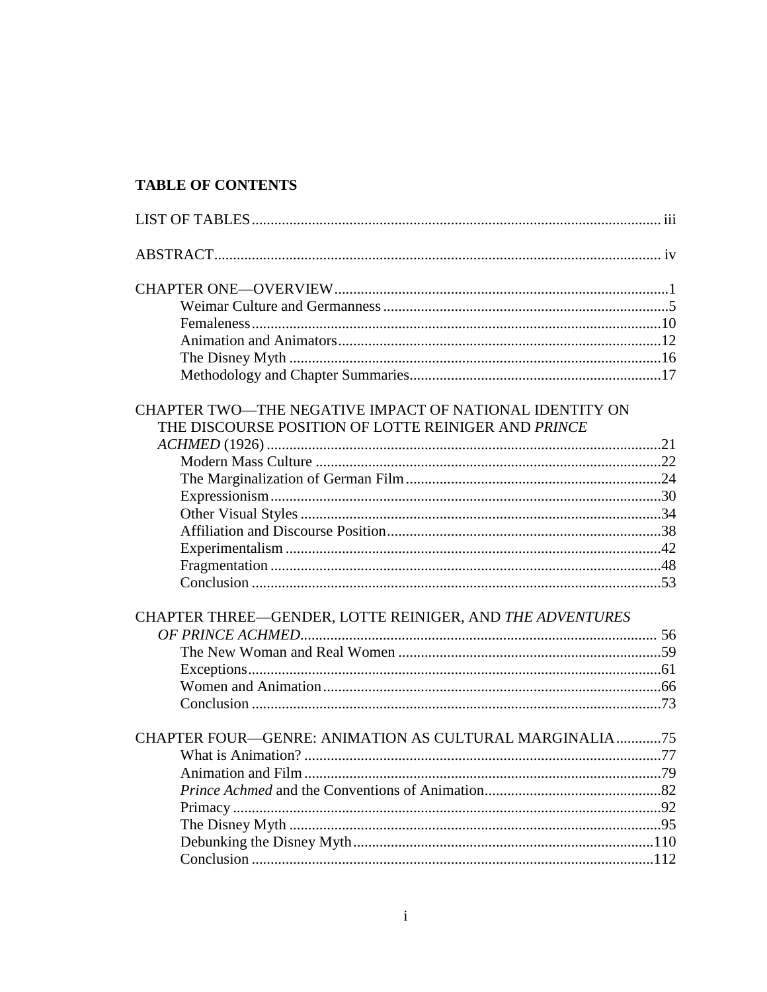## **TABLE OF CONTENTS**

| CHAPTER TWO—THE NEGATIVE IMPACT OF NATIONAL IDENTITY ON<br>THE DISCOURSE POSITION OF LOTTE REINIGER AND PRINCE |  |
|----------------------------------------------------------------------------------------------------------------|--|
|                                                                                                                |  |
|                                                                                                                |  |
|                                                                                                                |  |
|                                                                                                                |  |
|                                                                                                                |  |
|                                                                                                                |  |
|                                                                                                                |  |
|                                                                                                                |  |
|                                                                                                                |  |
| CHAPTER THREE-GENDER, LOTTE REINIGER, AND THE ADVENTURES                                                       |  |
|                                                                                                                |  |
|                                                                                                                |  |
|                                                                                                                |  |
|                                                                                                                |  |
|                                                                                                                |  |
| CHAPTER FOUR—GENRE: ANIMATION AS CULTURAL MARGINALIA75                                                         |  |
|                                                                                                                |  |
|                                                                                                                |  |
|                                                                                                                |  |
|                                                                                                                |  |
|                                                                                                                |  |
|                                                                                                                |  |
|                                                                                                                |  |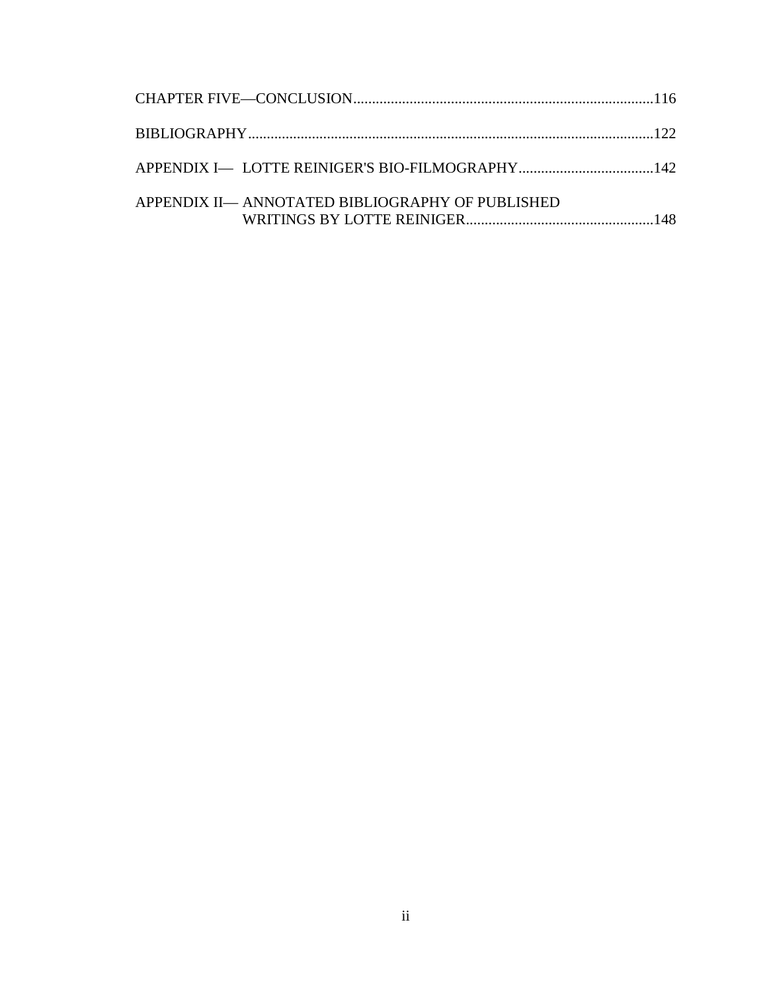| APPENDIX II— ANNOTATED BIBLIOGRAPHY OF PUBLISHED |  |
|--------------------------------------------------|--|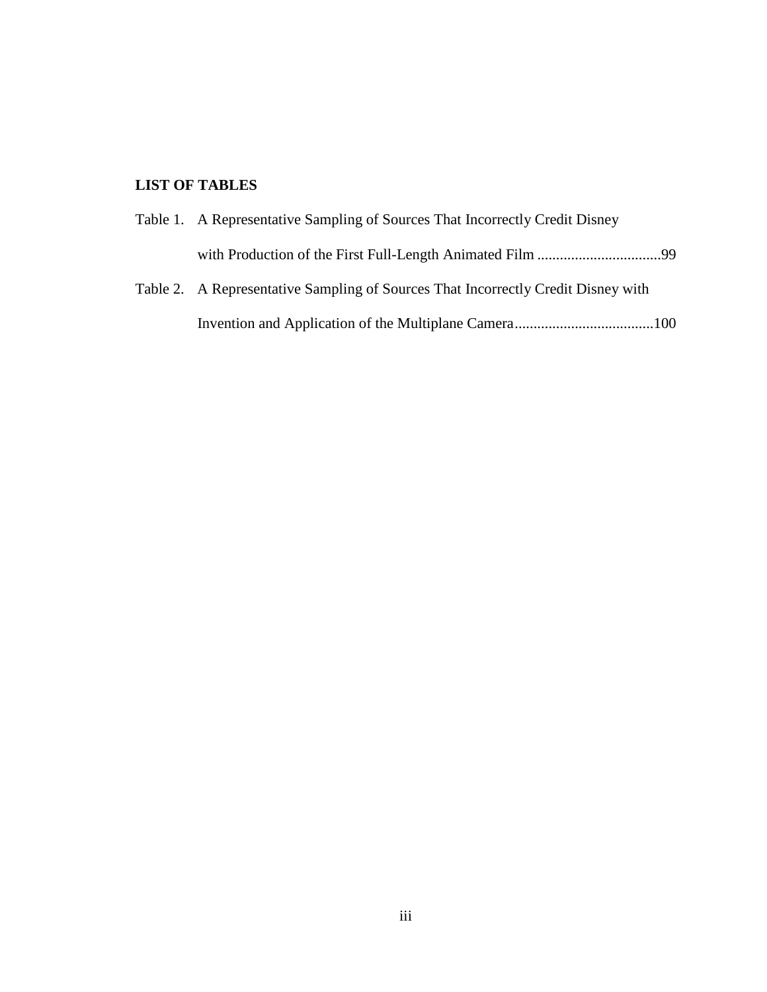## **LIST OF TABLES**

| Table 1. A Representative Sampling of Sources That Incorrectly Credit Disney      |
|-----------------------------------------------------------------------------------|
|                                                                                   |
| Table 2. A Representative Sampling of Sources That Incorrectly Credit Disney with |

Invention and Application of the Multiplane Camera.....................................100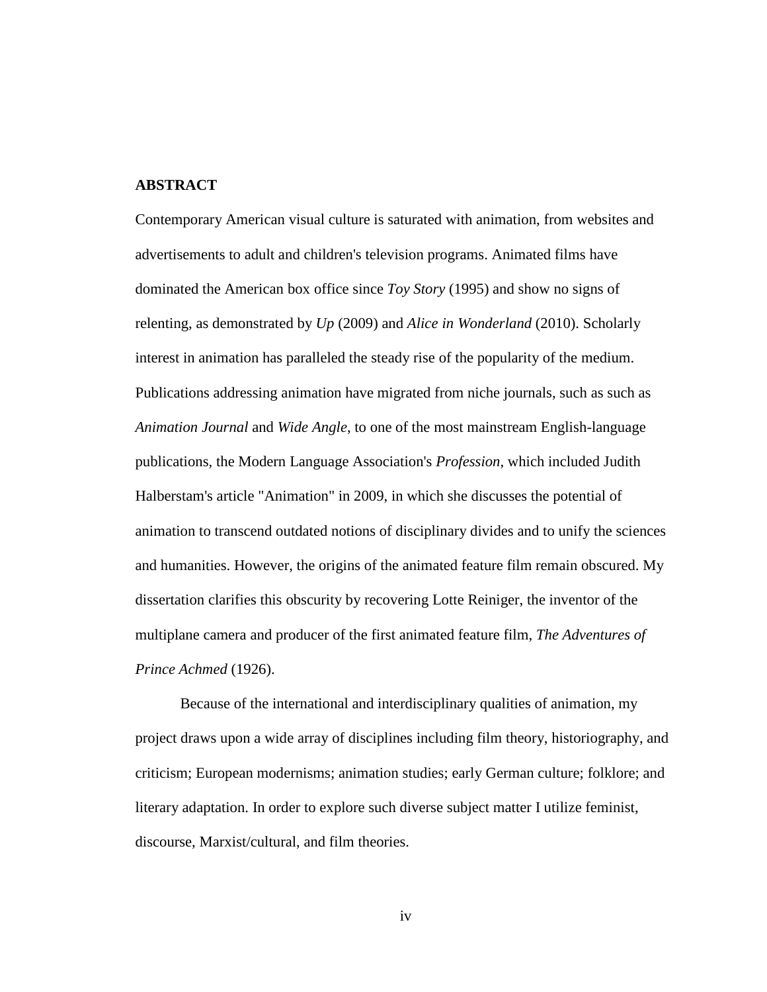#### **ABSTRACT**

Contemporary American visual culture is saturated with animation, from websites and advertisements to adult and children's television programs. Animated films have dominated the American box office since *Toy Story* (1995) and show no signs of relenting, as demonstrated by *Up* (2009) and *Alice in Wonderland* (2010). Scholarly interest in animation has paralleled the steady rise of the popularity of the medium. Publications addressing animation have migrated from niche journals, such as such as *Animation Journal* and *Wide Angle*, to one of the most mainstream English-language publications, the Modern Language Association's *Profession*, which included Judith Halberstam's article "Animation" in 2009, in which she discusses the potential of animation to transcend outdated notions of disciplinary divides and to unify the sciences and humanities. However, the origins of the animated feature film remain obscured. My dissertation clarifies this obscurity by recovering Lotte Reiniger, the inventor of the multiplane camera and producer of the first animated feature film, *The Adventures of Prince Achmed* (1926).

Because of the international and interdisciplinary qualities of animation, my project draws upon a wide array of disciplines including film theory, historiography, and criticism; European modernisms; animation studies; early German culture; folklore; and literary adaptation. In order to explore such diverse subject matter I utilize feminist, discourse, Marxist/cultural, and film theories.

iv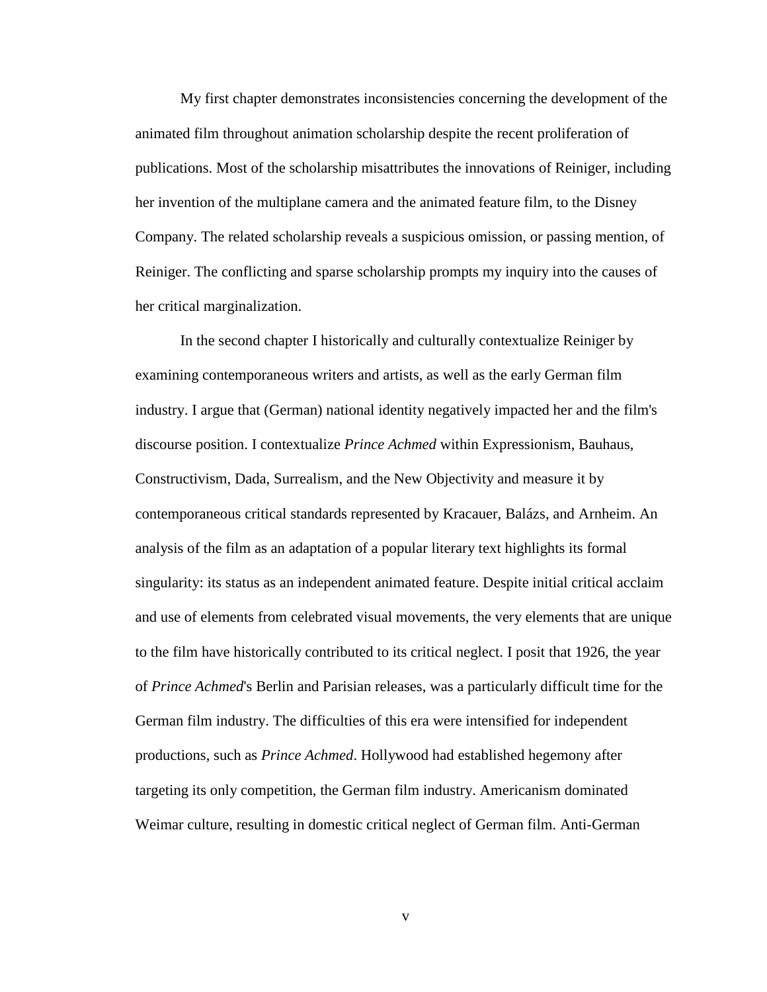My first chapter demonstrates inconsistencies concerning the development of the animated film throughout animation scholarship despite the recent proliferation of publications. Most of the scholarship misattributes the innovations of Reiniger, including her invention of the multiplane camera and the animated feature film, to the Disney Company. The related scholarship reveals a suspicious omission, or passing mention, of Reiniger. The conflicting and sparse scholarship prompts my inquiry into the causes of her critical marginalization.

In the second chapter I historically and culturally contextualize Reiniger by examining contemporaneous writers and artists, as well as the early German film industry. I argue that (German) national identity negatively impacted her and the film's discourse position. I contextualize *Prince Achmed* within Expressionism, Bauhaus, Constructivism, Dada, Surrealism, and the New Objectivity and measure it by contemporaneous critical standards represented by Kracauer, Balázs, and Arnheim. An analysis of the film as an adaptation of a popular literary text highlights its formal singularity: its status as an independent animated feature. Despite initial critical acclaim and use of elements from celebrated visual movements, the very elements that are unique to the film have historically contributed to its critical neglect. I posit that 1926, the year of *Prince Achmed*'s Berlin and Parisian releases, was a particularly difficult time for the German film industry. The difficulties of this era were intensified for independent productions, such as *Prince Achmed*. Hollywood had established hegemony after targeting its only competition, the German film industry. Americanism dominated Weimar culture, resulting in domestic critical neglect of German film. Anti-German

v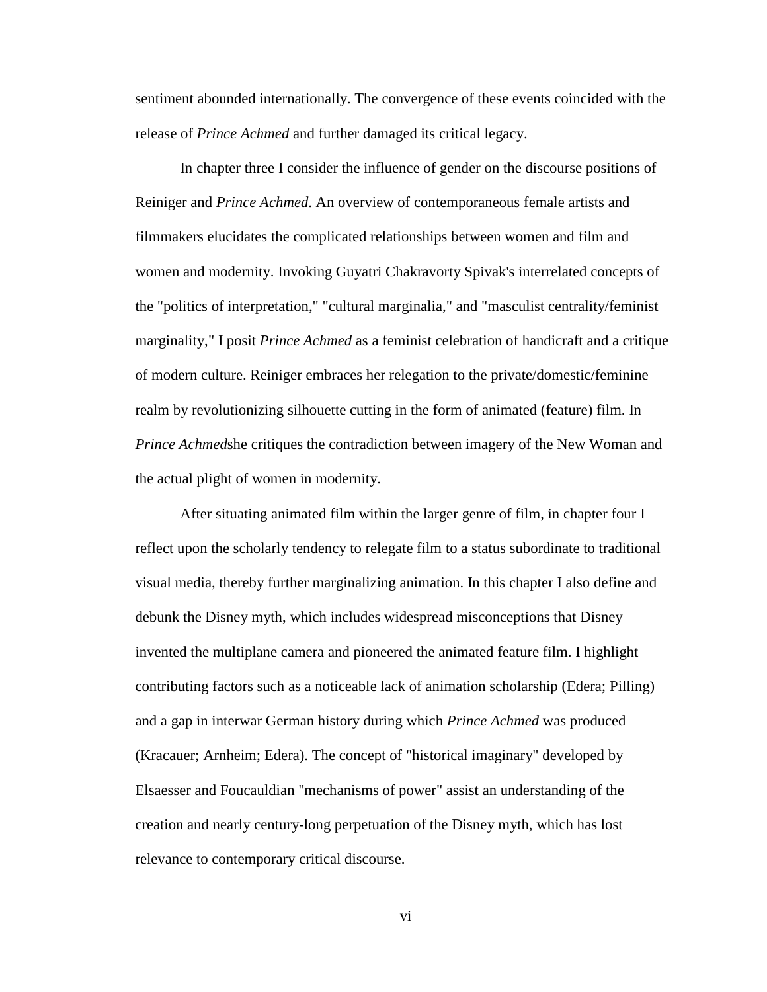sentiment abounded internationally. The convergence of these events coincided with the release of *Prince Achmed* and further damaged its critical legacy.

In chapter three I consider the influence of gender on the discourse positions of Reiniger and *Prince Achmed*. An overview of contemporaneous female artists and filmmakers elucidates the complicated relationships between women and film and women and modernity. Invoking Guyatri Chakravorty Spivak's interrelated concepts of the "politics of interpretation," "cultural marginalia," and "masculist centrality/feminist marginality," I posit *Prince Achmed* as a feminist celebration of handicraft and a critique of modern culture. Reiniger embraces her relegation to the private/domestic/feminine realm by revolutionizing silhouette cutting in the form of animated (feature) film. In *Prince Achmed*she critiques the contradiction between imagery of the New Woman and the actual plight of women in modernity.

After situating animated film within the larger genre of film, in chapter four I reflect upon the scholarly tendency to relegate film to a status subordinate to traditional visual media, thereby further marginalizing animation. In this chapter I also define and debunk the Disney myth, which includes widespread misconceptions that Disney invented the multiplane camera and pioneered the animated feature film. I highlight contributing factors such as a noticeable lack of animation scholarship (Edera; Pilling) and a gap in interwar German history during which *Prince Achmed* was produced (Kracauer; Arnheim; Edera). The concept of "historical imaginary" developed by Elsaesser and Foucauldian "mechanisms of power" assist an understanding of the creation and nearly century-long perpetuation of the Disney myth, which has lost relevance to contemporary critical discourse.

vi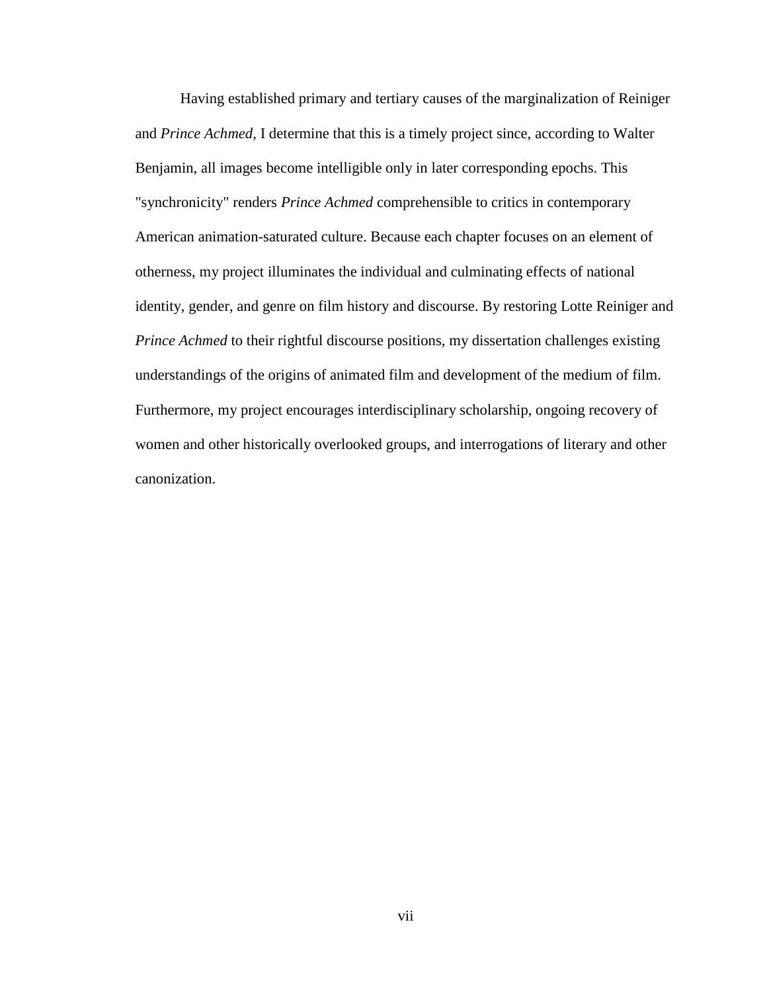Having established primary and tertiary causes of the marginalization of Reiniger and *Prince Achmed*, I determine that this is a timely project since, according to Walter Benjamin, all images become intelligible only in later corresponding epochs. This "synchronicity" renders *Prince Achmed* comprehensible to critics in contemporary American animation-saturated culture. Because each chapter focuses on an element of otherness, my project illuminates the individual and culminating effects of national identity, gender, and genre on film history and discourse. By restoring Lotte Reiniger and *Prince Achmed* to their rightful discourse positions, my dissertation challenges existing understandings of the origins of animated film and development of the medium of film. Furthermore, my project encourages interdisciplinary scholarship, ongoing recovery of women and other historically overlooked groups, and interrogations of literary and other canonization.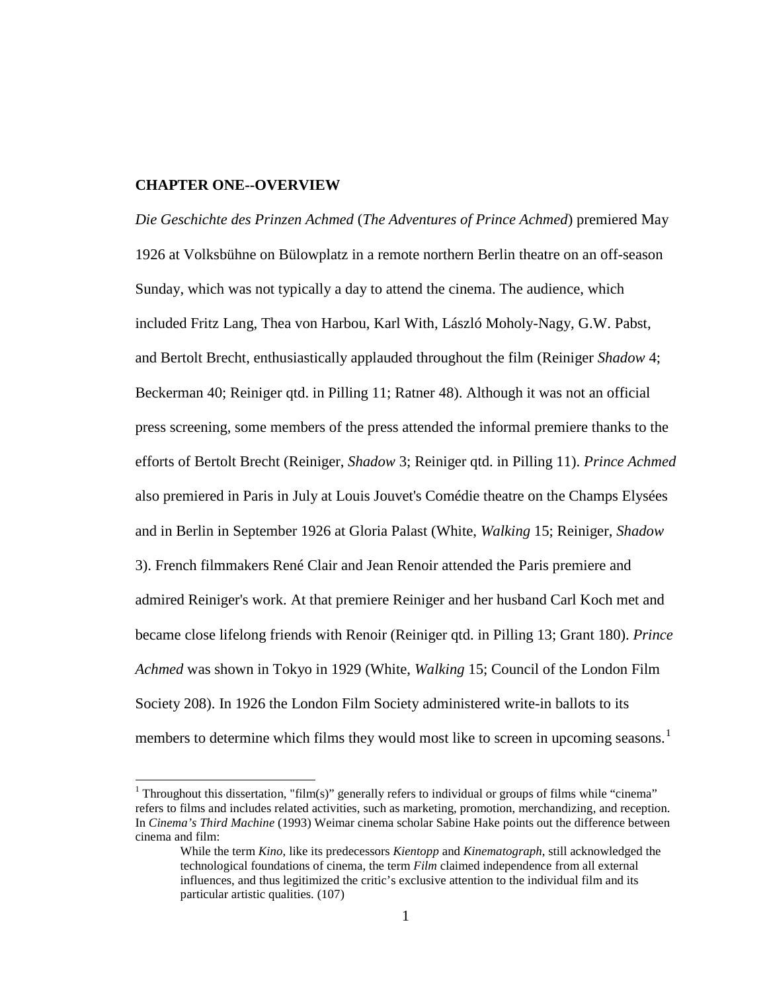#### **CHAPTER ONE--OVERVIEW**

*Die Geschichte des Prinzen Achmed* (*The Adventures of Prince Achmed*) premiered May 1926 at Volksbühne on Bülowplatz in a remote northern Berlin theatre on an off-season Sunday, which was not typically a day to attend the cinema. The audience, which included Fritz Lang, Thea von Harbou, Karl With, László Moholy-Nagy, G.W. Pabst, and Bertolt Brecht, enthusiastically applauded throughout the film (Reiniger *Shadow* 4; Beckerman 40; Reiniger qtd. in Pilling 11; Ratner 48). Although it was not an official press screening, some members of the press attended the informal premiere thanks to the efforts of Bertolt Brecht (Reiniger, *Shadow* 3; Reiniger qtd. in Pilling 11). *Prince Achmed* also premiered in Paris in July at Louis Jouvet's Comédie theatre on the Champs Elysées and in Berlin in September 1926 at Gloria Palast (White, *Walking* 15; Reiniger, *Shadow*  3). French filmmakers René Clair and Jean Renoir attended the Paris premiere and admired Reiniger's work. At that premiere Reiniger and her husband Carl Koch met and became close lifelong friends with Renoir (Reiniger qtd. in Pilling 13; Grant 180). *Prince Achmed* was shown in Tokyo in 1929 (White, *Walking* 15; Council of the London Film Society 208). In 1926 the London Film Society administered write-in ballots to its members to determine which films they would most like to screen in upcoming seasons.<sup>[1](#page-14-0)</sup>

<sup>&</sup>lt;sup>1</sup> Throughout this dissertation, "film(s)" generally refers to individual or groups of films while "cinema" refers to films and includes related activities, such as marketing, promotion, merchandizing, and reception. In *Cinema's Third Machine* (1993) Weimar cinema scholar Sabine Hake points out the difference between cinema and film:

While the term *Kino*, like its predecessors *Kientopp* and *Kinematograph*, still acknowledged the technological foundations of cinema, the term *Film* claimed independence from all external influences, and thus legitimized the critic's exclusive attention to the individual film and its particular artistic qualities. (107)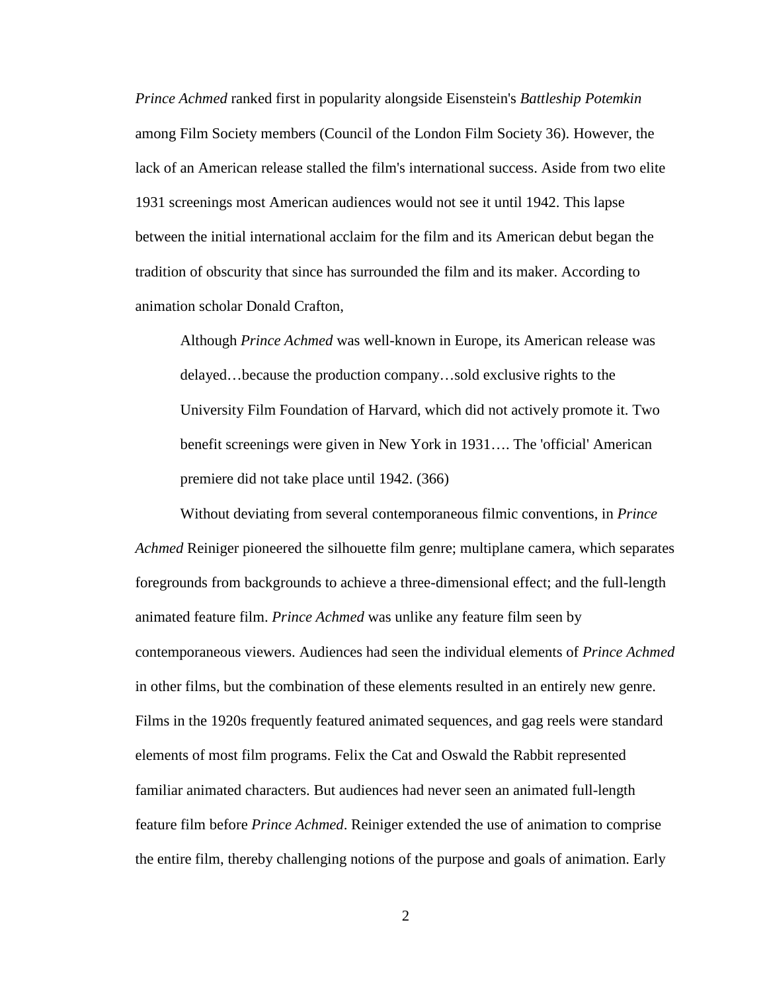*Prince Achmed* ranked first in popularity alongside Eisenstein's *Battleship Potemkin* among Film Society members (Council of the London Film Society 36). However, the lack of an American release stalled the film's international success. Aside from two elite 1931 screenings most American audiences would not see it until 1942. This lapse between the initial international acclaim for the film and its American debut began the tradition of obscurity that since has surrounded the film and its maker. According to animation scholar Donald Crafton,

Although *Prince Achmed* was well-known in Europe, its American release was delayed…because the production company…sold exclusive rights to the University Film Foundation of Harvard, which did not actively promote it. Two benefit screenings were given in New York in 1931…. The 'official' American premiere did not take place until 1942. (366)

Without deviating from several contemporaneous filmic conventions, in *Prince Achmed* Reiniger pioneered the silhouette film genre; multiplane camera, which separates foregrounds from backgrounds to achieve a three-dimensional effect; and the full-length animated feature film. *Prince Achmed* was unlike any feature film seen by contemporaneous viewers. Audiences had seen the individual elements of *Prince Achmed* in other films, but the combination of these elements resulted in an entirely new genre. Films in the 1920s frequently featured animated sequences, and gag reels were standard elements of most film programs. Felix the Cat and Oswald the Rabbit represented familiar animated characters. But audiences had never seen an animated full-length feature film before *Prince Achmed*. Reiniger extended the use of animation to comprise the entire film, thereby challenging notions of the purpose and goals of animation. Early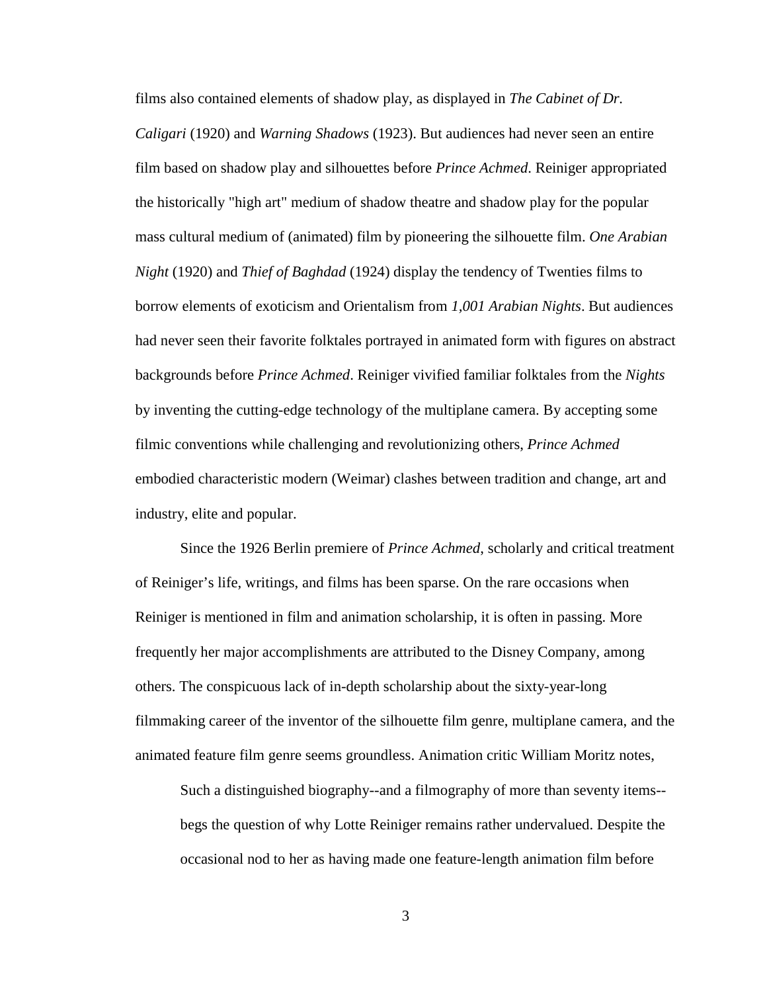films also contained elements of shadow play, as displayed in *The Cabinet of Dr. Caligari* (1920) and *Warning Shadows* (1923). But audiences had never seen an entire film based on shadow play and silhouettes before *Prince Achmed*. Reiniger appropriated the historically "high art" medium of shadow theatre and shadow play for the popular mass cultural medium of (animated) film by pioneering the silhouette film. *One Arabian Night* (1920) and *Thief of Baghdad* (1924) display the tendency of Twenties films to borrow elements of exoticism and Orientalism from *1,001 Arabian Nights*. But audiences had never seen their favorite folktales portrayed in animated form with figures on abstract backgrounds before *Prince Achmed*. Reiniger vivified familiar folktales from the *Nights*  by inventing the cutting-edge technology of the multiplane camera. By accepting some filmic conventions while challenging and revolutionizing others, *Prince Achmed* embodied characteristic modern (Weimar) clashes between tradition and change, art and industry, elite and popular.

Since the 1926 Berlin premiere of *Prince Achmed*, scholarly and critical treatment of Reiniger's life, writings, and films has been sparse. On the rare occasions when Reiniger is mentioned in film and animation scholarship, it is often in passing. More frequently her major accomplishments are attributed to the Disney Company, among others. The conspicuous lack of in-depth scholarship about the sixty-year-long filmmaking career of the inventor of the silhouette film genre, multiplane camera, and the animated feature film genre seems groundless. Animation critic William Moritz notes,

Such a distinguished biography--and a filmography of more than seventy items- begs the question of why Lotte Reiniger remains rather undervalued. Despite the occasional nod to her as having made one feature-length animation film before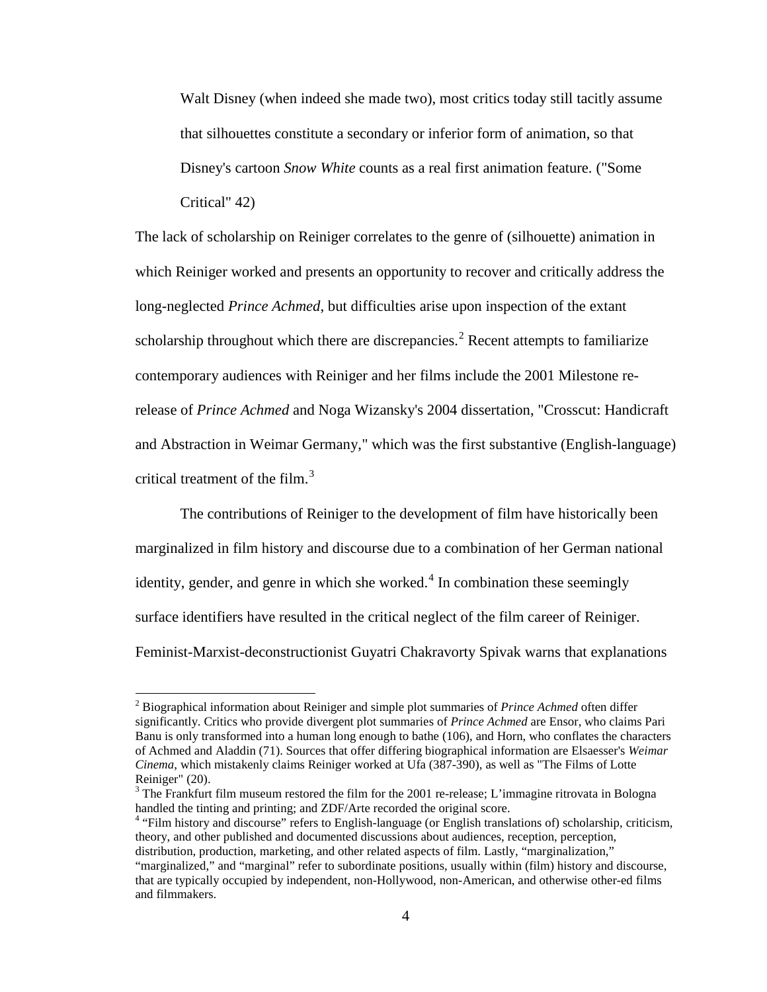Walt Disney (when indeed she made two), most critics today still tacitly assume that silhouettes constitute a secondary or inferior form of animation, so that Disney's cartoon *Snow White* counts as a real first animation feature. ("Some Critical" 42)

The lack of scholarship on Reiniger correlates to the genre of (silhouette) animation in which Reiniger worked and presents an opportunity to recover and critically address the long-neglected *Prince Achmed*, but difficulties arise upon inspection of the extant scholarship throughout which there are discrepancies.<sup>[2](#page-17-0)</sup> Recent attempts to familiarize contemporary audiences with Reiniger and her films include the 2001 Milestone rerelease of *Prince Achmed* and Noga Wizansky's 2004 dissertation, "Crosscut: Handicraft and Abstraction in Weimar Germany," which was the first substantive (English-language) critical treatment of the film. $3$ 

The contributions of Reiniger to the development of film have historically been marginalized in film history and discourse due to a combination of her German national identity, gender, and genre in which she worked. $4$  In combination these seemingly surface identifiers have resulted in the critical neglect of the film career of Reiniger. Feminist-Marxist-deconstructionist Guyatri Chakravorty Spivak warns that explanations

<sup>2</sup> Biographical information about Reiniger and simple plot summaries of *Prince Achmed* often differ significantly. Critics who provide divergent plot summaries of *Prince Achmed* are Ensor, who claims Pari Banu is only transformed into a human long enough to bathe (106), and Horn, who conflates the characters of Achmed and Aladdin (71). Sources that offer differing biographical information are Elsaesser's *Weimar Cinema*, which mistakenly claims Reiniger worked at Ufa (387-390), as well as "The Films of Lotte Reiniger" (20).

<span id="page-14-0"></span><sup>&</sup>lt;sup>3</sup> The Frankfurt film museum restored the film for the 2001 re-release; L'immagine ritrovata in Bologna handled the tinting and printing; and ZDF/Arte recorded the original score.<br><sup>4</sup> "Film history and discourse" refers to English-language (or English translations of) scholarship, criticism,

theory, and other published and documented discussions about audiences, reception, perception, distribution, production, marketing, and other related aspects of film. Lastly, "marginalization," "marginalized," and "marginal" refer to subordinate positions, usually within (film) history and discourse, that are typically occupied by independent, non-Hollywood, non-American, and otherwise other-ed films and filmmakers.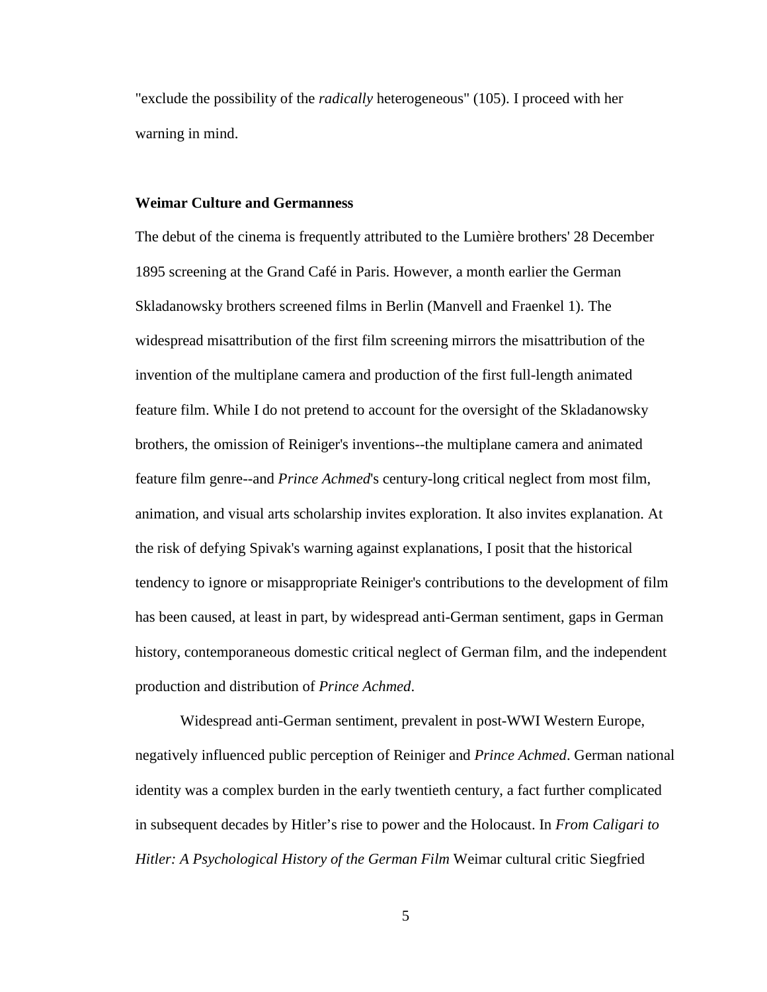"exclude the possibility of the *radically* heterogeneous" (105). I proceed with her warning in mind.

#### **Weimar Culture and Germanness**

The debut of the cinema is frequently attributed to the Lumière brothers' 28 December 1895 screening at the Grand Café in Paris. However, a month earlier the German Skladanowsky brothers screened films in Berlin (Manvell and Fraenkel 1). The widespread misattribution of the first film screening mirrors the misattribution of the invention of the multiplane camera and production of the first full-length animated feature film. While I do not pretend to account for the oversight of the Skladanowsky brothers, the omission of Reiniger's inventions--the multiplane camera and animated feature film genre--and *Prince Achmed*'s century-long critical neglect from most film, animation, and visual arts scholarship invites exploration. It also invites explanation. At the risk of defying Spivak's warning against explanations, I posit that the historical tendency to ignore or misappropriate Reiniger's contributions to the development of film has been caused, at least in part, by widespread anti-German sentiment, gaps in German history, contemporaneous domestic critical neglect of German film, and the independent production and distribution of *Prince Achmed*.

Widespread anti-German sentiment, prevalent in post-WWI Western Europe, negatively influenced public perception of Reiniger and *Prince Achmed*. German national identity was a complex burden in the early twentieth century, a fact further complicated in subsequent decades by Hitler's rise to power and the Holocaust. In *From Caligari to Hitler: A Psychological History of the German Film* Weimar cultural critic Siegfried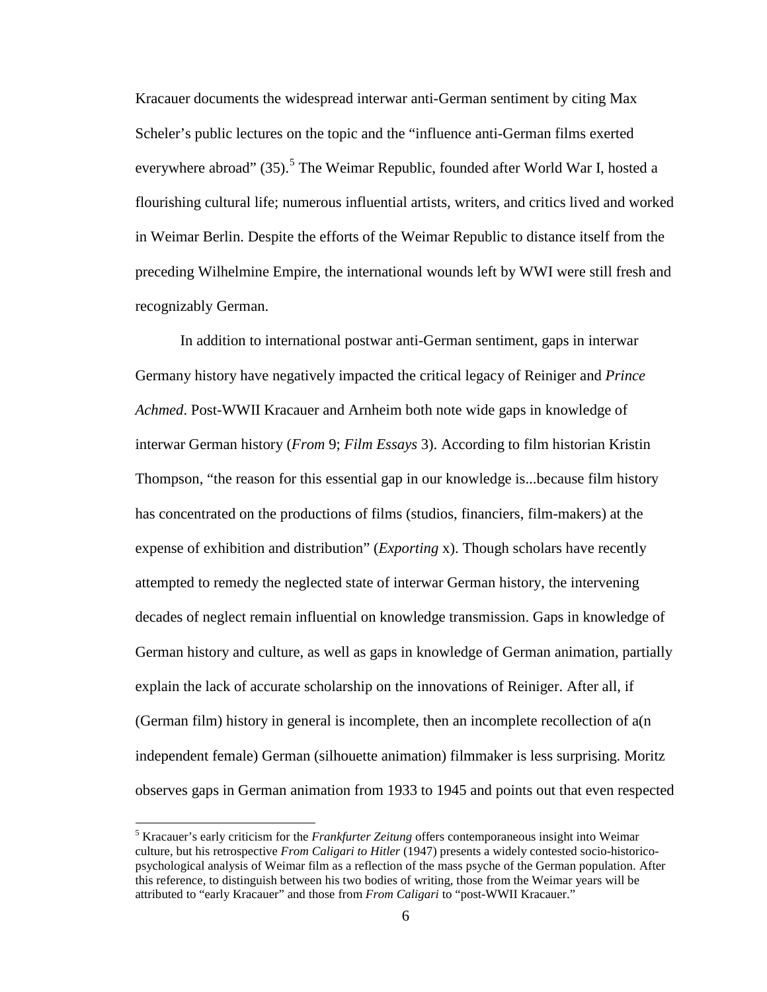Kracauer documents the widespread interwar anti-German sentiment by citing Max Scheler's public lectures on the topic and the "influence anti-German films exerted everywhere abroad" (3[5](#page-19-0)).<sup>5</sup> The Weimar Republic, founded after World War I, hosted a flourishing cultural life; numerous influential artists, writers, and critics lived and worked in Weimar Berlin. Despite the efforts of the Weimar Republic to distance itself from the preceding Wilhelmine Empire, the international wounds left by WWI were still fresh and recognizably German.

In addition to international postwar anti-German sentiment, gaps in interwar Germany history have negatively impacted the critical legacy of Reiniger and *Prince Achmed*. Post-WWII Kracauer and Arnheim both note wide gaps in knowledge of interwar German history (*From* 9; *Film Essays* 3). According to film historian Kristin Thompson, "the reason for this essential gap in our knowledge is...because film history has concentrated on the productions of films (studios, financiers, film-makers) at the expense of exhibition and distribution" (*Exporting* x). Though scholars have recently attempted to remedy the neglected state of interwar German history, the intervening decades of neglect remain influential on knowledge transmission. Gaps in knowledge of German history and culture, as well as gaps in knowledge of German animation, partially explain the lack of accurate scholarship on the innovations of Reiniger. After all, if (German film) history in general is incomplete, then an incomplete recollection of a(n independent female) German (silhouette animation) filmmaker is less surprising. Moritz observes gaps in German animation from 1933 to 1945 and points out that even respected

<sup>5</sup> Kracauer's early criticism for the *Frankfurter Zeitung* offers contemporaneous insight into Weimar culture, but his retrospective *From Caligari to Hitler* (1947) presents a widely contested socio-historicopsychological analysis of Weimar film as a reflection of the mass psyche of the German population. After this reference, to distinguish between his two bodies of writing, those from the Weimar years will be attributed to "early Kracauer" and those from *From Caligari* to "post-WWII Kracauer."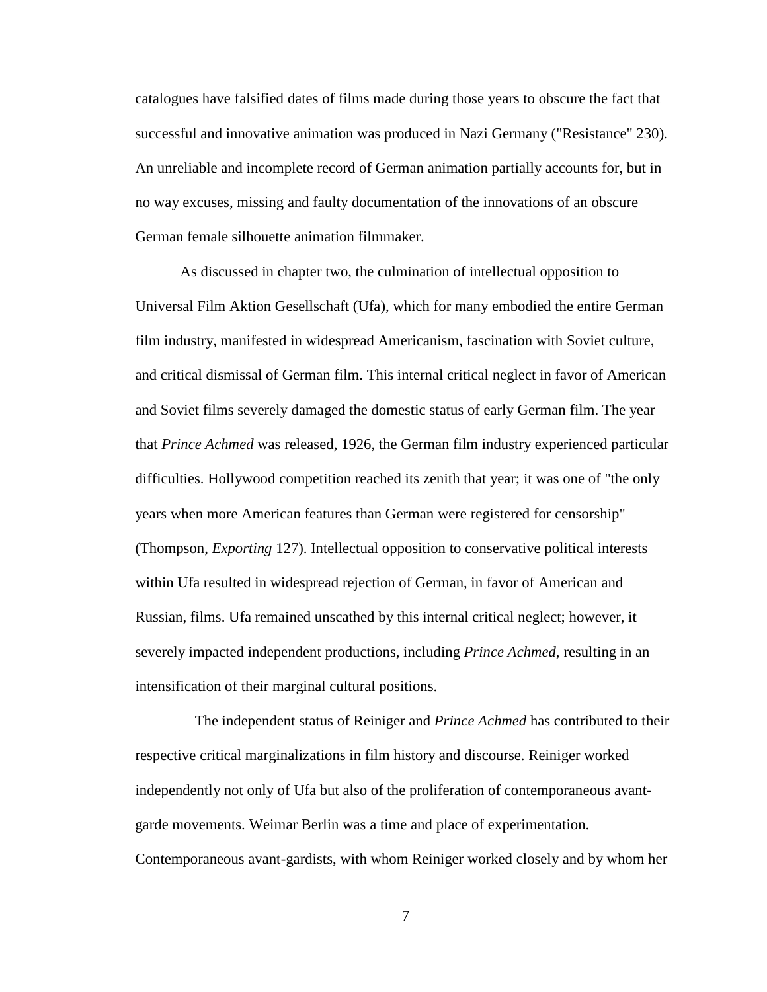catalogues have falsified dates of films made during those years to obscure the fact that successful and innovative animation was produced in Nazi Germany ("Resistance" 230). An unreliable and incomplete record of German animation partially accounts for, but in no way excuses, missing and faulty documentation of the innovations of an obscure German female silhouette animation filmmaker.

As discussed in chapter two, the culmination of intellectual opposition to Universal Film Aktion Gesellschaft (Ufa), which for many embodied the entire German film industry, manifested in widespread Americanism, fascination with Soviet culture, and critical dismissal of German film. This internal critical neglect in favor of American and Soviet films severely damaged the domestic status of early German film. The year that *Prince Achmed* was released, 1926, the German film industry experienced particular difficulties. Hollywood competition reached its zenith that year; it was one of "the only years when more American features than German were registered for censorship" (Thompson, *Exporting* 127). Intellectual opposition to conservative political interests within Ufa resulted in widespread rejection of German, in favor of American and Russian, films. Ufa remained unscathed by this internal critical neglect; however, it severely impacted independent productions, including *Prince Achmed*, resulting in an intensification of their marginal cultural positions.

<span id="page-17-2"></span><span id="page-17-1"></span><span id="page-17-0"></span>The independent status of Reiniger and *Prince Achmed* has contributed to their respective critical marginalizations in film history and discourse. Reiniger worked independently not only of Ufa but also of the proliferation of contemporaneous avantgarde movements. Weimar Berlin was a time and place of experimentation. Contemporaneous avant-gardists, with whom Reiniger worked closely and by whom her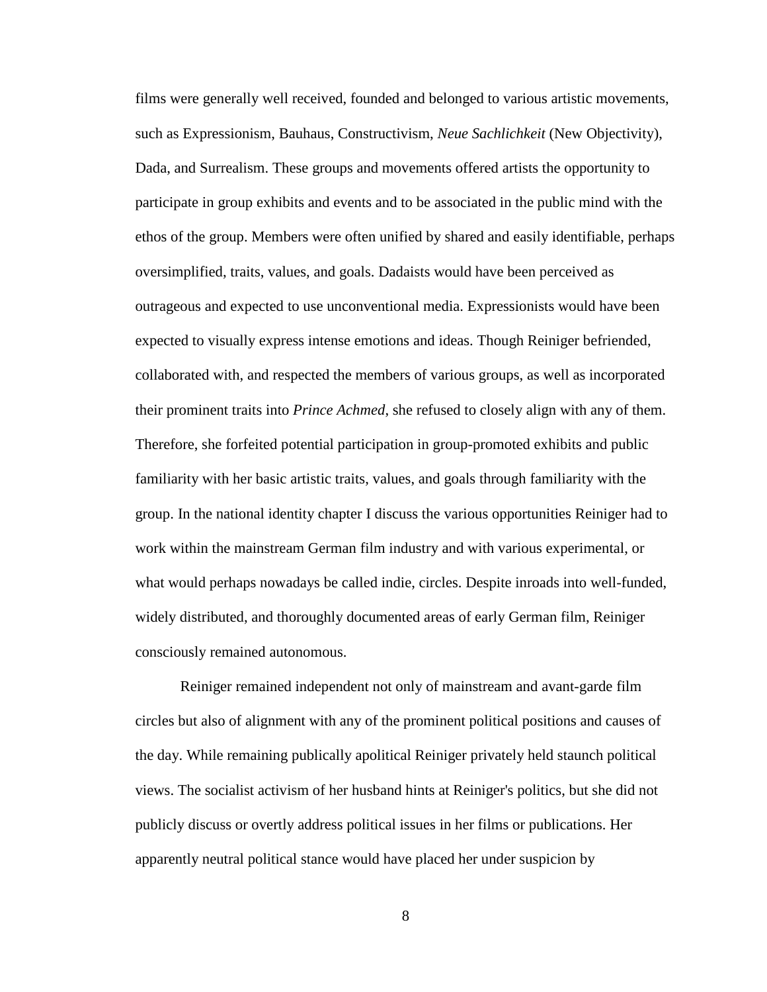films were generally well received, founded and belonged to various artistic movements, such as Expressionism, Bauhaus, Constructivism, *Neue Sachlichkeit* (New Objectivity), Dada, and Surrealism. These groups and movements offered artists the opportunity to participate in group exhibits and events and to be associated in the public mind with the ethos of the group. Members were often unified by shared and easily identifiable, perhaps oversimplified, traits, values, and goals. Dadaists would have been perceived as outrageous and expected to use unconventional media. Expressionists would have been expected to visually express intense emotions and ideas. Though Reiniger befriended, collaborated with, and respected the members of various groups, as well as incorporated their prominent traits into *Prince Achmed*, she refused to closely align with any of them. Therefore, she forfeited potential participation in group-promoted exhibits and public familiarity with her basic artistic traits, values, and goals through familiarity with the group. In the national identity chapter I discuss the various opportunities Reiniger had to work within the mainstream German film industry and with various experimental, or what would perhaps nowadays be called indie, circles. Despite inroads into well-funded, widely distributed, and thoroughly documented areas of early German film, Reiniger consciously remained autonomous.

Reiniger remained independent not only of mainstream and avant-garde film circles but also of alignment with any of the prominent political positions and causes of the day. While remaining publically apolitical Reiniger privately held staunch political views. The socialist activism of her husband hints at Reiniger's politics, but she did not publicly discuss or overtly address political issues in her films or publications. Her apparently neutral political stance would have placed her under suspicion by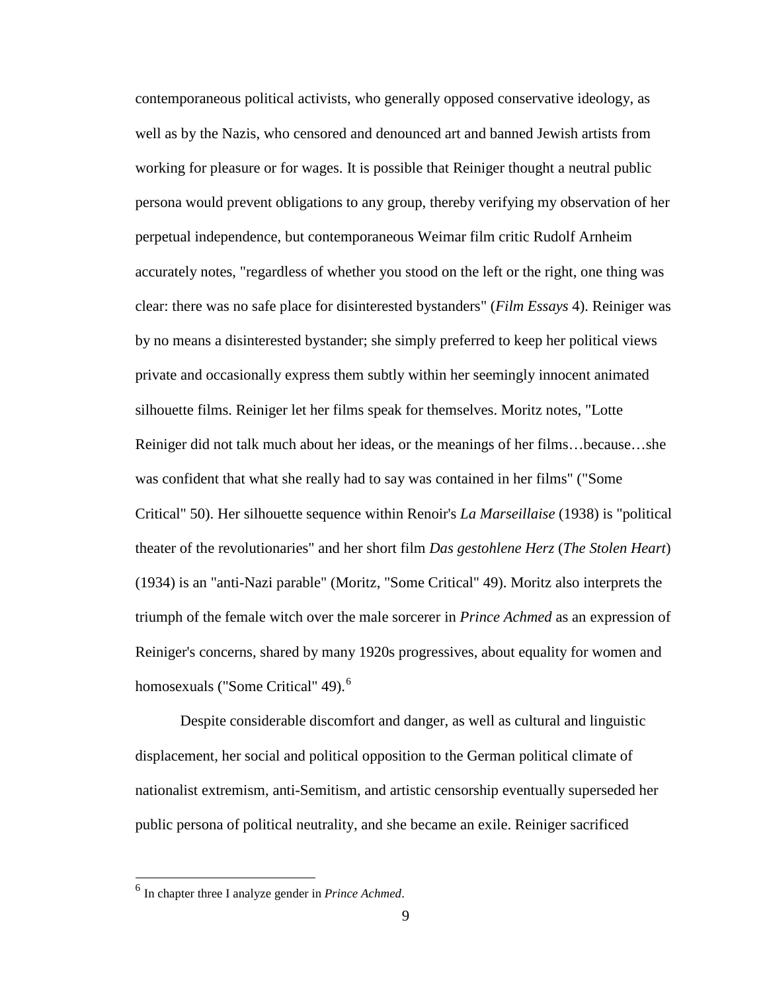contemporaneous political activists, who generally opposed conservative ideology, as well as by the Nazis, who censored and denounced art and banned Jewish artists from working for pleasure or for wages. It is possible that Reiniger thought a neutral public persona would prevent obligations to any group, thereby verifying my observation of her perpetual independence, but contemporaneous Weimar film critic Rudolf Arnheim accurately notes, "regardless of whether you stood on the left or the right, one thing was clear: there was no safe place for disinterested bystanders" (*Film Essays* 4). Reiniger was by no means a disinterested bystander; she simply preferred to keep her political views private and occasionally express them subtly within her seemingly innocent animated silhouette films. Reiniger let her films speak for themselves. Moritz notes, "Lotte Reiniger did not talk much about her ideas, or the meanings of her films…because…she was confident that what she really had to say was contained in her films" ("Some Critical" 50). Her silhouette sequence within Renoir's *La Marseillaise* (1938) is "political theater of the revolutionaries" and her short film *Das gestohlene Herz* (*The Stolen Heart*) (1934) is an "anti-Nazi parable" (Moritz, "Some Critical" 49). Moritz also interprets the triumph of the female witch over the male sorcerer in *Prince Achmed* as an expression of Reiniger's concerns, shared by many 1920s progressives, about equality for women and homosexuals ("Some Critical" 49).<sup>[6](#page-22-0)</sup>

Despite considerable discomfort and danger, as well as cultural and linguistic displacement, her social and political opposition to the German political climate of nationalist extremism, anti-Semitism, and artistic censorship eventually superseded her public persona of political neutrality, and she became an exile. Reiniger sacrificed

<span id="page-19-0"></span><sup>6</sup> In chapter three I analyze gender in *Prince Achmed*.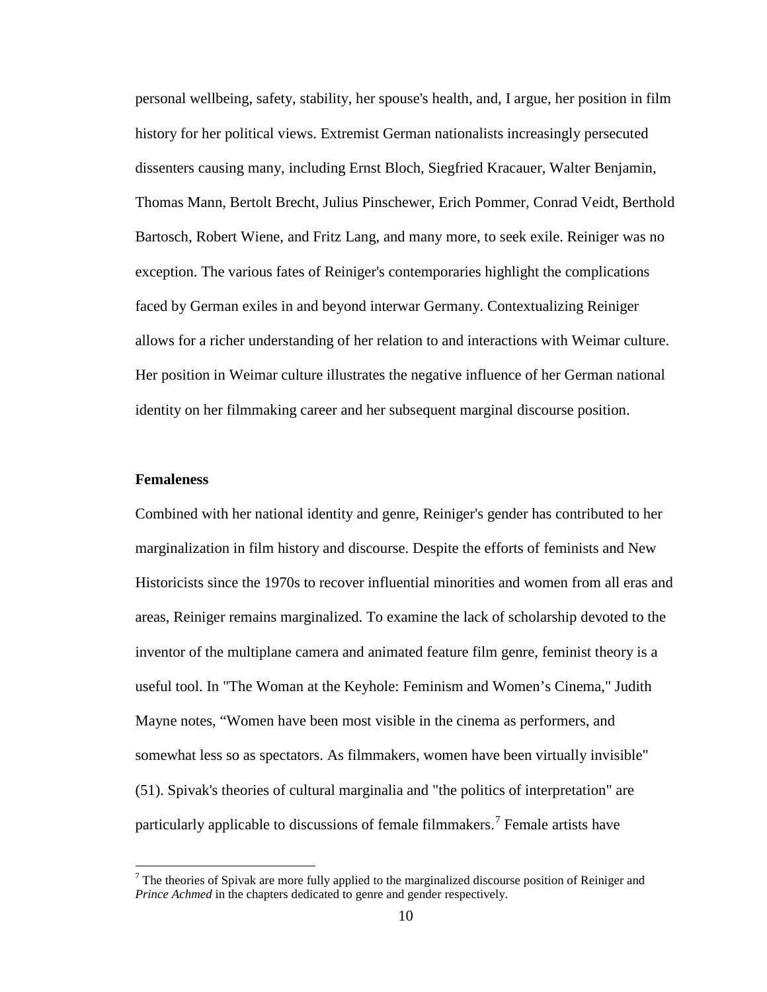personal wellbeing, safety, stability, her spouse's health, and, I argue, her position in film history for her political views. Extremist German nationalists increasingly persecuted dissenters causing many, including Ernst Bloch, Siegfried Kracauer, Walter Benjamin, Thomas Mann, Bertolt Brecht, Julius Pinschewer, Erich Pommer, Conrad Veidt, Berthold Bartosch, Robert Wiene, and Fritz Lang, and many more, to seek exile. Reiniger was no exception. The various fates of Reiniger's contemporaries highlight the complications faced by German exiles in and beyond interwar Germany. Contextualizing Reiniger allows for a richer understanding of her relation to and interactions with Weimar culture. Her position in Weimar culture illustrates the negative influence of her German national identity on her filmmaking career and her subsequent marginal discourse position.

#### **Femaleness**

Combined with her national identity and genre, Reiniger's gender has contributed to her marginalization in film history and discourse. Despite the efforts of feminists and New Historicists since the 1970s to recover influential minorities and women from all eras and areas, Reiniger remains marginalized. To examine the lack of scholarship devoted to the inventor of the multiplane camera and animated feature film genre, feminist theory is a useful tool. In "The Woman at the Keyhole: Feminism and Women's Cinema," Judith Mayne notes, "Women have been most visible in the cinema as performers, and somewhat less so as spectators. As filmmakers, women have been virtually invisible" (51). Spivak's theories of cultural marginalia and "the politics of interpretation" are particularly applicable to discussions of female filmmakers.<sup>[7](#page-23-0)</sup> Female artists have

 $<sup>7</sup>$  The theories of Spivak are more fully applied to the marginalized discourse position of Reiniger and</sup> *Prince Achmed* in the chapters dedicated to genre and gender respectively.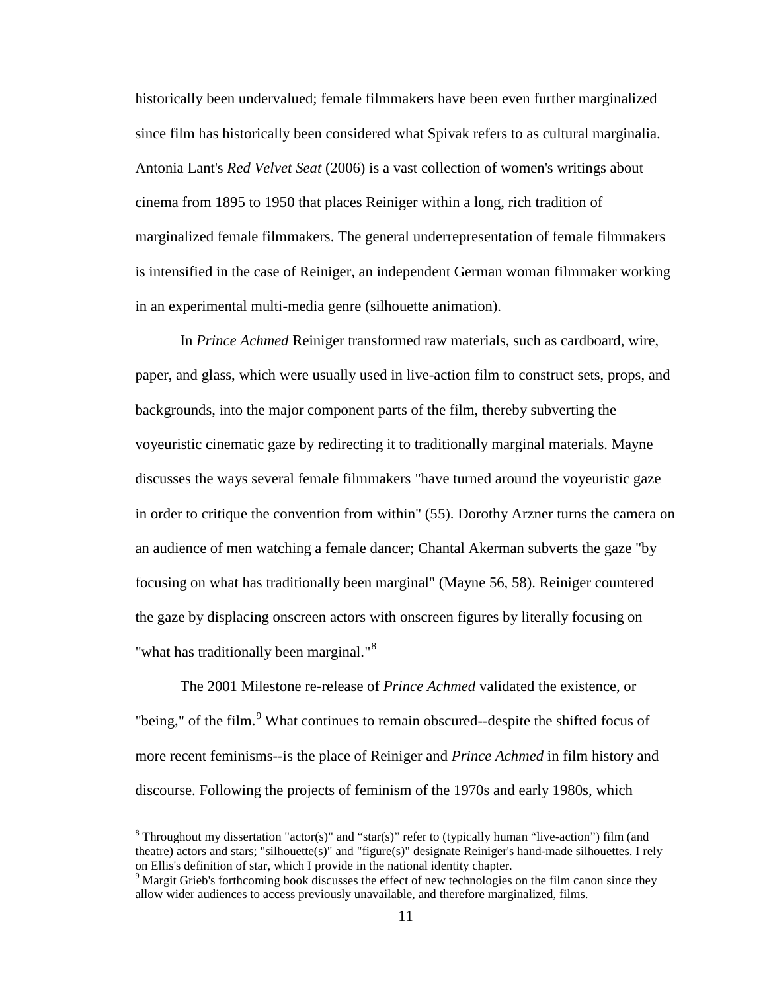historically been undervalued; female filmmakers have been even further marginalized since film has historically been considered what Spivak refers to as cultural marginalia. Antonia Lant's *Red Velvet Seat* (2006) is a vast collection of women's writings about cinema from 1895 to 1950 that places Reiniger within a long, rich tradition of marginalized female filmmakers. The general underrepresentation of female filmmakers is intensified in the case of Reiniger, an independent German woman filmmaker working in an experimental multi-media genre (silhouette animation).

In *Prince Achmed* Reiniger transformed raw materials, such as cardboard, wire, paper, and glass, which were usually used in live-action film to construct sets, props, and backgrounds, into the major component parts of the film, thereby subverting the voyeuristic cinematic gaze by redirecting it to traditionally marginal materials. Mayne discusses the ways several female filmmakers "have turned around the voyeuristic gaze in order to critique the convention from within" (55). Dorothy Arzner turns the camera on an audience of men watching a female dancer; Chantal Akerman subverts the gaze "by focusing on what has traditionally been marginal" (Mayne 56, 58). Reiniger countered the gaze by displacing onscreen actors with onscreen figures by literally focusing on "what has traditionally been marginal."<sup>[8](#page-24-0)</sup>

The 2001 Milestone re-release of *Prince Achmed* validated the existence, or "being," of the film.<sup>[9](#page-24-1)</sup> What continues to remain obscured--despite the shifted focus of more recent feminisms--is the place of Reiniger and *Prince Achmed* in film history and discourse. Following the projects of feminism of the 1970s and early 1980s, which

<sup>&</sup>lt;sup>8</sup> Throughout my dissertation "actor(s)" and "star(s)" refer to (typically human "live-action") film (and theatre) actors and stars; "silhouette(s)" and "figure(s)" designate Reiniger's hand-made silhouettes. I rely on Ellis's definition of star, which I provide in the national identity chapter.

<sup>&</sup>lt;sup>9</sup> Margit Grieb's forthcoming book discusses the effect of new technologies on the film canon since they allow wider audiences to access previously unavailable, and therefore marginalized, films.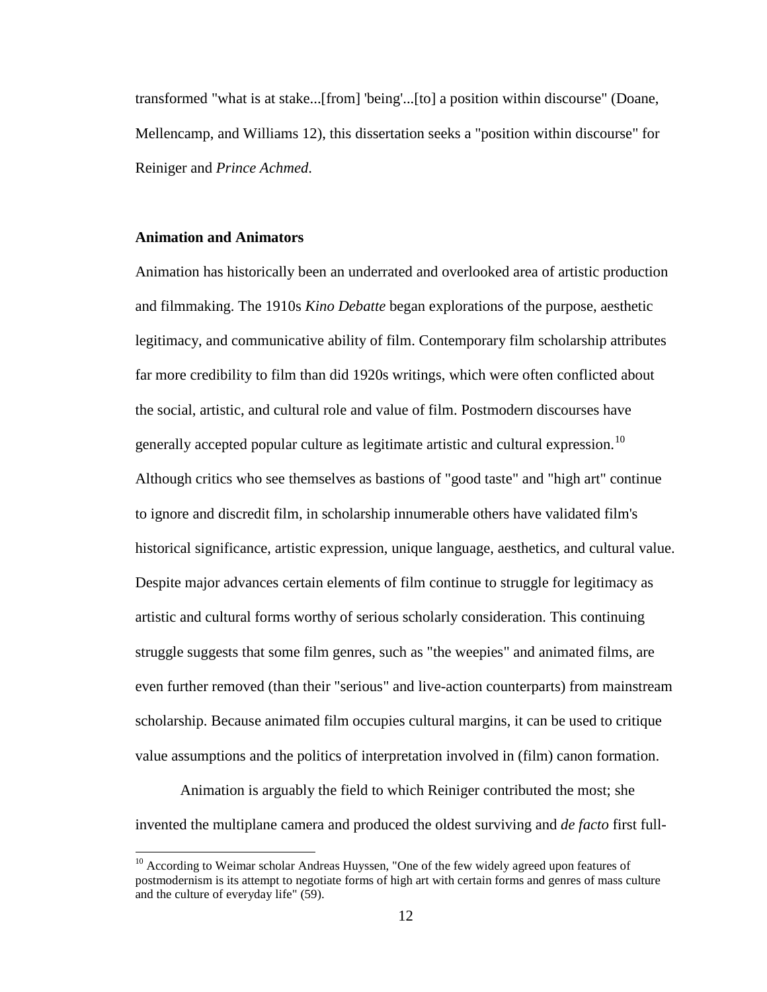transformed "what is at stake...[from] 'being'...[to] a position within discourse" (Doane, Mellencamp, and Williams 12), this dissertation seeks a "position within discourse" for Reiniger and *Prince Achmed*.

#### **Animation and Animators**

Animation has historically been an underrated and overlooked area of artistic production and filmmaking. The 1910s *Kino Debatte* began explorations of the purpose, aesthetic legitimacy, and communicative ability of film. Contemporary film scholarship attributes far more credibility to film than did 1920s writings, which were often conflicted about the social, artistic, and cultural role and value of film. Postmodern discourses have generally accepted popular culture as legitimate artistic and cultural expression.<sup>[10](#page-25-0)</sup> Although critics who see themselves as bastions of "good taste" and "high art" continue to ignore and discredit film, in scholarship innumerable others have validated film's historical significance, artistic expression, unique language, aesthetics, and cultural value. Despite major advances certain elements of film continue to struggle for legitimacy as artistic and cultural forms worthy of serious scholarly consideration. This continuing struggle suggests that some film genres, such as "the weepies" and animated films, are even further removed (than their "serious" and live-action counterparts) from mainstream scholarship. Because animated film occupies cultural margins, it can be used to critique value assumptions and the politics of interpretation involved in (film) canon formation.

Animation is arguably the field to which Reiniger contributed the most; she invented the multiplane camera and produced the oldest surviving and *de facto* first full-

<span id="page-22-0"></span> $10$  According to Weimar scholar Andreas Huyssen, "One of the few widely agreed upon features of postmodernism is its attempt to negotiate forms of high art with certain forms and genres of mass culture and the culture of everyday life" (59).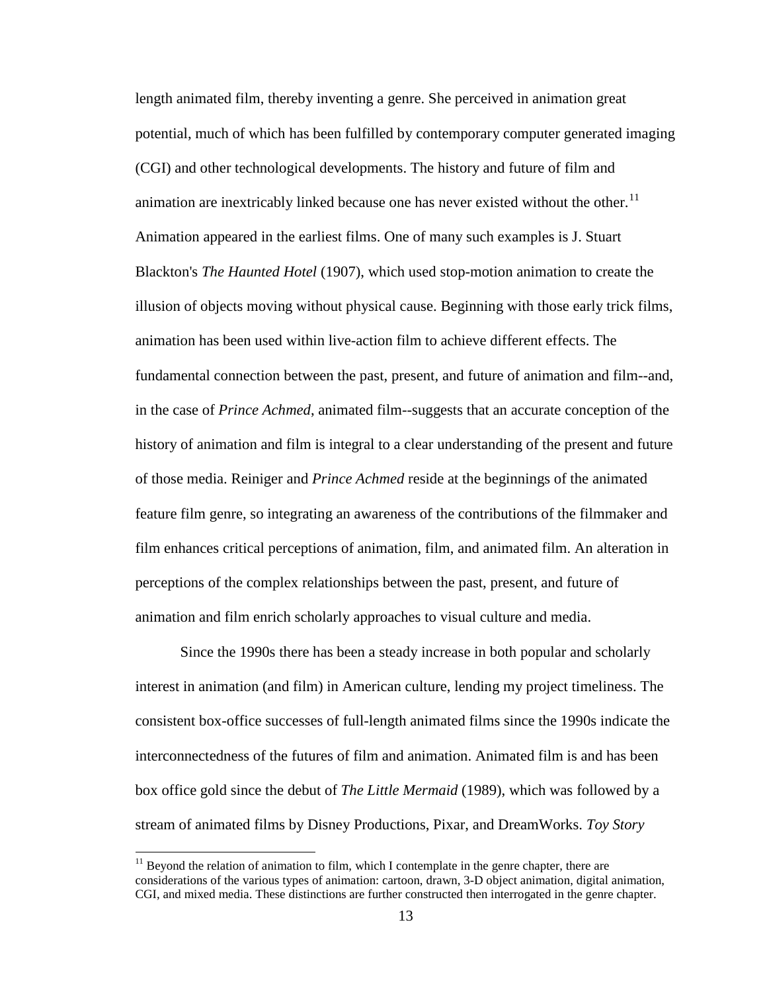length animated film, thereby inventing a genre. She perceived in animation great potential, much of which has been fulfilled by contemporary computer generated imaging (CGI) and other technological developments. The history and future of film and animation are inextricably linked because one has never existed without the other.<sup>[11](#page-26-0)</sup> Animation appeared in the earliest films. One of many such examples is J. Stuart Blackton's *The Haunted Hotel* (1907), which used stop-motion animation to create the illusion of objects moving without physical cause. Beginning with those early trick films, animation has been used within live-action film to achieve different effects. The fundamental connection between the past, present, and future of animation and film--and, in the case of *Prince Achmed*, animated film--suggests that an accurate conception of the history of animation and film is integral to a clear understanding of the present and future of those media. Reiniger and *Prince Achmed* reside at the beginnings of the animated feature film genre, so integrating an awareness of the contributions of the filmmaker and film enhances critical perceptions of animation, film, and animated film. An alteration in perceptions of the complex relationships between the past, present, and future of animation and film enrich scholarly approaches to visual culture and media.

Since the 1990s there has been a steady increase in both popular and scholarly interest in animation (and film) in American culture, lending my project timeliness. The consistent box-office successes of full-length animated films since the 1990s indicate the interconnectedness of the futures of film and animation. Animated film is and has been box office gold since the debut of *The Little Mermaid* (1989), which was followed by a stream of animated films by Disney Productions, Pixar, and DreamWorks. *Toy Story*

<span id="page-23-0"></span> $11$  Beyond the relation of animation to film, which I contemplate in the genre chapter, there are considerations of the various types of animation: cartoon, drawn, 3-D object animation, digital animation, CGI, and mixed media. These distinctions are further constructed then interrogated in the genre chapter.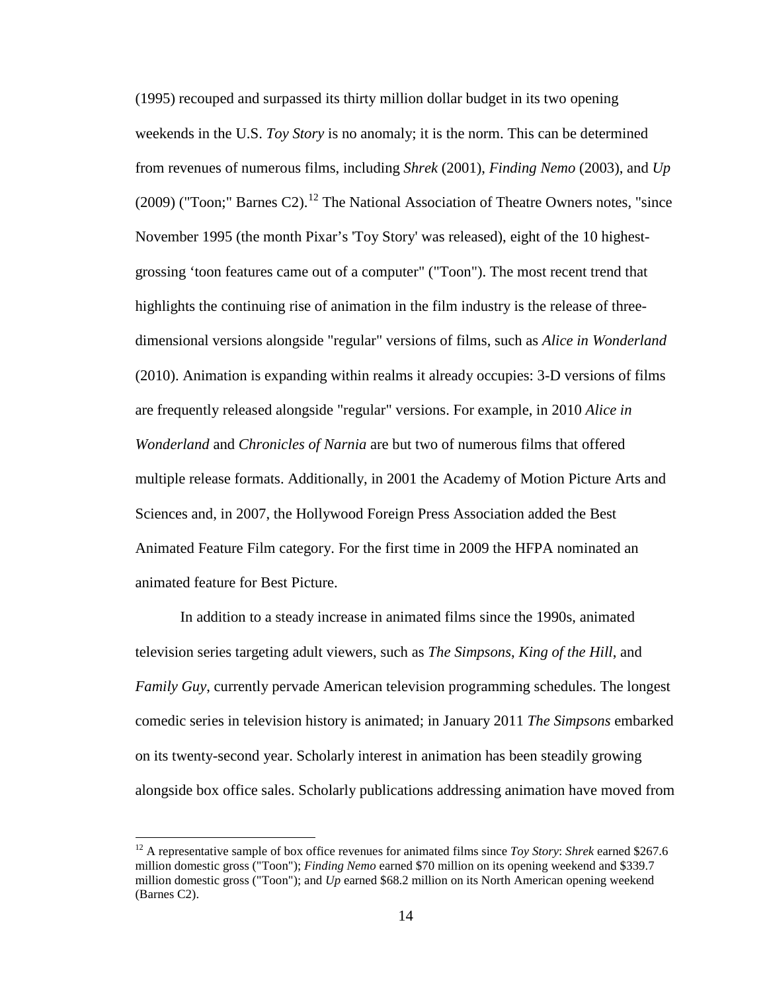(1995) recouped and surpassed its thirty million dollar budget in its two opening weekends in the U.S. *Toy Story* is no anomaly; it is the norm. This can be determined from revenues of numerous films, including *Shrek* (2001), *Finding Nemo* (2003), and *Up*   $(2009)$  ("Toon;" Barnes C2).<sup>[12](#page-27-0)</sup> The National Association of Theatre Owners notes, "since November 1995 (the month Pixar's 'Toy Story' was released), eight of the 10 highestgrossing 'toon features came out of a computer" ("Toon"). The most recent trend that highlights the continuing rise of animation in the film industry is the release of threedimensional versions alongside "regular" versions of films, such as *Alice in Wonderland* (2010). Animation is expanding within realms it already occupies: 3-D versions of films are frequently released alongside "regular" versions. For example, in 2010 *Alice in Wonderland* and *Chronicles of Narnia* are but two of numerous films that offered multiple release formats. Additionally, in 2001 the Academy of Motion Picture Arts and Sciences and, in 2007, the Hollywood Foreign Press Association added the Best Animated Feature Film category. For the first time in 2009 the HFPA nominated an animated feature for Best Picture.

In addition to a steady increase in animated films since the 1990s, animated television series targeting adult viewers, such as *The Simpsons*, *King of the Hill*, and *Family Guy*, currently pervade American television programming schedules. The longest comedic series in television history is animated; in January 2011 *The Simpsons* embarked on its twenty-second year. Scholarly interest in animation has been steadily growing alongside box office sales. Scholarly publications addressing animation have moved from

<span id="page-24-1"></span><span id="page-24-0"></span><sup>12</sup> A representative sample of box office revenues for animated films since *Toy Story*: *Shrek* earned \$267.6 million domestic gross ("Toon"); *Finding Nemo* earned \$70 million on its opening weekend and \$339.7 million domestic gross ("Toon"); and *Up* earned \$68.2 million on its North American opening weekend (Barnes C2).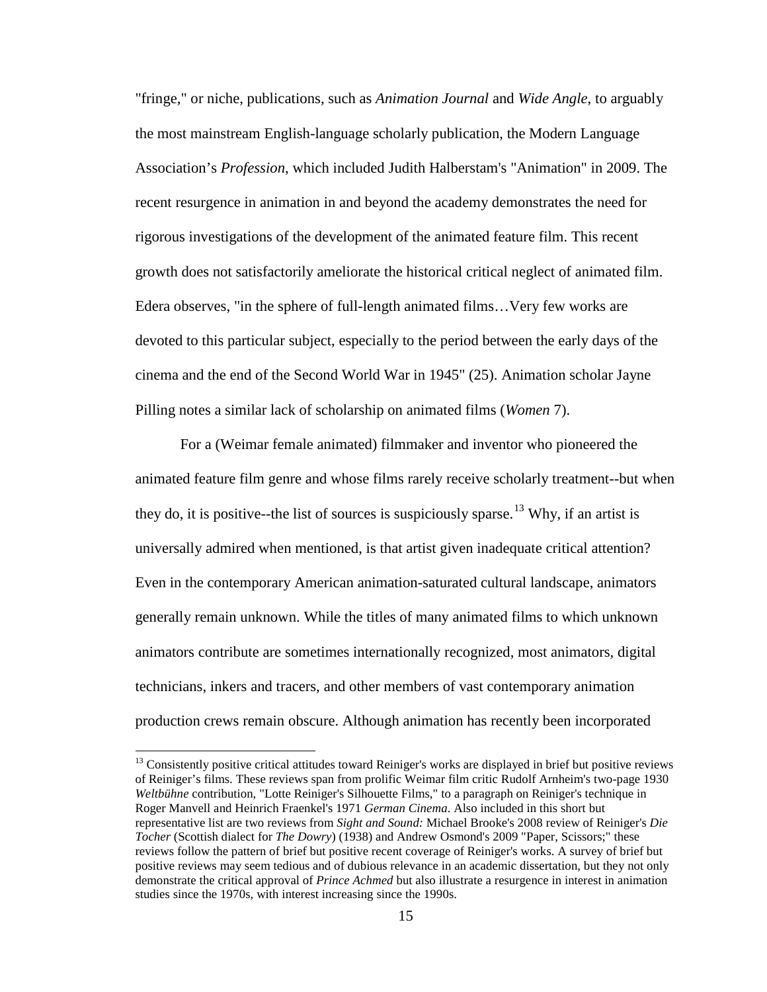"fringe," or niche, publications, such as *Animation Journal* and *Wide Angle*, to arguably the most mainstream English-language scholarly publication, the Modern Language Association's *Profession*, which included Judith Halberstam's "Animation" in 2009. The recent resurgence in animation in and beyond the academy demonstrates the need for rigorous investigations of the development of the animated feature film. This recent growth does not satisfactorily ameliorate the historical critical neglect of animated film. Edera observes, "in the sphere of full-length animated films…Very few works are devoted to this particular subject, especially to the period between the early days of the cinema and the end of the Second World War in 1945" (25). Animation scholar Jayne Pilling notes a similar lack of scholarship on animated films (*Women* 7).

For a (Weimar female animated) filmmaker and inventor who pioneered the animated feature film genre and whose films rarely receive scholarly treatment--but when they do, it is positive--the list of sources is suspiciously sparse.<sup>[13](#page-28-0)</sup> Why, if an artist is universally admired when mentioned, is that artist given inadequate critical attention? Even in the contemporary American animation-saturated cultural landscape, animators generally remain unknown. While the titles of many animated films to which unknown animators contribute are sometimes internationally recognized, most animators, digital technicians, inkers and tracers, and other members of vast contemporary animation production crews remain obscure. Although animation has recently been incorporated

<span id="page-25-0"></span><sup>&</sup>lt;sup>13</sup> Consistently positive critical attitudes toward Reiniger's works are displayed in brief but positive reviews of Reiniger's films. These reviews span from prolific Weimar film critic Rudolf Arnheim's two-page 1930 *Weltbühne* contribution, "Lotte Reiniger's Silhouette Films," to a paragraph on Reiniger's technique in Roger Manvell and Heinrich Fraenkel's 1971 *German Cinema*. Also included in this short but representative list are two reviews from *Sight and Sound:* Michael Brooke's 2008 review of Reiniger's *Die Tocher* (Scottish dialect for *The Dowry*) (1938) and Andrew Osmond's 2009 "Paper, Scissors;" these reviews follow the pattern of brief but positive recent coverage of Reiniger's works. A survey of brief but positive reviews may seem tedious and of dubious relevance in an academic dissertation, but they not only demonstrate the critical approval of *Prince Achmed* but also illustrate a resurgence in interest in animation studies since the 1970s, with interest increasing since the 1990s.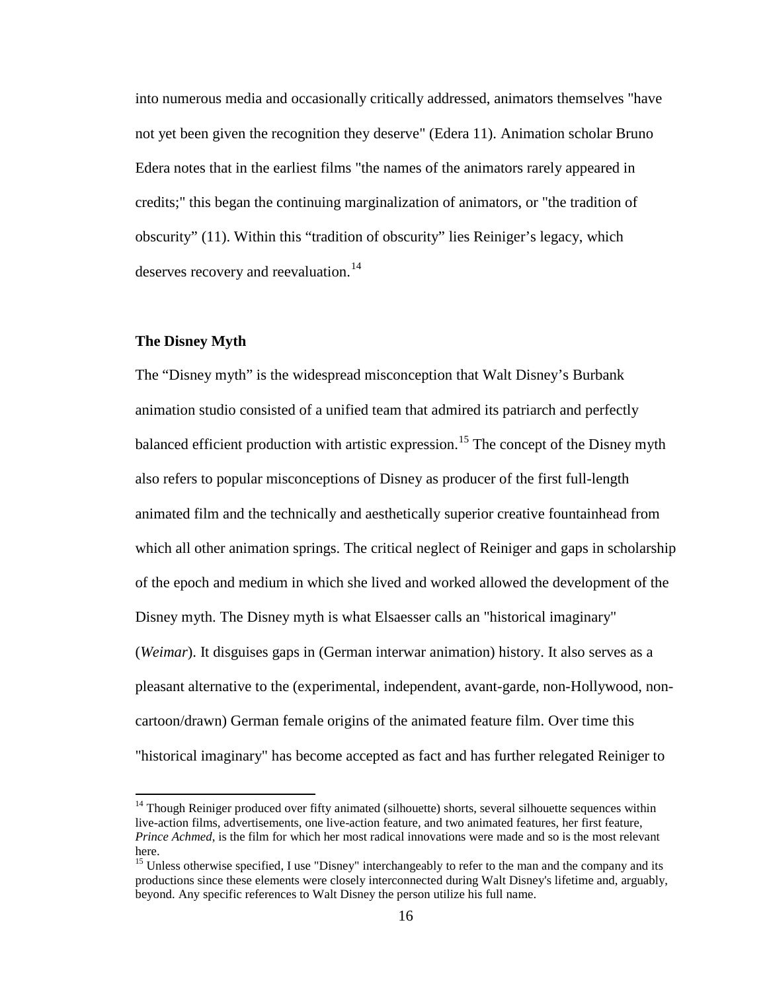into numerous media and occasionally critically addressed, animators themselves "have not yet been given the recognition they deserve" (Edera 11). Animation scholar Bruno Edera notes that in the earliest films "the names of the animators rarely appeared in credits;" this began the continuing marginalization of animators, or "the tradition of obscurity" (11). Within this "tradition of obscurity" lies Reiniger's legacy, which deserves recovery and reevaluation. $^{14}$  $^{14}$  $^{14}$ 

#### **The Disney Myth**

The "Disney myth" is the widespread misconception that Walt Disney's Burbank animation studio consisted of a unified team that admired its patriarch and perfectly balanced efficient production with artistic expression.<sup>[15](#page-29-1)</sup> The concept of the Disney myth also refers to popular misconceptions of Disney as producer of the first full-length animated film and the technically and aesthetically superior creative fountainhead from which all other animation springs. The critical neglect of Reiniger and gaps in scholarship of the epoch and medium in which she lived and worked allowed the development of the Disney myth. The Disney myth is what Elsaesser calls an "historical imaginary" (*Weimar*). It disguises gaps in (German interwar animation) history. It also serves as a pleasant alternative to the (experimental, independent, avant-garde, non-Hollywood, noncartoon/drawn) German female origins of the animated feature film. Over time this "historical imaginary" has become accepted as fact and has further relegated Reiniger to

<sup>&</sup>lt;sup>14</sup> Though Reiniger produced over fifty animated (silhouette) shorts, several silhouette sequences within live-action films, advertisements, one live-action feature, and two animated features, her first feature, *Prince Achmed*, is the film for which her most radical innovations were made and so is the most relevant here.

<span id="page-26-0"></span><sup>&</sup>lt;sup>15</sup> Unless otherwise specified, I use "Disney" interchangeably to refer to the man and the company and its productions since these elements were closely interconnected during Walt Disney's lifetime and, arguably, beyond. Any specific references to Walt Disney the person utilize his full name.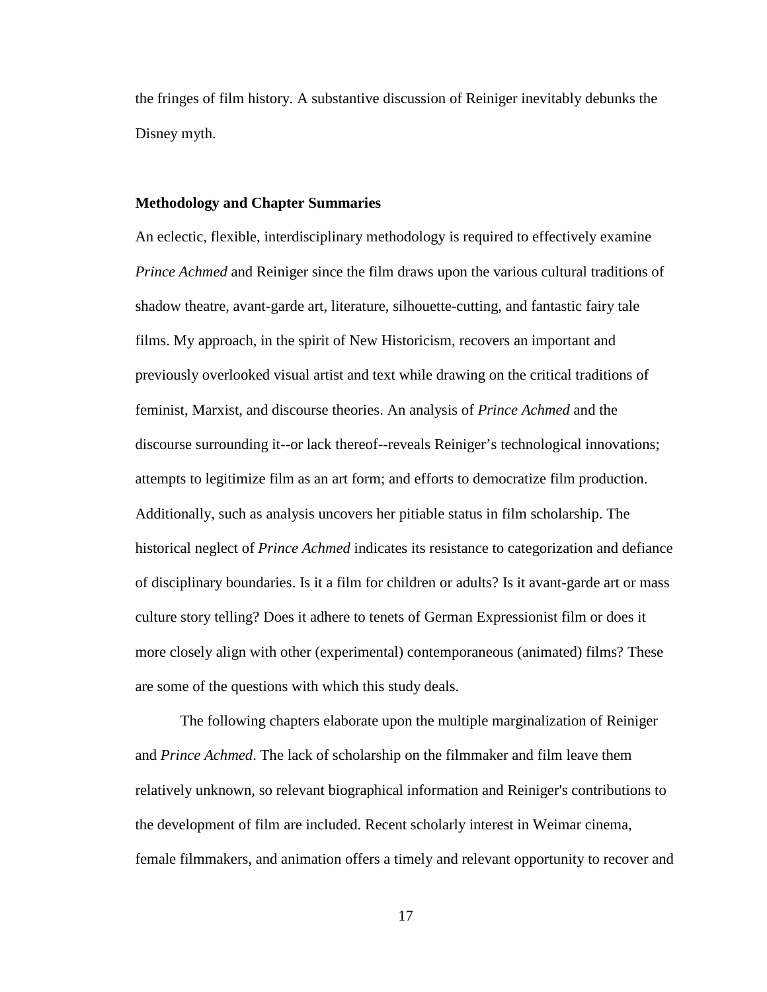the fringes of film history. A substantive discussion of Reiniger inevitably debunks the Disney myth.

#### **Methodology and Chapter Summaries**

An eclectic, flexible, interdisciplinary methodology is required to effectively examine *Prince Achmed* and Reiniger since the film draws upon the various cultural traditions of shadow theatre, avant-garde art, literature, silhouette-cutting, and fantastic fairy tale films. My approach, in the spirit of New Historicism, recovers an important and previously overlooked visual artist and text while drawing on the critical traditions of feminist, Marxist, and discourse theories. An analysis of *Prince Achmed* and the discourse surrounding it--or lack thereof--reveals Reiniger's technological innovations; attempts to legitimize film as an art form; and efforts to democratize film production. Additionally, such as analysis uncovers her pitiable status in film scholarship. The historical neglect of *Prince Achmed* indicates its resistance to categorization and defiance of disciplinary boundaries. Is it a film for children or adults? Is it avant-garde art or mass culture story telling? Does it adhere to tenets of German Expressionist film or does it more closely align with other (experimental) contemporaneous (animated) films? These are some of the questions with which this study deals.

<span id="page-27-0"></span>The following chapters elaborate upon the multiple marginalization of Reiniger and *Prince Achmed*. The lack of scholarship on the filmmaker and film leave them relatively unknown, so relevant biographical information and Reiniger's contributions to the development of film are included. Recent scholarly interest in Weimar cinema, female filmmakers, and animation offers a timely and relevant opportunity to recover and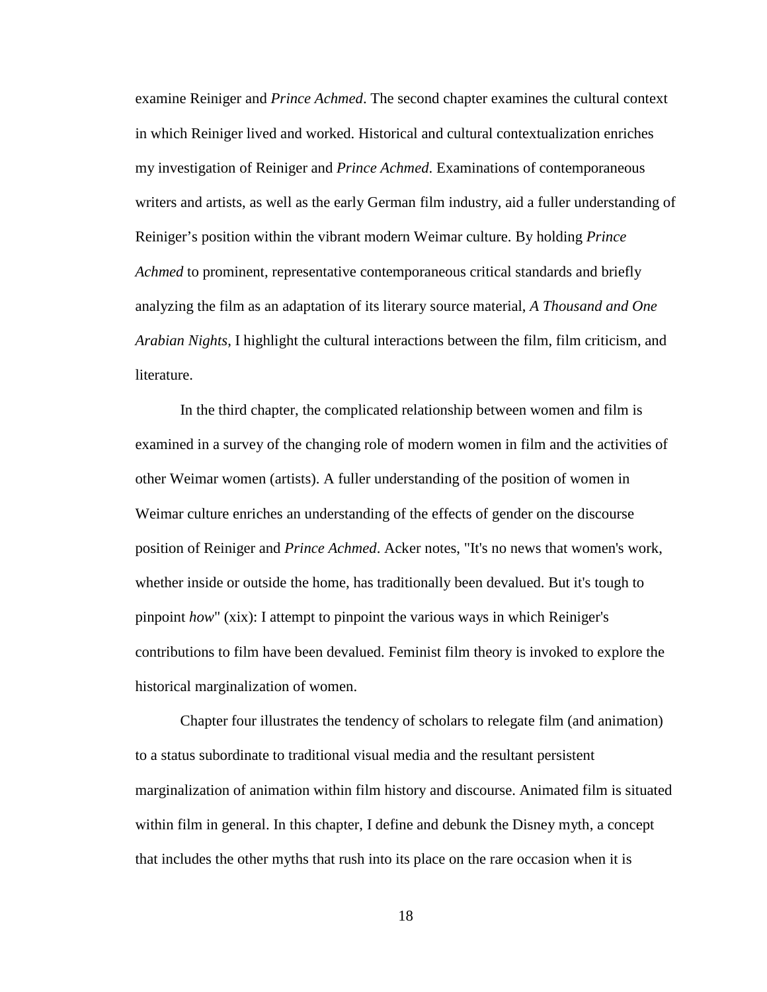examine Reiniger and *Prince Achmed*. The second chapter examines the cultural context in which Reiniger lived and worked. Historical and cultural contextualization enriches my investigation of Reiniger and *Prince Achmed*. Examinations of contemporaneous writers and artists, as well as the early German film industry, aid a fuller understanding of Reiniger's position within the vibrant modern Weimar culture. By holding *Prince Achmed* to prominent, representative contemporaneous critical standards and briefly analyzing the film as an adaptation of its literary source material, *A Thousand and One Arabian Nights*, I highlight the cultural interactions between the film, film criticism, and literature.

In the third chapter, the complicated relationship between women and film is examined in a survey of the changing role of modern women in film and the activities of other Weimar women (artists). A fuller understanding of the position of women in Weimar culture enriches an understanding of the effects of gender on the discourse position of Reiniger and *Prince Achmed*. Acker notes, "It's no news that women's work, whether inside or outside the home, has traditionally been devalued. But it's tough to pinpoint *how*" (xix): I attempt to pinpoint the various ways in which Reiniger's contributions to film have been devalued. Feminist film theory is invoked to explore the historical marginalization of women.

<span id="page-28-0"></span>Chapter four illustrates the tendency of scholars to relegate film (and animation) to a status subordinate to traditional visual media and the resultant persistent marginalization of animation within film history and discourse. Animated film is situated within film in general. In this chapter, I define and debunk the Disney myth, a concept that includes the other myths that rush into its place on the rare occasion when it is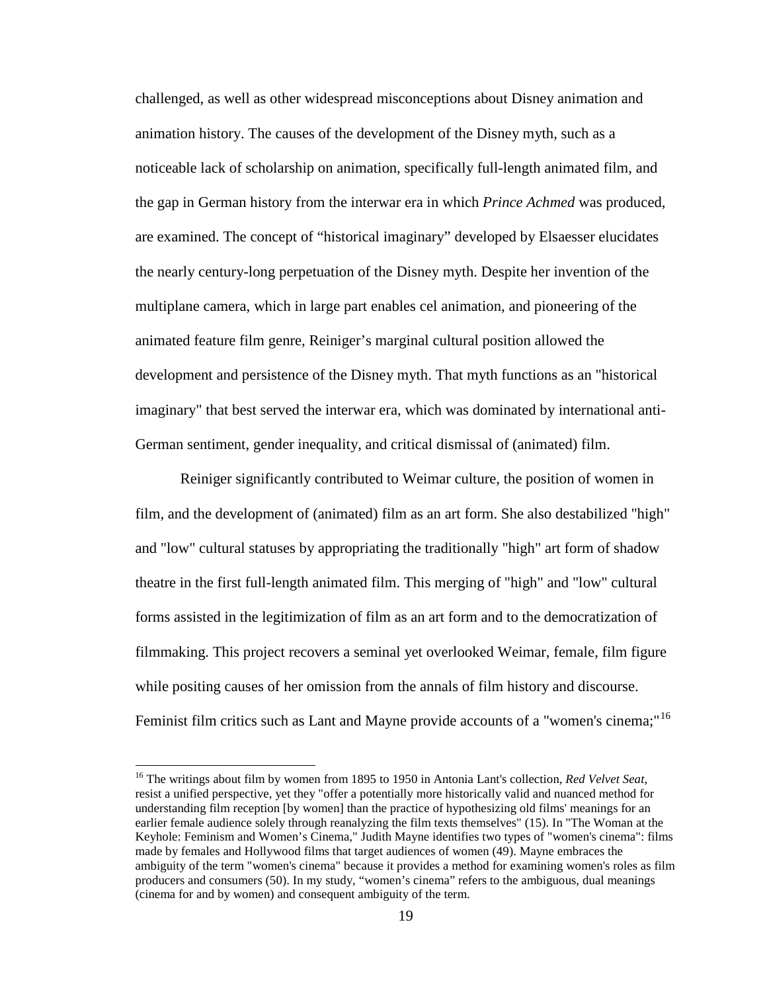challenged, as well as other widespread misconceptions about Disney animation and animation history. The causes of the development of the Disney myth, such as a noticeable lack of scholarship on animation, specifically full-length animated film, and the gap in German history from the interwar era in which *Prince Achmed* was produced, are examined. The concept of "historical imaginary" developed by Elsaesser elucidates the nearly century-long perpetuation of the Disney myth. Despite her invention of the multiplane camera, which in large part enables cel animation, and pioneering of the animated feature film genre, Reiniger's marginal cultural position allowed the development and persistence of the Disney myth. That myth functions as an "historical imaginary" that best served the interwar era, which was dominated by international anti-German sentiment, gender inequality, and critical dismissal of (animated) film.

Reiniger significantly contributed to Weimar culture, the position of women in film, and the development of (animated) film as an art form. She also destabilized "high" and "low" cultural statuses by appropriating the traditionally "high" art form of shadow theatre in the first full-length animated film. This merging of "high" and "low" cultural forms assisted in the legitimization of film as an art form and to the democratization of filmmaking. This project recovers a seminal yet overlooked Weimar, female, film figure while positing causes of her omission from the annals of film history and discourse. Feminist film critics such as Lant and Mayne provide accounts of a "women's cinema;"<sup>[16](#page-32-0)</sup>

<span id="page-29-1"></span><span id="page-29-0"></span><sup>16</sup> The writings about film by women from 1895 to 1950 in Antonia Lant's collection, *Red Velvet Seat*, resist a unified perspective, yet they "offer a potentially more historically valid and nuanced method for understanding film reception [by women] than the practice of hypothesizing old films' meanings for an earlier female audience solely through reanalyzing the film texts themselves" (15). In "The Woman at the Keyhole: Feminism and Women's Cinema," Judith Mayne identifies two types of "women's cinema": films made by females and Hollywood films that target audiences of women (49). Mayne embraces the ambiguity of the term "women's cinema" because it provides a method for examining women's roles as film producers and consumers (50). In my study, "women's cinema" refers to the ambiguous, dual meanings (cinema for and by women) and consequent ambiguity of the term.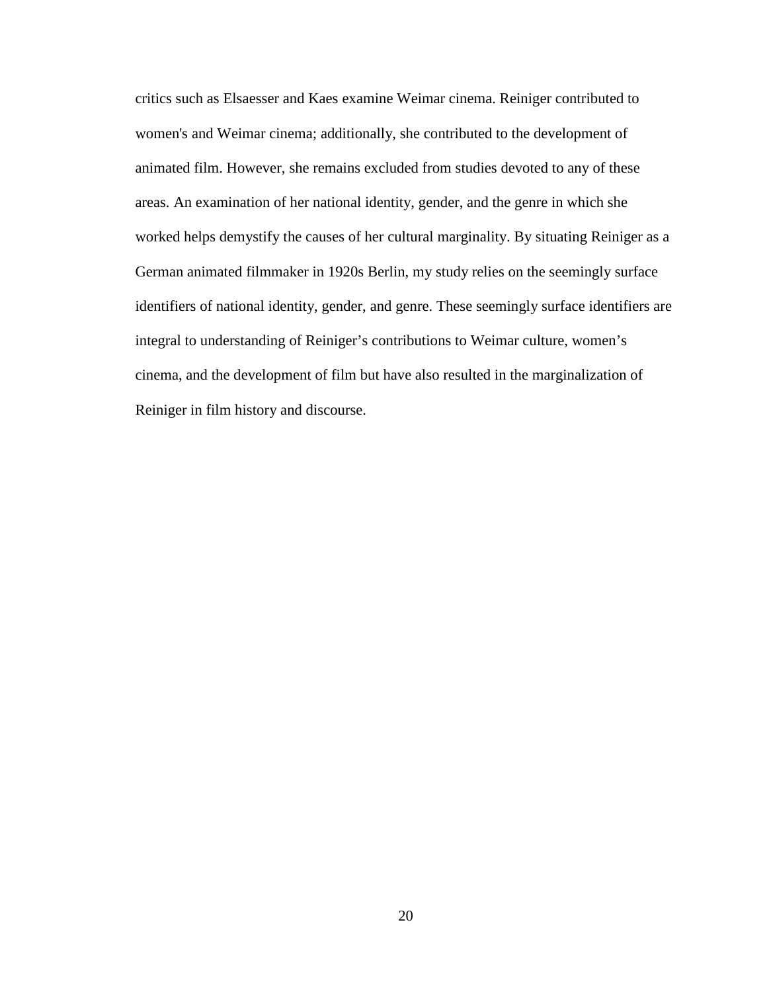critics such as Elsaesser and Kaes examine Weimar cinema. Reiniger contributed to women's and Weimar cinema; additionally, she contributed to the development of animated film. However, she remains excluded from studies devoted to any of these areas. An examination of her national identity, gender, and the genre in which she worked helps demystify the causes of her cultural marginality. By situating Reiniger as a German animated filmmaker in 1920s Berlin, my study relies on the seemingly surface identifiers of national identity, gender, and genre. These seemingly surface identifiers are integral to understanding of Reiniger's contributions to Weimar culture, women's cinema, and the development of film but have also resulted in the marginalization of Reiniger in film history and discourse.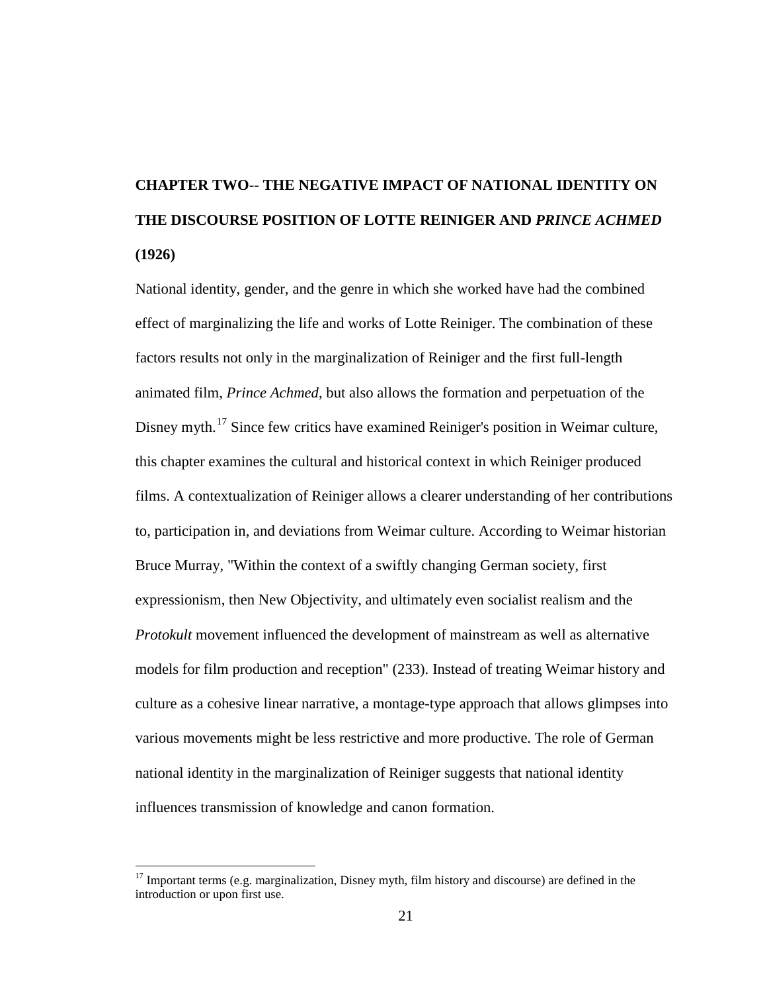## **CHAPTER TWO-- THE NEGATIVE IMPACT OF NATIONAL IDENTITY ON THE DISCOURSE POSITION OF LOTTE REINIGER AND** *PRINCE ACHMED*  **(1926)**

National identity, gender, and the genre in which she worked have had the combined effect of marginalizing the life and works of Lotte Reiniger. The combination of these factors results not only in the marginalization of Reiniger and the first full-length animated film, *Prince Achmed*, but also allows the formation and perpetuation of the Disney myth.<sup>[17](#page-35-0)</sup> Since few critics have examined Reiniger's position in Weimar culture, this chapter examines the cultural and historical context in which Reiniger produced films. A contextualization of Reiniger allows a clearer understanding of her contributions to, participation in, and deviations from Weimar culture. According to Weimar historian Bruce Murray, "Within the context of a swiftly changing German society, first expressionism, then New Objectivity, and ultimately even socialist realism and the *Protokult* movement influenced the development of mainstream as well as alternative models for film production and reception" (233). Instead of treating Weimar history and culture as a cohesive linear narrative, a montage-type approach that allows glimpses into various movements might be less restrictive and more productive. The role of German national identity in the marginalization of Reiniger suggests that national identity influences transmission of knowledge and canon formation.

 $17$  Important terms (e.g. marginalization, Disney myth, film history and discourse) are defined in the introduction or upon first use.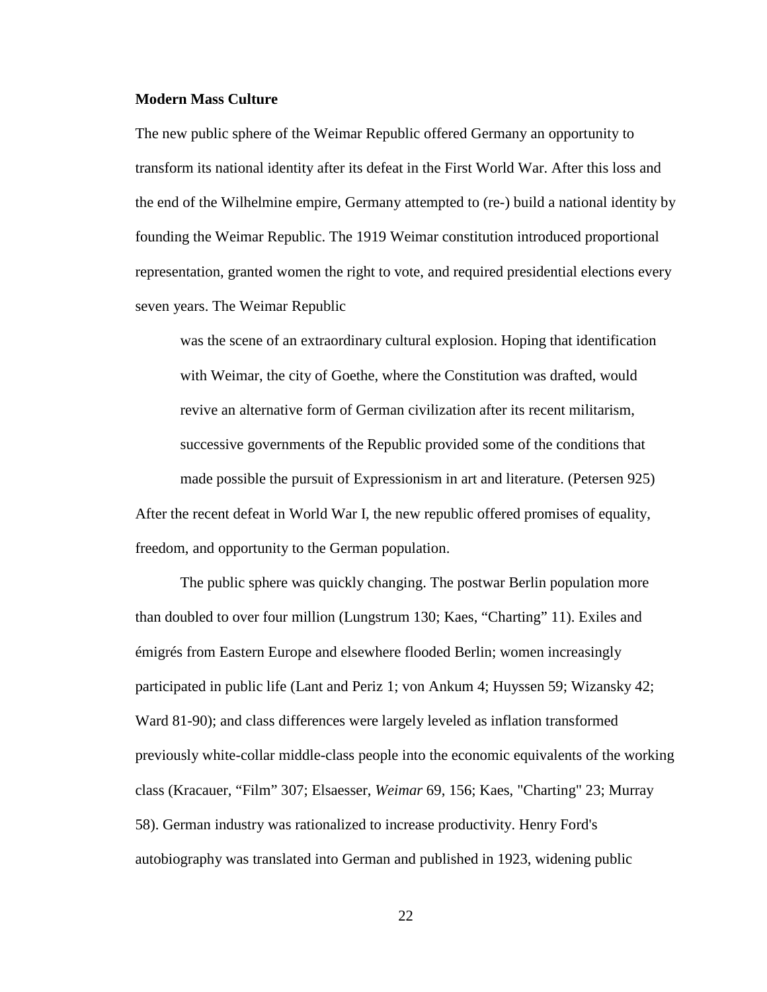#### **Modern Mass Culture**

The new public sphere of the Weimar Republic offered Germany an opportunity to transform its national identity after its defeat in the First World War. After this loss and the end of the Wilhelmine empire, Germany attempted to (re-) build a national identity by founding the Weimar Republic. The 1919 Weimar constitution introduced proportional representation, granted women the right to vote, and required presidential elections every seven years. The Weimar Republic

was the scene of an extraordinary cultural explosion. Hoping that identification with Weimar, the city of Goethe, where the Constitution was drafted, would revive an alternative form of German civilization after its recent militarism, successive governments of the Republic provided some of the conditions that made possible the pursuit of Expressionism in art and literature. (Petersen 925) After the recent defeat in World War I, the new republic offered promises of equality, freedom, and opportunity to the German population.

<span id="page-32-0"></span>The public sphere was quickly changing. The postwar Berlin population more than doubled to over four million (Lungstrum 130; Kaes, "Charting" 11). Exiles and émigrés from Eastern Europe and elsewhere flooded Berlin; women increasingly participated in public life (Lant and Periz 1; von Ankum 4; Huyssen 59; Wizansky 42; Ward 81-90); and class differences were largely leveled as inflation transformed previously white-collar middle-class people into the economic equivalents of the working class (Kracauer, "Film" 307; Elsaesser, *Weimar* 69, 156; Kaes, "Charting" 23; Murray 58). German industry was rationalized to increase productivity. Henry Ford's autobiography was translated into German and published in 1923, widening public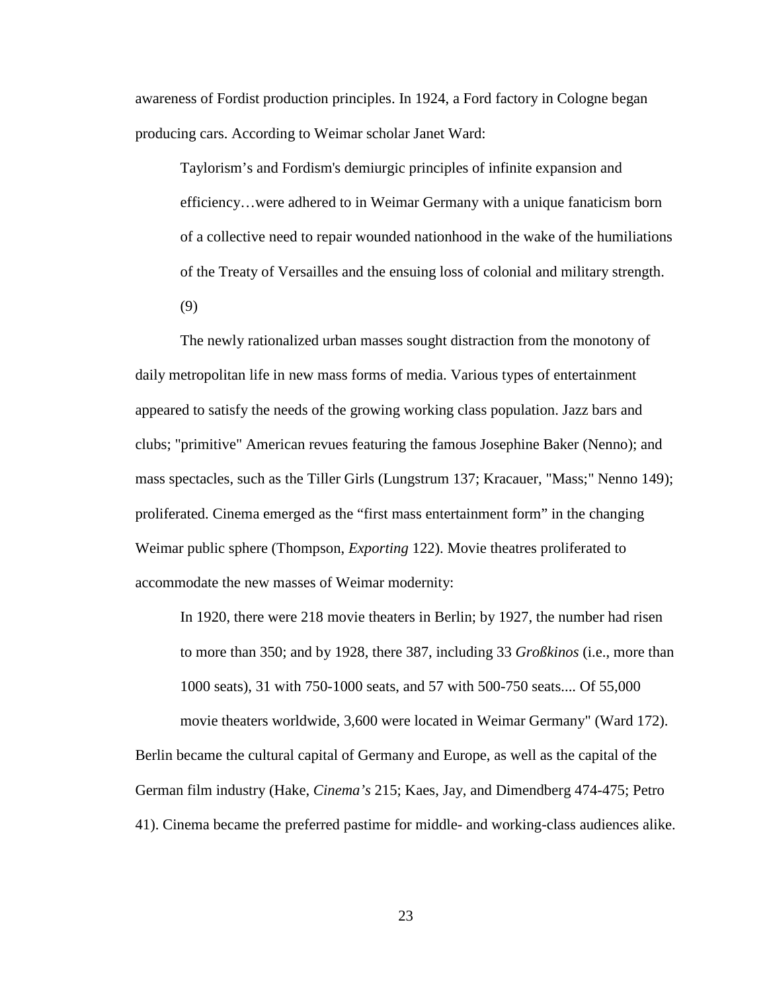awareness of Fordist production principles. In 1924, a Ford factory in Cologne began producing cars. According to Weimar scholar Janet Ward:

Taylorism's and Fordism's demiurgic principles of infinite expansion and efficiency…were adhered to in Weimar Germany with a unique fanaticism born of a collective need to repair wounded nationhood in the wake of the humiliations of the Treaty of Versailles and the ensuing loss of colonial and military strength.

(9)

The newly rationalized urban masses sought distraction from the monotony of daily metropolitan life in new mass forms of media. Various types of entertainment appeared to satisfy the needs of the growing working class population. Jazz bars and clubs; "primitive" American revues featuring the famous Josephine Baker (Nenno); and mass spectacles, such as the Tiller Girls (Lungstrum 137; Kracauer, "Mass;" Nenno 149); proliferated. Cinema emerged as the "first mass entertainment form" in the changing Weimar public sphere (Thompson, *Exporting* 122). Movie theatres proliferated to accommodate the new masses of Weimar modernity:

In 1920, there were 218 movie theaters in Berlin; by 1927, the number had risen to more than 350; and by 1928, there 387, including 33 *Großkinos* (i.e., more than 1000 seats), 31 with 750-1000 seats, and 57 with 500-750 seats.... Of 55,000 movie theaters worldwide, 3,600 were located in Weimar Germany" (Ward 172). Berlin became the cultural capital of Germany and Europe, as well as the capital of the German film industry (Hake, *Cinema's* 215; Kaes, Jay, and Dimendberg 474-475; Petro 41). Cinema became the preferred pastime for middle- and working-class audiences alike.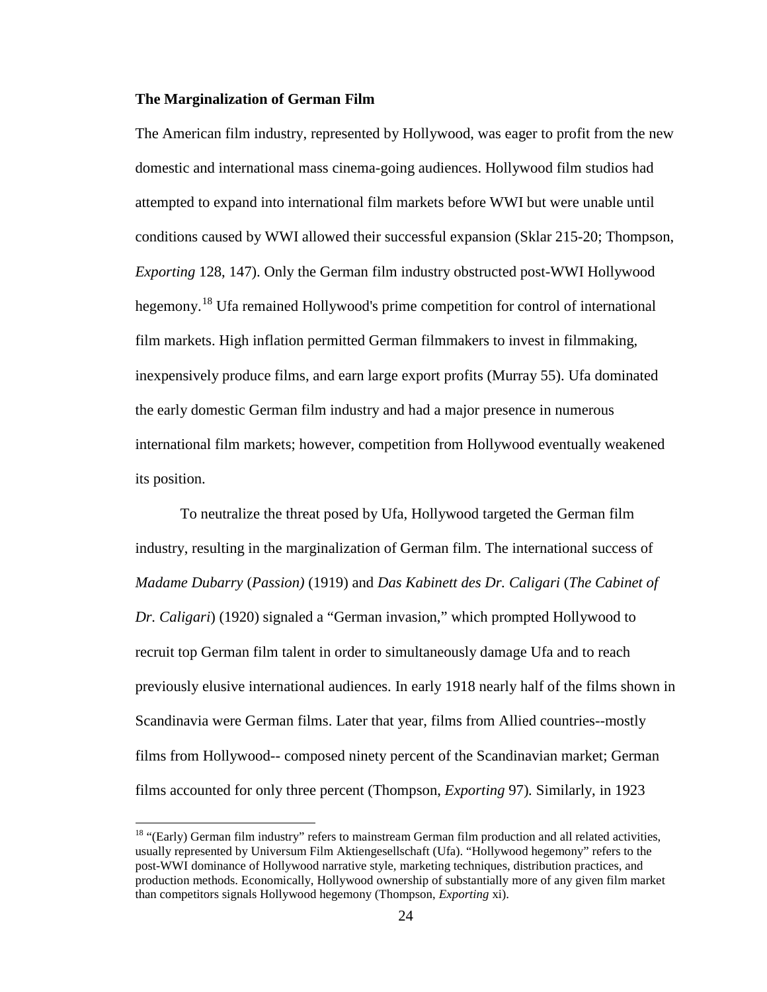#### **The Marginalization of German Film**

The American film industry, represented by Hollywood, was eager to profit from the new domestic and international mass cinema-going audiences. Hollywood film studios had attempted to expand into international film markets before WWI but were unable until conditions caused by WWI allowed their successful expansion (Sklar 215-20; Thompson, *Exporting* 128, 147). Only the German film industry obstructed post-WWI Hollywood hegemony.<sup>[18](#page-38-0)</sup> Ufa remained Hollywood's prime competition for control of international film markets. High inflation permitted German filmmakers to invest in filmmaking, inexpensively produce films, and earn large export profits (Murray 55). Ufa dominated the early domestic German film industry and had a major presence in numerous international film markets; however, competition from Hollywood eventually weakened its position.

To neutralize the threat posed by Ufa, Hollywood targeted the German film industry, resulting in the marginalization of German film. The international success of *Madame Dubarry* (*Passion)* (1919) and *Das Kabinett des Dr. Caligari* (*The Cabinet of Dr. Caligari*) (1920) signaled a "German invasion," which prompted Hollywood to recruit top German film talent in order to simultaneously damage Ufa and to reach previously elusive international audiences. In early 1918 nearly half of the films shown in Scandinavia were German films. Later that year, films from Allied countries--mostly films from Hollywood-- composed ninety percent of the Scandinavian market; German films accounted for only three percent (Thompson, *Exporting* 97)*.* Similarly, in 1923

<sup>&</sup>lt;sup>18</sup> "(Early) German film industry" refers to mainstream German film production and all related activities, usually represented by Universum Film Aktiengesellschaft (Ufa). "Hollywood hegemony" refers to the post-WWI dominance of Hollywood narrative style, marketing techniques, distribution practices, and production methods. Economically, Hollywood ownership of substantially more of any given film market than competitors signals Hollywood hegemony (Thompson, *Exporting* xi).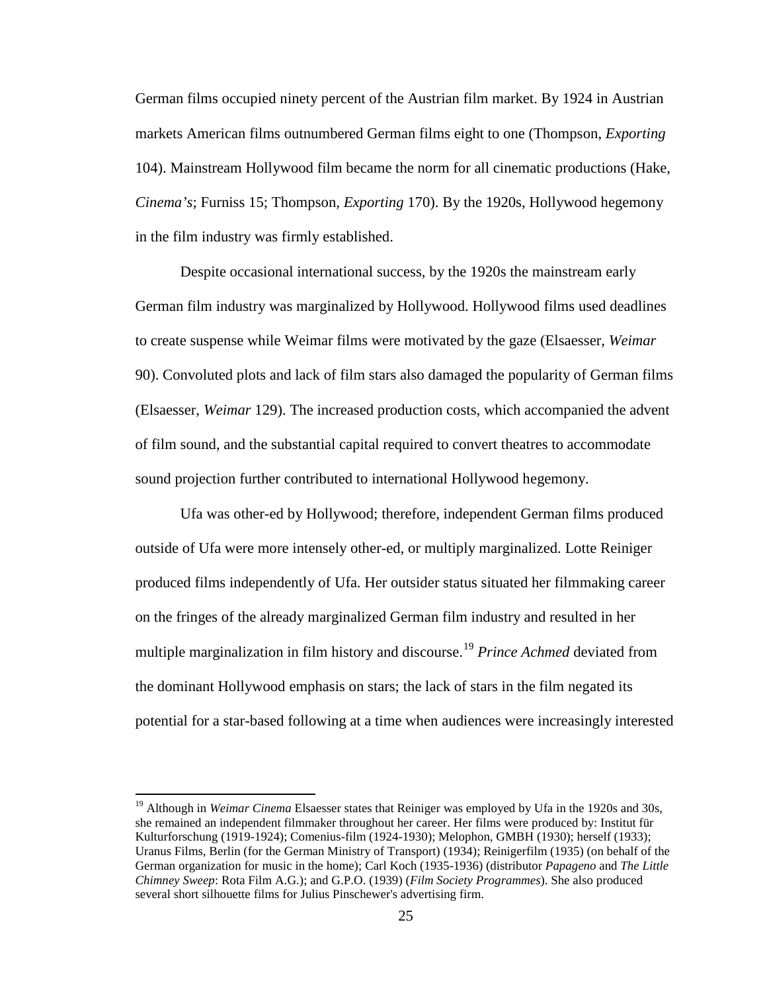German films occupied ninety percent of the Austrian film market. By 1924 in Austrian markets American films outnumbered German films eight to one (Thompson, *Exporting* 104). Mainstream Hollywood film became the norm for all cinematic productions (Hake, *Cinema's*; Furniss 15; Thompson, *Exporting* 170). By the 1920s, Hollywood hegemony in the film industry was firmly established.

Despite occasional international success, by the 1920s the mainstream early German film industry was marginalized by Hollywood. Hollywood films used deadlines to create suspense while Weimar films were motivated by the gaze (Elsaesser, *Weimar* 90). Convoluted plots and lack of film stars also damaged the popularity of German films (Elsaesser, *Weimar* 129). The increased production costs, which accompanied the advent of film sound, and the substantial capital required to convert theatres to accommodate sound projection further contributed to international Hollywood hegemony.

Ufa was other-ed by Hollywood; therefore, independent German films produced outside of Ufa were more intensely other-ed, or multiply marginalized. Lotte Reiniger produced films independently of Ufa. Her outsider status situated her filmmaking career on the fringes of the already marginalized German film industry and resulted in her multiple marginalization in film history and discourse.<sup>[19](#page-39-0)</sup> Prince Achmed deviated from the dominant Hollywood emphasis on stars; the lack of stars in the film negated its potential for a star-based following at a time when audiences were increasingly interested

<span id="page-35-0"></span><sup>&</sup>lt;sup>19</sup> Although in *Weimar Cinema* Elsaesser states that Reiniger was employed by Ufa in the 1920s and 30s, she remained an independent filmmaker throughout her career. Her films were produced by: Institut für Kulturforschung (1919-1924); Comenius-film (1924-1930); Melophon, GMBH (1930); herself (1933); Uranus Films, Berlin (for the German Ministry of Transport) (1934); Reinigerfilm (1935) (on behalf of the German organization for music in the home); Carl Koch (1935-1936) (distributor *Papageno* and *The Little Chimney Sweep*: Rota Film A.G.); and G.P.O. (1939) (*Film Society Programmes*). She also produced several short silhouette films for Julius Pinschewer's advertising firm.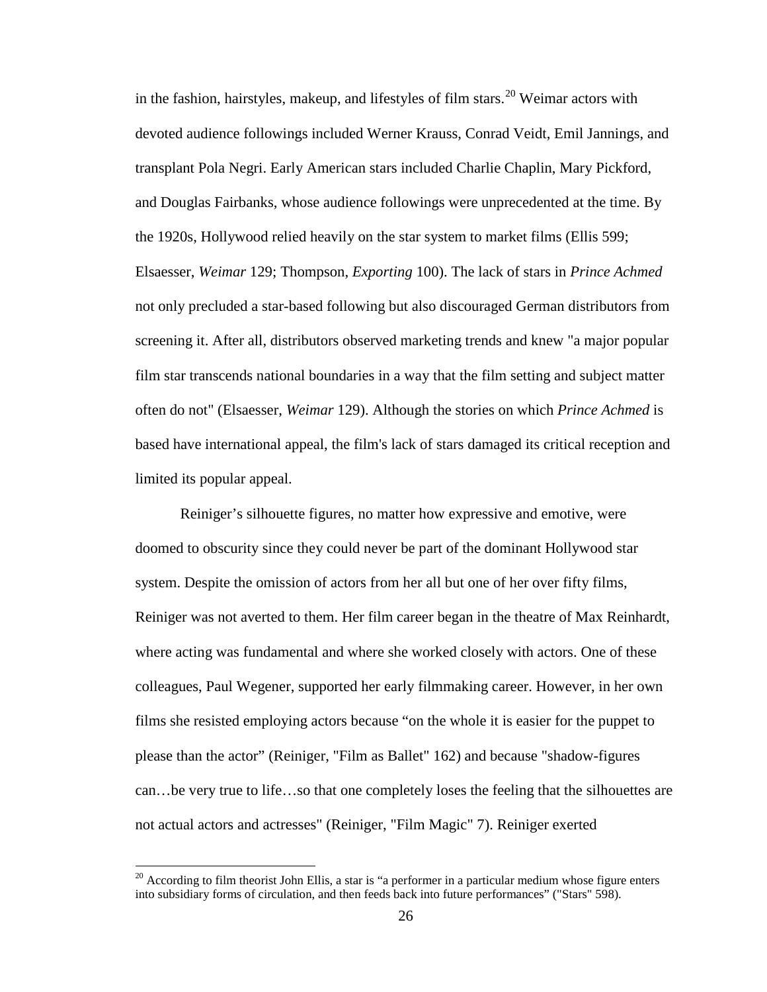in the fashion, hairstyles, makeup, and lifestyles of film stars.<sup>[20](#page-39-0)</sup> Weimar actors with devoted audience followings included Werner Krauss, Conrad Veidt, Emil Jannings, and transplant Pola Negri. Early American stars included Charlie Chaplin, Mary Pickford, and Douglas Fairbanks, whose audience followings were unprecedented at the time. By the 1920s, Hollywood relied heavily on the star system to market films (Ellis 599; Elsaesser, *Weimar* 129; Thompson, *Exporting* 100). The lack of stars in *Prince Achmed*  not only precluded a star-based following but also discouraged German distributors from screening it. After all, distributors observed marketing trends and knew "a major popular film star transcends national boundaries in a way that the film setting and subject matter often do not" (Elsaesser, *Weimar* 129). Although the stories on which *Prince Achmed* is based have international appeal, the film's lack of stars damaged its critical reception and limited its popular appeal.

Reiniger's silhouette figures, no matter how expressive and emotive, were doomed to obscurity since they could never be part of the dominant Hollywood star system. Despite the omission of actors from her all but one of her over fifty films, Reiniger was not averted to them. Her film career began in the theatre of Max Reinhardt, where acting was fundamental and where she worked closely with actors. One of these colleagues, Paul Wegener, supported her early filmmaking career. However, in her own films she resisted employing actors because "on the whole it is easier for the puppet to please than the actor" (Reiniger, "Film as Ballet" 162) and because "shadow-figures can…be very true to life…so that one completely loses the feeling that the silhouettes are not actual actors and actresses" (Reiniger, "Film Magic" 7). Reiniger exerted

 $^{20}$  According to film theorist John Ellis, a star is "a performer in a particular medium whose figure enters into subsidiary forms of circulation, and then feeds back into future performances" ("Stars" 598).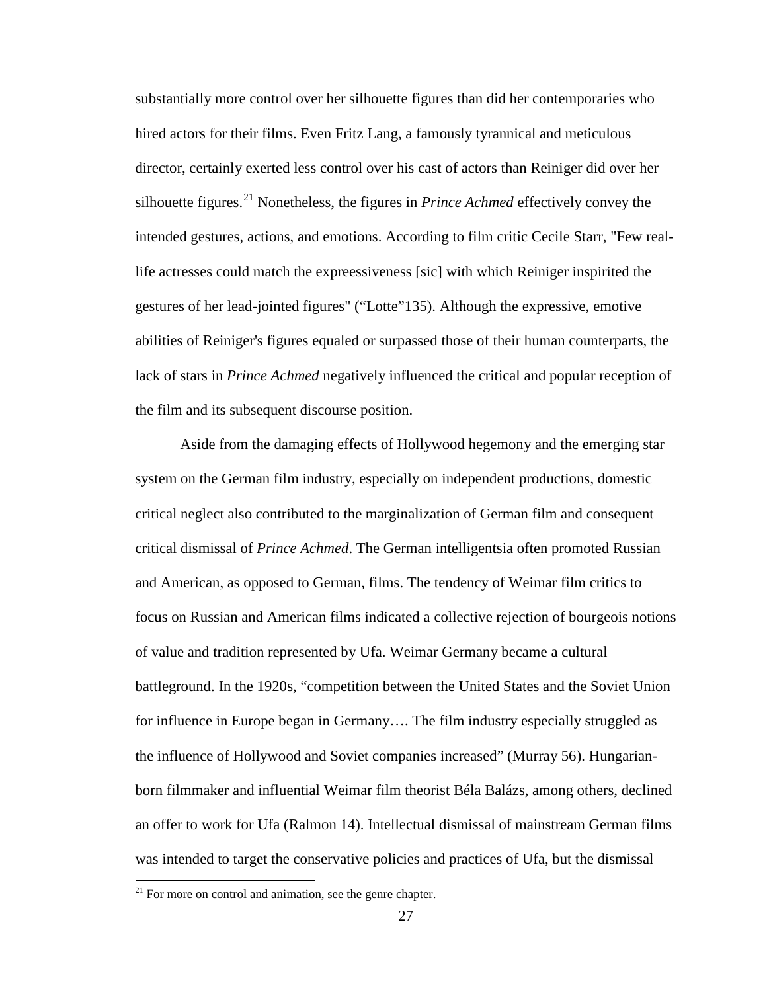substantially more control over her silhouette figures than did her contemporaries who hired actors for their films. Even Fritz Lang, a famously tyrannical and meticulous director, certainly exerted less control over his cast of actors than Reiniger did over her silhouette figures.<sup>[21](#page-40-0)</sup> Nonetheless, the figures in *Prince Achmed* effectively convey the intended gestures, actions, and emotions. According to film critic Cecile Starr, "Few reallife actresses could match the expreessiveness [sic] with which Reiniger inspirited the gestures of her lead-jointed figures" ("Lotte"135). Although the expressive, emotive abilities of Reiniger's figures equaled or surpassed those of their human counterparts, the lack of stars in *Prince Achmed* negatively influenced the critical and popular reception of the film and its subsequent discourse position.

Aside from the damaging effects of Hollywood hegemony and the emerging star system on the German film industry, especially on independent productions, domestic critical neglect also contributed to the marginalization of German film and consequent critical dismissal of *Prince Achmed*. The German intelligentsia often promoted Russian and American, as opposed to German, films. The tendency of Weimar film critics to focus on Russian and American films indicated a collective rejection of bourgeois notions of value and tradition represented by Ufa. Weimar Germany became a cultural battleground. In the 1920s, "competition between the United States and the Soviet Union for influence in Europe began in Germany…. The film industry especially struggled as the influence of Hollywood and Soviet companies increased" (Murray 56). Hungarianborn filmmaker and influential Weimar film theorist Béla Balázs, among others, declined an offer to work for Ufa (Ralmon 14). Intellectual dismissal of mainstream German films was intended to target the conservative policies and practices of Ufa, but the dismissal

 $21$  For more on control and animation, see the genre chapter.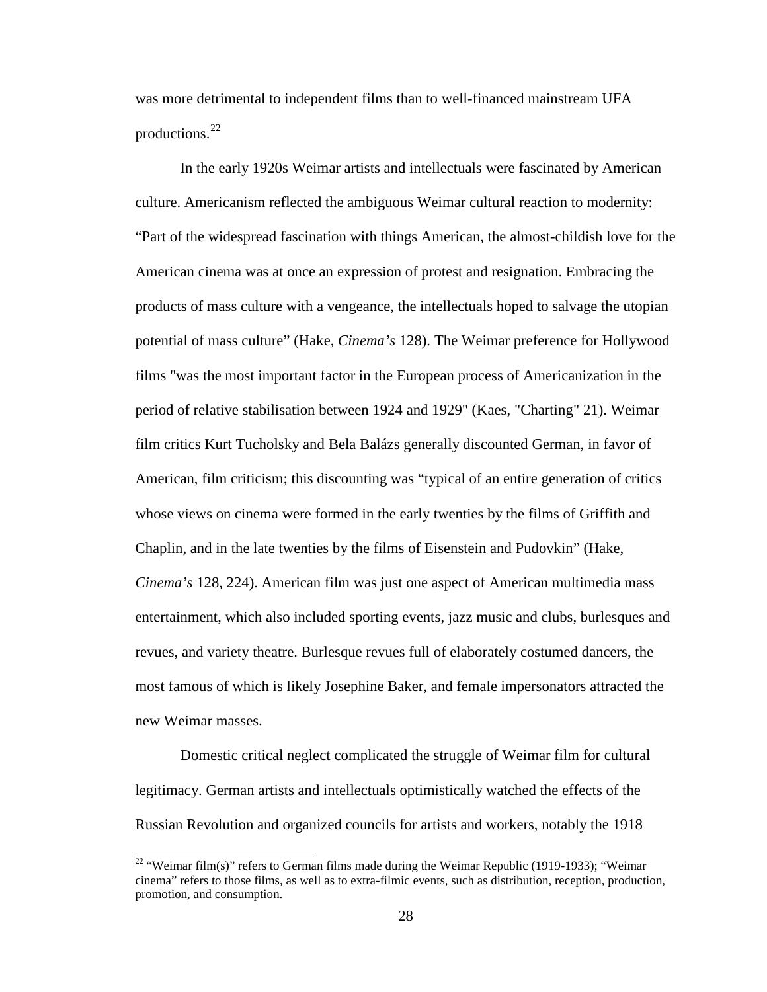was more detrimental to independent films than to well-financed mainstream UFA productions.<sup>[22](#page-41-0)</sup>

In the early 1920s Weimar artists and intellectuals were fascinated by American culture. Americanism reflected the ambiguous Weimar cultural reaction to modernity: "Part of the widespread fascination with things American, the almost-childish love for the American cinema was at once an expression of protest and resignation. Embracing the products of mass culture with a vengeance, the intellectuals hoped to salvage the utopian potential of mass culture" (Hake, *Cinema's* 128). The Weimar preference for Hollywood films "was the most important factor in the European process of Americanization in the period of relative stabilisation between 1924 and 1929" (Kaes, "Charting" 21). Weimar film critics Kurt Tucholsky and Bela Balázs generally discounted German, in favor of American, film criticism; this discounting was "typical of an entire generation of critics whose views on cinema were formed in the early twenties by the films of Griffith and Chaplin, and in the late twenties by the films of Eisenstein and Pudovkin" (Hake, *Cinema's* 128, 224). American film was just one aspect of American multimedia mass entertainment, which also included sporting events, jazz music and clubs, burlesques and revues, and variety theatre. Burlesque revues full of elaborately costumed dancers, the most famous of which is likely Josephine Baker, and female impersonators attracted the new Weimar masses.

Domestic critical neglect complicated the struggle of Weimar film for cultural legitimacy. German artists and intellectuals optimistically watched the effects of the Russian Revolution and organized councils for artists and workers, notably the 1918

<sup>&</sup>lt;sup>22</sup> "Weimar film(s)" refers to German films made during the Weimar Republic (1919-1933); "Weimar cinema" refers to those films, as well as to extra-filmic events, such as distribution, reception, production, promotion, and consumption.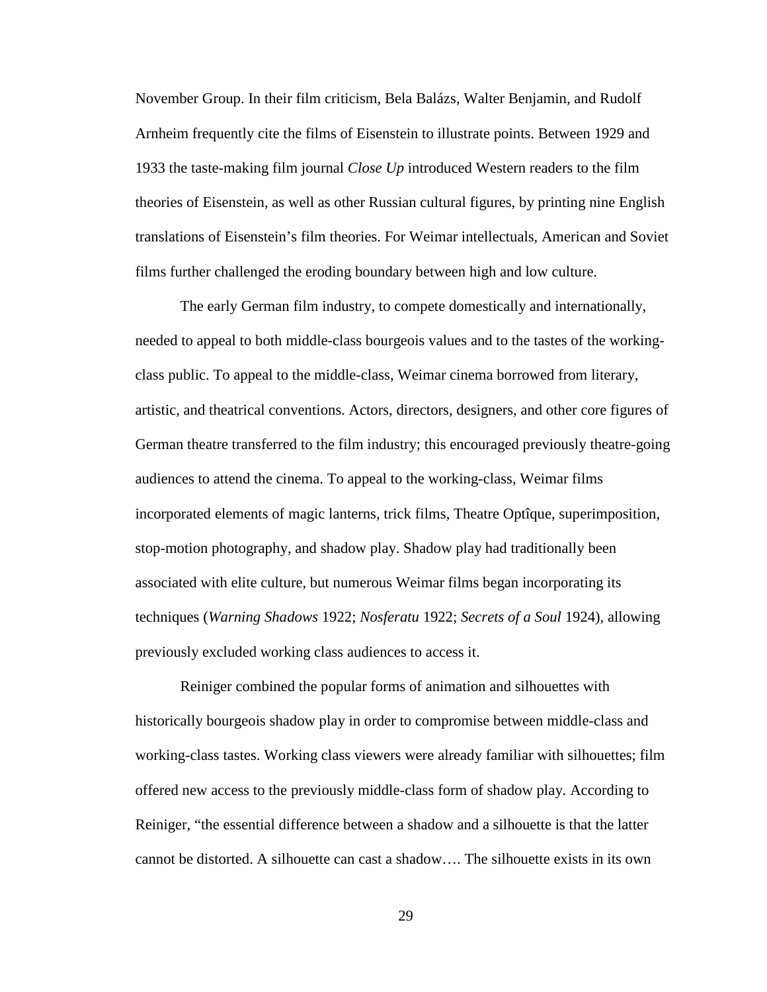November Group. In their film criticism, Bela Balázs, Walter Benjamin, and Rudolf Arnheim frequently cite the films of Eisenstein to illustrate points. Between 1929 and 1933 the taste-making film journal *Close Up* introduced Western readers to the film theories of Eisenstein, as well as other Russian cultural figures, by printing nine English translations of Eisenstein's film theories. For Weimar intellectuals, American and Soviet films further challenged the eroding boundary between high and low culture.

The early German film industry, to compete domestically and internationally, needed to appeal to both middle-class bourgeois values and to the tastes of the workingclass public. To appeal to the middle-class, Weimar cinema borrowed from literary, artistic, and theatrical conventions. Actors, directors, designers, and other core figures of German theatre transferred to the film industry; this encouraged previously theatre-going audiences to attend the cinema. To appeal to the working-class, Weimar films incorporated elements of magic lanterns, trick films, Theatre Optîque, superimposition, stop-motion photography, and shadow play. Shadow play had traditionally been associated with elite culture, but numerous Weimar films began incorporating its techniques (*Warning Shadows* 1922; *Nosferatu* 1922; *Secrets of a Soul* 1924), allowing previously excluded working class audiences to access it.

<span id="page-39-0"></span>Reiniger combined the popular forms of animation and silhouettes with historically bourgeois shadow play in order to compromise between middle-class and working-class tastes. Working class viewers were already familiar with silhouettes; film offered new access to the previously middle-class form of shadow play. According to Reiniger, "the essential difference between a shadow and a silhouette is that the latter cannot be distorted. A silhouette can cast a shadow…. The silhouette exists in its own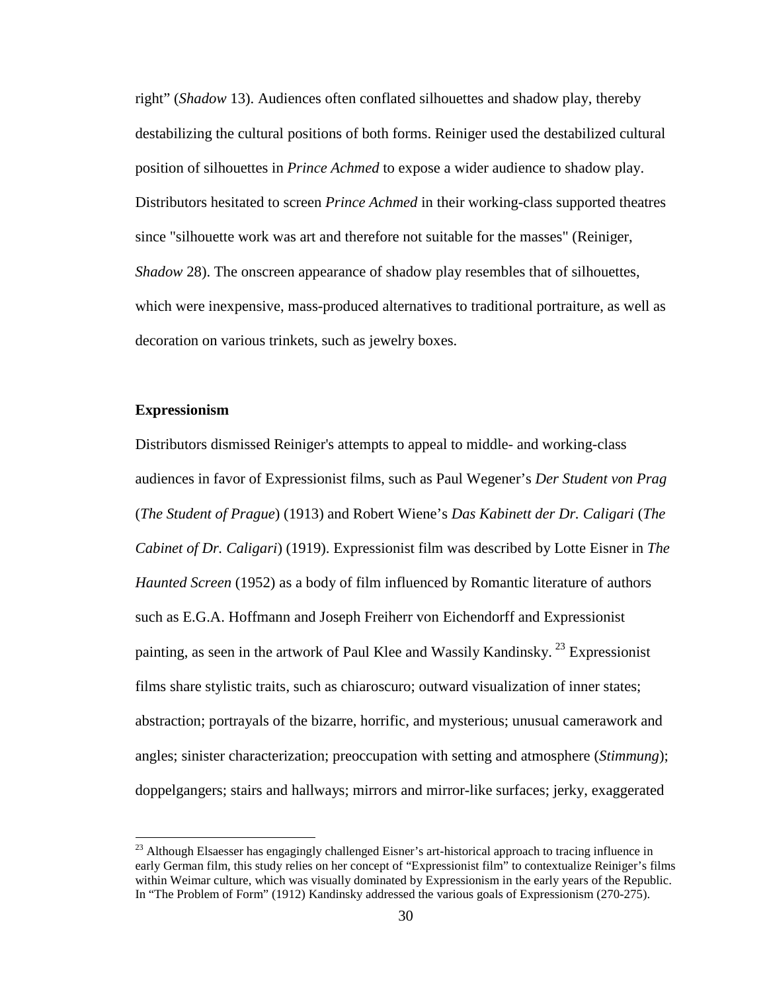right" (*Shadow* 13). Audiences often conflated silhouettes and shadow play, thereby destabilizing the cultural positions of both forms. Reiniger used the destabilized cultural position of silhouettes in *Prince Achmed* to expose a wider audience to shadow play. Distributors hesitated to screen *Prince Achmed* in their working-class supported theatres since "silhouette work was art and therefore not suitable for the masses" (Reiniger, *Shadow* 28). The onscreen appearance of shadow play resembles that of silhouettes, which were inexpensive, mass-produced alternatives to traditional portraiture, as well as decoration on various trinkets, such as jewelry boxes.

## **Expressionism**

Distributors dismissed Reiniger's attempts to appeal to middle- and working-class audiences in favor of Expressionist films, such as Paul Wegener's *Der Student von Prag*  (*The Student of Prague*) (1913) and Robert Wiene's *Das Kabinett der Dr. Caligari* (*The Cabinet of Dr. Caligari*) (1919). Expressionist film was described by Lotte Eisner in *The Haunted Screen* (1952) as a body of film influenced by Romantic literature of authors such as E.G.A. Hoffmann and Joseph Freiherr von Eichendorff and Expressionist painting, as seen in the artwork of Paul Klee and Wassily Kandinsky.<sup>[23](#page-44-0)</sup> Expressionist films share stylistic traits, such as chiaroscuro; outward visualization of inner states; abstraction; portrayals of the bizarre, horrific, and mysterious; unusual camerawork and angles; sinister characterization; preoccupation with setting and atmosphere (*Stimmung*); doppelgangers; stairs and hallways; mirrors and mirror-like surfaces; jerky, exaggerated

<span id="page-40-0"></span><sup>&</sup>lt;sup>23</sup> Although Elsaesser has engagingly challenged Eisner's art-historical approach to tracing influence in early German film, this study relies on her concept of "Expressionist film" to contextualize Reiniger's films within Weimar culture, which was visually dominated by Expressionism in the early years of the Republic. In "The Problem of Form" (1912) Kandinsky addressed the various goals of Expressionism (270-275).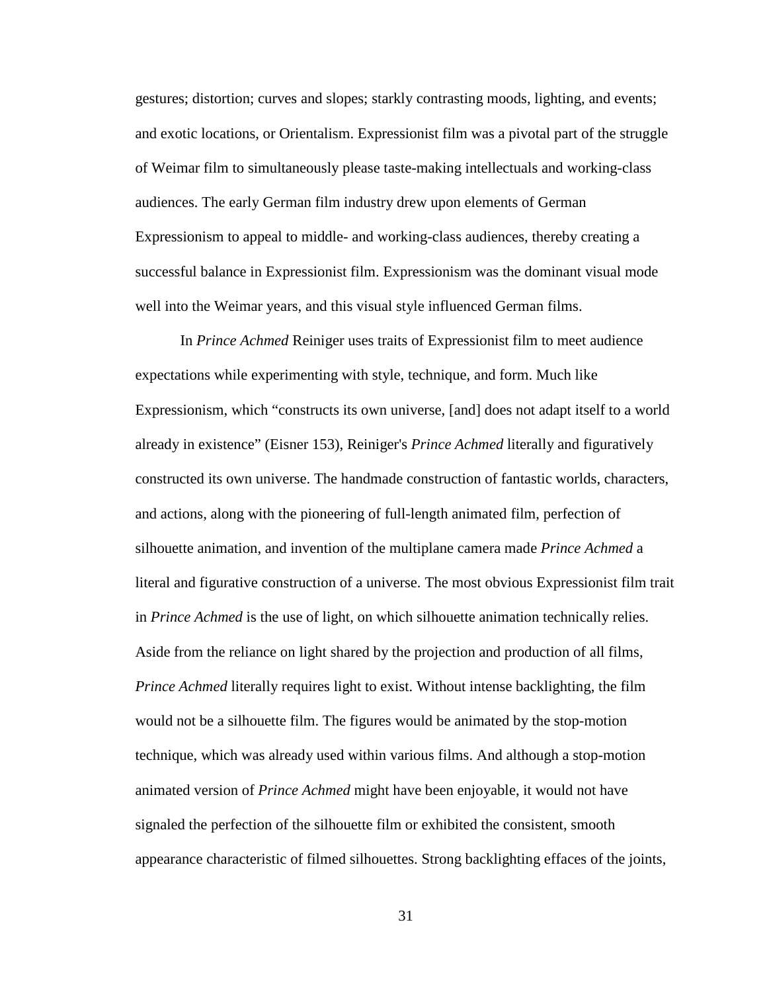gestures; distortion; curves and slopes; starkly contrasting moods, lighting, and events; and exotic locations, or Orientalism. Expressionist film was a pivotal part of the struggle of Weimar film to simultaneously please taste-making intellectuals and working-class audiences. The early German film industry drew upon elements of German Expressionism to appeal to middle- and working-class audiences, thereby creating a successful balance in Expressionist film. Expressionism was the dominant visual mode well into the Weimar years, and this visual style influenced German films.

<span id="page-41-0"></span>In *Prince Achmed* Reiniger uses traits of Expressionist film to meet audience expectations while experimenting with style, technique, and form. Much like Expressionism, which "constructs its own universe, [and] does not adapt itself to a world already in existence" (Eisner 153), Reiniger's *Prince Achmed* literally and figuratively constructed its own universe. The handmade construction of fantastic worlds, characters, and actions, along with the pioneering of full-length animated film, perfection of silhouette animation, and invention of the multiplane camera made *Prince Achmed* a literal and figurative construction of a universe. The most obvious Expressionist film trait in *Prince Achmed* is the use of light, on which silhouette animation technically relies. Aside from the reliance on light shared by the projection and production of all films, *Prince Achmed* literally requires light to exist. Without intense backlighting, the film would not be a silhouette film. The figures would be animated by the stop-motion technique, which was already used within various films. And although a stop-motion animated version of *Prince Achmed* might have been enjoyable, it would not have signaled the perfection of the silhouette film or exhibited the consistent, smooth appearance characteristic of filmed silhouettes. Strong backlighting effaces of the joints,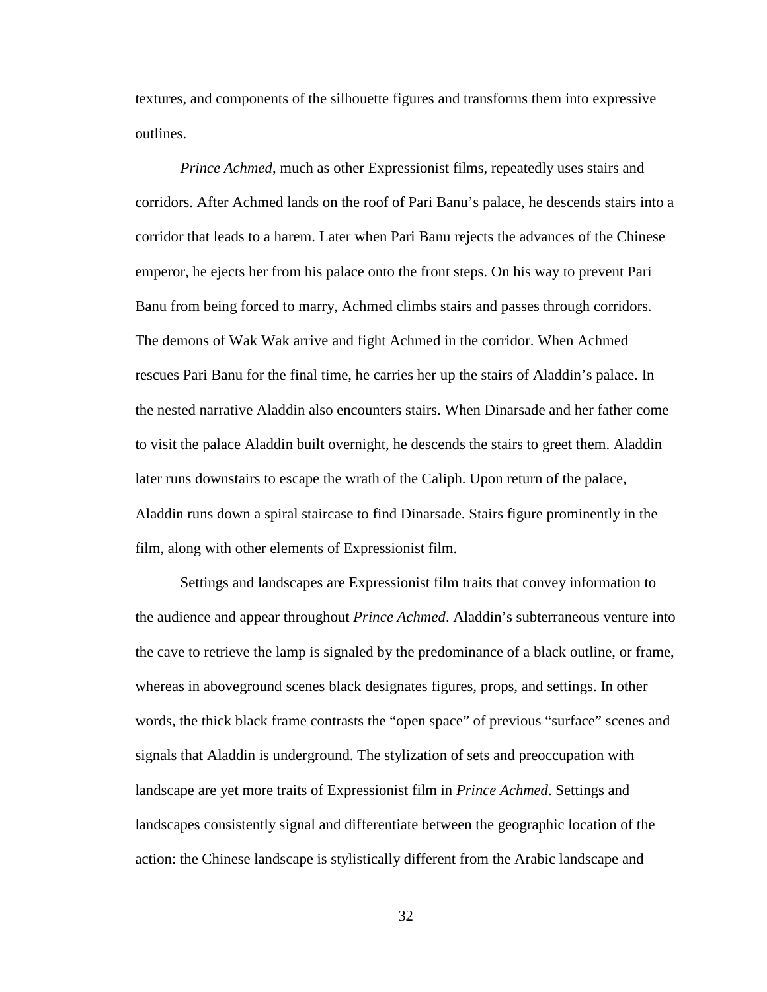textures, and components of the silhouette figures and transforms them into expressive outlines.

*Prince Achmed*, much as other Expressionist films, repeatedly uses stairs and corridors. After Achmed lands on the roof of Pari Banu's palace, he descends stairs into a corridor that leads to a harem. Later when Pari Banu rejects the advances of the Chinese emperor, he ejects her from his palace onto the front steps. On his way to prevent Pari Banu from being forced to marry, Achmed climbs stairs and passes through corridors. The demons of Wak Wak arrive and fight Achmed in the corridor. When Achmed rescues Pari Banu for the final time, he carries her up the stairs of Aladdin's palace. In the nested narrative Aladdin also encounters stairs. When Dinarsade and her father come to visit the palace Aladdin built overnight, he descends the stairs to greet them. Aladdin later runs downstairs to escape the wrath of the Caliph. Upon return of the palace, Aladdin runs down a spiral staircase to find Dinarsade. Stairs figure prominently in the film, along with other elements of Expressionist film.

Settings and landscapes are Expressionist film traits that convey information to the audience and appear throughout *Prince Achmed*. Aladdin's subterraneous venture into the cave to retrieve the lamp is signaled by the predominance of a black outline, or frame, whereas in aboveground scenes black designates figures, props, and settings. In other words, the thick black frame contrasts the "open space" of previous "surface" scenes and signals that Aladdin is underground. The stylization of sets and preoccupation with landscape are yet more traits of Expressionist film in *Prince Achmed*. Settings and landscapes consistently signal and differentiate between the geographic location of the action: the Chinese landscape is stylistically different from the Arabic landscape and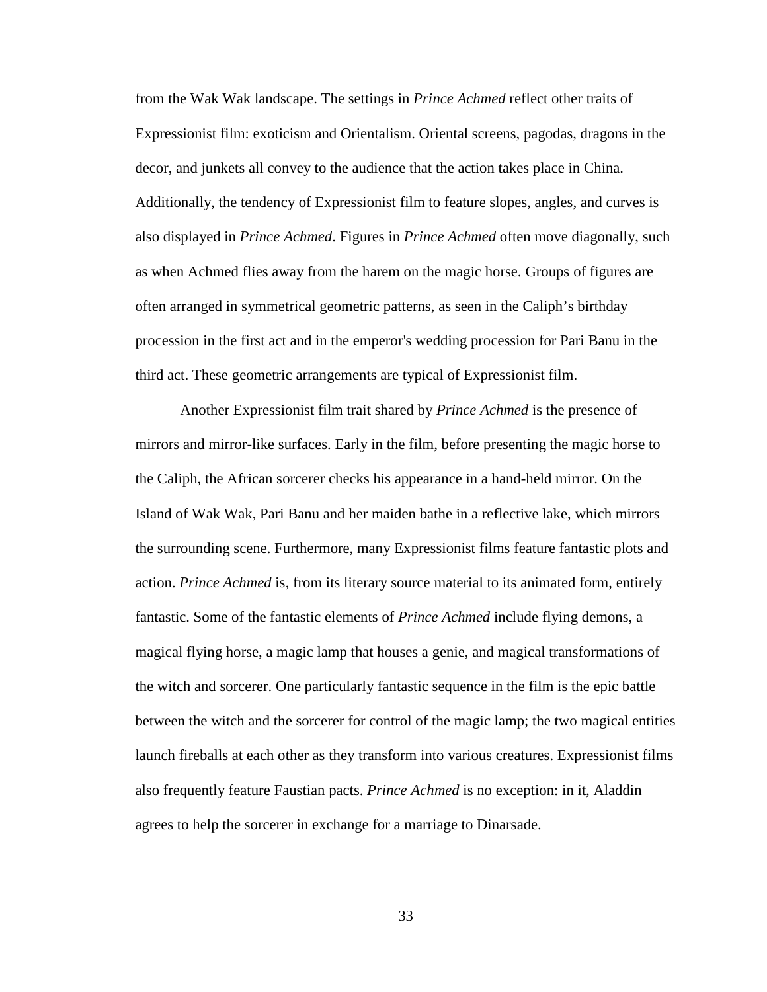from the Wak Wak landscape. The settings in *Prince Achmed* reflect other traits of Expressionist film: exoticism and Orientalism. Oriental screens, pagodas, dragons in the decor, and junkets all convey to the audience that the action takes place in China. Additionally, the tendency of Expressionist film to feature slopes, angles, and curves is also displayed in *Prince Achmed*. Figures in *Prince Achmed* often move diagonally, such as when Achmed flies away from the harem on the magic horse. Groups of figures are often arranged in symmetrical geometric patterns, as seen in the Caliph's birthday procession in the first act and in the emperor's wedding procession for Pari Banu in the third act. These geometric arrangements are typical of Expressionist film.

Another Expressionist film trait shared by *Prince Achmed* is the presence of mirrors and mirror-like surfaces. Early in the film, before presenting the magic horse to the Caliph, the African sorcerer checks his appearance in a hand-held mirror. On the Island of Wak Wak, Pari Banu and her maiden bathe in a reflective lake, which mirrors the surrounding scene. Furthermore, many Expressionist films feature fantastic plots and action. *Prince Achmed* is, from its literary source material to its animated form, entirely fantastic. Some of the fantastic elements of *Prince Achmed* include flying demons, a magical flying horse, a magic lamp that houses a genie, and magical transformations of the witch and sorcerer. One particularly fantastic sequence in the film is the epic battle between the witch and the sorcerer for control of the magic lamp; the two magical entities launch fireballs at each other as they transform into various creatures. Expressionist films also frequently feature Faustian pacts. *Prince Achmed* is no exception: in it, Aladdin agrees to help the sorcerer in exchange for a marriage to Dinarsade.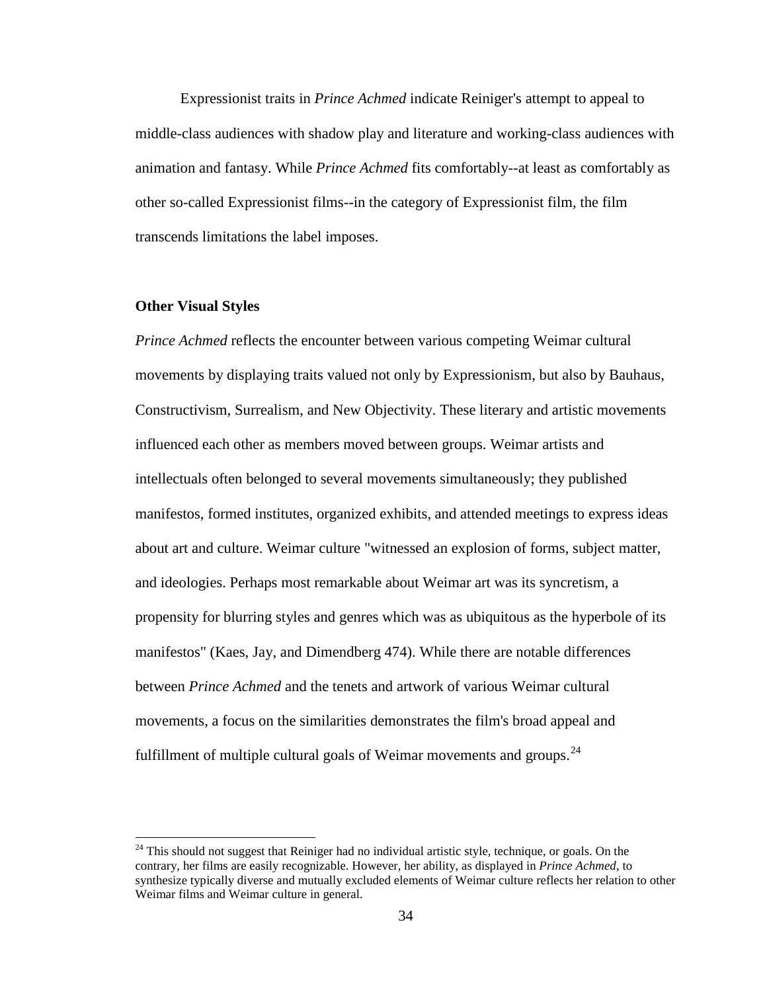Expressionist traits in *Prince Achmed* indicate Reiniger's attempt to appeal to middle-class audiences with shadow play and literature and working-class audiences with animation and fantasy. While *Prince Achmed* fits comfortably--at least as comfortably as other so-called Expressionist films--in the category of Expressionist film, the film transcends limitations the label imposes.

#### **Other Visual Styles**

*Prince Achmed* reflects the encounter between various competing Weimar cultural movements by displaying traits valued not only by Expressionism, but also by Bauhaus, Constructivism, Surrealism, and New Objectivity. These literary and artistic movements influenced each other as members moved between groups. Weimar artists and intellectuals often belonged to several movements simultaneously; they published manifestos, formed institutes, organized exhibits, and attended meetings to express ideas about art and culture. Weimar culture "witnessed an explosion of forms, subject matter, and ideologies. Perhaps most remarkable about Weimar art was its syncretism, a propensity for blurring styles and genres which was as ubiquitous as the hyperbole of its manifestos" (Kaes, Jay, and Dimendberg 474). While there are notable differences between *Prince Achmed* and the tenets and artwork of various Weimar cultural movements, a focus on the similarities demonstrates the film's broad appeal and fulfillment of multiple cultural goals of Weimar movements and groups.<sup>[24](#page-48-0)</sup>

<span id="page-44-0"></span> $24$  This should not suggest that Reiniger had no individual artistic style, technique, or goals. On the contrary, her films are easily recognizable. However, her ability, as displayed in *Prince Achmed*, to synthesize typically diverse and mutually excluded elements of Weimar culture reflects her relation to other Weimar films and Weimar culture in general.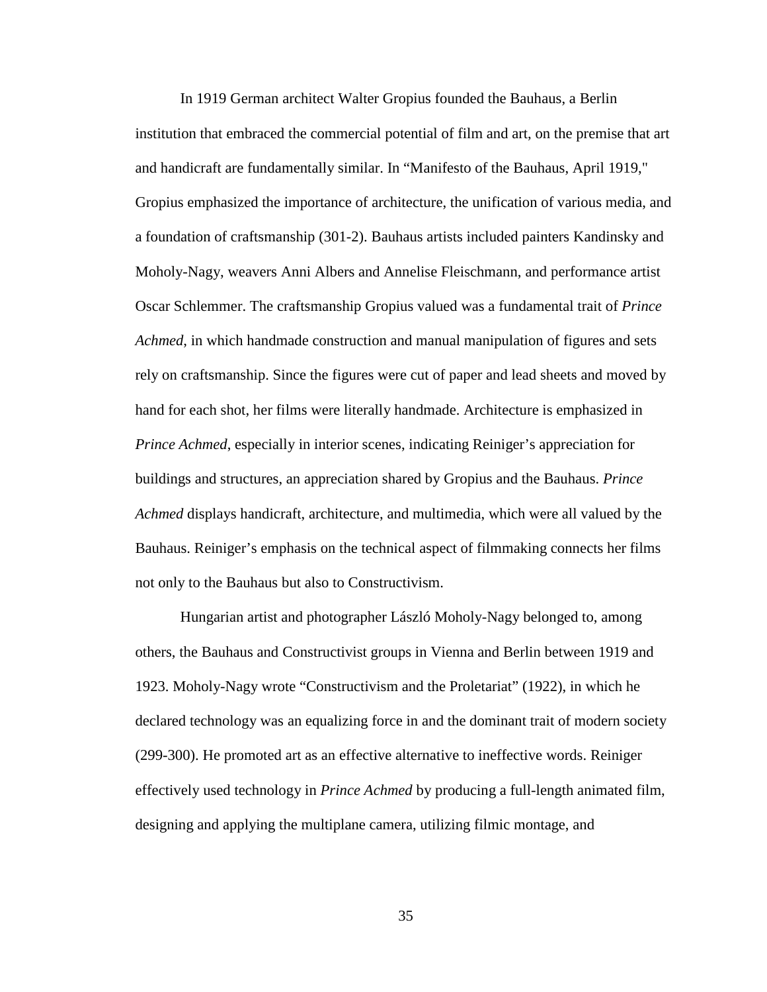In 1919 German architect Walter Gropius founded the Bauhaus, a Berlin institution that embraced the commercial potential of film and art, on the premise that art and handicraft are fundamentally similar. In "Manifesto of the Bauhaus, April 1919," Gropius emphasized the importance of architecture, the unification of various media, and a foundation of craftsmanship (301-2). Bauhaus artists included painters Kandinsky and Moholy-Nagy, weavers Anni Albers and Annelise Fleischmann, and performance artist Oscar Schlemmer. The craftsmanship Gropius valued was a fundamental trait of *Prince Achmed*, in which handmade construction and manual manipulation of figures and sets rely on craftsmanship. Since the figures were cut of paper and lead sheets and moved by hand for each shot, her films were literally handmade. Architecture is emphasized in *Prince Achmed*, especially in interior scenes, indicating Reiniger's appreciation for buildings and structures, an appreciation shared by Gropius and the Bauhaus. *Prince Achmed* displays handicraft, architecture, and multimedia, which were all valued by the Bauhaus. Reiniger's emphasis on the technical aspect of filmmaking connects her films not only to the Bauhaus but also to Constructivism.

Hungarian artist and photographer László Moholy-Nagy belonged to, among others, the Bauhaus and Constructivist groups in Vienna and Berlin between 1919 and 1923. Moholy-Nagy wrote "Constructivism and the Proletariat" (1922), in which he declared technology was an equalizing force in and the dominant trait of modern society (299-300). He promoted art as an effective alternative to ineffective words. Reiniger effectively used technology in *Prince Achmed* by producing a full-length animated film, designing and applying the multiplane camera, utilizing filmic montage, and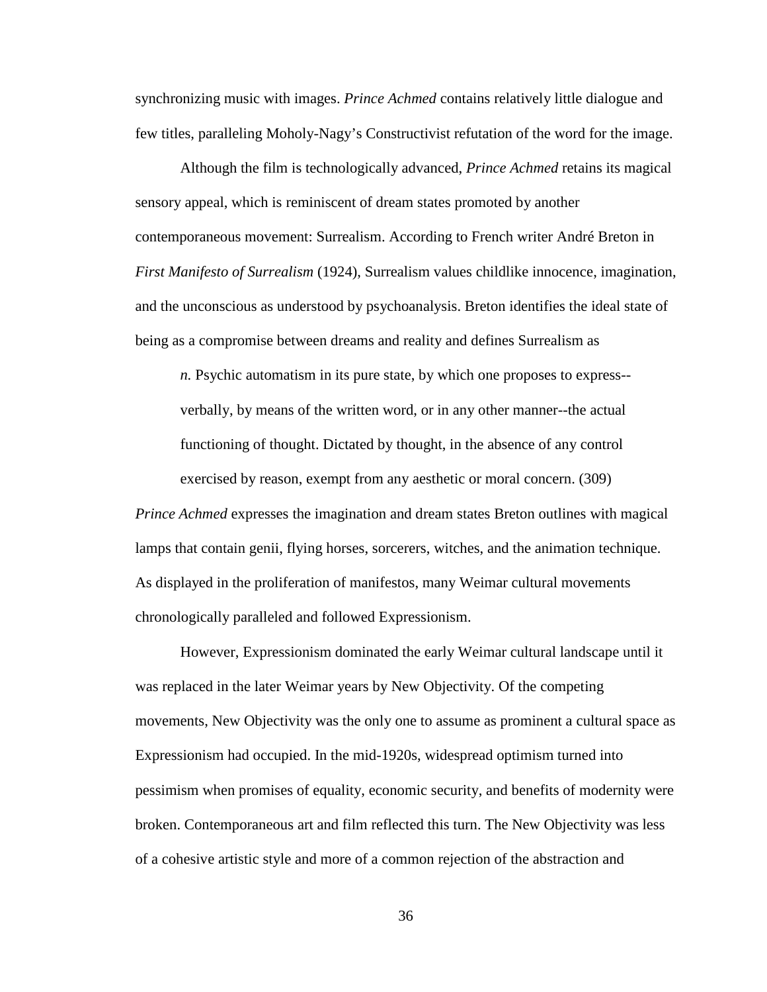synchronizing music with images. *Prince Achmed* contains relatively little dialogue and few titles, paralleling Moholy-Nagy's Constructivist refutation of the word for the image.

Although the film is technologically advanced, *Prince Achmed* retains its magical sensory appeal, which is reminiscent of dream states promoted by another contemporaneous movement: Surrealism. According to French writer André Breton in *First Manifesto of Surrealism* (1924), Surrealism values childlike innocence, imagination, and the unconscious as understood by psychoanalysis. Breton identifies the ideal state of being as a compromise between dreams and reality and defines Surrealism as

*n.* Psychic automatism in its pure state, by which one proposes to express- verbally, by means of the written word, or in any other manner--the actual functioning of thought. Dictated by thought, in the absence of any control exercised by reason, exempt from any aesthetic or moral concern. (309)

*Prince Achmed* expresses the imagination and dream states Breton outlines with magical lamps that contain genii, flying horses, sorcerers, witches, and the animation technique. As displayed in the proliferation of manifestos, many Weimar cultural movements chronologically paralleled and followed Expressionism.

However, Expressionism dominated the early Weimar cultural landscape until it was replaced in the later Weimar years by New Objectivity. Of the competing movements, New Objectivity was the only one to assume as prominent a cultural space as Expressionism had occupied. In the mid-1920s, widespread optimism turned into pessimism when promises of equality, economic security, and benefits of modernity were broken. Contemporaneous art and film reflected this turn. The New Objectivity was less of a cohesive artistic style and more of a common rejection of the abstraction and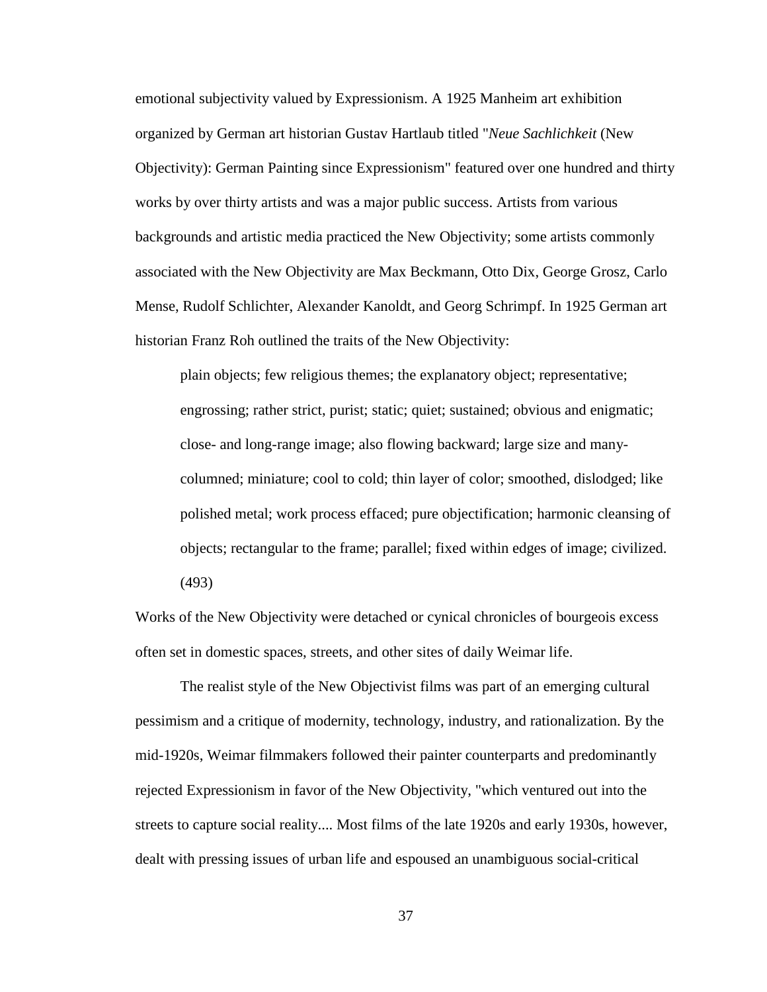emotional subjectivity valued by Expressionism. A 1925 Manheim art exhibition organized by German art historian Gustav Hartlaub titled "*Neue Sachlichkeit* (New Objectivity): German Painting since Expressionism" featured over one hundred and thirty works by over thirty artists and was a major public success. Artists from various backgrounds and artistic media practiced the New Objectivity; some artists commonly associated with the New Objectivity are Max Beckmann, Otto Dix, George Grosz, Carlo Mense, Rudolf Schlichter, Alexander Kanoldt, and Georg Schrimpf. In 1925 German art historian Franz Roh outlined the traits of the New Objectivity:

plain objects; few religious themes; the explanatory object; representative; engrossing; rather strict, purist; static; quiet; sustained; obvious and enigmatic; close- and long-range image; also flowing backward; large size and manycolumned; miniature; cool to cold; thin layer of color; smoothed, dislodged; like polished metal; work process effaced; pure objectification; harmonic cleansing of objects; rectangular to the frame; parallel; fixed within edges of image; civilized. (493)

Works of the New Objectivity were detached or cynical chronicles of bourgeois excess often set in domestic spaces, streets, and other sites of daily Weimar life.

The realist style of the New Objectivist films was part of an emerging cultural pessimism and a critique of modernity, technology, industry, and rationalization. By the mid-1920s, Weimar filmmakers followed their painter counterparts and predominantly rejected Expressionism in favor of the New Objectivity, "which ventured out into the streets to capture social reality.... Most films of the late 1920s and early 1930s, however, dealt with pressing issues of urban life and espoused an unambiguous social-critical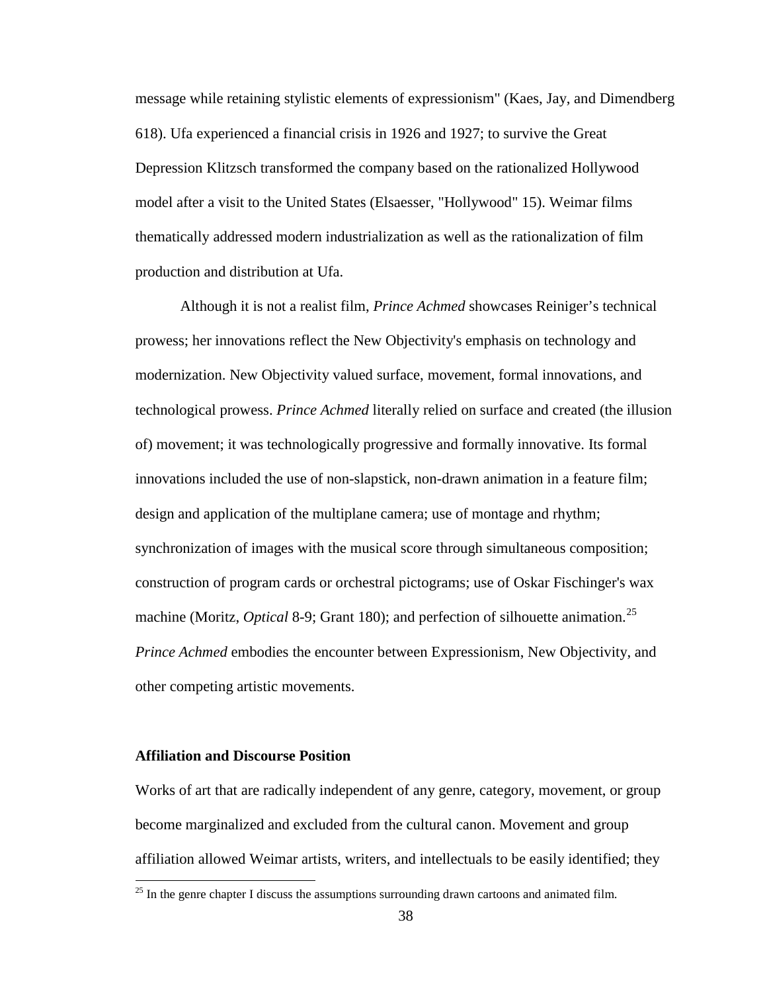message while retaining stylistic elements of expressionism" (Kaes, Jay, and Dimendberg 618). Ufa experienced a financial crisis in 1926 and 1927; to survive the Great Depression Klitzsch transformed the company based on the rationalized Hollywood model after a visit to the United States (Elsaesser, "Hollywood" 15). Weimar films thematically addressed modern industrialization as well as the rationalization of film production and distribution at Ufa.

Although it is not a realist film, *Prince Achmed* showcases Reiniger's technical prowess; her innovations reflect the New Objectivity's emphasis on technology and modernization. New Objectivity valued surface, movement, formal innovations, and technological prowess. *Prince Achmed* literally relied on surface and created (the illusion of) movement; it was technologically progressive and formally innovative. Its formal innovations included the use of non-slapstick, non-drawn animation in a feature film; design and application of the multiplane camera; use of montage and rhythm; synchronization of images with the musical score through simultaneous composition; construction of program cards or orchestral pictograms; use of Oskar Fischinger's wax machine (Moritz, *Optical* 8-9; Grant 180); and perfection of silhouette animation.<sup>25</sup> *Prince Achmed* embodies the encounter between Expressionism, New Objectivity, and other competing artistic movements.

## **Affiliation and Discourse Position**

Works of art that are radically independent of any genre, category, movement, or group become marginalized and excluded from the cultural canon. Movement and group affiliation allowed Weimar artists, writers, and intellectuals to be easily identified; they

<span id="page-48-0"></span> $25$  In the genre chapter I discuss the assumptions surrounding drawn cartoons and animated film.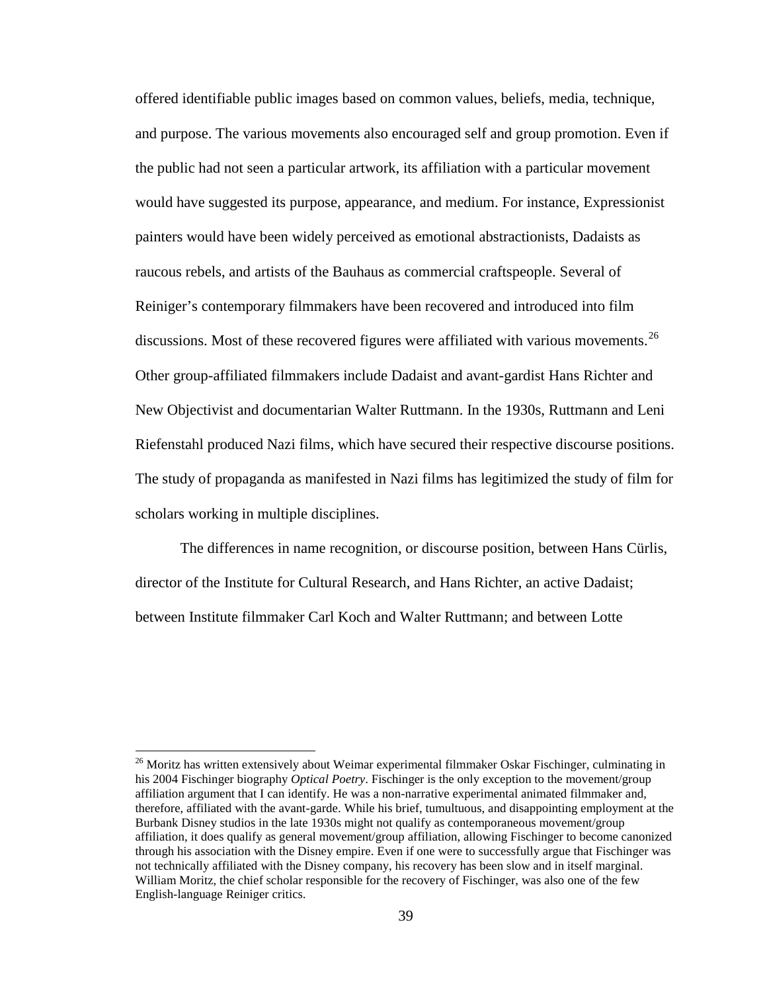offered identifiable public images based on common values, beliefs, media, technique, and purpose. The various movements also encouraged self and group promotion. Even if the public had not seen a particular artwork, its affiliation with a particular movement would have suggested its purpose, appearance, and medium. For instance, Expressionist painters would have been widely perceived as emotional abstractionists, Dadaists as raucous rebels, and artists of the Bauhaus as commercial craftspeople. Several of Reiniger's contemporary filmmakers have been recovered and introduced into film discussions. Most of these recovered figures were affiliated with various movements.<sup>[26](#page-53-0)</sup> Other group-affiliated filmmakers include Dadaist and avant-gardist Hans Richter and New Objectivist and documentarian Walter Ruttmann. In the 1930s, Ruttmann and Leni Riefenstahl produced Nazi films, which have secured their respective discourse positions. The study of propaganda as manifested in Nazi films has legitimized the study of film for scholars working in multiple disciplines.

The differences in name recognition, or discourse position, between Hans Cürlis, director of the Institute for Cultural Research, and Hans Richter, an active Dadaist; between Institute filmmaker Carl Koch and Walter Ruttmann; and between Lotte

<sup>&</sup>lt;sup>26</sup> Moritz has written extensively about Weimar experimental filmmaker Oskar Fischinger, culminating in his 2004 Fischinger biography *Optical Poetry*. Fischinger is the only exception to the movement/group affiliation argument that I can identify. He was a non-narrative experimental animated filmmaker and, therefore, affiliated with the avant-garde. While his brief, tumultuous, and disappointing employment at the Burbank Disney studios in the late 1930s might not qualify as contemporaneous movement/group affiliation, it does qualify as general movement/group affiliation, allowing Fischinger to become canonized through his association with the Disney empire. Even if one were to successfully argue that Fischinger was not technically affiliated with the Disney company, his recovery has been slow and in itself marginal. William Moritz, the chief scholar responsible for the recovery of Fischinger, was also one of the few English-language Reiniger critics.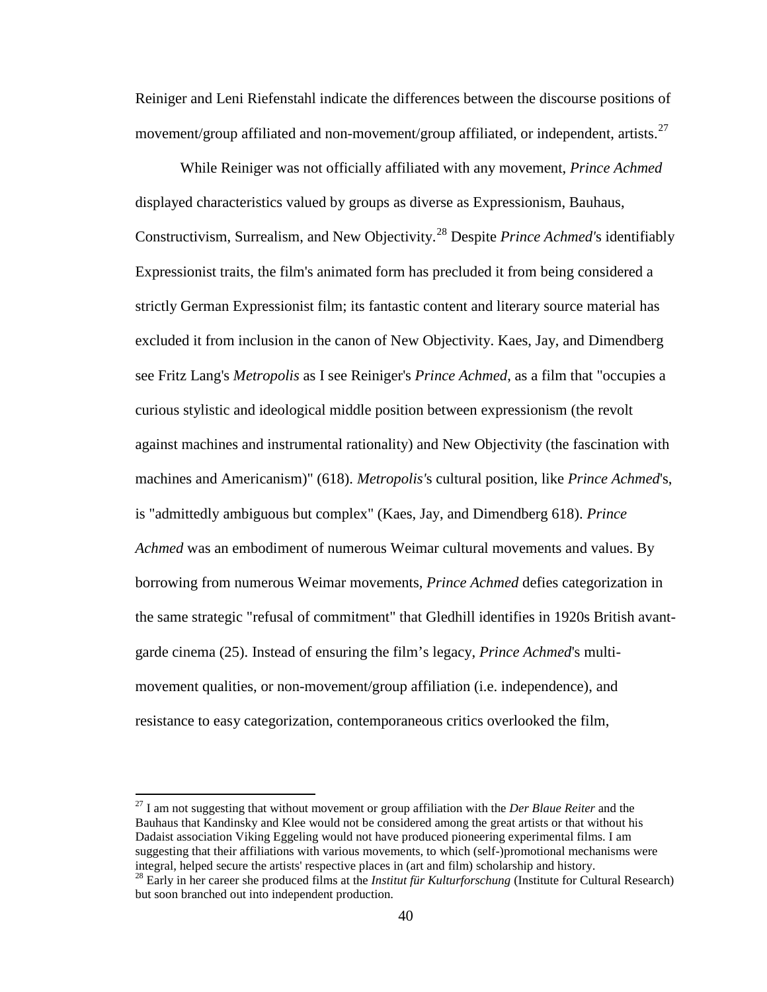Reiniger and Leni Riefenstahl indicate the differences between the discourse positions of movement/group affiliated and non-movement/group affiliated, or independent, artists.<sup>[27](#page-53-1)</sup>

While Reiniger was not officially affiliated with any movement, *Prince Achmed* displayed characteristics valued by groups as diverse as Expressionism, Bauhaus, Constructivism, Surrealism, and New Objectivity.[28](#page-53-2) Despite *Prince Achmed'*s identifiably Expressionist traits, the film's animated form has precluded it from being considered a strictly German Expressionist film; its fantastic content and literary source material has excluded it from inclusion in the canon of New Objectivity. Kaes, Jay, and Dimendberg see Fritz Lang's *Metropolis* as I see Reiniger's *Prince Achmed*, as a film that "occupies a curious stylistic and ideological middle position between expressionism (the revolt against machines and instrumental rationality) and New Objectivity (the fascination with machines and Americanism)" (618). *Metropolis'*s cultural position, like *Prince Achmed*'s, is "admittedly ambiguous but complex" (Kaes, Jay, and Dimendberg 618). *Prince Achmed* was an embodiment of numerous Weimar cultural movements and values. By borrowing from numerous Weimar movements*, Prince Achmed* defies categorization in the same strategic "refusal of commitment" that Gledhill identifies in 1920s British avantgarde cinema (25). Instead of ensuring the film's legacy, *Prince Achmed*'s multimovement qualities, or non-movement/group affiliation (i.e. independence), and resistance to easy categorization, contemporaneous critics overlooked the film,

<sup>27</sup> I am not suggesting that without movement or group affiliation with the *Der Blaue Reiter* and the Bauhaus that Kandinsky and Klee would not be considered among the great artists or that without his Dadaist association Viking Eggeling would not have produced pioneering experimental films. I am suggesting that their affiliations with various movements, to which (self-)promotional mechanisms were integral, helped secure the artists' respective places in (art and film) scholarship and history.

<sup>&</sup>lt;sup>28</sup> Early in her career she produced films at the *Institut für Kulturforschung* (Institute for Cultural Research) but soon branched out into independent production.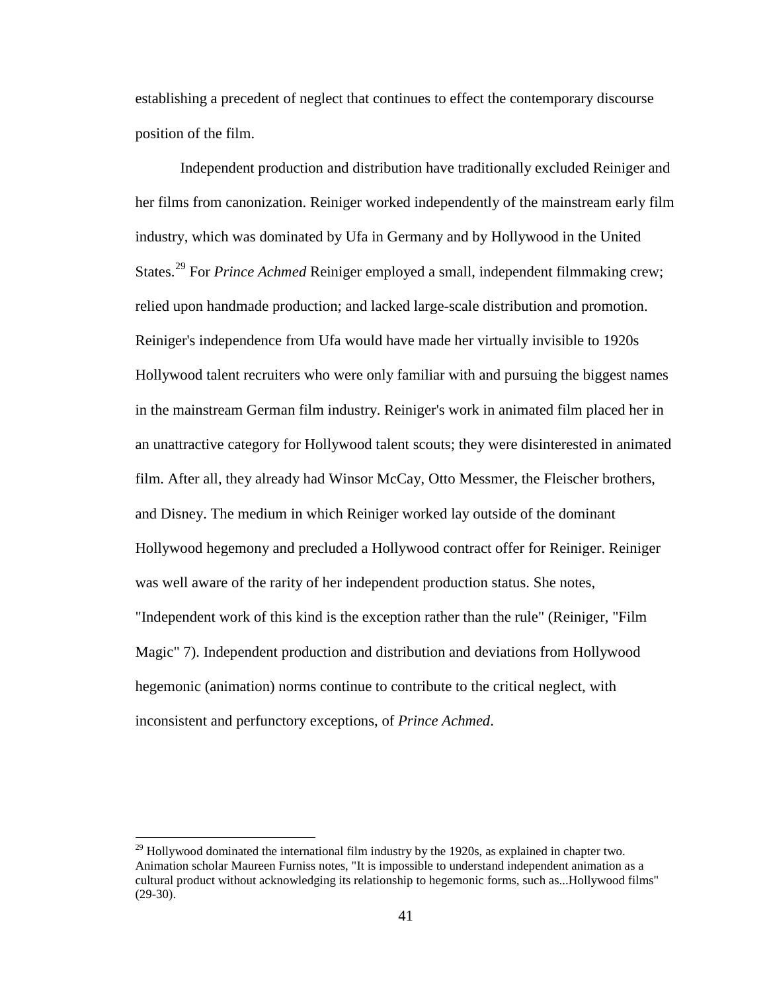establishing a precedent of neglect that continues to effect the contemporary discourse position of the film.

Independent production and distribution have traditionally excluded Reiniger and her films from canonization. Reiniger worked independently of the mainstream early film industry, which was dominated by Ufa in Germany and by Hollywood in the United States.<sup>[29](#page-54-0)</sup> For *Prince Achmed* Reiniger employed a small, independent filmmaking crew; relied upon handmade production; and lacked large-scale distribution and promotion. Reiniger's independence from Ufa would have made her virtually invisible to 1920s Hollywood talent recruiters who were only familiar with and pursuing the biggest names in the mainstream German film industry. Reiniger's work in animated film placed her in an unattractive category for Hollywood talent scouts; they were disinterested in animated film. After all, they already had Winsor McCay, Otto Messmer, the Fleischer brothers, and Disney. The medium in which Reiniger worked lay outside of the dominant Hollywood hegemony and precluded a Hollywood contract offer for Reiniger. Reiniger was well aware of the rarity of her independent production status. She notes, "Independent work of this kind is the exception rather than the rule" (Reiniger, "Film Magic" 7). Independent production and distribution and deviations from Hollywood hegemonic (animation) norms continue to contribute to the critical neglect, with inconsistent and perfunctory exceptions, of *Prince Achmed*.

 $^{29}$  Hollywood dominated the international film industry by the 1920s, as explained in chapter two. Animation scholar Maureen Furniss notes, "It is impossible to understand independent animation as a cultural product without acknowledging its relationship to hegemonic forms, such as...Hollywood films"  $(29-30).$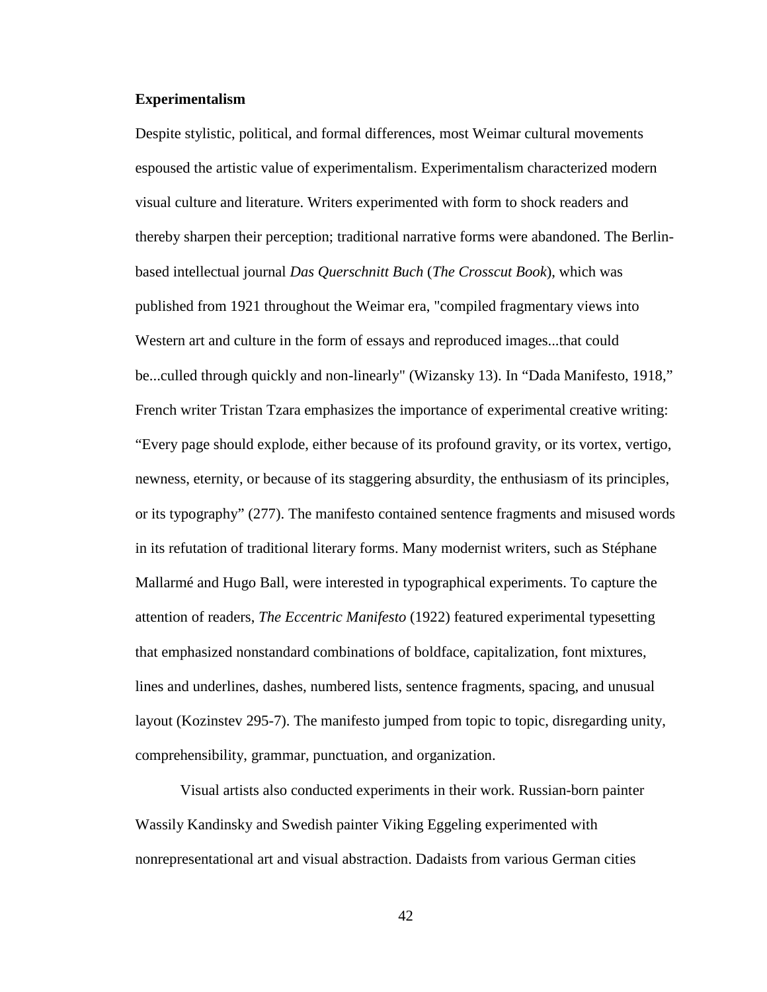## **Experimentalism**

Despite stylistic, political, and formal differences, most Weimar cultural movements espoused the artistic value of experimentalism. Experimentalism characterized modern visual culture and literature. Writers experimented with form to shock readers and thereby sharpen their perception; traditional narrative forms were abandoned. The Berlinbased intellectual journal *Das Querschnitt Buch* (*The Crosscut Book*), which was published from 1921 throughout the Weimar era, "compiled fragmentary views into Western art and culture in the form of essays and reproduced images...that could be...culled through quickly and non-linearly" (Wizansky 13). In "Dada Manifesto, 1918," French writer Tristan Tzara emphasizes the importance of experimental creative writing: "Every page should explode, either because of its profound gravity, or its vortex, vertigo, newness, eternity, or because of its staggering absurdity, the enthusiasm of its principles, or its typography" (277). The manifesto contained sentence fragments and misused words in its refutation of traditional literary forms. Many modernist writers, such as Stéphane Mallarmé and Hugo Ball, were interested in typographical experiments. To capture the attention of readers, *The Eccentric Manifesto* (1922) featured experimental typesetting that emphasized nonstandard combinations of boldface, capitalization, font mixtures, lines and underlines, dashes, numbered lists, sentence fragments, spacing, and unusual layout (Kozinstev 295-7). The manifesto jumped from topic to topic, disregarding unity, comprehensibility, grammar, punctuation, and organization.

<span id="page-52-0"></span>Visual artists also conducted experiments in their work. Russian-born painter Wassily Kandinsky and Swedish painter Viking Eggeling experimented with nonrepresentational art and visual abstraction. Dadaists from various German cities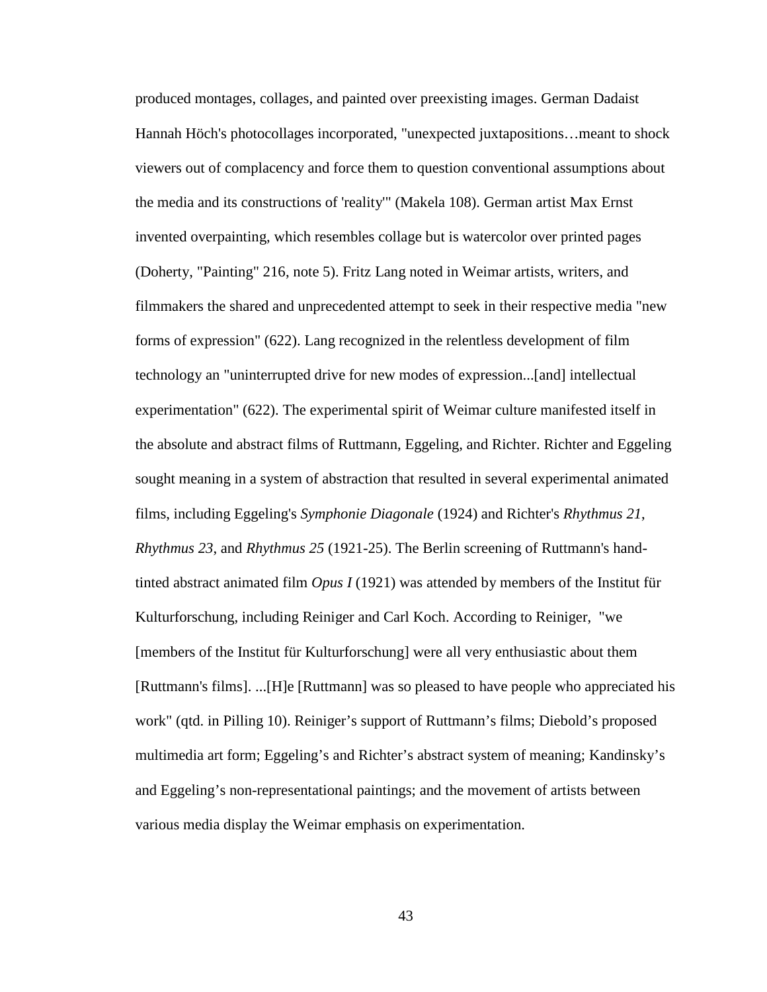<span id="page-53-2"></span><span id="page-53-1"></span><span id="page-53-0"></span>produced montages, collages, and painted over preexisting images. German Dadaist Hannah Höch's photocollages incorporated, "unexpected juxtapositions…meant to shock viewers out of complacency and force them to question conventional assumptions about the media and its constructions of 'reality'" (Makela 108). German artist Max Ernst invented overpainting, which resembles collage but is watercolor over printed pages (Doherty, "Painting" 216, note 5). Fritz Lang noted in Weimar artists, writers, and filmmakers the shared and unprecedented attempt to seek in their respective media "new forms of expression" (622). Lang recognized in the relentless development of film technology an "uninterrupted drive for new modes of expression...[and] intellectual experimentation" (622). The experimental spirit of Weimar culture manifested itself in the absolute and abstract films of Ruttmann, Eggeling, and Richter. Richter and Eggeling sought meaning in a system of abstraction that resulted in several experimental animated films, including Eggeling's *Symphonie Diagonale* (1924) and Richter's *Rhythmus 21*, *Rhythmus 23*, and *Rhythmus 25* (1921-25). The Berlin screening of Ruttmann's handtinted abstract animated film *Opus I* (1921) was attended by members of the Institut für Kulturforschung, including Reiniger and Carl Koch. According to Reiniger, "we [members of the Institut für Kulturforschung] were all very enthusiastic about them [Ruttmann's films]. ...[H]e [Ruttmann] was so pleased to have people who appreciated his work" (qtd. in Pilling 10). Reiniger's support of Ruttmann's films; Diebold's proposed multimedia art form; Eggeling's and Richter's abstract system of meaning; Kandinsky's and Eggeling's non-representational paintings; and the movement of artists between various media display the Weimar emphasis on experimentation.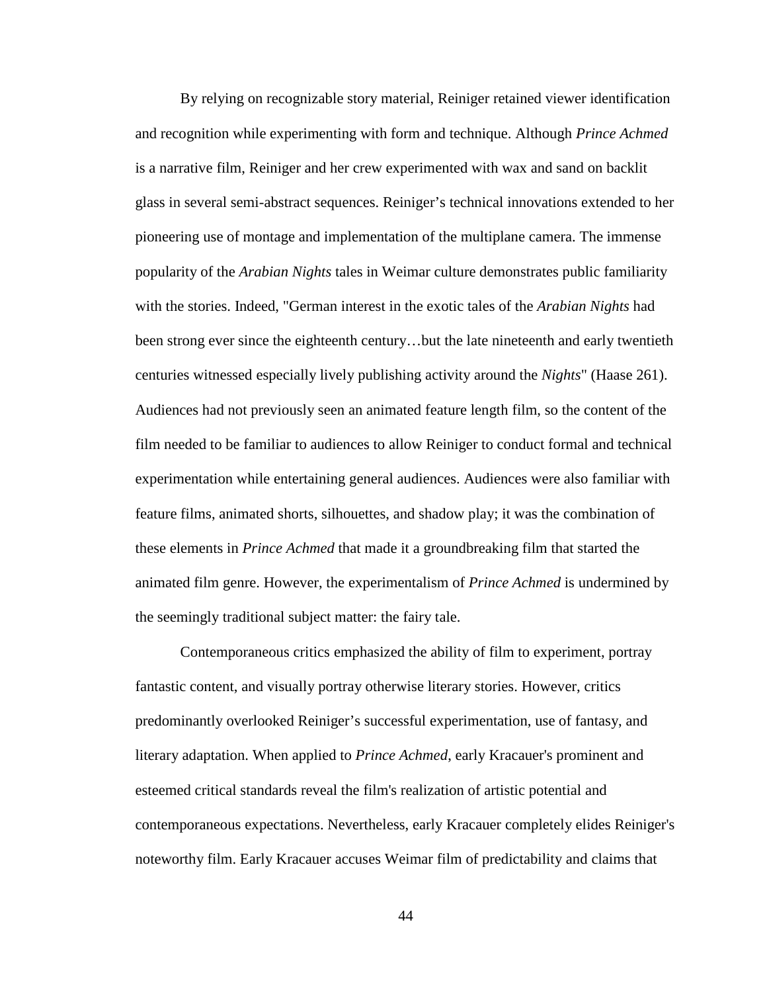By relying on recognizable story material, Reiniger retained viewer identification and recognition while experimenting with form and technique. Although *Prince Achmed* is a narrative film, Reiniger and her crew experimented with wax and sand on backlit glass in several semi-abstract sequences. Reiniger's technical innovations extended to her pioneering use of montage and implementation of the multiplane camera. The immense popularity of the *Arabian Nights* tales in Weimar culture demonstrates public familiarity with the stories. Indeed, "German interest in the exotic tales of the *Arabian Nights* had been strong ever since the eighteenth century…but the late nineteenth and early twentieth centuries witnessed especially lively publishing activity around the *Nights*" (Haase 261). Audiences had not previously seen an animated feature length film, so the content of the film needed to be familiar to audiences to allow Reiniger to conduct formal and technical experimentation while entertaining general audiences. Audiences were also familiar with feature films, animated shorts, silhouettes, and shadow play; it was the combination of these elements in *Prince Achmed* that made it a groundbreaking film that started the animated film genre. However, the experimentalism of *Prince Achmed* is undermined by the seemingly traditional subject matter: the fairy tale.

<span id="page-54-0"></span>Contemporaneous critics emphasized the ability of film to experiment, portray fantastic content, and visually portray otherwise literary stories. However, critics predominantly overlooked Reiniger's successful experimentation, use of fantasy, and literary adaptation. When applied to *Prince Achmed*, early Kracauer's prominent and esteemed critical standards reveal the film's realization of artistic potential and contemporaneous expectations. Nevertheless, early Kracauer completely elides Reiniger's noteworthy film. Early Kracauer accuses Weimar film of predictability and claims that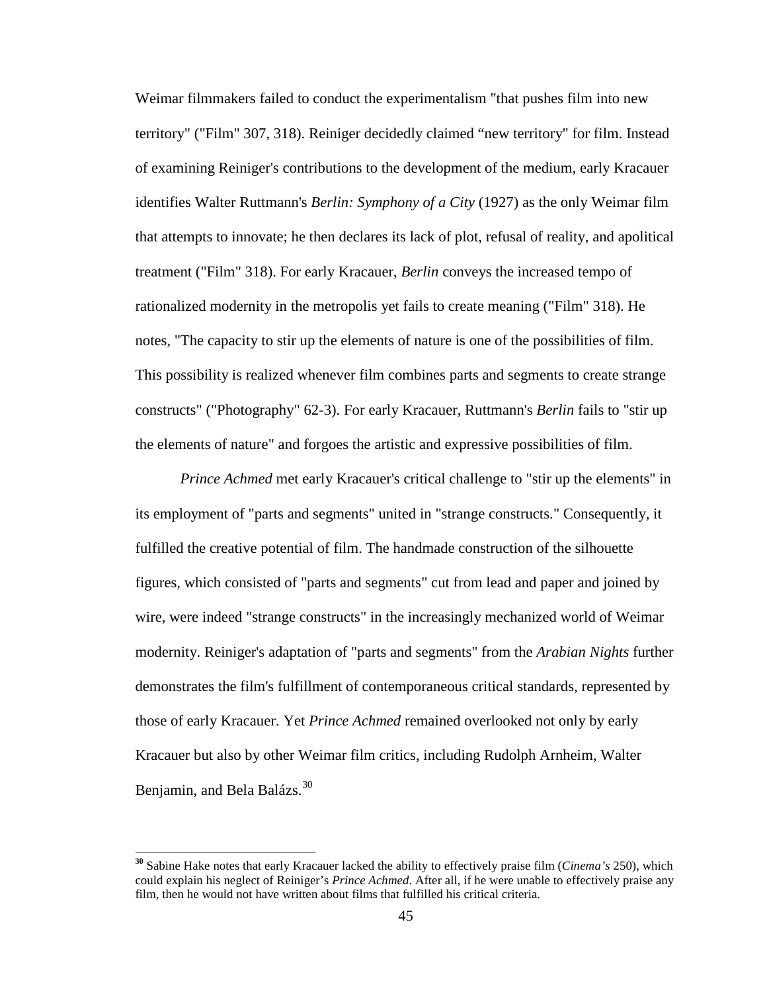Weimar filmmakers failed to conduct the experimentalism "that pushes film into new territory" ("Film" 307, 318). Reiniger decidedly claimed "new territory" for film. Instead of examining Reiniger's contributions to the development of the medium, early Kracauer identifies Walter Ruttmann's *Berlin: Symphony of a City* (1927) as the only Weimar film that attempts to innovate; he then declares its lack of plot, refusal of reality, and apolitical treatment ("Film" 318). For early Kracauer, *Berlin* conveys the increased tempo of rationalized modernity in the metropolis yet fails to create meaning ("Film" 318). He notes, "The capacity to stir up the elements of nature is one of the possibilities of film. This possibility is realized whenever film combines parts and segments to create strange constructs" ("Photography" 62-3). For early Kracauer, Ruttmann's *Berlin* fails to "stir up the elements of nature" and forgoes the artistic and expressive possibilities of film.

*Prince Achmed* met early Kracauer's critical challenge to "stir up the elements" in its employment of "parts and segments" united in "strange constructs." Consequently, it fulfilled the creative potential of film. The handmade construction of the silhouette figures, which consisted of "parts and segments" cut from lead and paper and joined by wire, were indeed "strange constructs" in the increasingly mechanized world of Weimar modernity. Reiniger's adaptation of "parts and segments" from the *Arabian Nights* further demonstrates the film's fulfillment of contemporaneous critical standards, represented by those of early Kracauer. Yet *Prince Achmed* remained overlooked not only by early Kracauer but also by other Weimar film critics, including Rudolph Arnheim, Walter Benjamin, and Bela Balázs.<sup>[30](#page-60-0)</sup>

**<sup>30</sup>** Sabine Hake notes that early Kracauer lacked the ability to effectively praise film (*Cinema's* 250), which could explain his neglect of Reiniger's *Prince Achmed*. After all, if he were unable to effectively praise any film, then he would not have written about films that fulfilled his critical criteria.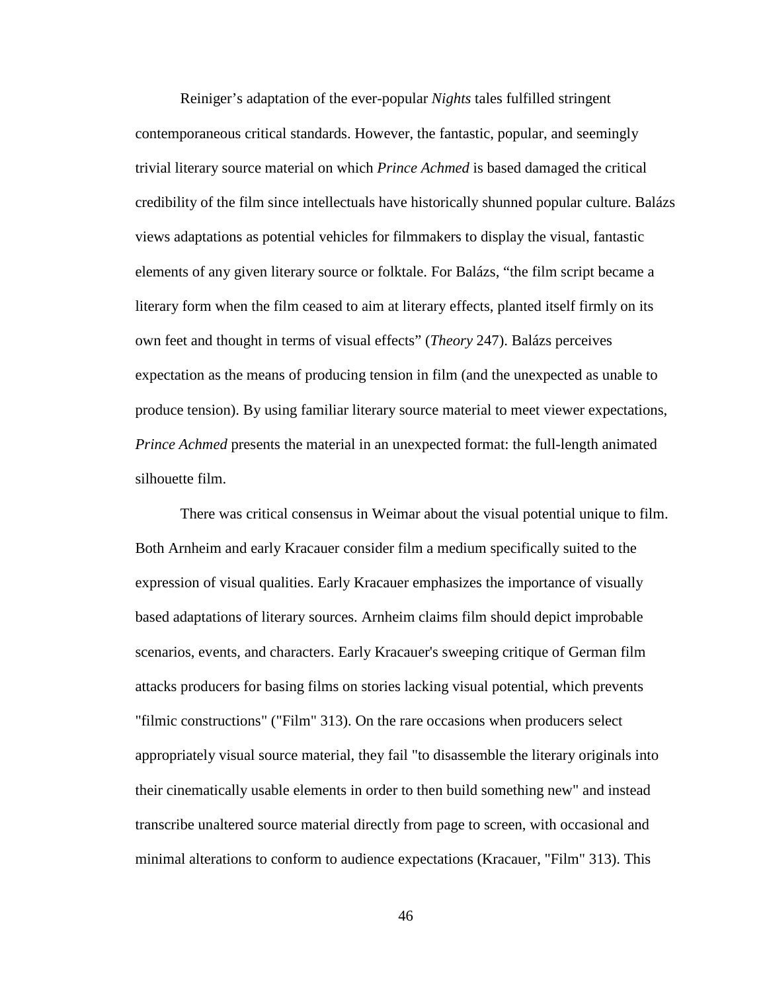Reiniger's adaptation of the ever-popular *Nights* tales fulfilled stringent contemporaneous critical standards. However, the fantastic, popular, and seemingly trivial literary source material on which *Prince Achmed* is based damaged the critical credibility of the film since intellectuals have historically shunned popular culture. Balázs views adaptations as potential vehicles for filmmakers to display the visual, fantastic elements of any given literary source or folktale. For Balázs, "the film script became a literary form when the film ceased to aim at literary effects, planted itself firmly on its own feet and thought in terms of visual effects" (*Theory* 247). Balázs perceives expectation as the means of producing tension in film (and the unexpected as unable to produce tension). By using familiar literary source material to meet viewer expectations, *Prince Achmed* presents the material in an unexpected format: the full-length animated silhouette film.

There was critical consensus in Weimar about the visual potential unique to film. Both Arnheim and early Kracauer consider film a medium specifically suited to the expression of visual qualities. Early Kracauer emphasizes the importance of visually based adaptations of literary sources. Arnheim claims film should depict improbable scenarios, events, and characters. Early Kracauer's sweeping critique of German film attacks producers for basing films on stories lacking visual potential, which prevents "filmic constructions" ("Film" 313). On the rare occasions when producers select appropriately visual source material, they fail "to disassemble the literary originals into their cinematically usable elements in order to then build something new" and instead transcribe unaltered source material directly from page to screen, with occasional and minimal alterations to conform to audience expectations (Kracauer, "Film" 313). This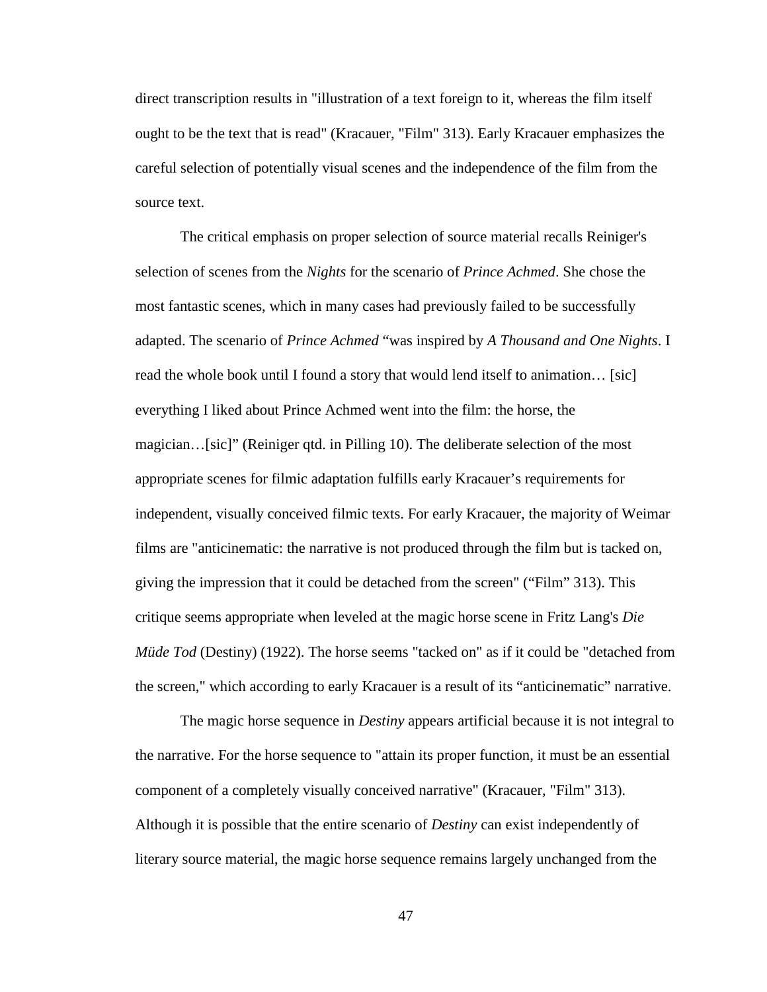direct transcription results in "illustration of a text foreign to it, whereas the film itself ought to be the text that is read" (Kracauer, "Film" 313). Early Kracauer emphasizes the careful selection of potentially visual scenes and the independence of the film from the source text.

The critical emphasis on proper selection of source material recalls Reiniger's selection of scenes from the *Nights* for the scenario of *Prince Achmed*. She chose the most fantastic scenes, which in many cases had previously failed to be successfully adapted. The scenario of *Prince Achmed* "was inspired by *A Thousand and One Nights*. I read the whole book until I found a story that would lend itself to animation… [sic] everything I liked about Prince Achmed went into the film: the horse, the magician…[sic]" (Reiniger qtd. in Pilling 10). The deliberate selection of the most appropriate scenes for filmic adaptation fulfills early Kracauer's requirements for independent, visually conceived filmic texts. For early Kracauer, the majority of Weimar films are "anticinematic: the narrative is not produced through the film but is tacked on, giving the impression that it could be detached from the screen" ("Film" 313). This critique seems appropriate when leveled at the magic horse scene in Fritz Lang's *Die Müde Tod* (Destiny) (1922). The horse seems "tacked on" as if it could be "detached from the screen," which according to early Kracauer is a result of its "anticinematic" narrative.

The magic horse sequence in *Destiny* appears artificial because it is not integral to the narrative. For the horse sequence to "attain its proper function, it must be an essential component of a completely visually conceived narrative" (Kracauer, "Film" 313). Although it is possible that the entire scenario of *Destiny* can exist independently of literary source material, the magic horse sequence remains largely unchanged from the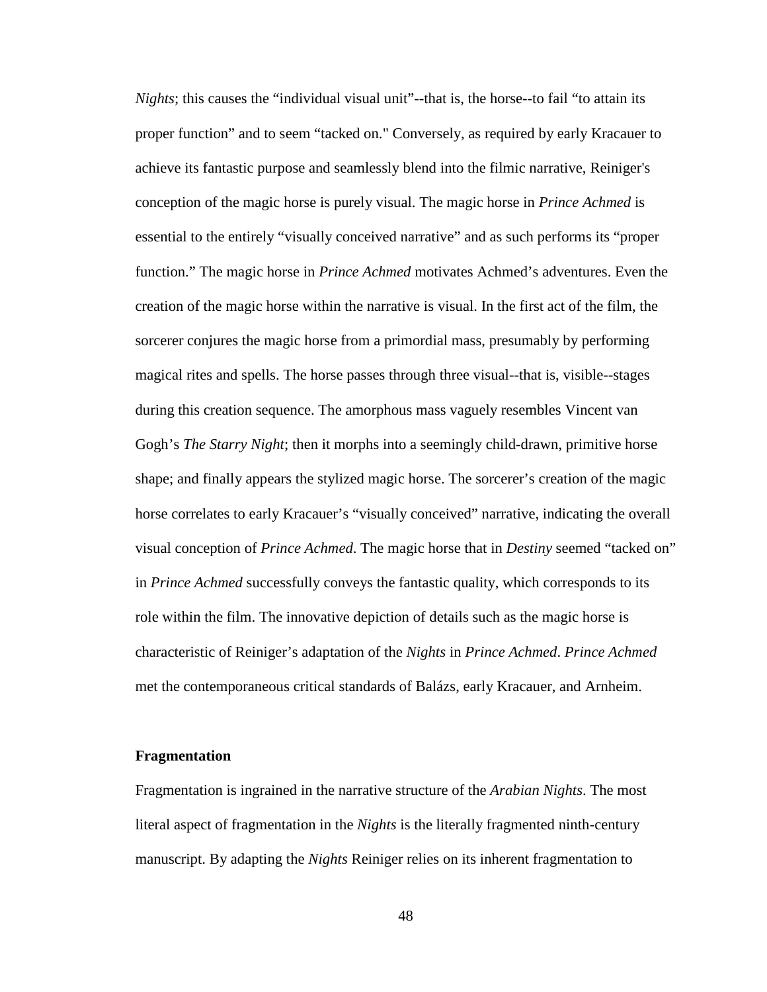*Nights*; this causes the "individual visual unit"--that is, the horse--to fail "to attain its proper function" and to seem "tacked on." Conversely, as required by early Kracauer to achieve its fantastic purpose and seamlessly blend into the filmic narrative, Reiniger's conception of the magic horse is purely visual. The magic horse in *Prince Achmed* is essential to the entirely "visually conceived narrative" and as such performs its "proper function." The magic horse in *Prince Achmed* motivates Achmed's adventures. Even the creation of the magic horse within the narrative is visual. In the first act of the film, the sorcerer conjures the magic horse from a primordial mass, presumably by performing magical rites and spells. The horse passes through three visual--that is, visible--stages during this creation sequence. The amorphous mass vaguely resembles Vincent van Gogh's *The Starry Night*; then it morphs into a seemingly child-drawn, primitive horse shape; and finally appears the stylized magic horse. The sorcerer's creation of the magic horse correlates to early Kracauer's "visually conceived" narrative, indicating the overall visual conception of *Prince Achmed*. The magic horse that in *Destiny* seemed "tacked on" in *Prince Achmed* successfully conveys the fantastic quality, which corresponds to its role within the film. The innovative depiction of details such as the magic horse is characteristic of Reiniger's adaptation of the *Nights* in *Prince Achmed*. *Prince Achmed* met the contemporaneous critical standards of Balázs, early Kracauer, and Arnheim.

#### **Fragmentation**

Fragmentation is ingrained in the narrative structure of the *Arabian Nights*. The most literal aspect of fragmentation in the *Nights* is the literally fragmented ninth-century manuscript. By adapting the *Nights* Reiniger relies on its inherent fragmentation to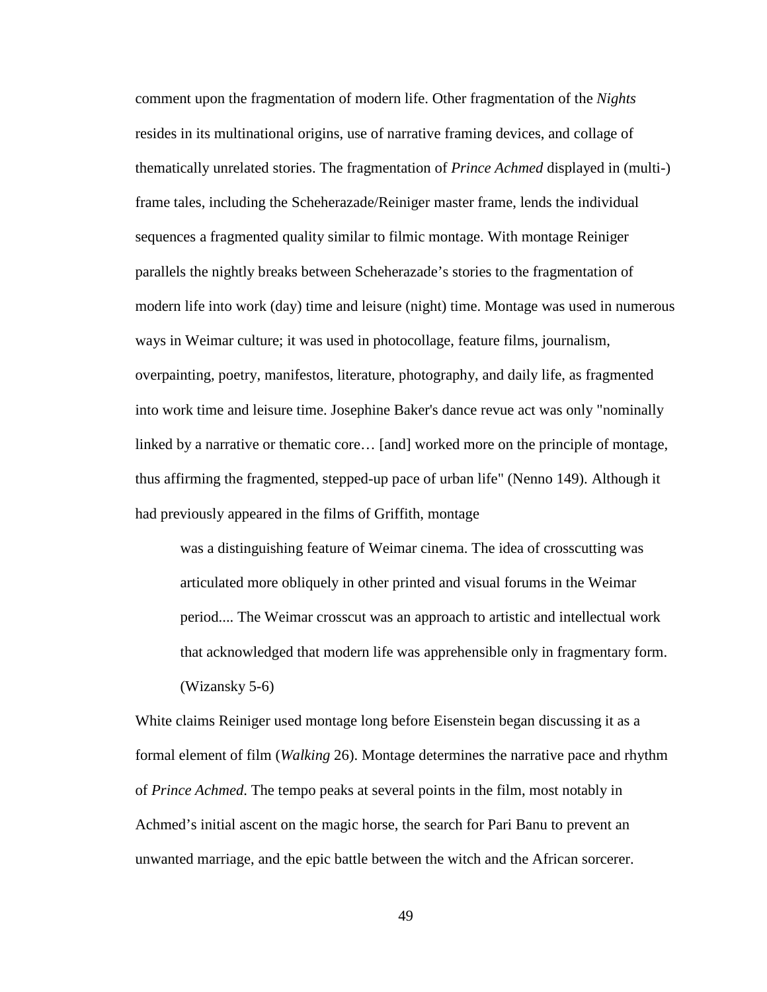comment upon the fragmentation of modern life. Other fragmentation of the *Nights* resides in its multinational origins, use of narrative framing devices, and collage of thematically unrelated stories. The fragmentation of *Prince Achmed* displayed in (multi-) frame tales, including the Scheherazade/Reiniger master frame, lends the individual sequences a fragmented quality similar to filmic montage. With montage Reiniger parallels the nightly breaks between Scheherazade's stories to the fragmentation of modern life into work (day) time and leisure (night) time. Montage was used in numerous ways in Weimar culture; it was used in photocollage, feature films, journalism, overpainting, poetry, manifestos, literature, photography, and daily life, as fragmented into work time and leisure time. Josephine Baker's dance revue act was only "nominally linked by a narrative or thematic core… [and] worked more on the principle of montage, thus affirming the fragmented, stepped-up pace of urban life" (Nenno 149). Although it had previously appeared in the films of Griffith, montage

was a distinguishing feature of Weimar cinema. The idea of crosscutting was articulated more obliquely in other printed and visual forums in the Weimar period.... The Weimar crosscut was an approach to artistic and intellectual work that acknowledged that modern life was apprehensible only in fragmentary form. (Wizansky 5-6)

White claims Reiniger used montage long before Eisenstein began discussing it as a formal element of film (*Walking* 26). Montage determines the narrative pace and rhythm of *Prince Achmed*. The tempo peaks at several points in the film, most notably in Achmed's initial ascent on the magic horse, the search for Pari Banu to prevent an unwanted marriage, and the epic battle between the witch and the African sorcerer.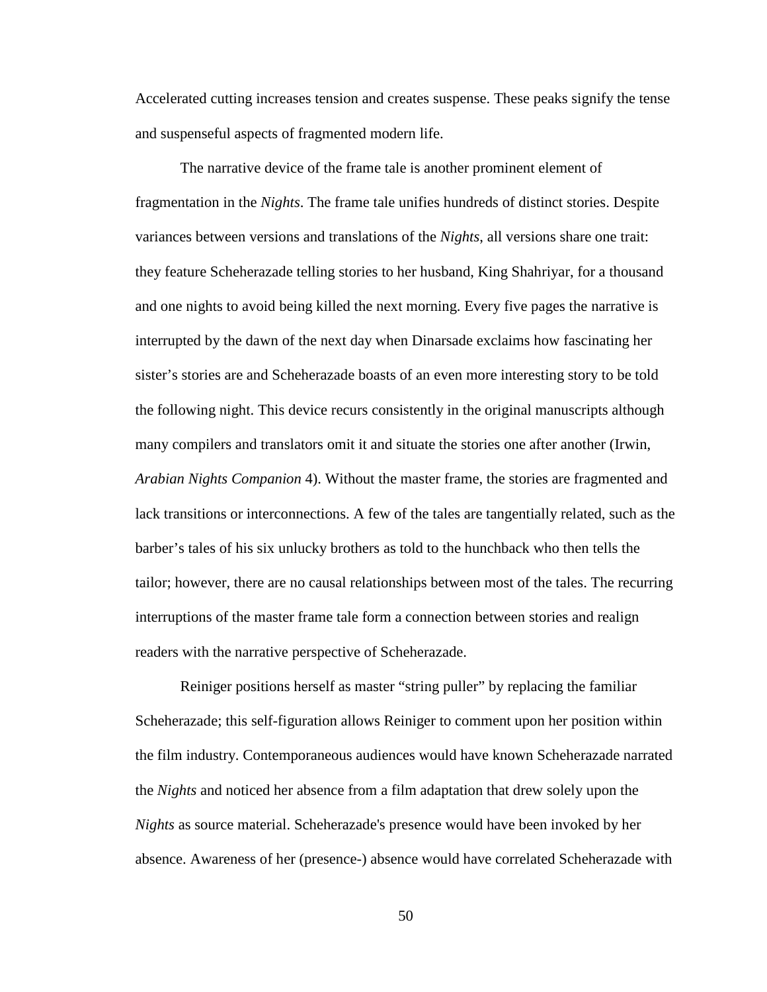Accelerated cutting increases tension and creates suspense. These peaks signify the tense and suspenseful aspects of fragmented modern life.

The narrative device of the frame tale is another prominent element of fragmentation in the *Nights*. The frame tale unifies hundreds of distinct stories. Despite variances between versions and translations of the *Nights*, all versions share one trait: they feature Scheherazade telling stories to her husband, King Shahriyar, for a thousand and one nights to avoid being killed the next morning. Every five pages the narrative is interrupted by the dawn of the next day when Dinarsade exclaims how fascinating her sister's stories are and Scheherazade boasts of an even more interesting story to be told the following night. This device recurs consistently in the original manuscripts although many compilers and translators omit it and situate the stories one after another (Irwin, *Arabian Nights Companion* 4). Without the master frame, the stories are fragmented and lack transitions or interconnections. A few of the tales are tangentially related, such as the barber's tales of his six unlucky brothers as told to the hunchback who then tells the tailor; however, there are no causal relationships between most of the tales. The recurring interruptions of the master frame tale form a connection between stories and realign readers with the narrative perspective of Scheherazade.

<span id="page-60-0"></span>Reiniger positions herself as master "string puller" by replacing the familiar Scheherazade; this self-figuration allows Reiniger to comment upon her position within the film industry. Contemporaneous audiences would have known Scheherazade narrated the *Nights* and noticed her absence from a film adaptation that drew solely upon the *Nights* as source material. Scheherazade's presence would have been invoked by her absence. Awareness of her (presence-) absence would have correlated Scheherazade with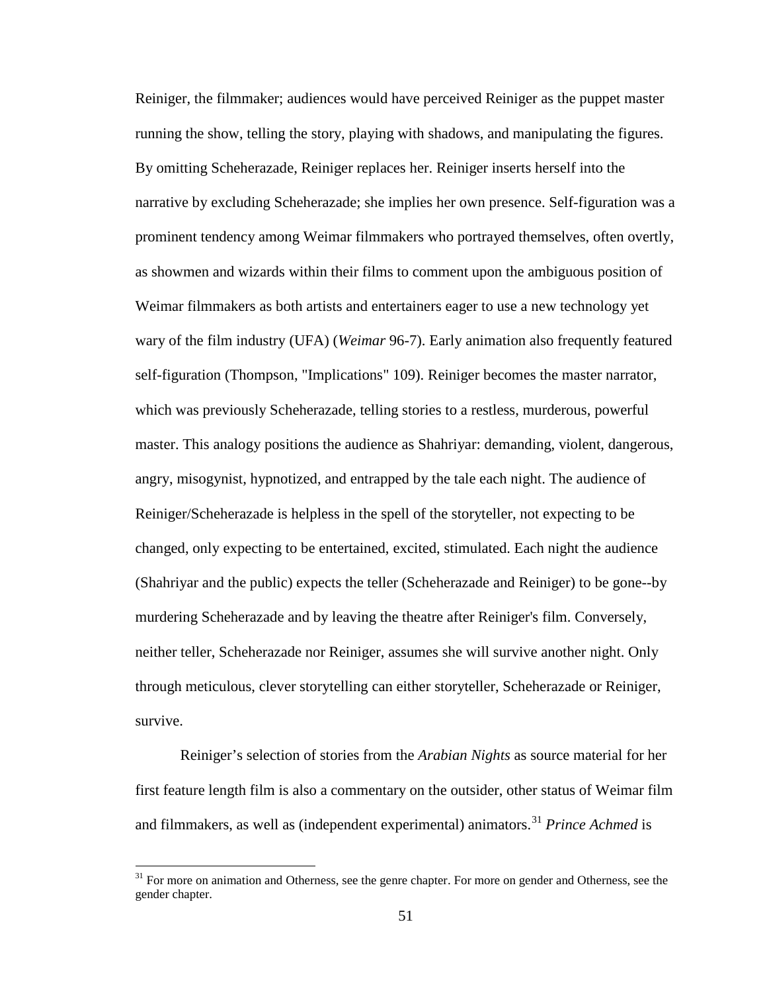Reiniger, the filmmaker; audiences would have perceived Reiniger as the puppet master running the show, telling the story, playing with shadows, and manipulating the figures. By omitting Scheherazade, Reiniger replaces her. Reiniger inserts herself into the narrative by excluding Scheherazade; she implies her own presence. Self-figuration was a prominent tendency among Weimar filmmakers who portrayed themselves, often overtly, as showmen and wizards within their films to comment upon the ambiguous position of Weimar filmmakers as both artists and entertainers eager to use a new technology yet wary of the film industry (UFA) (*Weimar* 96-7). Early animation also frequently featured self-figuration (Thompson, "Implications" 109). Reiniger becomes the master narrator, which was previously Scheherazade, telling stories to a restless, murderous, powerful master. This analogy positions the audience as Shahriyar: demanding, violent, dangerous, angry, misogynist, hypnotized, and entrapped by the tale each night. The audience of Reiniger/Scheherazade is helpless in the spell of the storyteller, not expecting to be changed, only expecting to be entertained, excited, stimulated. Each night the audience (Shahriyar and the public) expects the teller (Scheherazade and Reiniger) to be gone--by murdering Scheherazade and by leaving the theatre after Reiniger's film. Conversely, neither teller, Scheherazade nor Reiniger, assumes she will survive another night. Only through meticulous, clever storytelling can either storyteller, Scheherazade or Reiniger, survive.

Reiniger's selection of stories from the *Arabian Nights* as source material for her first feature length film is also a commentary on the outsider, other status of Weimar film and filmmakers, as well as (independent experimental) animators.<sup>[31](#page-66-0)</sup> Prince Achmed is

<sup>&</sup>lt;sup>31</sup> For more on animation and Otherness, see the genre chapter. For more on gender and Otherness, see the gender chapter.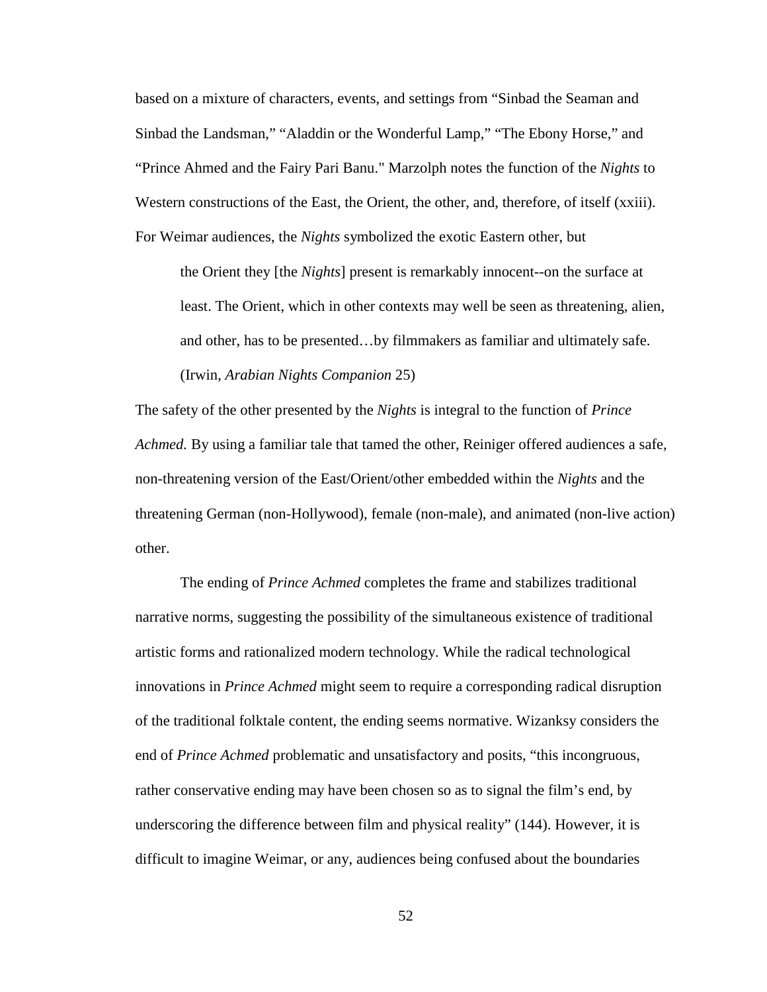based on a mixture of characters, events, and settings from "Sinbad the Seaman and Sinbad the Landsman," "Aladdin or the Wonderful Lamp," "The Ebony Horse," and "Prince Ahmed and the Fairy Pari Banu." Marzolph notes the function of the *Nights* to Western constructions of the East, the Orient, the other, and, therefore, of itself (xxiii). For Weimar audiences, the *Nights* symbolized the exotic Eastern other, but

the Orient they [the *Nights*] present is remarkably innocent--on the surface at least. The Orient, which in other contexts may well be seen as threatening, alien, and other, has to be presented…by filmmakers as familiar and ultimately safe. (Irwin, *Arabian Nights Companion* 25)

The safety of the other presented by the *Nights* is integral to the function of *Prince Achmed.* By using a familiar tale that tamed the other, Reiniger offered audiences a safe, non-threatening version of the East/Orient/other embedded within the *Nights* and the threatening German (non-Hollywood), female (non-male), and animated (non-live action) other.

The ending of *Prince Achmed* completes the frame and stabilizes traditional narrative norms, suggesting the possibility of the simultaneous existence of traditional artistic forms and rationalized modern technology. While the radical technological innovations in *Prince Achmed* might seem to require a corresponding radical disruption of the traditional folktale content, the ending seems normative. Wizanksy considers the end of *Prince Achmed* problematic and unsatisfactory and posits, "this incongruous, rather conservative ending may have been chosen so as to signal the film's end, by underscoring the difference between film and physical reality" (144). However, it is difficult to imagine Weimar, or any, audiences being confused about the boundaries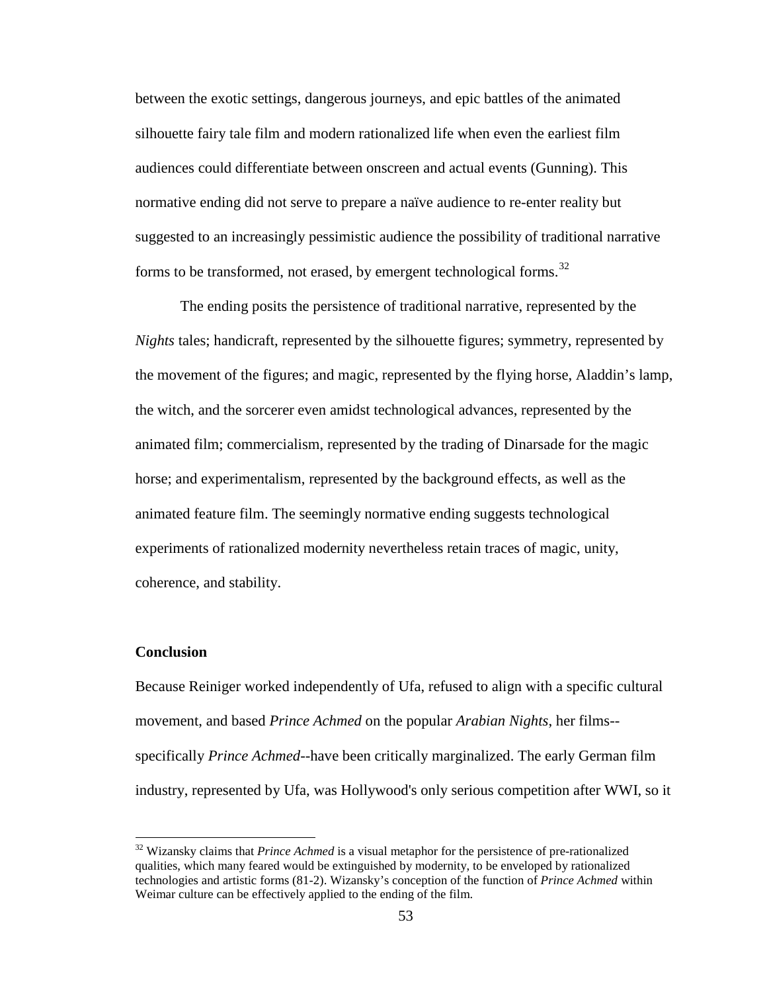between the exotic settings, dangerous journeys, and epic battles of the animated silhouette fairy tale film and modern rationalized life when even the earliest film audiences could differentiate between onscreen and actual events (Gunning). This normative ending did not serve to prepare a naïve audience to re-enter reality but suggested to an increasingly pessimistic audience the possibility of traditional narrative forms to be transformed, not erased, by emergent technological forms.<sup>[32](#page-67-0)</sup>

The ending posits the persistence of traditional narrative, represented by the *Nights* tales; handicraft, represented by the silhouette figures; symmetry, represented by the movement of the figures; and magic, represented by the flying horse, Aladdin's lamp, the witch, and the sorcerer even amidst technological advances, represented by the animated film; commercialism, represented by the trading of Dinarsade for the magic horse; and experimentalism, represented by the background effects, as well as the animated feature film. The seemingly normative ending suggests technological experiments of rationalized modernity nevertheless retain traces of magic, unity, coherence, and stability.

## **Conclusion**

Because Reiniger worked independently of Ufa, refused to align with a specific cultural movement, and based *Prince Achmed* on the popular *Arabian Nights*, her films- specifically *Prince Achmed*--have been critically marginalized. The early German film industry, represented by Ufa, was Hollywood's only serious competition after WWI, so it

<sup>&</sup>lt;sup>32</sup> Wizansky claims that *Prince Achmed* is a visual metaphor for the persistence of pre-rationalized qualities, which many feared would be extinguished by modernity, to be enveloped by rationalized technologies and artistic forms (81-2). Wizansky's conception of the function of *Prince Achmed* within Weimar culture can be effectively applied to the ending of the film.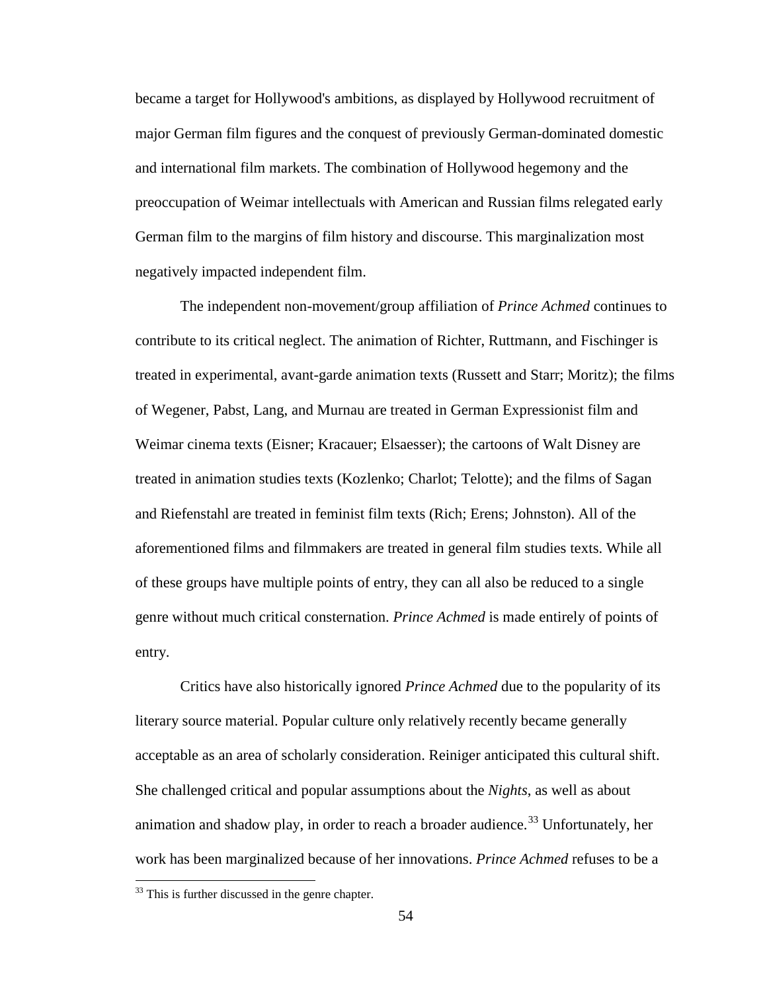became a target for Hollywood's ambitions, as displayed by Hollywood recruitment of major German film figures and the conquest of previously German-dominated domestic and international film markets. The combination of Hollywood hegemony and the preoccupation of Weimar intellectuals with American and Russian films relegated early German film to the margins of film history and discourse. This marginalization most negatively impacted independent film.

The independent non-movement/group affiliation of *Prince Achmed* continues to contribute to its critical neglect. The animation of Richter, Ruttmann, and Fischinger is treated in experimental, avant-garde animation texts (Russett and Starr; Moritz); the films of Wegener, Pabst, Lang, and Murnau are treated in German Expressionist film and Weimar cinema texts (Eisner; Kracauer; Elsaesser); the cartoons of Walt Disney are treated in animation studies texts (Kozlenko; Charlot; Telotte); and the films of Sagan and Riefenstahl are treated in feminist film texts (Rich; Erens; Johnston). All of the aforementioned films and filmmakers are treated in general film studies texts. While all of these groups have multiple points of entry, they can all also be reduced to a single genre without much critical consternation. *Prince Achmed* is made entirely of points of entry.

Critics have also historically ignored *Prince Achmed* due to the popularity of its literary source material. Popular culture only relatively recently became generally acceptable as an area of scholarly consideration. Reiniger anticipated this cultural shift. She challenged critical and popular assumptions about the *Nights*, as well as about animation and shadow play, in order to reach a broader audience.<sup>[33](#page-69-0)</sup> Unfortunately, her work has been marginalized because of her innovations. *Prince Achmed* refuses to be a

<sup>&</sup>lt;sup>33</sup> This is further discussed in the genre chapter.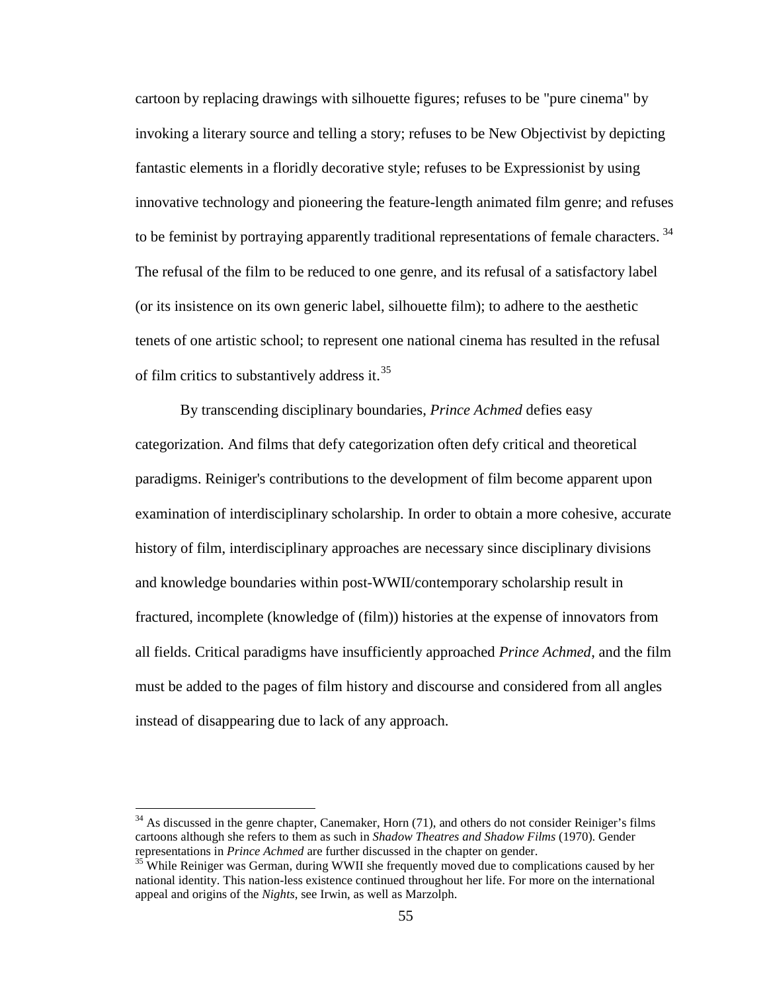cartoon by replacing drawings with silhouette figures; refuses to be "pure cinema" by invoking a literary source and telling a story; refuses to be New Objectivist by depicting fantastic elements in a floridly decorative style; refuses to be Expressionist by using innovative technology and pioneering the feature-length animated film genre; and refuses to be feminist by portraying apparently traditional representations of female characters.<sup>[34](#page-69-1)</sup> The refusal of the film to be reduced to one genre, and its refusal of a satisfactory label (or its insistence on its own generic label, silhouette film); to adhere to the aesthetic tenets of one artistic school; to represent one national cinema has resulted in the refusal of film critics to substantively address it.<sup>[35](#page-69-2)</sup>

By transcending disciplinary boundaries, *Prince Achmed* defies easy categorization. And films that defy categorization often defy critical and theoretical paradigms. Reiniger's contributions to the development of film become apparent upon examination of interdisciplinary scholarship. In order to obtain a more cohesive, accurate history of film, interdisciplinary approaches are necessary since disciplinary divisions and knowledge boundaries within post-WWII/contemporary scholarship result in fractured, incomplete (knowledge of (film)) histories at the expense of innovators from all fields. Critical paradigms have insufficiently approached *Prince Achmed*, and the film must be added to the pages of film history and discourse and considered from all angles instead of disappearing due to lack of any approach.

 $34$  As discussed in the genre chapter, Canemaker, Horn (71), and others do not consider Reiniger's films cartoons although she refers to them as such in *Shadow Theatres and Shadow Films* (1970). Gender representations in *Prince Achmed* are further discussed in the chapter on gender.<br><sup>35</sup> While Reiniger was German, during WWII she frequently moved due to complications caused by her

national identity. This nation-less existence continued throughout her life. For more on the international appeal and origins of the *Nights*, see Irwin, as well as Marzolph.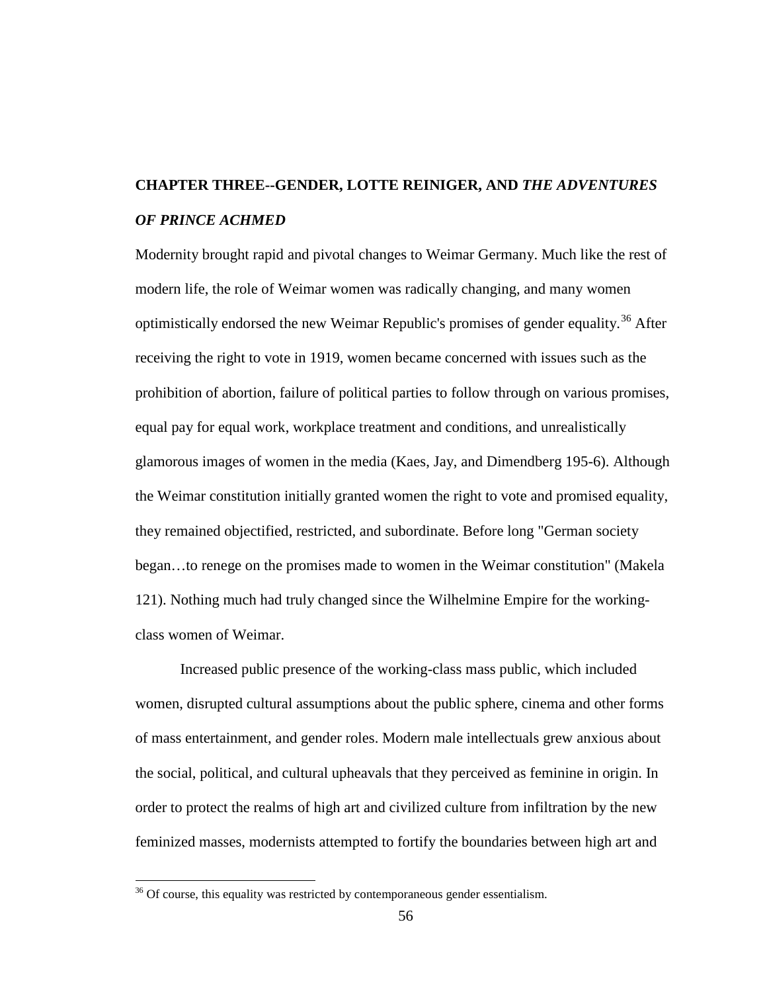# **CHAPTER THREE--GENDER, LOTTE REINIGER, AND** *THE ADVENTURES OF PRINCE ACHMED*

Modernity brought rapid and pivotal changes to Weimar Germany. Much like the rest of modern life, the role of Weimar women was radically changing, and many women optimistically endorsed the new Weimar Republic's promises of gender equality.<sup>[36](#page-71-0)</sup> After receiving the right to vote in 1919, women became concerned with issues such as the prohibition of abortion, failure of political parties to follow through on various promises, equal pay for equal work, workplace treatment and conditions, and unrealistically glamorous images of women in the media (Kaes, Jay, and Dimendberg 195-6). Although the Weimar constitution initially granted women the right to vote and promised equality, they remained objectified, restricted, and subordinate. Before long "German society began…to renege on the promises made to women in the Weimar constitution" (Makela 121). Nothing much had truly changed since the Wilhelmine Empire for the workingclass women of Weimar.

Increased public presence of the working-class mass public, which included women, disrupted cultural assumptions about the public sphere, cinema and other forms of mass entertainment, and gender roles. Modern male intellectuals grew anxious about the social, political, and cultural upheavals that they perceived as feminine in origin. In order to protect the realms of high art and civilized culture from infiltration by the new feminized masses, modernists attempted to fortify the boundaries between high art and

<span id="page-66-0"></span> $36$  Of course, this equality was restricted by contemporaneous gender essentialism.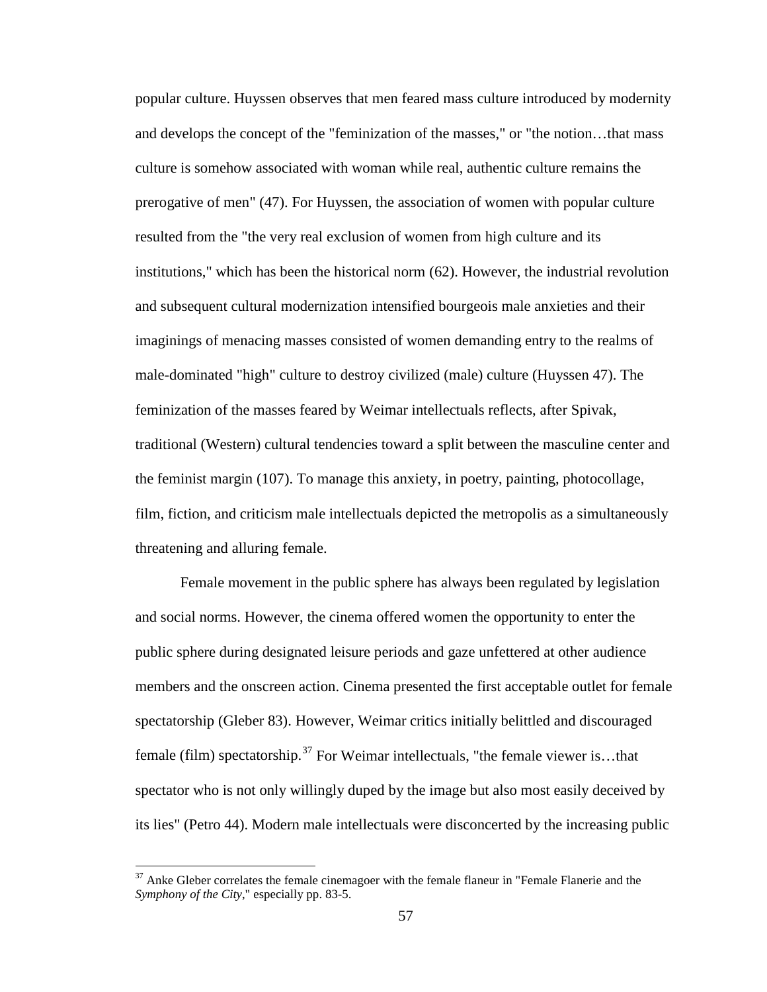popular culture. Huyssen observes that men feared mass culture introduced by modernity and develops the concept of the "feminization of the masses," or "the notion…that mass culture is somehow associated with woman while real, authentic culture remains the prerogative of men" (47). For Huyssen, the association of women with popular culture resulted from the "the very real exclusion of women from high culture and its institutions," which has been the historical norm (62). However, the industrial revolution and subsequent cultural modernization intensified bourgeois male anxieties and their imaginings of menacing masses consisted of women demanding entry to the realms of male-dominated "high" culture to destroy civilized (male) culture (Huyssen 47). The feminization of the masses feared by Weimar intellectuals reflects, after Spivak, traditional (Western) cultural tendencies toward a split between the masculine center and the feminist margin (107). To manage this anxiety, in poetry, painting, photocollage, film, fiction, and criticism male intellectuals depicted the metropolis as a simultaneously threatening and alluring female.

Female movement in the public sphere has always been regulated by legislation and social norms. However, the cinema offered women the opportunity to enter the public sphere during designated leisure periods and gaze unfettered at other audience members and the onscreen action. Cinema presented the first acceptable outlet for female spectatorship (Gleber 83). However, Weimar critics initially belittled and discouraged female (film) spectatorship.<sup>[37](#page-72-0)</sup> For Weimar intellectuals, "the female viewer is...that spectator who is not only willingly duped by the image but also most easily deceived by its lies" (Petro 44). Modern male intellectuals were disconcerted by the increasing public

<span id="page-67-0"></span> $37$  Anke Gleber correlates the female cinemagoer with the female flaneur in "Female Flanerie and the *Symphony of the City*," especially pp. 83-5.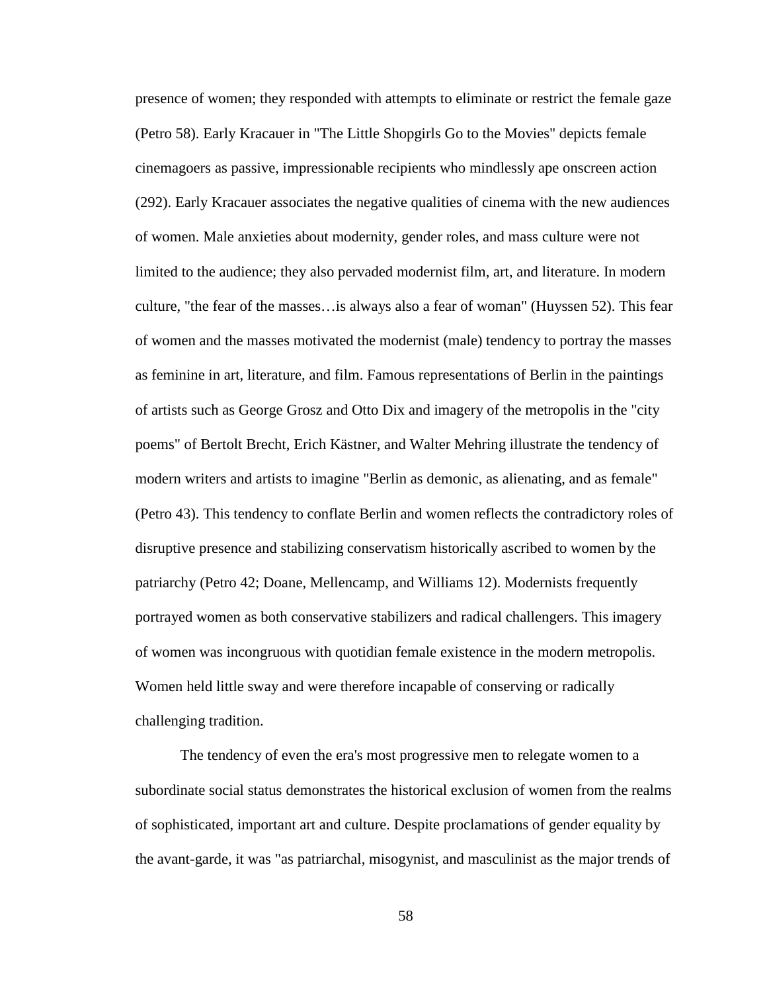presence of women; they responded with attempts to eliminate or restrict the female gaze (Petro 58). Early Kracauer in "The Little Shopgirls Go to the Movies" depicts female cinemagoers as passive, impressionable recipients who mindlessly ape onscreen action (292). Early Kracauer associates the negative qualities of cinema with the new audiences of women. Male anxieties about modernity, gender roles, and mass culture were not limited to the audience; they also pervaded modernist film, art, and literature. In modern culture, "the fear of the masses…is always also a fear of woman" (Huyssen 52). This fear of women and the masses motivated the modernist (male) tendency to portray the masses as feminine in art, literature, and film. Famous representations of Berlin in the paintings of artists such as George Grosz and Otto Dix and imagery of the metropolis in the "city poems" of Bertolt Brecht, Erich Kästner, and Walter Mehring illustrate the tendency of modern writers and artists to imagine "Berlin as demonic, as alienating, and as female" (Petro 43). This tendency to conflate Berlin and women reflects the contradictory roles of disruptive presence and stabilizing conservatism historically ascribed to women by the patriarchy (Petro 42; Doane, Mellencamp, and Williams 12). Modernists frequently portrayed women as both conservative stabilizers and radical challengers. This imagery of women was incongruous with quotidian female existence in the modern metropolis. Women held little sway and were therefore incapable of conserving or radically challenging tradition.

The tendency of even the era's most progressive men to relegate women to a subordinate social status demonstrates the historical exclusion of women from the realms of sophisticated, important art and culture. Despite proclamations of gender equality by the avant-garde, it was "as patriarchal, misogynist, and masculinist as the major trends of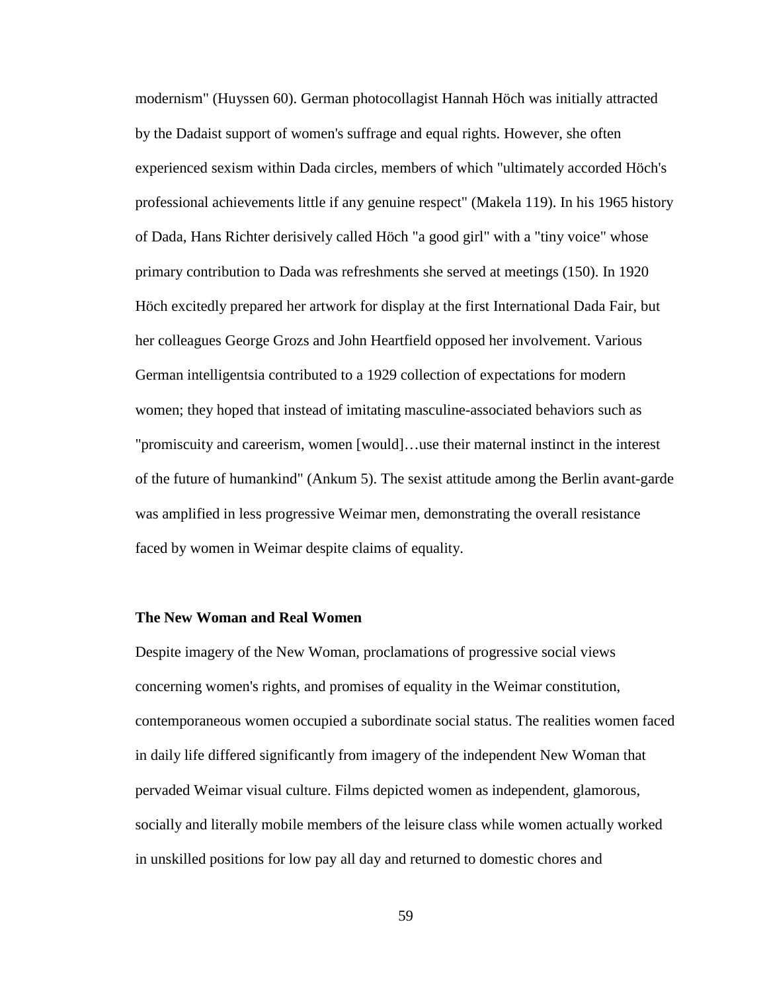modernism" (Huyssen 60). German photocollagist Hannah Höch was initially attracted by the Dadaist support of women's suffrage and equal rights. However, she often experienced sexism within Dada circles, members of which "ultimately accorded Höch's professional achievements little if any genuine respect" (Makela 119). In his 1965 history of Dada, Hans Richter derisively called Höch "a good girl" with a "tiny voice" whose primary contribution to Dada was refreshments she served at meetings (150). In 1920 Höch excitedly prepared her artwork for display at the first International Dada Fair, but her colleagues George Grozs and John Heartfield opposed her involvement. Various German intelligentsia contributed to a 1929 collection of expectations for modern women; they hoped that instead of imitating masculine-associated behaviors such as "promiscuity and careerism, women [would]…use their maternal instinct in the interest of the future of humankind" (Ankum 5). The sexist attitude among the Berlin avant-garde was amplified in less progressive Weimar men, demonstrating the overall resistance faced by women in Weimar despite claims of equality.

## **The New Woman and Real Women**

<span id="page-69-2"></span><span id="page-69-1"></span><span id="page-69-0"></span>Despite imagery of the New Woman, proclamations of progressive social views concerning women's rights, and promises of equality in the Weimar constitution, contemporaneous women occupied a subordinate social status. The realities women faced in daily life differed significantly from imagery of the independent New Woman that pervaded Weimar visual culture. Films depicted women as independent, glamorous, socially and literally mobile members of the leisure class while women actually worked in unskilled positions for low pay all day and returned to domestic chores and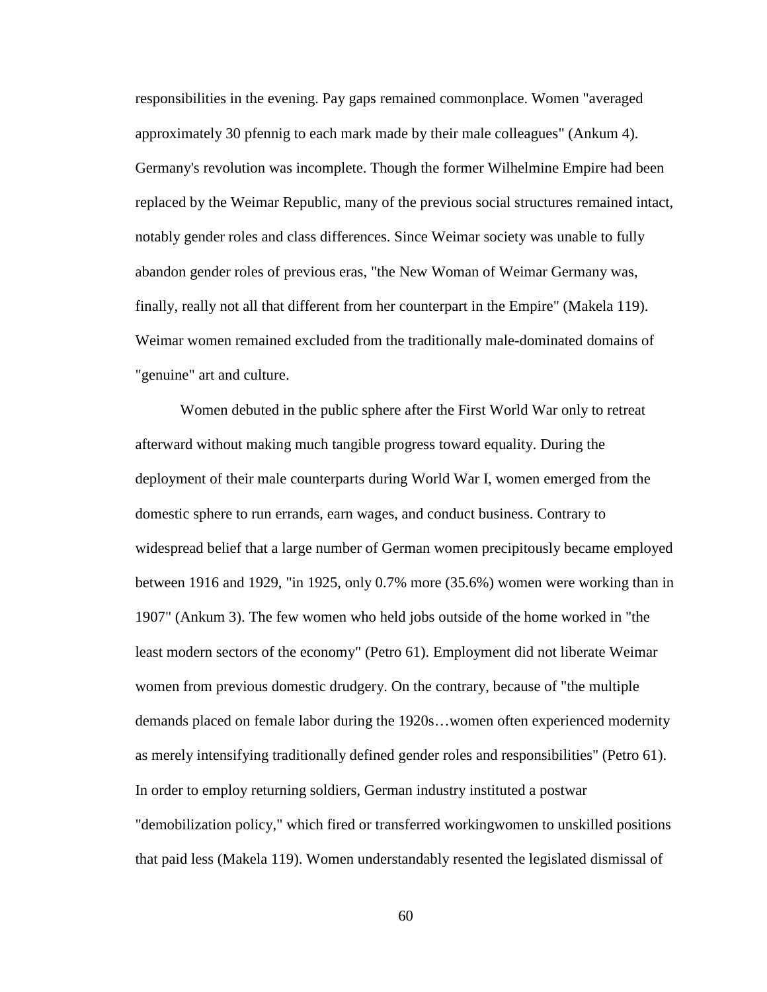responsibilities in the evening. Pay gaps remained commonplace. Women "averaged approximately 30 pfennig to each mark made by their male colleagues" (Ankum 4). Germany's revolution was incomplete. Though the former Wilhelmine Empire had been replaced by the Weimar Republic, many of the previous social structures remained intact, notably gender roles and class differences. Since Weimar society was unable to fully abandon gender roles of previous eras, "the New Woman of Weimar Germany was, finally, really not all that different from her counterpart in the Empire" (Makela 119). Weimar women remained excluded from the traditionally male-dominated domains of "genuine" art and culture.

Women debuted in the public sphere after the First World War only to retreat afterward without making much tangible progress toward equality. During the deployment of their male counterparts during World War I, women emerged from the domestic sphere to run errands, earn wages, and conduct business. Contrary to widespread belief that a large number of German women precipitously became employed between 1916 and 1929, "in 1925, only 0.7% more (35.6%) women were working than in 1907" (Ankum 3). The few women who held jobs outside of the home worked in "the least modern sectors of the economy" (Petro 61). Employment did not liberate Weimar women from previous domestic drudgery. On the contrary, because of "the multiple demands placed on female labor during the 1920s…women often experienced modernity as merely intensifying traditionally defined gender roles and responsibilities" (Petro 61). In order to employ returning soldiers, German industry instituted a postwar "demobilization policy," which fired or transferred workingwomen to unskilled positions that paid less (Makela 119). Women understandably resented the legislated dismissal of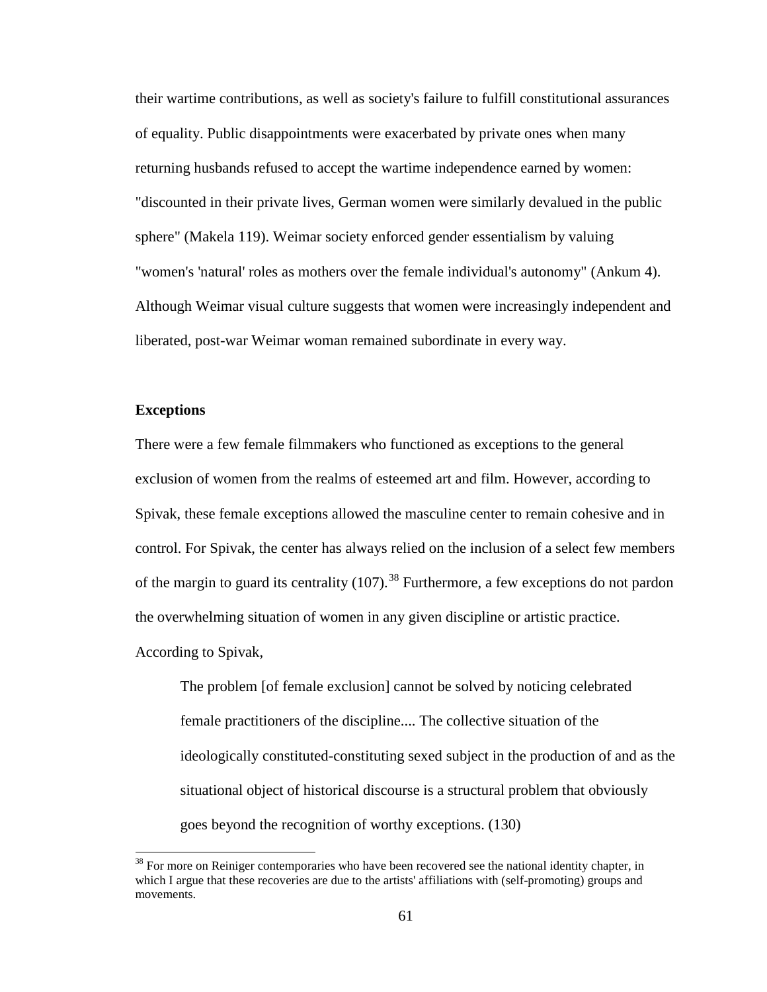their wartime contributions, as well as society's failure to fulfill constitutional assurances of equality. Public disappointments were exacerbated by private ones when many returning husbands refused to accept the wartime independence earned by women: "discounted in their private lives, German women were similarly devalued in the public sphere" (Makela 119). Weimar society enforced gender essentialism by valuing "women's 'natural' roles as mothers over the female individual's autonomy" (Ankum 4). Although Weimar visual culture suggests that women were increasingly independent and liberated, post-war Weimar woman remained subordinate in every way.

## **Exceptions**

There were a few female filmmakers who functioned as exceptions to the general exclusion of women from the realms of esteemed art and film. However, according to Spivak, these female exceptions allowed the masculine center to remain cohesive and in control. For Spivak, the center has always relied on the inclusion of a select few members of the margin to guard its centrality  $(107)$ .<sup>[38](#page-76-0)</sup> Furthermore, a few exceptions do not pardon the overwhelming situation of women in any given discipline or artistic practice. According to Spivak,

The problem [of female exclusion] cannot be solved by noticing celebrated female practitioners of the discipline.... The collective situation of the ideologically constituted-constituting sexed subject in the production of and as the situational object of historical discourse is a structural problem that obviously goes beyond the recognition of worthy exceptions. (130)

<span id="page-71-0"></span> $38$  For more on Reiniger contemporaries who have been recovered see the national identity chapter, in which I argue that these recoveries are due to the artists' affiliations with (self-promoting) groups and movements.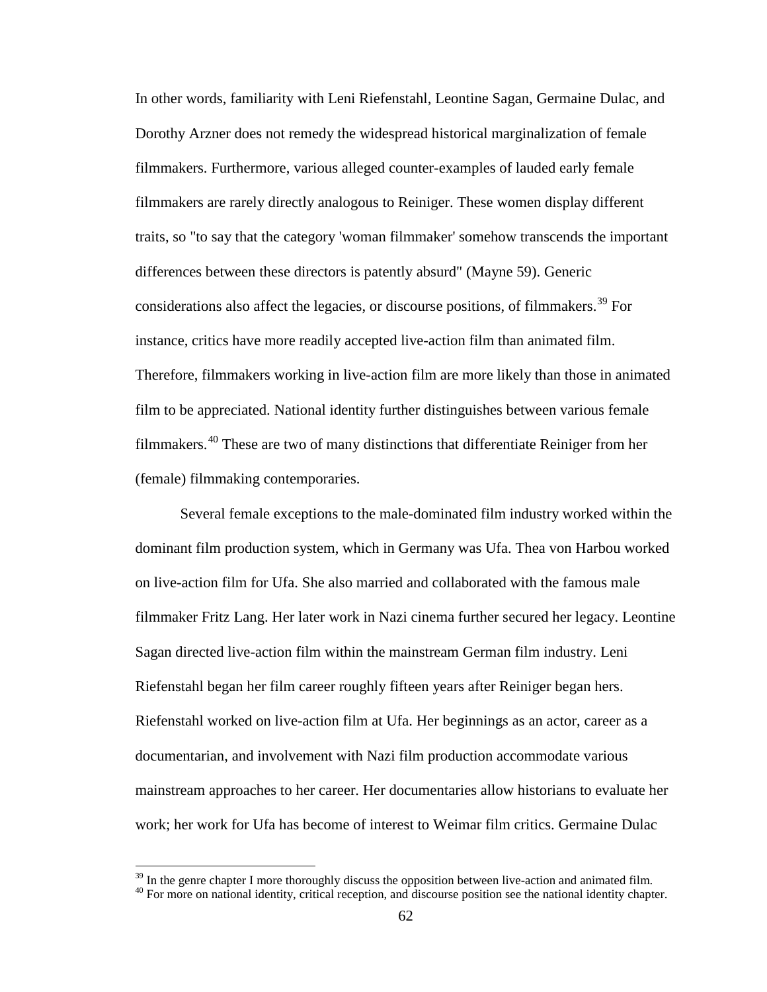In other words, familiarity with Leni Riefenstahl, Leontine Sagan, Germaine Dulac, and Dorothy Arzner does not remedy the widespread historical marginalization of female filmmakers. Furthermore, various alleged counter-examples of lauded early female filmmakers are rarely directly analogous to Reiniger. These women display different traits, so "to say that the category 'woman filmmaker' somehow transcends the important differences between these directors is patently absurd" (Mayne 59). Generic considerations also affect the legacies, or discourse positions, of filmmakers.<sup>[39](#page-77-0)</sup> For instance, critics have more readily accepted live-action film than animated film. Therefore, filmmakers working in live-action film are more likely than those in animated film to be appreciated. National identity further distinguishes between various female filmmakers.<sup>[40](#page-77-1)</sup> These are two of many distinctions that differentiate Reiniger from her (female) filmmaking contemporaries.

Several female exceptions to the male-dominated film industry worked within the dominant film production system, which in Germany was Ufa. Thea von Harbou worked on live-action film for Ufa. She also married and collaborated with the famous male filmmaker Fritz Lang. Her later work in Nazi cinema further secured her legacy. Leontine Sagan directed live-action film within the mainstream German film industry. Leni Riefenstahl began her film career roughly fifteen years after Reiniger began hers. Riefenstahl worked on live-action film at Ufa. Her beginnings as an actor, career as a documentarian, and involvement with Nazi film production accommodate various mainstream approaches to her career. Her documentaries allow historians to evaluate her work; her work for Ufa has become of interest to Weimar film critics. Germaine Dulac

 $39$  In the genre chapter I more thoroughly discuss the opposition between live-action and animated film.  $40$  For more on national identity, critical reception, and discourse position see the national identity chapter.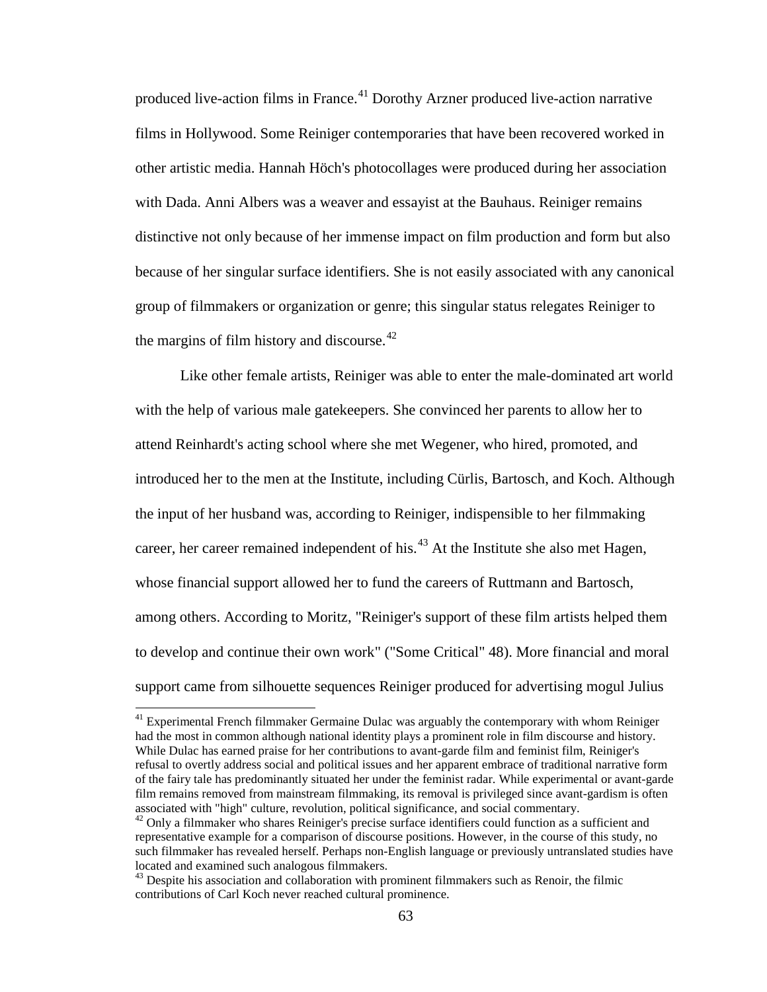produced live-action films in France.<sup>[41](#page-78-0)</sup> Dorothy Arzner produced live-action narrative films in Hollywood. Some Reiniger contemporaries that have been recovered worked in other artistic media. Hannah Höch's photocollages were produced during her association with Dada. Anni Albers was a weaver and essayist at the Bauhaus. Reiniger remains distinctive not only because of her immense impact on film production and form but also because of her singular surface identifiers. She is not easily associated with any canonical group of filmmakers or organization or genre; this singular status relegates Reiniger to the margins of film history and discourse.<sup>[42](#page-78-1)</sup>

Like other female artists, Reiniger was able to enter the male-dominated art world with the help of various male gatekeepers. She convinced her parents to allow her to attend Reinhardt's acting school where she met Wegener, who hired, promoted, and introduced her to the men at the Institute, including Cürlis, Bartosch, and Koch. Although the input of her husband was, according to Reiniger, indispensible to her filmmaking career, her career remained independent of his.<sup>[43](#page-78-2)</sup> At the Institute she also met Hagen, whose financial support allowed her to fund the careers of Ruttmann and Bartosch, among others. According to Moritz, "Reiniger's support of these film artists helped them to develop and continue their own work" ("Some Critical" 48). More financial and moral support came from silhouette sequences Reiniger produced for advertising mogul Julius

 $41$  Experimental French filmmaker Germaine Dulac was arguably the contemporary with whom Reiniger had the most in common although national identity plays a prominent role in film discourse and history. While Dulac has earned praise for her contributions to avant-garde film and feminist film, Reiniger's refusal to overtly address social and political issues and her apparent embrace of traditional narrative form of the fairy tale has predominantly situated her under the feminist radar. While experimental or avant-garde film remains removed from mainstream filmmaking, its removal is privileged since avant-gardism is often associated with "high" culture, revolution, political significance, and social commentary.

 $42$  Only a filmmaker who shares Reiniger's precise surface identifiers could function as a sufficient and representative example for a comparison of discourse positions. However, in the course of this study, no such filmmaker has revealed herself. Perhaps non-English language or previously untranslated studies have located and examined such analogous filmmakers.<br><sup>43</sup> Despite his association and collaboration with prominent filmmakers such as Renoir, the filmic

contributions of Carl Koch never reached cultural prominence.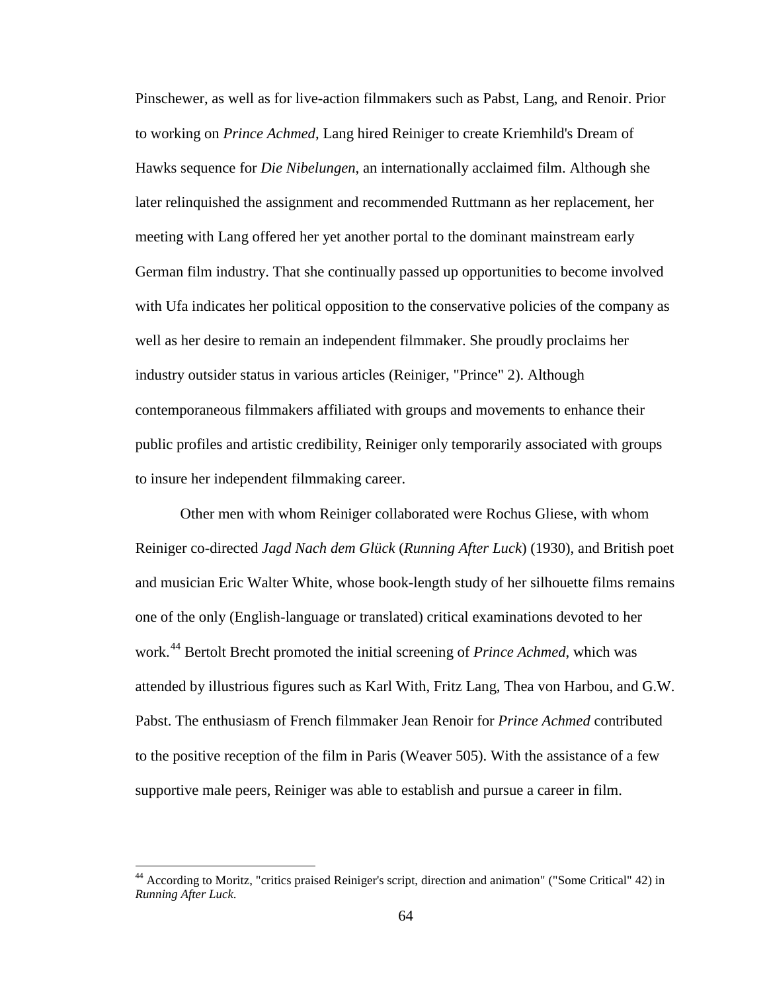Pinschewer, as well as for live-action filmmakers such as Pabst, Lang, and Renoir. Prior to working on *Prince Achmed*, Lang hired Reiniger to create Kriemhild's Dream of Hawks sequence for *Die Nibelungen*, an internationally acclaimed film. Although she later relinquished the assignment and recommended Ruttmann as her replacement, her meeting with Lang offered her yet another portal to the dominant mainstream early German film industry. That she continually passed up opportunities to become involved with Ufa indicates her political opposition to the conservative policies of the company as well as her desire to remain an independent filmmaker. She proudly proclaims her industry outsider status in various articles (Reiniger, "Prince" 2). Although contemporaneous filmmakers affiliated with groups and movements to enhance their public profiles and artistic credibility, Reiniger only temporarily associated with groups to insure her independent filmmaking career.

Other men with whom Reiniger collaborated were Rochus Gliese, with whom Reiniger co-directed *Jagd Nach dem Glück* (*Running After Luck*) (1930), and British poet and musician Eric Walter White, whose book-length study of her silhouette films remains one of the only (English-language or translated) critical examinations devoted to her work.<sup>[44](#page-79-0)</sup> Bertolt Brecht promoted the initial screening of *Prince Achmed*, which was attended by illustrious figures such as Karl With, Fritz Lang, Thea von Harbou, and G.W. Pabst. The enthusiasm of French filmmaker Jean Renoir for *Prince Achmed* contributed to the positive reception of the film in Paris (Weaver 505). With the assistance of a few supportive male peers, Reiniger was able to establish and pursue a career in film.

<sup>44</sup> According to Moritz, "critics praised Reiniger's script, direction and animation" ("Some Critical" 42) in *Running After Luck*.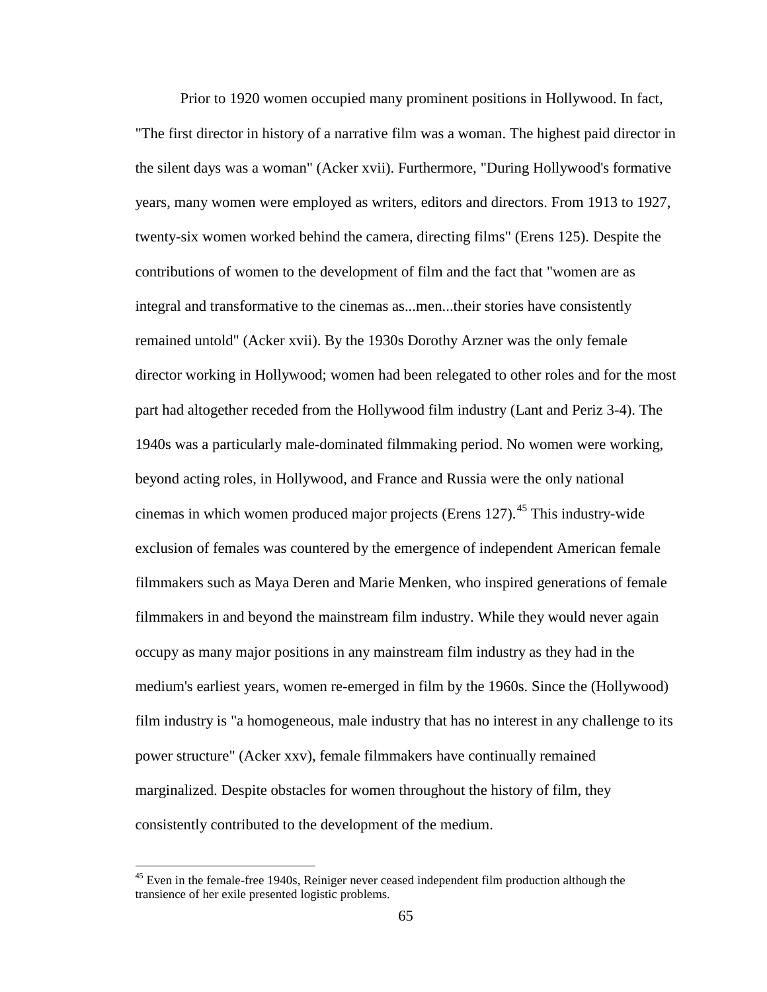Prior to 1920 women occupied many prominent positions in Hollywood. In fact, "The first director in history of a narrative film was a woman. The highest paid director in the silent days was a woman" (Acker xvii). Furthermore, "During Hollywood's formative years, many women were employed as writers, editors and directors. From 1913 to 1927, twenty-six women worked behind the camera, directing films" (Erens 125). Despite the contributions of women to the development of film and the fact that "women are as integral and transformative to the cinemas as...men...their stories have consistently remained untold" (Acker xvii). By the 1930s Dorothy Arzner was the only female director working in Hollywood; women had been relegated to other roles and for the most part had altogether receded from the Hollywood film industry (Lant and Periz 3-4). The 1940s was a particularly male-dominated filmmaking period. No women were working, beyond acting roles, in Hollywood, and France and Russia were the only national cinemas in which women produced major projects (Erens 127).<sup>[45](#page-80-0)</sup> This industry-wide exclusion of females was countered by the emergence of independent American female filmmakers such as Maya Deren and Marie Menken, who inspired generations of female filmmakers in and beyond the mainstream film industry. While they would never again occupy as many major positions in any mainstream film industry as they had in the medium's earliest years, women re-emerged in film by the 1960s. Since the (Hollywood) film industry is "a homogeneous, male industry that has no interest in any challenge to its power structure" (Acker xxv), female filmmakers have continually remained marginalized. Despite obstacles for women throughout the history of film, they consistently contributed to the development of the medium.

 $45$  Even in the female-free 1940s, Reiniger never ceased independent film production although the transience of her exile presented logistic problems.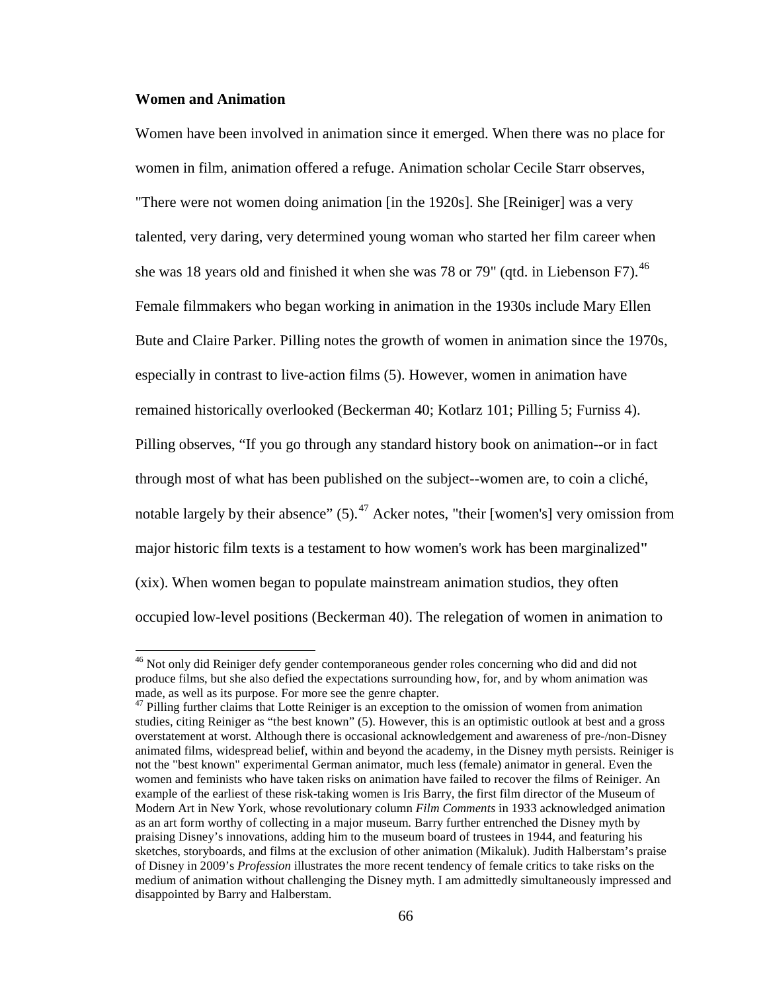### **Women and Animation**

Women have been involved in animation since it emerged. When there was no place for women in film, animation offered a refuge. Animation scholar Cecile Starr observes, "There were not women doing animation [in the 1920s]. She [Reiniger] was a very talented, very daring, very determined young woman who started her film career when she was 18 years old and finished it when she was 78 or 79" (qtd. in Liebenson F7).<sup>[46](#page-81-0)</sup> Female filmmakers who began working in animation in the 1930s include Mary Ellen Bute and Claire Parker. Pilling notes the growth of women in animation since the 1970s, especially in contrast to live-action films (5). However, women in animation have remained historically overlooked (Beckerman 40; Kotlarz 101; Pilling 5; Furniss 4). Pilling observes, "If you go through any standard history book on animation--or in fact through most of what has been published on the subject--women are, to coin a cliché, notable largely by their absence"  $(5)$ .<sup>[47](#page-81-1)</sup> Acker notes, "their [women's] very omission from major historic film texts is a testament to how women's work has been marginalized**"**  (xix). When women began to populate mainstream animation studios, they often occupied low-level positions (Beckerman 40). The relegation of women in animation to

<sup>&</sup>lt;sup>46</sup> Not only did Reiniger defy gender contemporaneous gender roles concerning who did and did not produce films, but she also defied the expectations surrounding how, for, and by whom animation was made, as well as its purpose. For more see the genre chapter.

<sup>&</sup>lt;sup>47</sup> Pilling further claims that Lotte Reiniger is an exception to the omission of women from animation studies, citing Reiniger as "the best known" (5). However, this is an optimistic outlook at best and a gross overstatement at worst. Although there is occasional acknowledgement and awareness of pre-/non-Disney animated films, widespread belief, within and beyond the academy, in the Disney myth persists. Reiniger is not the "best known" experimental German animator, much less (female) animator in general. Even the women and feminists who have taken risks on animation have failed to recover the films of Reiniger. An example of the earliest of these risk-taking women is Iris Barry, the first film director of the Museum of Modern Art in New York, whose revolutionary column *Film Comments* in 1933 acknowledged animation as an art form worthy of collecting in a major museum. Barry further entrenched the Disney myth by praising Disney's innovations, adding him to the museum board of trustees in 1944, and featuring his sketches, storyboards, and films at the exclusion of other animation (Mikaluk). Judith Halberstam's praise of Disney in 2009's *Profession* illustrates the more recent tendency of female critics to take risks on the medium of animation without challenging the Disney myth. I am admittedly simultaneously impressed and disappointed by Barry and Halberstam.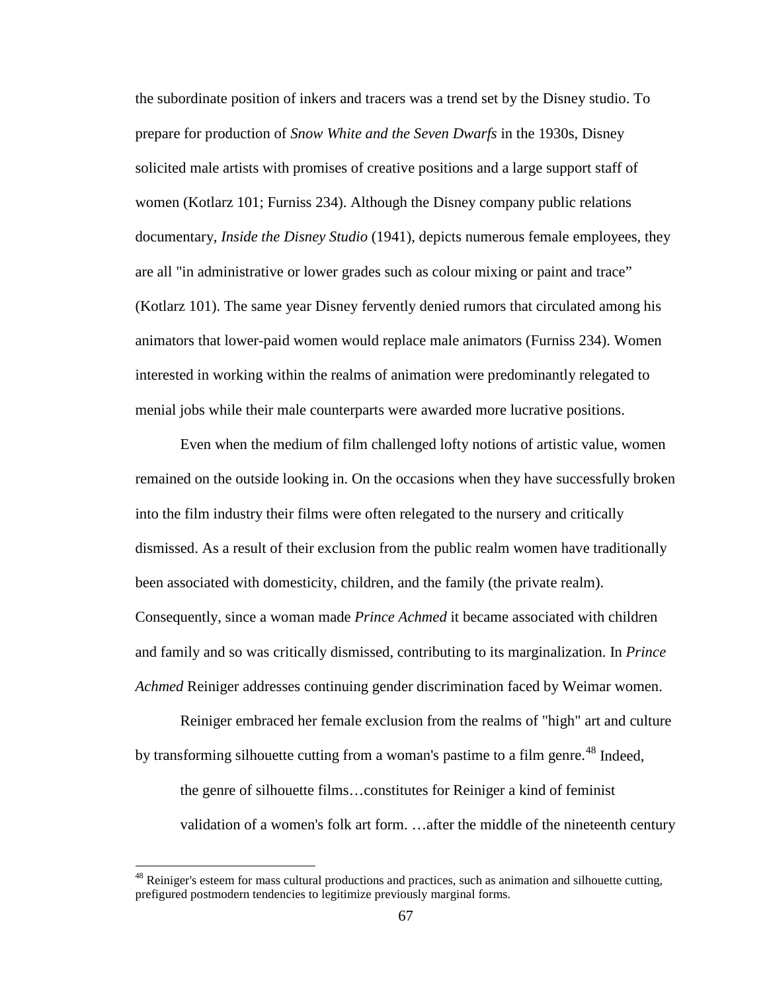the subordinate position of inkers and tracers was a trend set by the Disney studio. To prepare for production of *Snow White and the Seven Dwarfs* in the 1930s, Disney solicited male artists with promises of creative positions and a large support staff of women (Kotlarz 101; Furniss 234). Although the Disney company public relations documentary, *Inside the Disney Studio* (1941), depicts numerous female employees, they are all "in administrative or lower grades such as colour mixing or paint and trace" (Kotlarz 101). The same year Disney fervently denied rumors that circulated among his animators that lower-paid women would replace male animators (Furniss 234). Women interested in working within the realms of animation were predominantly relegated to menial jobs while their male counterparts were awarded more lucrative positions.

Even when the medium of film challenged lofty notions of artistic value, women remained on the outside looking in. On the occasions when they have successfully broken into the film industry their films were often relegated to the nursery and critically dismissed. As a result of their exclusion from the public realm women have traditionally been associated with domesticity, children, and the family (the private realm). Consequently, since a woman made *Prince Achmed* it became associated with children and family and so was critically dismissed, contributing to its marginalization. In *Prince Achmed* Reiniger addresses continuing gender discrimination faced by Weimar women.

Reiniger embraced her female exclusion from the realms of "high" art and culture by transforming silhouette cutting from a woman's pastime to a film genre.<sup>[48](#page-82-0)</sup> Indeed, the genre of silhouette films…constitutes for Reiniger a kind of feminist validation of a women's folk art form. …after the middle of the nineteenth century

<span id="page-77-1"></span><span id="page-77-0"></span><sup>&</sup>lt;sup>48</sup> Reiniger's esteem for mass cultural productions and practices, such as animation and silhouette cutting, prefigured postmodern tendencies to legitimize previously marginal forms.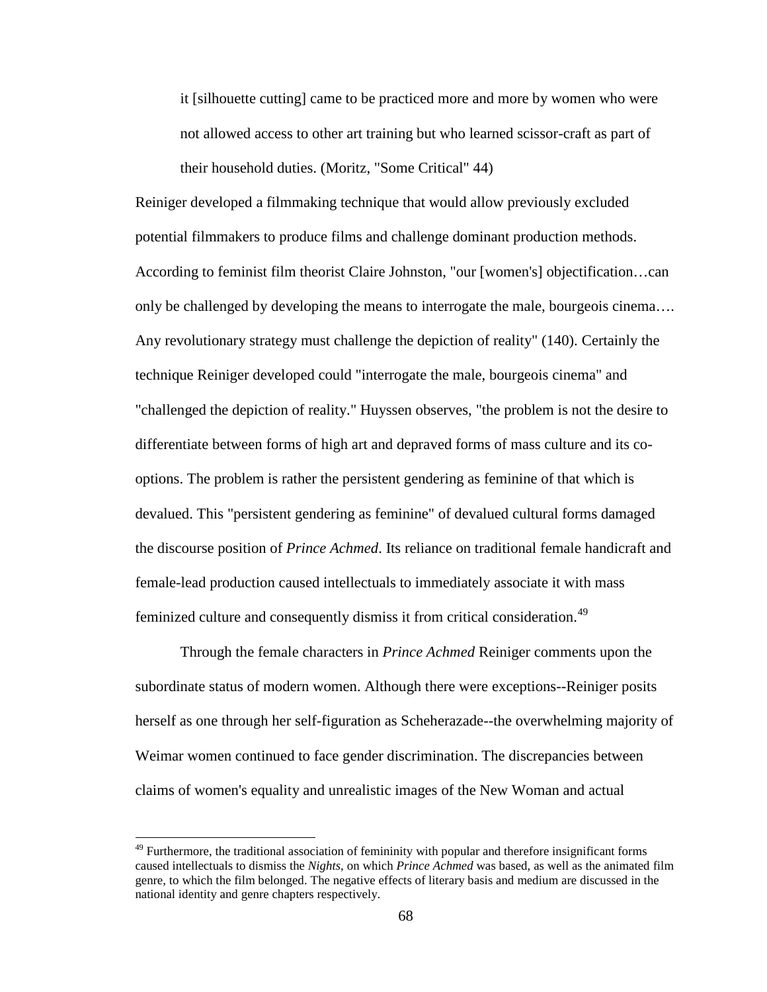it [silhouette cutting] came to be practiced more and more by women who were not allowed access to other art training but who learned scissor-craft as part of their household duties. (Moritz, "Some Critical" 44)

Reiniger developed a filmmaking technique that would allow previously excluded potential filmmakers to produce films and challenge dominant production methods. According to feminist film theorist Claire Johnston, "our [women's] objectification…can only be challenged by developing the means to interrogate the male, bourgeois cinema…. Any revolutionary strategy must challenge the depiction of reality" (140). Certainly the technique Reiniger developed could "interrogate the male, bourgeois cinema" and "challenged the depiction of reality." Huyssen observes, "the problem is not the desire to differentiate between forms of high art and depraved forms of mass culture and its cooptions. The problem is rather the persistent gendering as feminine of that which is devalued. This "persistent gendering as feminine" of devalued cultural forms damaged the discourse position of *Prince Achmed*. Its reliance on traditional female handicraft and female-lead production caused intellectuals to immediately associate it with mass feminized culture and consequently dismiss it from critical consideration.<sup>[49](#page-83-0)</sup>

<span id="page-78-0"></span>Through the female characters in *Prince Achmed* Reiniger comments upon the subordinate status of modern women. Although there were exceptions--Reiniger posits herself as one through her self-figuration as Scheherazade--the overwhelming majority of Weimar women continued to face gender discrimination. The discrepancies between claims of women's equality and unrealistic images of the New Woman and actual

<span id="page-78-2"></span><span id="page-78-1"></span> $49$  Furthermore, the traditional association of femininity with popular and therefore insignificant forms caused intellectuals to dismiss the *Nights*, on which *Prince Achmed* was based, as well as the animated film genre, to which the film belonged. The negative effects of literary basis and medium are discussed in the national identity and genre chapters respectively.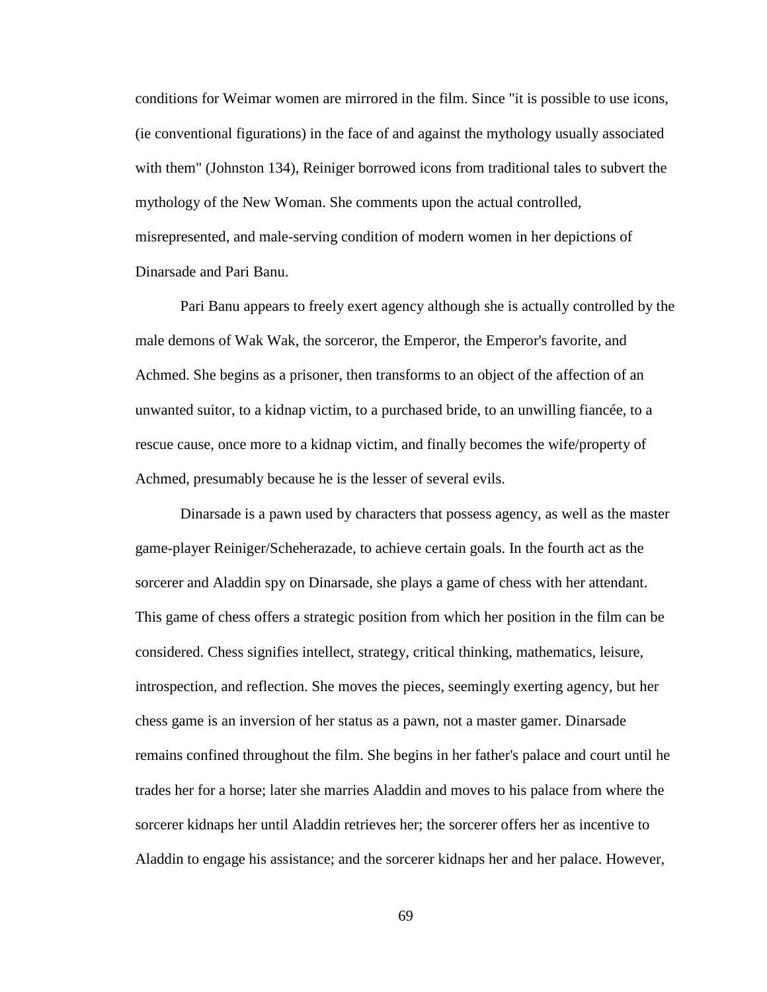conditions for Weimar women are mirrored in the film. Since "it is possible to use icons, (ie conventional figurations) in the face of and against the mythology usually associated with them" (Johnston 134), Reiniger borrowed icons from traditional tales to subvert the mythology of the New Woman. She comments upon the actual controlled, misrepresented, and male-serving condition of modern women in her depictions of Dinarsade and Pari Banu.

Pari Banu appears to freely exert agency although she is actually controlled by the male demons of Wak Wak, the sorceror, the Emperor, the Emperor's favorite, and Achmed. She begins as a prisoner, then transforms to an object of the affection of an unwanted suitor, to a kidnap victim, to a purchased bride, to an unwilling fiancée, to a rescue cause, once more to a kidnap victim, and finally becomes the wife/property of Achmed, presumably because he is the lesser of several evils.

<span id="page-79-0"></span>Dinarsade is a pawn used by characters that possess agency, as well as the master game-player Reiniger/Scheherazade, to achieve certain goals. In the fourth act as the sorcerer and Aladdin spy on Dinarsade, she plays a game of chess with her attendant. This game of chess offers a strategic position from which her position in the film can be considered. Chess signifies intellect, strategy, critical thinking, mathematics, leisure, introspection, and reflection. She moves the pieces, seemingly exerting agency, but her chess game is an inversion of her status as a pawn, not a master gamer. Dinarsade remains confined throughout the film. She begins in her father's palace and court until he trades her for a horse; later she marries Aladdin and moves to his palace from where the sorcerer kidnaps her until Aladdin retrieves her; the sorcerer offers her as incentive to Aladdin to engage his assistance; and the sorcerer kidnaps her and her palace. However,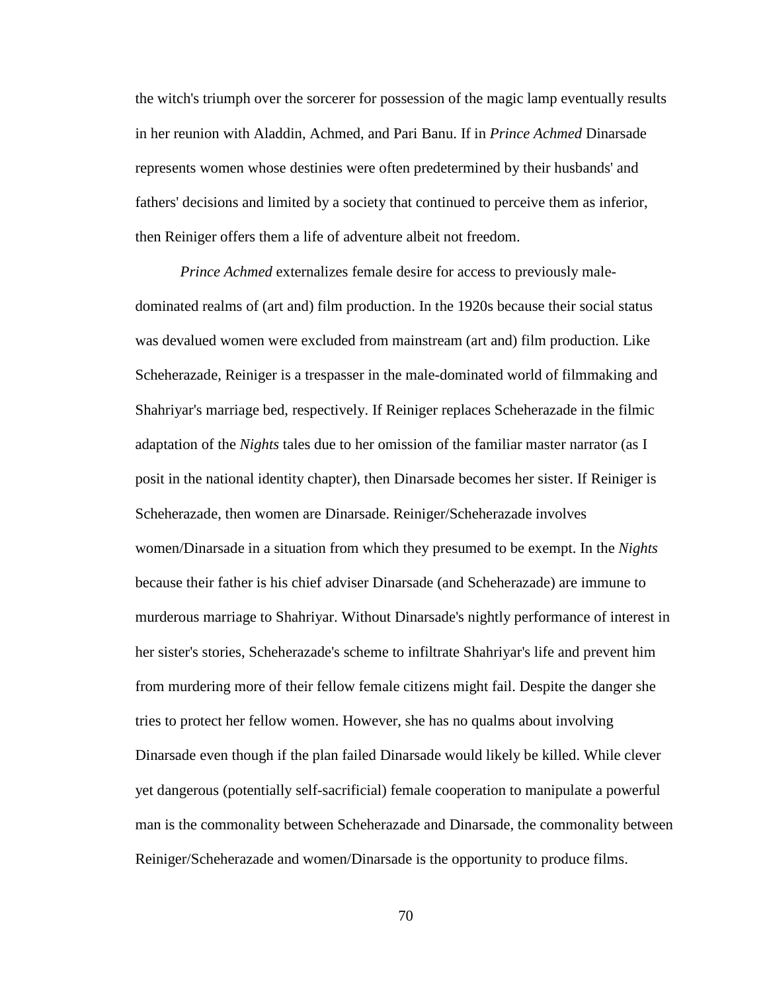the witch's triumph over the sorcerer for possession of the magic lamp eventually results in her reunion with Aladdin, Achmed, and Pari Banu. If in *Prince Achmed* Dinarsade represents women whose destinies were often predetermined by their husbands' and fathers' decisions and limited by a society that continued to perceive them as inferior, then Reiniger offers them a life of adventure albeit not freedom.

<span id="page-80-0"></span>*Prince Achmed* externalizes female desire for access to previously maledominated realms of (art and) film production. In the 1920s because their social status was devalued women were excluded from mainstream (art and) film production. Like Scheherazade, Reiniger is a trespasser in the male-dominated world of filmmaking and Shahriyar's marriage bed, respectively. If Reiniger replaces Scheherazade in the filmic adaptation of the *Nights* tales due to her omission of the familiar master narrator (as I posit in the national identity chapter), then Dinarsade becomes her sister. If Reiniger is Scheherazade, then women are Dinarsade. Reiniger/Scheherazade involves women/Dinarsade in a situation from which they presumed to be exempt. In the *Nights* because their father is his chief adviser Dinarsade (and Scheherazade) are immune to murderous marriage to Shahriyar. Without Dinarsade's nightly performance of interest in her sister's stories, Scheherazade's scheme to infiltrate Shahriyar's life and prevent him from murdering more of their fellow female citizens might fail. Despite the danger she tries to protect her fellow women. However, she has no qualms about involving Dinarsade even though if the plan failed Dinarsade would likely be killed. While clever yet dangerous (potentially self-sacrificial) female cooperation to manipulate a powerful man is the commonality between Scheherazade and Dinarsade, the commonality between Reiniger/Scheherazade and women/Dinarsade is the opportunity to produce films.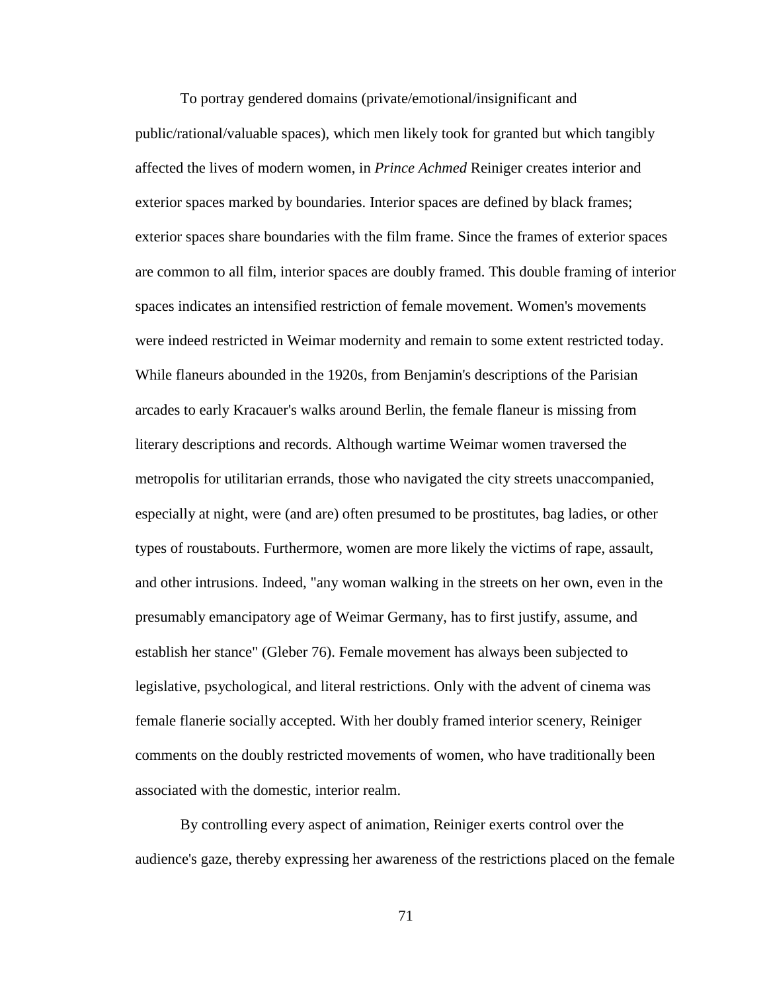To portray gendered domains (private/emotional/insignificant and public/rational/valuable spaces), which men likely took for granted but which tangibly affected the lives of modern women, in *Prince Achmed* Reiniger creates interior and exterior spaces marked by boundaries. Interior spaces are defined by black frames; exterior spaces share boundaries with the film frame. Since the frames of exterior spaces are common to all film, interior spaces are doubly framed. This double framing of interior spaces indicates an intensified restriction of female movement. Women's movements were indeed restricted in Weimar modernity and remain to some extent restricted today. While flaneurs abounded in the 1920s, from Benjamin's descriptions of the Parisian arcades to early Kracauer's walks around Berlin, the female flaneur is missing from literary descriptions and records. Although wartime Weimar women traversed the metropolis for utilitarian errands, those who navigated the city streets unaccompanied, especially at night, were (and are) often presumed to be prostitutes, bag ladies, or other types of roustabouts. Furthermore, women are more likely the victims of rape, assault, and other intrusions. Indeed, "any woman walking in the streets on her own, even in the presumably emancipatory age of Weimar Germany, has to first justify, assume, and establish her stance" (Gleber 76). Female movement has always been subjected to legislative, psychological, and literal restrictions. Only with the advent of cinema was female flanerie socially accepted. With her doubly framed interior scenery, Reiniger comments on the doubly restricted movements of women, who have traditionally been associated with the domestic, interior realm.

<span id="page-81-1"></span><span id="page-81-0"></span>By controlling every aspect of animation, Reiniger exerts control over the audience's gaze, thereby expressing her awareness of the restrictions placed on the female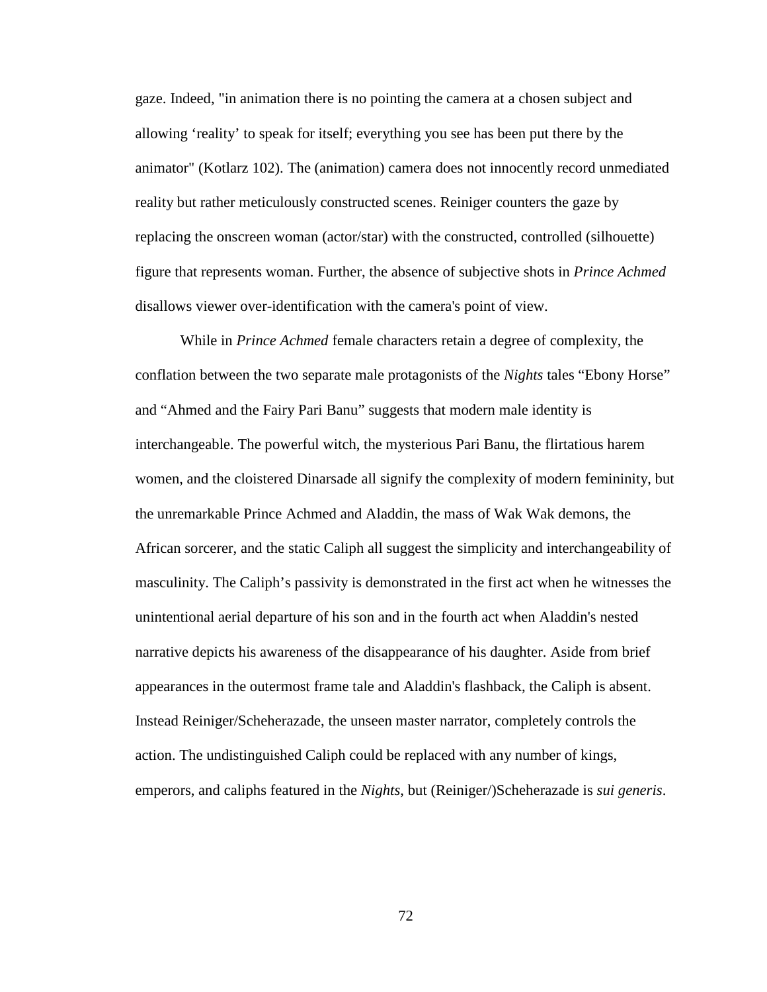gaze. Indeed, "in animation there is no pointing the camera at a chosen subject and allowing 'reality' to speak for itself; everything you see has been put there by the animator" (Kotlarz 102). The (animation) camera does not innocently record unmediated reality but rather meticulously constructed scenes. Reiniger counters the gaze by replacing the onscreen woman (actor/star) with the constructed, controlled (silhouette) figure that represents woman. Further, the absence of subjective shots in *Prince Achmed* disallows viewer over-identification with the camera's point of view.

<span id="page-82-0"></span>While in *Prince Achmed* female characters retain a degree of complexity, the conflation between the two separate male protagonists of the *Nights* tales "Ebony Horse" and "Ahmed and the Fairy Pari Banu" suggests that modern male identity is interchangeable. The powerful witch, the mysterious Pari Banu, the flirtatious harem women, and the cloistered Dinarsade all signify the complexity of modern femininity, but the unremarkable Prince Achmed and Aladdin, the mass of Wak Wak demons, the African sorcerer, and the static Caliph all suggest the simplicity and interchangeability of masculinity. The Caliph's passivity is demonstrated in the first act when he witnesses the unintentional aerial departure of his son and in the fourth act when Aladdin's nested narrative depicts his awareness of the disappearance of his daughter. Aside from brief appearances in the outermost frame tale and Aladdin's flashback, the Caliph is absent. Instead Reiniger/Scheherazade, the unseen master narrator, completely controls the action. The undistinguished Caliph could be replaced with any number of kings, emperors, and caliphs featured in the *Nights*, but (Reiniger/)Scheherazade is *sui generis*.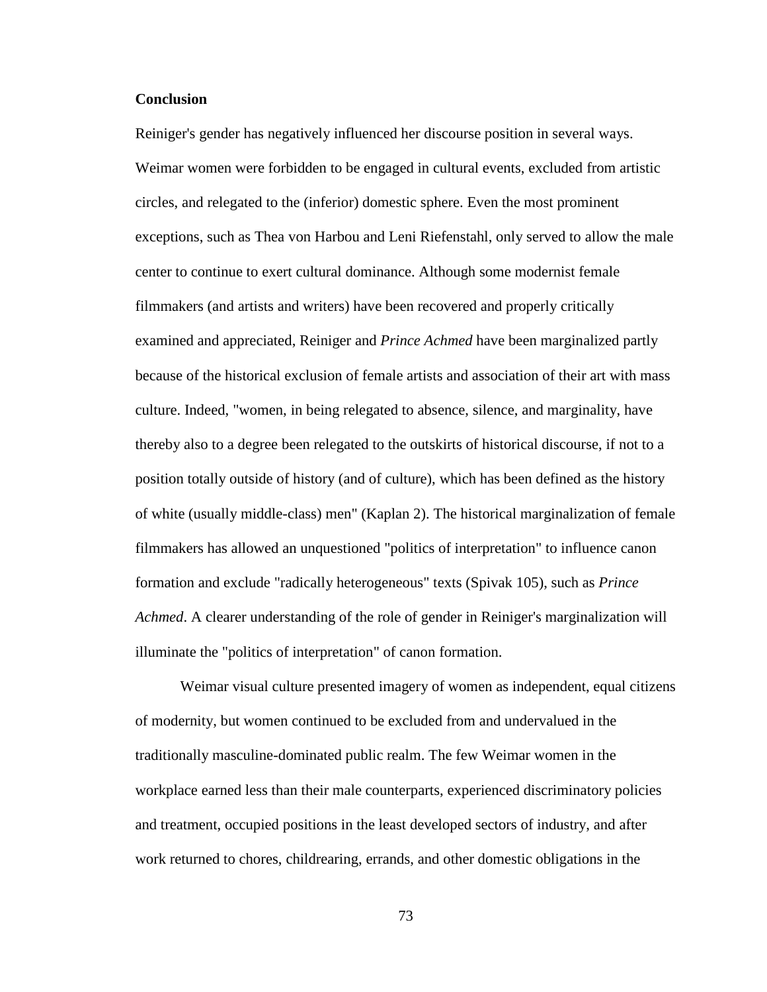## **Conclusion**

Reiniger's gender has negatively influenced her discourse position in several ways. Weimar women were forbidden to be engaged in cultural events, excluded from artistic circles, and relegated to the (inferior) domestic sphere. Even the most prominent exceptions, such as Thea von Harbou and Leni Riefenstahl, only served to allow the male center to continue to exert cultural dominance. Although some modernist female filmmakers (and artists and writers) have been recovered and properly critically examined and appreciated, Reiniger and *Prince Achmed* have been marginalized partly because of the historical exclusion of female artists and association of their art with mass culture. Indeed, "women, in being relegated to absence, silence, and marginality, have thereby also to a degree been relegated to the outskirts of historical discourse, if not to a position totally outside of history (and of culture), which has been defined as the history of white (usually middle-class) men" (Kaplan 2). The historical marginalization of female filmmakers has allowed an unquestioned "politics of interpretation" to influence canon formation and exclude "radically heterogeneous" texts (Spivak 105), such as *Prince Achmed*. A clearer understanding of the role of gender in Reiniger's marginalization will illuminate the "politics of interpretation" of canon formation.

<span id="page-83-0"></span>Weimar visual culture presented imagery of women as independent, equal citizens of modernity, but women continued to be excluded from and undervalued in the traditionally masculine-dominated public realm. The few Weimar women in the workplace earned less than their male counterparts, experienced discriminatory policies and treatment, occupied positions in the least developed sectors of industry, and after work returned to chores, childrearing, errands, and other domestic obligations in the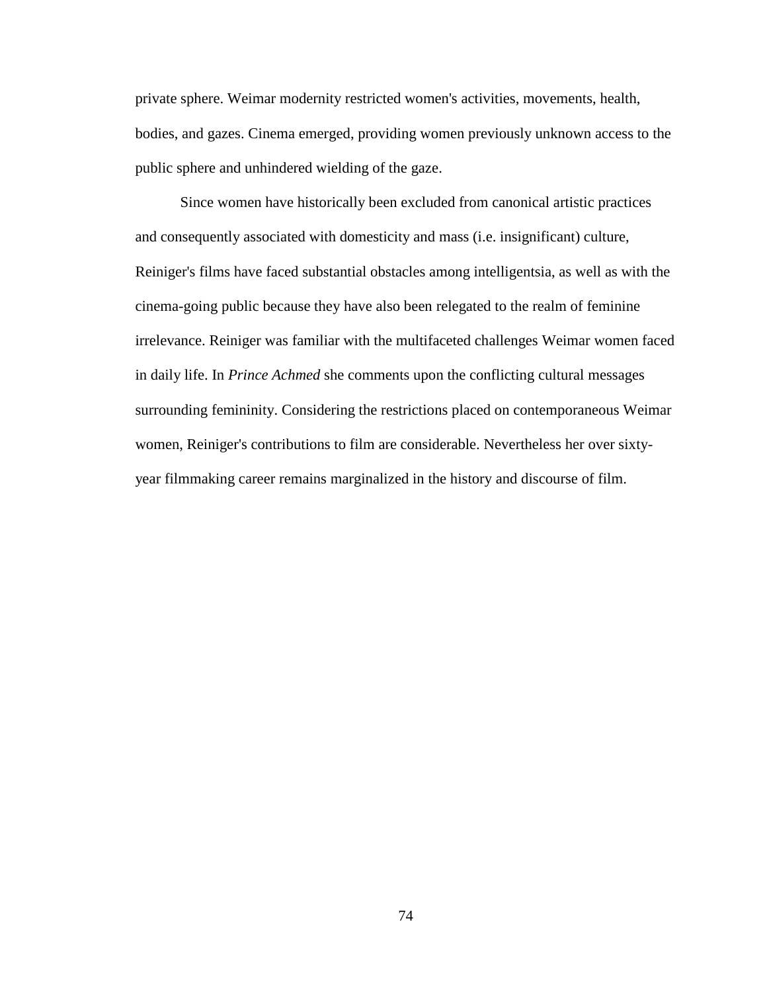private sphere. Weimar modernity restricted women's activities, movements, health, bodies, and gazes. Cinema emerged, providing women previously unknown access to the public sphere and unhindered wielding of the gaze.

Since women have historically been excluded from canonical artistic practices and consequently associated with domesticity and mass (i.e. insignificant) culture, Reiniger's films have faced substantial obstacles among intelligentsia, as well as with the cinema-going public because they have also been relegated to the realm of feminine irrelevance. Reiniger was familiar with the multifaceted challenges Weimar women faced in daily life. In *Prince Achmed* she comments upon the conflicting cultural messages surrounding femininity. Considering the restrictions placed on contemporaneous Weimar women, Reiniger's contributions to film are considerable. Nevertheless her over sixtyyear filmmaking career remains marginalized in the history and discourse of film.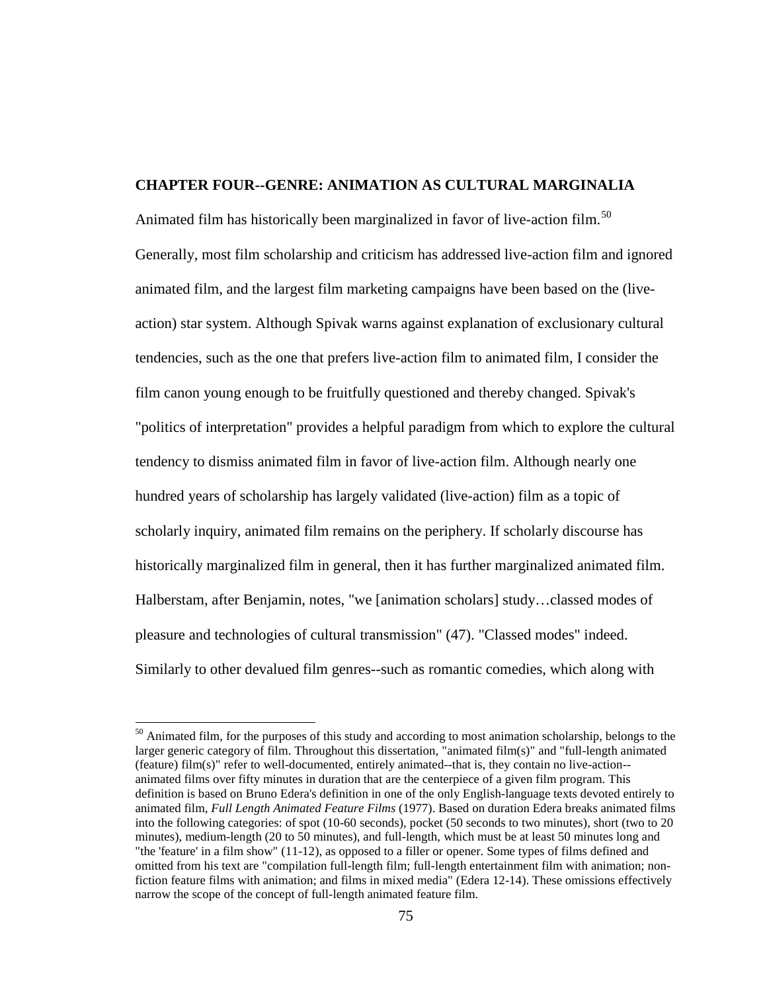# **CHAPTER FOUR--GENRE: ANIMATION AS CULTURAL MARGINALIA**

Animated film has historically been marginalized in favor of live-action film.<sup>[50](#page-90-0)</sup> Generally, most film scholarship and criticism has addressed live-action film and ignored animated film, and the largest film marketing campaigns have been based on the (liveaction) star system. Although Spivak warns against explanation of exclusionary cultural tendencies, such as the one that prefers live-action film to animated film, I consider the film canon young enough to be fruitfully questioned and thereby changed. Spivak's "politics of interpretation" provides a helpful paradigm from which to explore the cultural tendency to dismiss animated film in favor of live-action film. Although nearly one hundred years of scholarship has largely validated (live-action) film as a topic of scholarly inquiry, animated film remains on the periphery. If scholarly discourse has historically marginalized film in general, then it has further marginalized animated film. Halberstam, after Benjamin, notes, "we [animation scholars] study…classed modes of pleasure and technologies of cultural transmission" (47). "Classed modes" indeed. Similarly to other devalued film genres--such as romantic comedies, which along with

 $50$  Animated film, for the purposes of this study and according to most animation scholarship, belongs to the larger generic category of film. Throughout this dissertation, "animated film(s)" and "full-length animated (feature) film(s)" refer to well-documented, entirely animated--that is, they contain no live-action- animated films over fifty minutes in duration that are the centerpiece of a given film program. This definition is based on Bruno Edera's definition in one of the only English-language texts devoted entirely to animated film, *Full Length Animated Feature Films* (1977). Based on duration Edera breaks animated films into the following categories: of spot (10-60 seconds), pocket (50 seconds to two minutes), short (two to 20 minutes), medium-length (20 to 50 minutes), and full-length, which must be at least 50 minutes long and "the 'feature' in a film show" (11-12), as opposed to a filler or opener. Some types of films defined and omitted from his text are "compilation full-length film; full-length entertainment film with animation; nonfiction feature films with animation; and films in mixed media" (Edera 12-14). These omissions effectively narrow the scope of the concept of full-length animated feature film.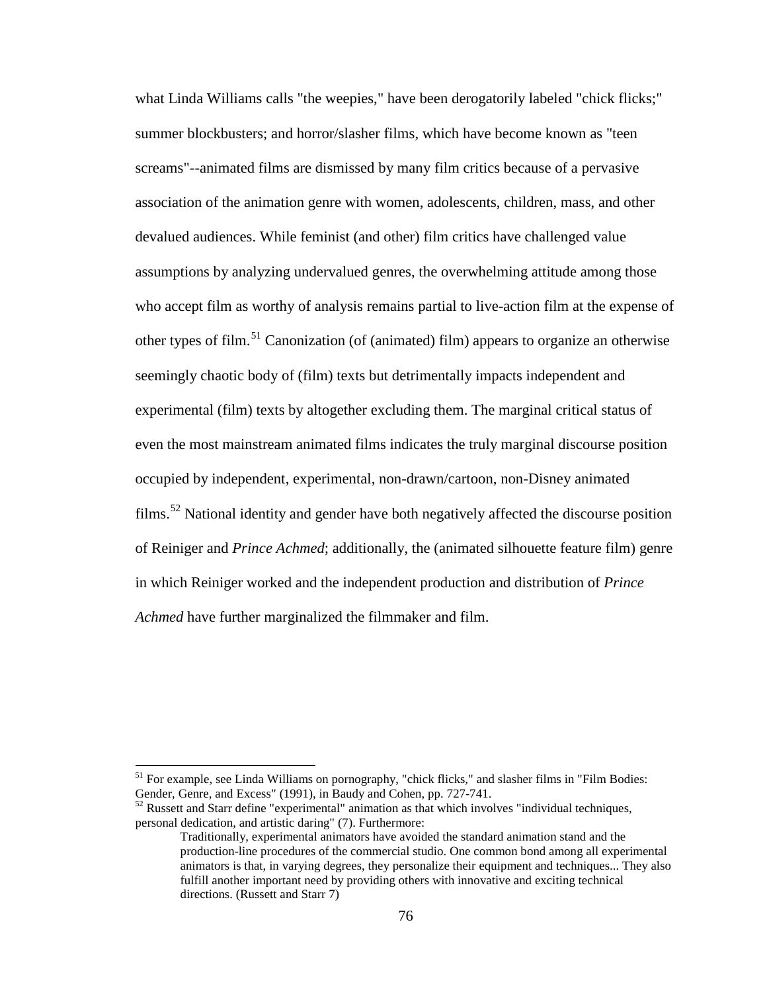what Linda Williams calls "the weepies," have been derogatorily labeled "chick flicks;" summer blockbusters; and horror/slasher films, which have become known as "teen screams"--animated films are dismissed by many film critics because of a pervasive association of the animation genre with women, adolescents, children, mass, and other devalued audiences. While feminist (and other) film critics have challenged value assumptions by analyzing undervalued genres, the overwhelming attitude among those who accept film as worthy of analysis remains partial to live-action film at the expense of other types of film.<sup>[51](#page-91-0)</sup> Canonization (of (animated) film) appears to organize an otherwise seemingly chaotic body of (film) texts but detrimentally impacts independent and experimental (film) texts by altogether excluding them. The marginal critical status of even the most mainstream animated films indicates the truly marginal discourse position occupied by independent, experimental, non-drawn/cartoon, non-Disney animated films.<sup>[52](#page-92-0)</sup> National identity and gender have both negatively affected the discourse position of Reiniger and *Prince Achmed*; additionally, the (animated silhouette feature film) genre in which Reiniger worked and the independent production and distribution of *Prince Achmed* have further marginalized the filmmaker and film.

 $52$  Russett and Starr define "experimental" animation as that which involves "individual techniques, personal dedication, and artistic daring" (7). Furthermore:

<sup>&</sup>lt;sup>51</sup> For example, see Linda Williams on pornography, "chick flicks," and slasher films in "Film Bodies: Gender, Genre, and Excess" (1991), in Baudy and Cohen, pp. 727-741.

Traditionally, experimental animators have avoided the standard animation stand and the production-line procedures of the commercial studio. One common bond among all experimental animators is that, in varying degrees, they personalize their equipment and techniques... They also fulfill another important need by providing others with innovative and exciting technical directions. (Russett and Starr 7)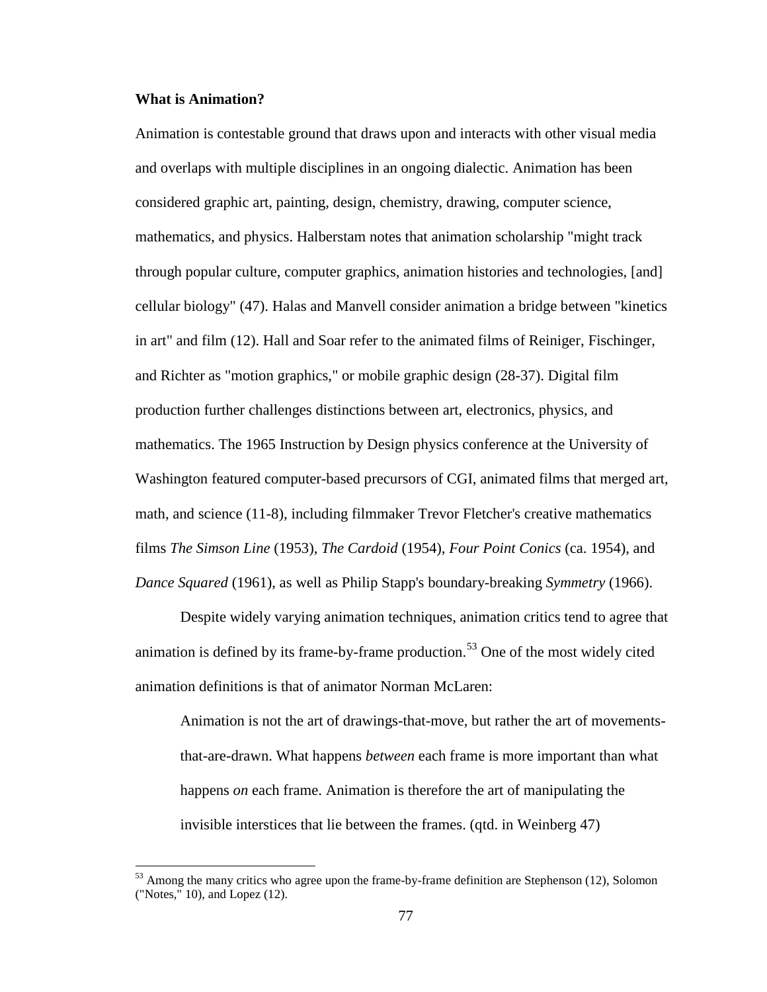### **What is Animation?**

Animation is contestable ground that draws upon and interacts with other visual media and overlaps with multiple disciplines in an ongoing dialectic. Animation has been considered graphic art, painting, design, chemistry, drawing, computer science, mathematics, and physics. Halberstam notes that animation scholarship "might track through popular culture, computer graphics, animation histories and technologies, [and] cellular biology" (47). Halas and Manvell consider animation a bridge between "kinetics in art" and film (12). Hall and Soar refer to the animated films of Reiniger, Fischinger, and Richter as "motion graphics," or mobile graphic design (28-37). Digital film production further challenges distinctions between art, electronics, physics, and mathematics. The 1965 Instruction by Design physics conference at the University of Washington featured computer-based precursors of CGI, animated films that merged art, math, and science (11-8), including filmmaker Trevor Fletcher's creative mathematics films *The Simson Line* (1953), *The Cardoid* (1954), *Four Point Conics* (ca. 1954), and *Dance Squared* (1961), as well as Philip Stapp's boundary-breaking *Symmetry* (1966).

Despite widely varying animation techniques, animation critics tend to agree that animation is defined by its frame-by-frame production.<sup>[53](#page-93-0)</sup> One of the most widely cited animation definitions is that of animator Norman McLaren:

Animation is not the art of drawings-that-move, but rather the art of movementsthat-are-drawn. What happens *between* each frame is more important than what happens *on* each frame. Animation is therefore the art of manipulating the invisible interstices that lie between the frames. (qtd. in Weinberg 47)

 $53$  Among the many critics who agree upon the frame-by-frame definition are Stephenson (12), Solomon ("Notes," 10), and Lopez (12).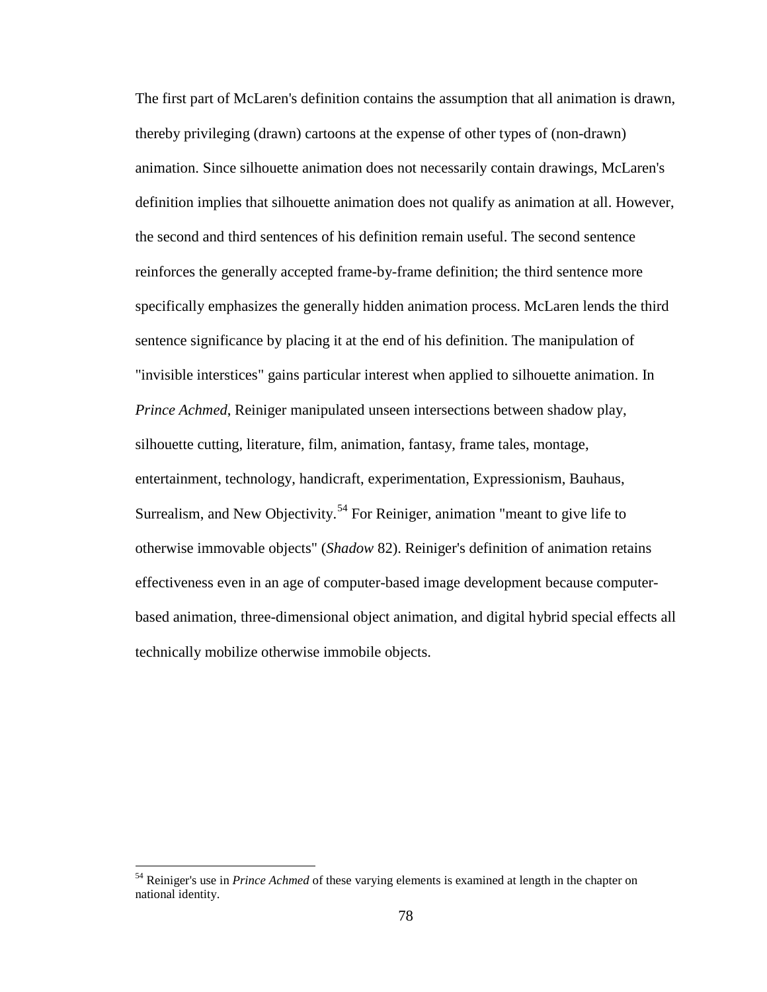The first part of McLaren's definition contains the assumption that all animation is drawn, thereby privileging (drawn) cartoons at the expense of other types of (non-drawn) animation. Since silhouette animation does not necessarily contain drawings, McLaren's definition implies that silhouette animation does not qualify as animation at all. However, the second and third sentences of his definition remain useful. The second sentence reinforces the generally accepted frame-by-frame definition; the third sentence more specifically emphasizes the generally hidden animation process. McLaren lends the third sentence significance by placing it at the end of his definition. The manipulation of "invisible interstices" gains particular interest when applied to silhouette animation. In *Prince Achmed*, Reiniger manipulated unseen intersections between shadow play, silhouette cutting, literature, film, animation, fantasy, frame tales, montage, entertainment, technology, handicraft, experimentation, Expressionism, Bauhaus, Surrealism, and New Objectivity.<sup>[54](#page-94-0)</sup> For Reiniger, animation "meant to give life to otherwise immovable objects" (*Shadow* 82). Reiniger's definition of animation retains effectiveness even in an age of computer-based image development because computerbased animation, three-dimensional object animation, and digital hybrid special effects all technically mobilize otherwise immobile objects.

<sup>54</sup> Reiniger's use in *Prince Achmed* of these varying elements is examined at length in the chapter on national identity.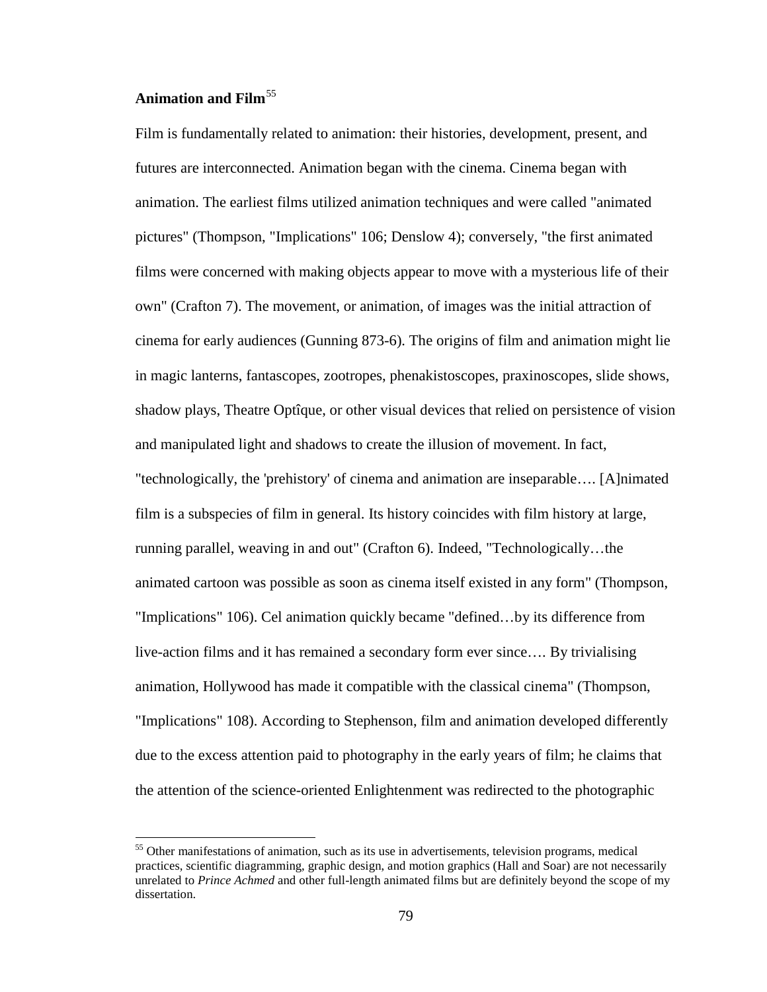# **Animation and Film**[55](#page-95-0)

Film is fundamentally related to animation: their histories, development, present, and futures are interconnected. Animation began with the cinema. Cinema began with animation. The earliest films utilized animation techniques and were called "animated pictures" (Thompson, "Implications" 106; Denslow 4); conversely, "the first animated films were concerned with making objects appear to move with a mysterious life of their own" (Crafton 7). The movement, or animation, of images was the initial attraction of cinema for early audiences (Gunning 873-6). The origins of film and animation might lie in magic lanterns, fantascopes, zootropes, phenakistoscopes, praxinoscopes, slide shows, shadow plays, Theatre Optîque, or other visual devices that relied on persistence of vision and manipulated light and shadows to create the illusion of movement. In fact, "technologically, the 'prehistory' of cinema and animation are inseparable…. [A]nimated film is a subspecies of film in general. Its history coincides with film history at large, running parallel, weaving in and out" (Crafton 6). Indeed, "Technologically…the animated cartoon was possible as soon as cinema itself existed in any form" (Thompson, "Implications" 106). Cel animation quickly became "defined…by its difference from live-action films and it has remained a secondary form ever since…. By trivialising animation, Hollywood has made it compatible with the classical cinema" (Thompson, "Implications" 108). According to Stephenson, film and animation developed differently due to the excess attention paid to photography in the early years of film; he claims that the attention of the science-oriented Enlightenment was redirected to the photographic

<sup>&</sup>lt;sup>55</sup> Other manifestations of animation, such as its use in advertisements, television programs, medical practices, scientific diagramming, graphic design, and motion graphics (Hall and Soar) are not necessarily unrelated to *Prince Achmed* and other full-length animated films but are definitely beyond the scope of my dissertation.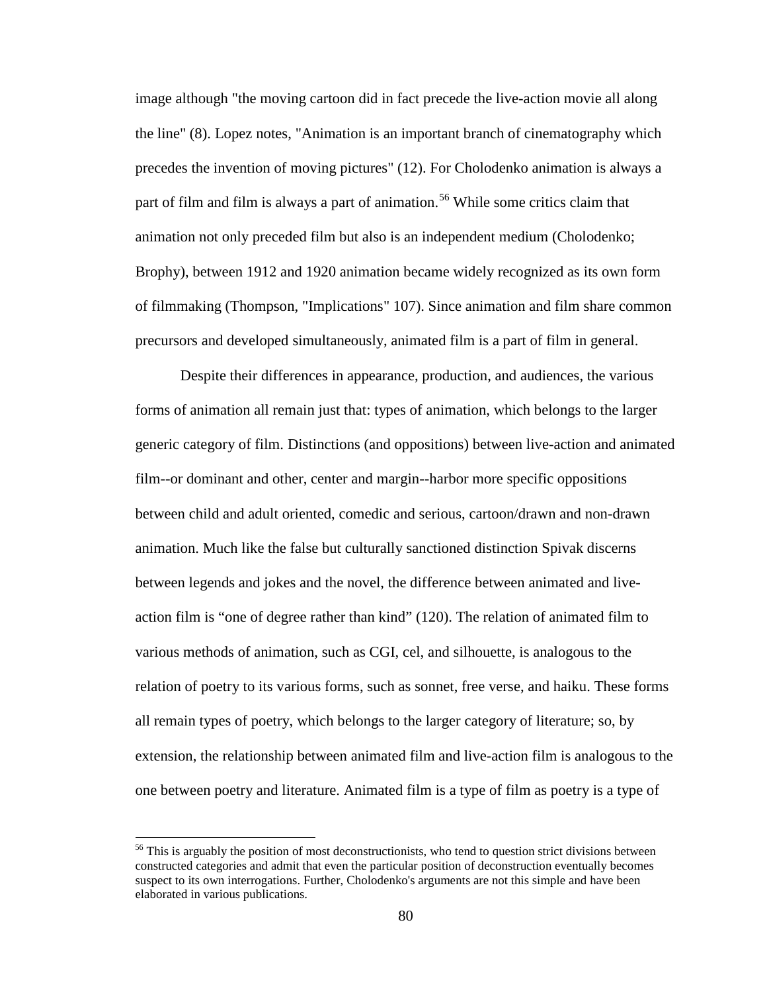image although "the moving cartoon did in fact precede the live-action movie all along the line" (8). Lopez notes, "Animation is an important branch of cinematography which precedes the invention of moving pictures" (12). For Cholodenko animation is always a part of film and film is always a part of animation.<sup>[56](#page-96-0)</sup> While some critics claim that animation not only preceded film but also is an independent medium (Cholodenko; Brophy), between 1912 and 1920 animation became widely recognized as its own form of filmmaking (Thompson, "Implications" 107). Since animation and film share common precursors and developed simultaneously, animated film is a part of film in general.

Despite their differences in appearance, production, and audiences, the various forms of animation all remain just that: types of animation, which belongs to the larger generic category of film. Distinctions (and oppositions) between live-action and animated film--or dominant and other, center and margin--harbor more specific oppositions between child and adult oriented, comedic and serious, cartoon/drawn and non-drawn animation. Much like the false but culturally sanctioned distinction Spivak discerns between legends and jokes and the novel, the difference between animated and liveaction film is "one of degree rather than kind" (120). The relation of animated film to various methods of animation, such as CGI, cel, and silhouette, is analogous to the relation of poetry to its various forms, such as sonnet, free verse, and haiku. These forms all remain types of poetry, which belongs to the larger category of literature; so, by extension, the relationship between animated film and live-action film is analogous to the one between poetry and literature. Animated film is a type of film as poetry is a type of

<span id="page-90-0"></span><sup>&</sup>lt;sup>56</sup> This is arguably the position of most deconstructionists, who tend to question strict divisions between constructed categories and admit that even the particular position of deconstruction eventually becomes suspect to its own interrogations. Further, Cholodenko's arguments are not this simple and have been elaborated in various publications.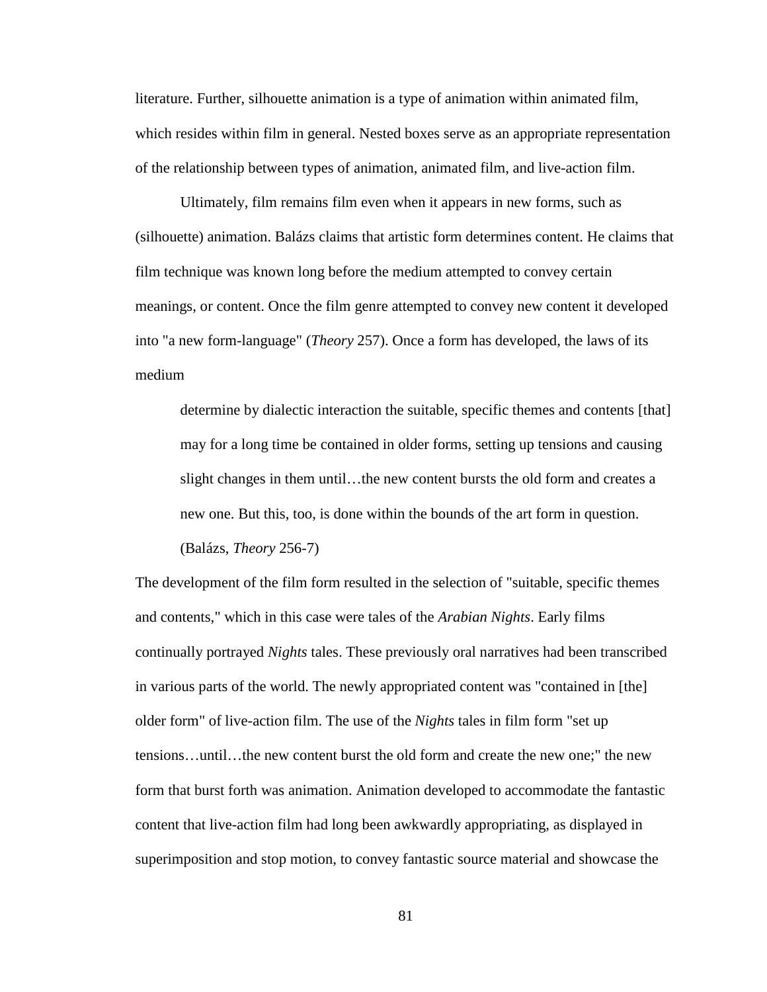literature. Further, silhouette animation is a type of animation within animated film, which resides within film in general. Nested boxes serve as an appropriate representation of the relationship between types of animation, animated film, and live-action film.

Ultimately, film remains film even when it appears in new forms, such as (silhouette) animation. Balázs claims that artistic form determines content. He claims that film technique was known long before the medium attempted to convey certain meanings, or content. Once the film genre attempted to convey new content it developed into "a new form-language" (*Theory* 257). Once a form has developed, the laws of its medium

determine by dialectic interaction the suitable, specific themes and contents [that] may for a long time be contained in older forms, setting up tensions and causing slight changes in them until…the new content bursts the old form and creates a new one. But this, too, is done within the bounds of the art form in question. (Balázs, *Theory* 256-7)

<span id="page-91-0"></span>The development of the film form resulted in the selection of "suitable, specific themes and contents," which in this case were tales of the *Arabian Nights*. Early films continually portrayed *Nights* tales. These previously oral narratives had been transcribed in various parts of the world. The newly appropriated content was "contained in [the] older form" of live-action film. The use of the *Nights* tales in film form "set up tensions…until…the new content burst the old form and create the new one;" the new form that burst forth was animation. Animation developed to accommodate the fantastic content that live-action film had long been awkwardly appropriating, as displayed in superimposition and stop motion, to convey fantastic source material and showcase the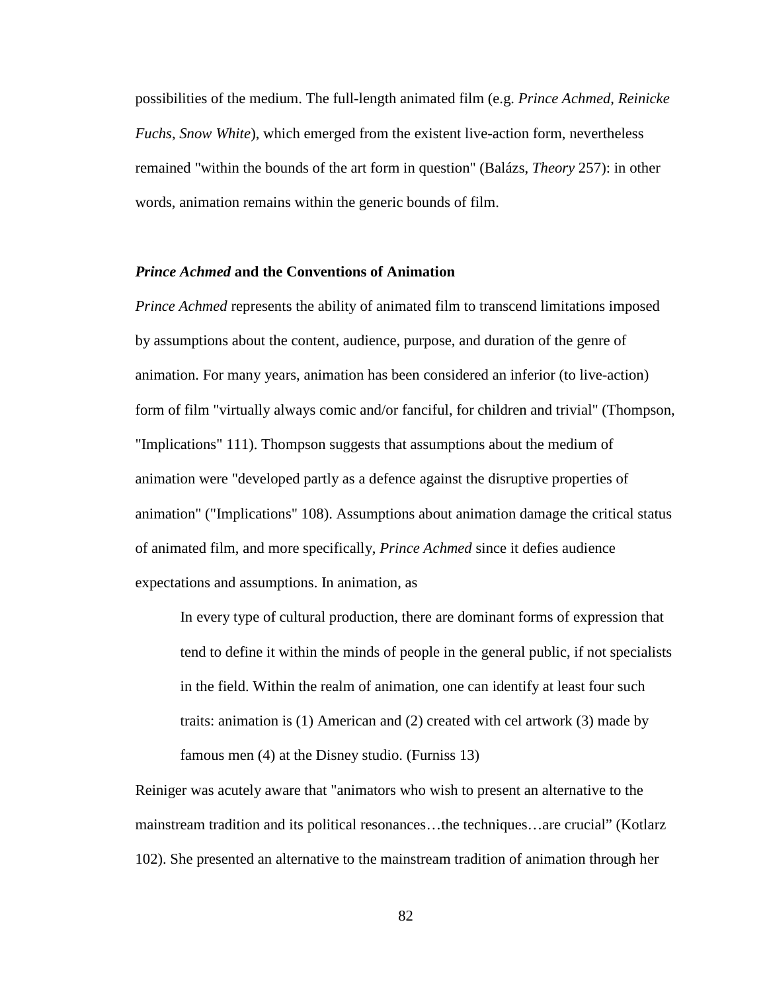possibilities of the medium. The full-length animated film (e.g. *Prince Achmed*, *Reinicke Fuchs*, *Snow White*), which emerged from the existent live-action form, nevertheless remained "within the bounds of the art form in question" (Balázs, *Theory* 257): in other words, animation remains within the generic bounds of film.

# *Prince Achmed* **and the Conventions of Animation**

*Prince Achmed* represents the ability of animated film to transcend limitations imposed by assumptions about the content, audience, purpose, and duration of the genre of animation. For many years, animation has been considered an inferior (to live-action) form of film "virtually always comic and/or fanciful, for children and trivial" (Thompson, "Implications" 111). Thompson suggests that assumptions about the medium of animation were "developed partly as a defence against the disruptive properties of animation" ("Implications" 108). Assumptions about animation damage the critical status of animated film, and more specifically, *Prince Achmed* since it defies audience expectations and assumptions. In animation, as

In every type of cultural production, there are dominant forms of expression that tend to define it within the minds of people in the general public, if not specialists in the field. Within the realm of animation, one can identify at least four such traits: animation is (1) American and (2) created with cel artwork (3) made by famous men (4) at the Disney studio. (Furniss 13)

<span id="page-92-0"></span>Reiniger was acutely aware that "animators who wish to present an alternative to the mainstream tradition and its political resonances…the techniques…are crucial" (Kotlarz 102). She presented an alternative to the mainstream tradition of animation through her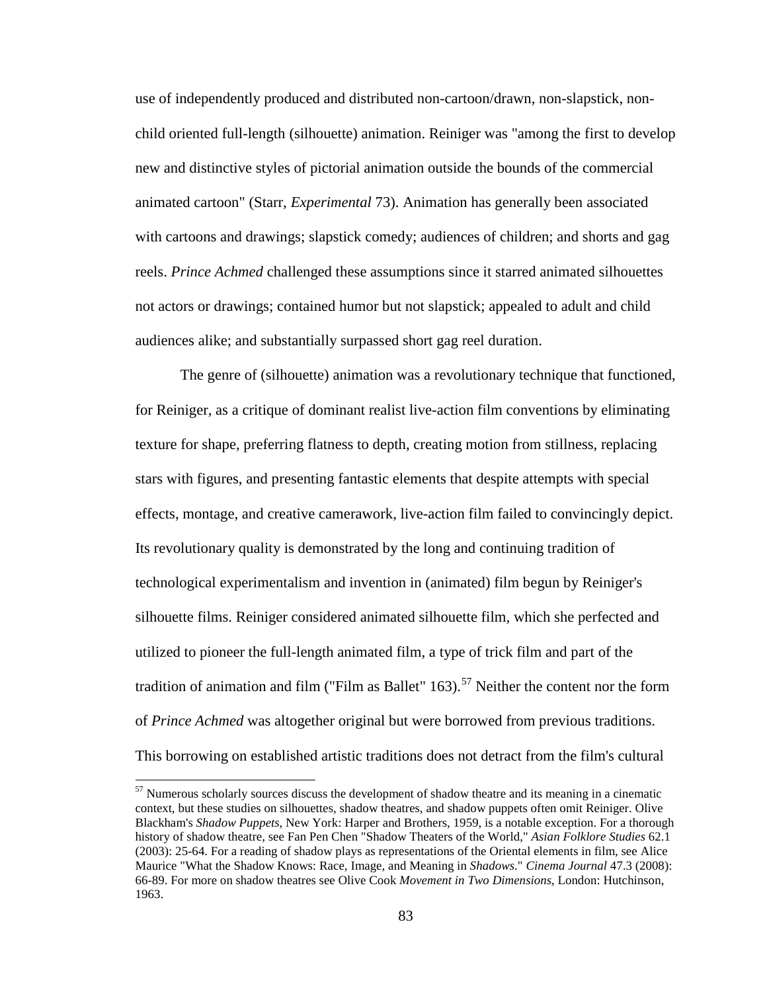use of independently produced and distributed non-cartoon/drawn, non-slapstick, nonchild oriented full-length (silhouette) animation. Reiniger was "among the first to develop new and distinctive styles of pictorial animation outside the bounds of the commercial animated cartoon" (Starr, *Experimental* 73). Animation has generally been associated with cartoons and drawings; slapstick comedy; audiences of children; and shorts and gag reels. *Prince Achmed* challenged these assumptions since it starred animated silhouettes not actors or drawings; contained humor but not slapstick; appealed to adult and child audiences alike; and substantially surpassed short gag reel duration.

The genre of (silhouette) animation was a revolutionary technique that functioned, for Reiniger, as a critique of dominant realist live-action film conventions by eliminating texture for shape, preferring flatness to depth, creating motion from stillness, replacing stars with figures, and presenting fantastic elements that despite attempts with special effects, montage, and creative camerawork, live-action film failed to convincingly depict. Its revolutionary quality is demonstrated by the long and continuing tradition of technological experimentalism and invention in (animated) film begun by Reiniger's silhouette films. Reiniger considered animated silhouette film, which she perfected and utilized to pioneer the full-length animated film, a type of trick film and part of the tradition of animation and film ("Film as Ballet"  $163$ ).<sup>[57](#page-99-0)</sup> Neither the content nor the form of *Prince Achmed* was altogether original but were borrowed from previous traditions. This borrowing on established artistic traditions does not detract from the film's cultural

<span id="page-93-0"></span> $57$  Numerous scholarly sources discuss the development of shadow theatre and its meaning in a cinematic context, but these studies on silhouettes, shadow theatres, and shadow puppets often omit Reiniger. Olive Blackham's *Shadow Puppets*, New York: Harper and Brothers, 1959, is a notable exception. For a thorough history of shadow theatre, see Fan Pen Chen "Shadow Theaters of the World," *Asian Folklore Studies* 62.1 (2003): 25-64. For a reading of shadow plays as representations of the Oriental elements in film, see Alice Maurice "What the Shadow Knows: Race, Image, and Meaning in *Shadows*." *Cinema Journal* 47.3 (2008): 66-89. For more on shadow theatres see Olive Cook *Movement in Two Dimensions*, London: Hutchinson, 1963.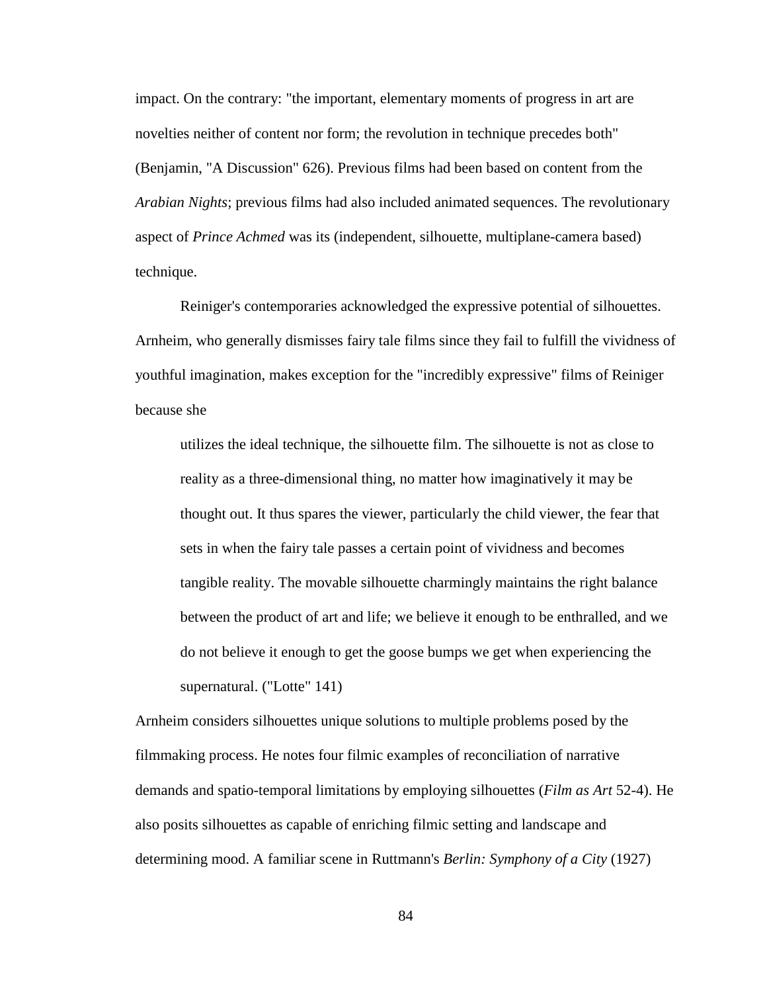impact. On the contrary: "the important, elementary moments of progress in art are novelties neither of content nor form; the revolution in technique precedes both" (Benjamin, "A Discussion" 626). Previous films had been based on content from the *Arabian Nights*; previous films had also included animated sequences. The revolutionary aspect of *Prince Achmed* was its (independent, silhouette, multiplane-camera based) technique.

Reiniger's contemporaries acknowledged the expressive potential of silhouettes. Arnheim, who generally dismisses fairy tale films since they fail to fulfill the vividness of youthful imagination, makes exception for the "incredibly expressive" films of Reiniger because she

utilizes the ideal technique, the silhouette film. The silhouette is not as close to reality as a three-dimensional thing, no matter how imaginatively it may be thought out. It thus spares the viewer, particularly the child viewer, the fear that sets in when the fairy tale passes a certain point of vividness and becomes tangible reality. The movable silhouette charmingly maintains the right balance between the product of art and life; we believe it enough to be enthralled, and we do not believe it enough to get the goose bumps we get when experiencing the supernatural. ("Lotte" 141)

<span id="page-94-0"></span>Arnheim considers silhouettes unique solutions to multiple problems posed by the filmmaking process. He notes four filmic examples of reconciliation of narrative demands and spatio-temporal limitations by employing silhouettes (*Film as Art* 52-4). He also posits silhouettes as capable of enriching filmic setting and landscape and determining mood. A familiar scene in Ruttmann's *Berlin: Symphony of a City* (1927)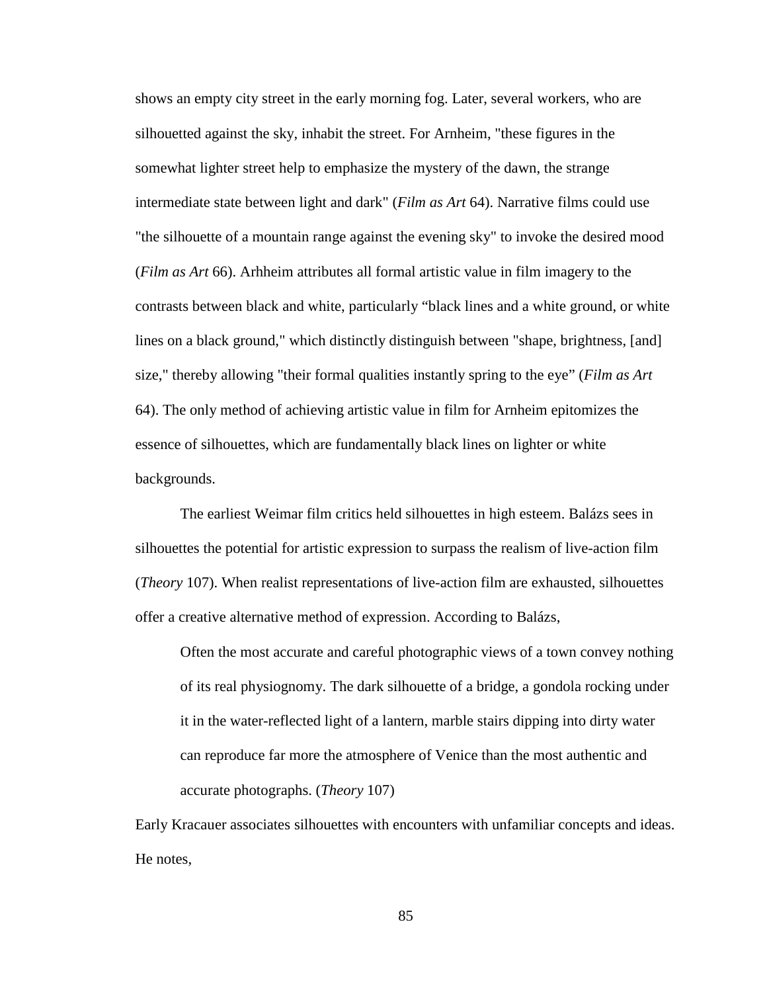shows an empty city street in the early morning fog. Later, several workers, who are silhouetted against the sky, inhabit the street. For Arnheim, "these figures in the somewhat lighter street help to emphasize the mystery of the dawn, the strange intermediate state between light and dark" (*Film as Art* 64). Narrative films could use "the silhouette of a mountain range against the evening sky" to invoke the desired mood (*Film as Art* 66). Arhheim attributes all formal artistic value in film imagery to the contrasts between black and white, particularly "black lines and a white ground, or white lines on a black ground," which distinctly distinguish between "shape, brightness, [and] size," thereby allowing "their formal qualities instantly spring to the eye" (*Film as Art* 64). The only method of achieving artistic value in film for Arnheim epitomizes the essence of silhouettes, which are fundamentally black lines on lighter or white backgrounds.

The earliest Weimar film critics held silhouettes in high esteem. Balázs sees in silhouettes the potential for artistic expression to surpass the realism of live-action film (*Theory* 107). When realist representations of live-action film are exhausted, silhouettes offer a creative alternative method of expression. According to Balázs,

Often the most accurate and careful photographic views of a town convey nothing of its real physiognomy. The dark silhouette of a bridge, a gondola rocking under it in the water-reflected light of a lantern, marble stairs dipping into dirty water can reproduce far more the atmosphere of Venice than the most authentic and accurate photographs. (*Theory* 107)

<span id="page-95-0"></span>Early Kracauer associates silhouettes with encounters with unfamiliar concepts and ideas. He notes,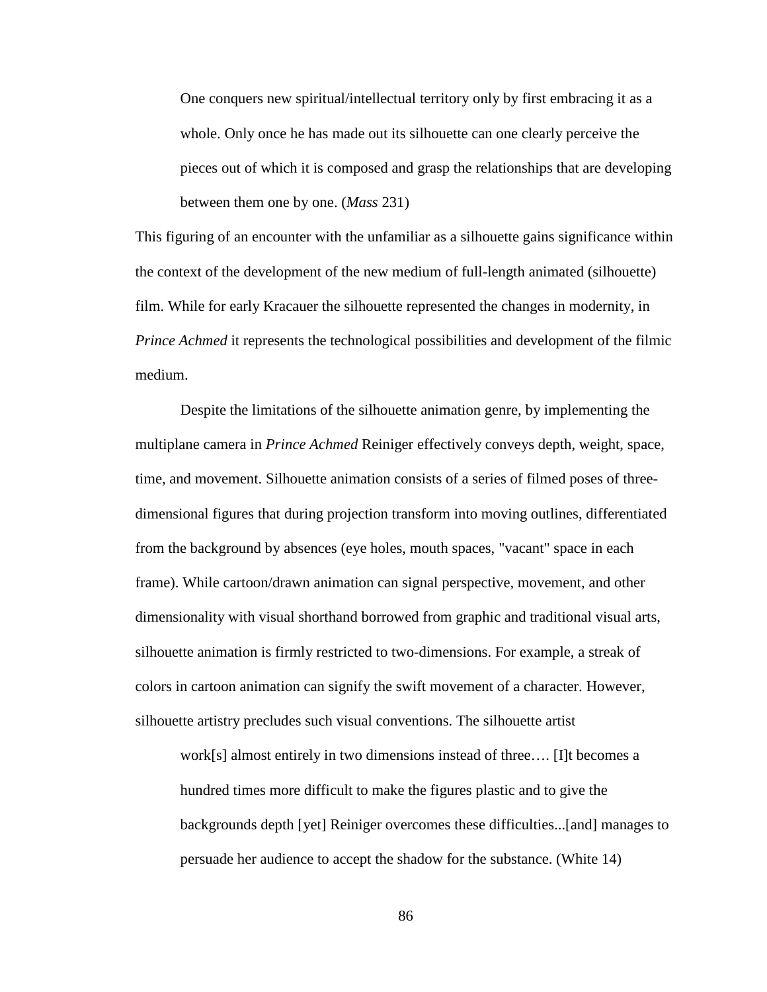One conquers new spiritual/intellectual territory only by first embracing it as a whole. Only once he has made out its silhouette can one clearly perceive the pieces out of which it is composed and grasp the relationships that are developing between them one by one. (*Mass* 231)

This figuring of an encounter with the unfamiliar as a silhouette gains significance within the context of the development of the new medium of full-length animated (silhouette) film. While for early Kracauer the silhouette represented the changes in modernity, in *Prince Achmed* it represents the technological possibilities and development of the filmic medium.

Despite the limitations of the silhouette animation genre, by implementing the multiplane camera in *Prince Achmed* Reiniger effectively conveys depth, weight, space, time, and movement. Silhouette animation consists of a series of filmed poses of threedimensional figures that during projection transform into moving outlines, differentiated from the background by absences (eye holes, mouth spaces, "vacant" space in each frame). While cartoon/drawn animation can signal perspective, movement, and other dimensionality with visual shorthand borrowed from graphic and traditional visual arts, silhouette animation is firmly restricted to two-dimensions. For example, a streak of colors in cartoon animation can signify the swift movement of a character. However, silhouette artistry precludes such visual conventions. The silhouette artist

<span id="page-96-0"></span>work[s] almost entirely in two dimensions instead of three…. [I]t becomes a hundred times more difficult to make the figures plastic and to give the backgrounds depth [yet] Reiniger overcomes these difficulties...[and] manages to persuade her audience to accept the shadow for the substance. (White 14)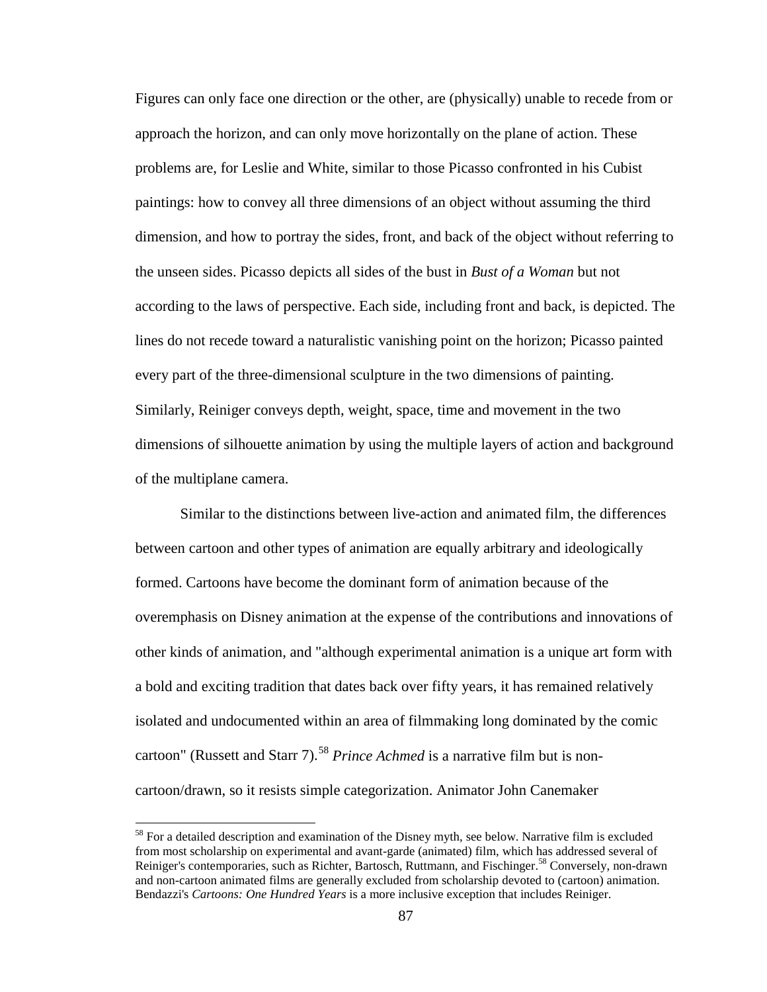Figures can only face one direction or the other, are (physically) unable to recede from or approach the horizon, and can only move horizontally on the plane of action. These problems are, for Leslie and White, similar to those Picasso confronted in his Cubist paintings: how to convey all three dimensions of an object without assuming the third dimension, and how to portray the sides, front, and back of the object without referring to the unseen sides. Picasso depicts all sides of the bust in *Bust of a Woman* but not according to the laws of perspective. Each side, including front and back, is depicted. The lines do not recede toward a naturalistic vanishing point on the horizon; Picasso painted every part of the three-dimensional sculpture in the two dimensions of painting. Similarly, Reiniger conveys depth, weight, space, time and movement in the two dimensions of silhouette animation by using the multiple layers of action and background of the multiplane camera.

Similar to the distinctions between live-action and animated film, the differences between cartoon and other types of animation are equally arbitrary and ideologically formed. Cartoons have become the dominant form of animation because of the overemphasis on Disney animation at the expense of the contributions and innovations of other kinds of animation, and "although experimental animation is a unique art form with a bold and exciting tradition that dates back over fifty years, it has remained relatively isolated and undocumented within an area of filmmaking long dominated by the comic cartoon" (Russett and Starr 7).<sup>[58](#page-103-0)</sup> Prince Achmed is a narrative film but is noncartoon/drawn, so it resists simple categorization. Animator John Canemaker

<sup>&</sup>lt;sup>58</sup> For a detailed description and examination of the Disney myth, see below. Narrative film is excluded from most scholarship on experimental and avant-garde (animated) film, which has addressed several of Reiniger's contemporaries, such as Richter, Bartosch, Ruttmann, and Fischinger.<sup>58</sup> Conversely, non-drawn and non-cartoon animated films are generally excluded from scholarship devoted to (cartoon) animation. Bendazzi's *Cartoons: One Hundred Years* is a more inclusive exception that includes Reiniger.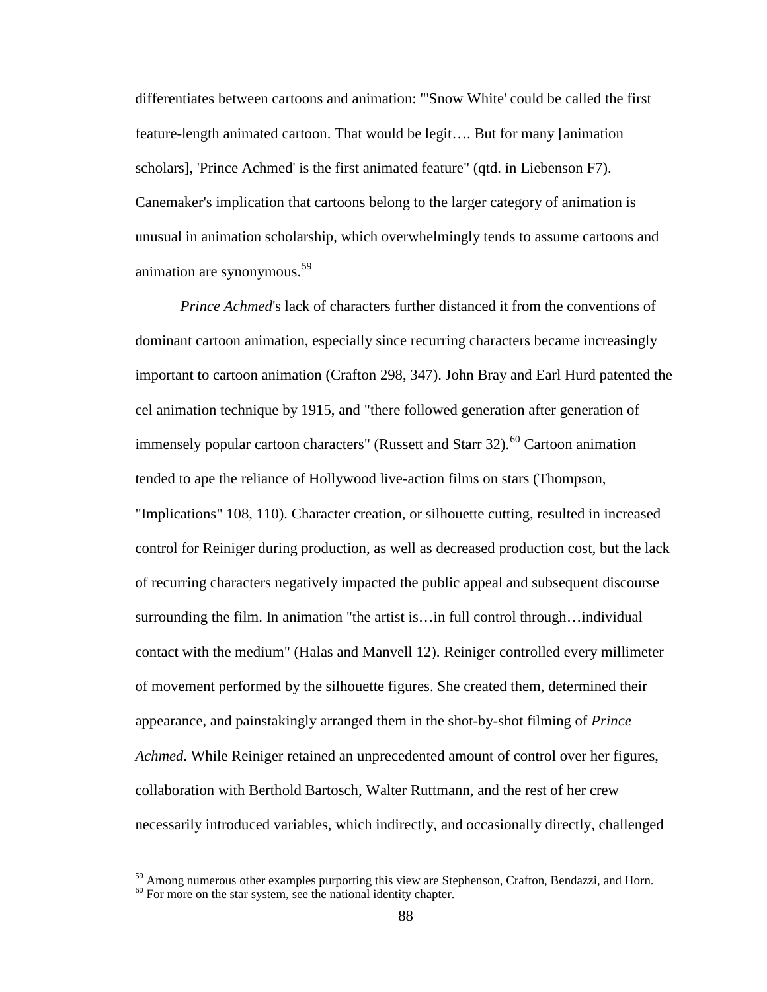differentiates between cartoons and animation: "'Snow White' could be called the first feature-length animated cartoon. That would be legit…. But for many [animation scholars], 'Prince Achmed' is the first animated feature" (qtd. in Liebenson F7). Canemaker's implication that cartoons belong to the larger category of animation is unusual in animation scholarship, which overwhelmingly tends to assume cartoons and animation are synonymous.<sup>[59](#page-104-0)</sup>

*Prince Achmed*'s lack of characters further distanced it from the conventions of dominant cartoon animation, especially since recurring characters became increasingly important to cartoon animation (Crafton 298, 347). John Bray and Earl Hurd patented the cel animation technique by 1915, and "there followed generation after generation of immensely popular cartoon characters" (Russett and Starr 32).<sup>[60](#page-104-1)</sup> Cartoon animation tended to ape the reliance of Hollywood live-action films on stars (Thompson, "Implications" 108, 110). Character creation, or silhouette cutting, resulted in increased control for Reiniger during production, as well as decreased production cost, but the lack of recurring characters negatively impacted the public appeal and subsequent discourse surrounding the film. In animation "the artist is…in full control through…individual contact with the medium" (Halas and Manvell 12). Reiniger controlled every millimeter of movement performed by the silhouette figures. She created them, determined their appearance, and painstakingly arranged them in the shot-by-shot filming of *Prince Achmed*. While Reiniger retained an unprecedented amount of control over her figures, collaboration with Berthold Bartosch, Walter Ruttmann, and the rest of her crew necessarily introduced variables, which indirectly, and occasionally directly, challenged

<sup>&</sup>lt;sup>59</sup> Among numerous other examples purporting this view are Stephenson, Crafton, Bendazzi, and Horn.

 $60$  For more on the star system, see the national identity chapter.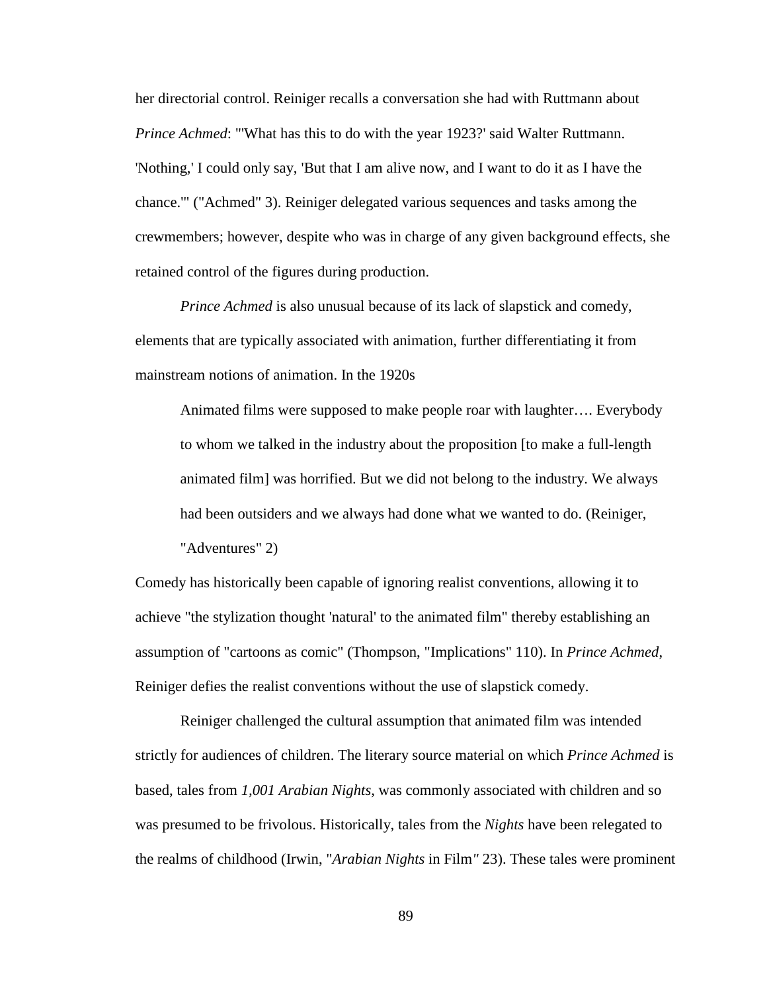her directorial control. Reiniger recalls a conversation she had with Ruttmann about *Prince Achmed*: "'What has this to do with the year 1923?' said Walter Ruttmann. 'Nothing,' I could only say, 'But that I am alive now, and I want to do it as I have the chance.'" ("Achmed" 3). Reiniger delegated various sequences and tasks among the crewmembers; however, despite who was in charge of any given background effects, she retained control of the figures during production.

*Prince Achmed* is also unusual because of its lack of slapstick and comedy, elements that are typically associated with animation, further differentiating it from mainstream notions of animation. In the 1920s

Animated films were supposed to make people roar with laughter…. Everybody to whom we talked in the industry about the proposition [to make a full-length animated film] was horrified. But we did not belong to the industry. We always had been outsiders and we always had done what we wanted to do. (Reiniger,

"Adventures" 2)

Comedy has historically been capable of ignoring realist conventions, allowing it to achieve "the stylization thought 'natural' to the animated film" thereby establishing an assumption of "cartoons as comic" (Thompson, "Implications" 110). In *Prince Achmed*, Reiniger defies the realist conventions without the use of slapstick comedy.

<span id="page-99-0"></span>Reiniger challenged the cultural assumption that animated film was intended strictly for audiences of children. The literary source material on which *Prince Achmed* is based, tales from *1,001 Arabian Nights*, was commonly associated with children and so was presumed to be frivolous. Historically, tales from the *Nights* have been relegated to the realms of childhood (Irwin, "*Arabian Nights* in Film*"* 23). These tales were prominent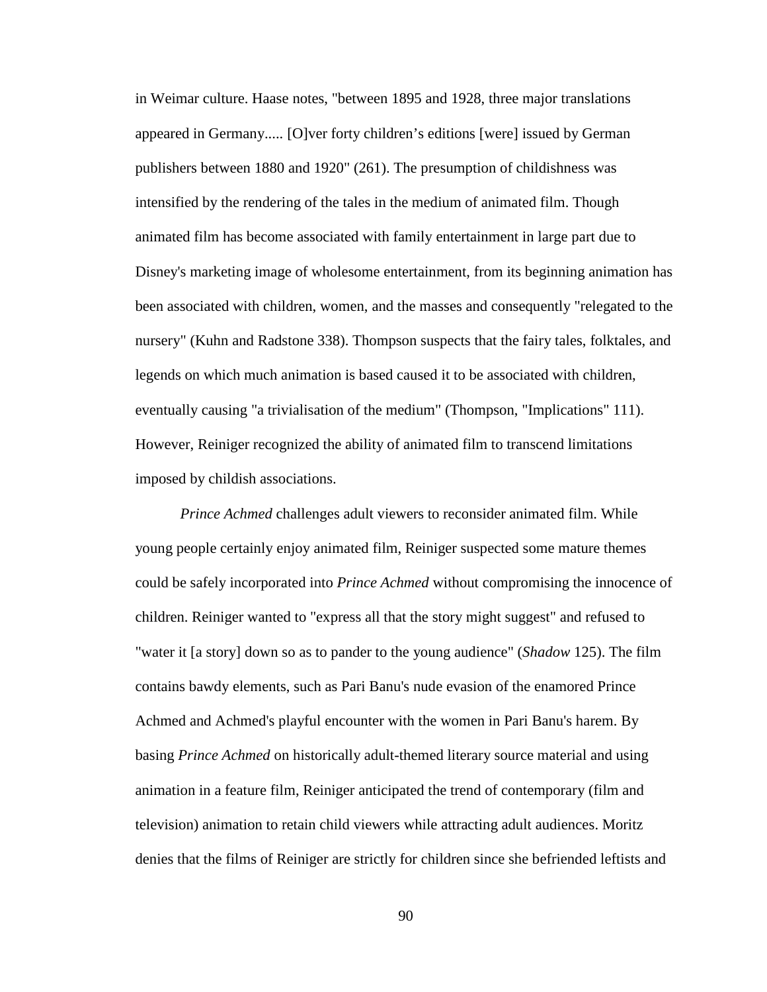in Weimar culture. Haase notes, "between 1895 and 1928, three major translations appeared in Germany..... [O]ver forty children's editions [were] issued by German publishers between 1880 and 1920" (261). The presumption of childishness was intensified by the rendering of the tales in the medium of animated film. Though animated film has become associated with family entertainment in large part due to Disney's marketing image of wholesome entertainment, from its beginning animation has been associated with children, women, and the masses and consequently "relegated to the nursery" (Kuhn and Radstone 338). Thompson suspects that the fairy tales, folktales, and legends on which much animation is based caused it to be associated with children, eventually causing "a trivialisation of the medium" (Thompson, "Implications" 111). However, Reiniger recognized the ability of animated film to transcend limitations imposed by childish associations.

*Prince Achmed* challenges adult viewers to reconsider animated film. While young people certainly enjoy animated film, Reiniger suspected some mature themes could be safely incorporated into *Prince Achmed* without compromising the innocence of children. Reiniger wanted to "express all that the story might suggest" and refused to "water it [a story] down so as to pander to the young audience" (*Shadow* 125). The film contains bawdy elements, such as Pari Banu's nude evasion of the enamored Prince Achmed and Achmed's playful encounter with the women in Pari Banu's harem. By basing *Prince Achmed* on historically adult-themed literary source material and using animation in a feature film, Reiniger anticipated the trend of contemporary (film and television) animation to retain child viewers while attracting adult audiences. Moritz denies that the films of Reiniger are strictly for children since she befriended leftists and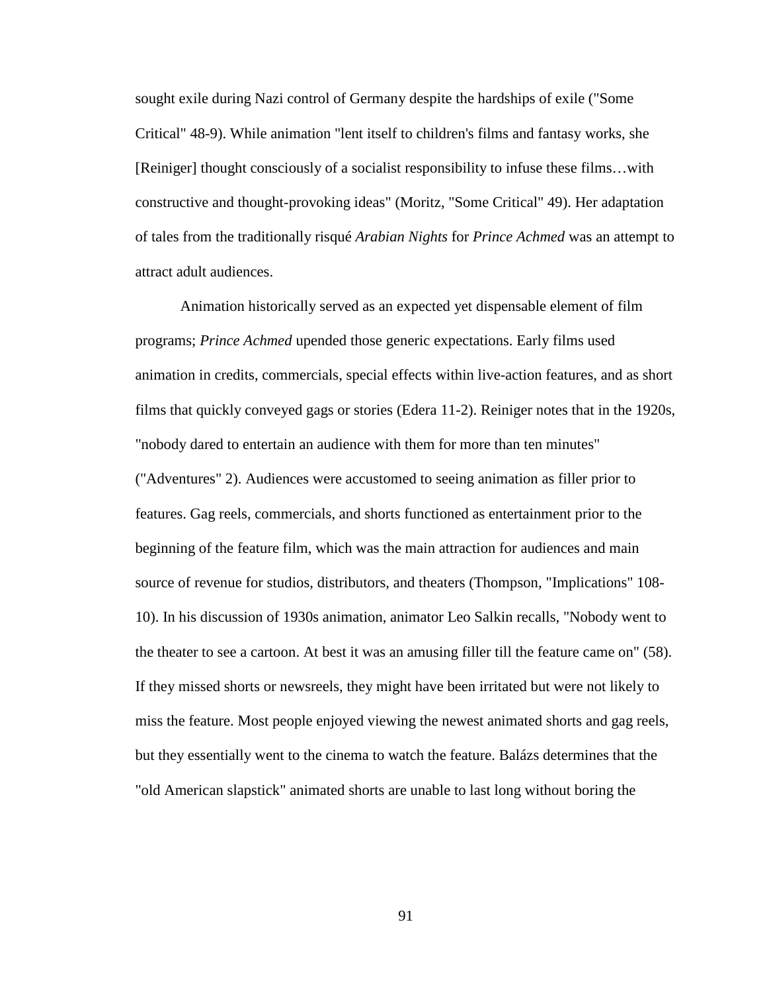sought exile during Nazi control of Germany despite the hardships of exile ("Some Critical" 48-9). While animation "lent itself to children's films and fantasy works, she [Reiniger] thought consciously of a socialist responsibility to infuse these films…with constructive and thought-provoking ideas" (Moritz, "Some Critical" 49). Her adaptation of tales from the traditionally risqué *Arabian Nights* for *Prince Achmed* was an attempt to attract adult audiences.

Animation historically served as an expected yet dispensable element of film programs; *Prince Achmed* upended those generic expectations. Early films used animation in credits, commercials, special effects within live-action features, and as short films that quickly conveyed gags or stories (Edera 11-2). Reiniger notes that in the 1920s, "nobody dared to entertain an audience with them for more than ten minutes" ("Adventures" 2). Audiences were accustomed to seeing animation as filler prior to features. Gag reels, commercials, and shorts functioned as entertainment prior to the beginning of the feature film, which was the main attraction for audiences and main source of revenue for studios, distributors, and theaters (Thompson, "Implications" 108- 10). In his discussion of 1930s animation, animator Leo Salkin recalls, "Nobody went to the theater to see a cartoon. At best it was an amusing filler till the feature came on" (58). If they missed shorts or newsreels, they might have been irritated but were not likely to miss the feature. Most people enjoyed viewing the newest animated shorts and gag reels, but they essentially went to the cinema to watch the feature. Balázs determines that the "old American slapstick" animated shorts are unable to last long without boring the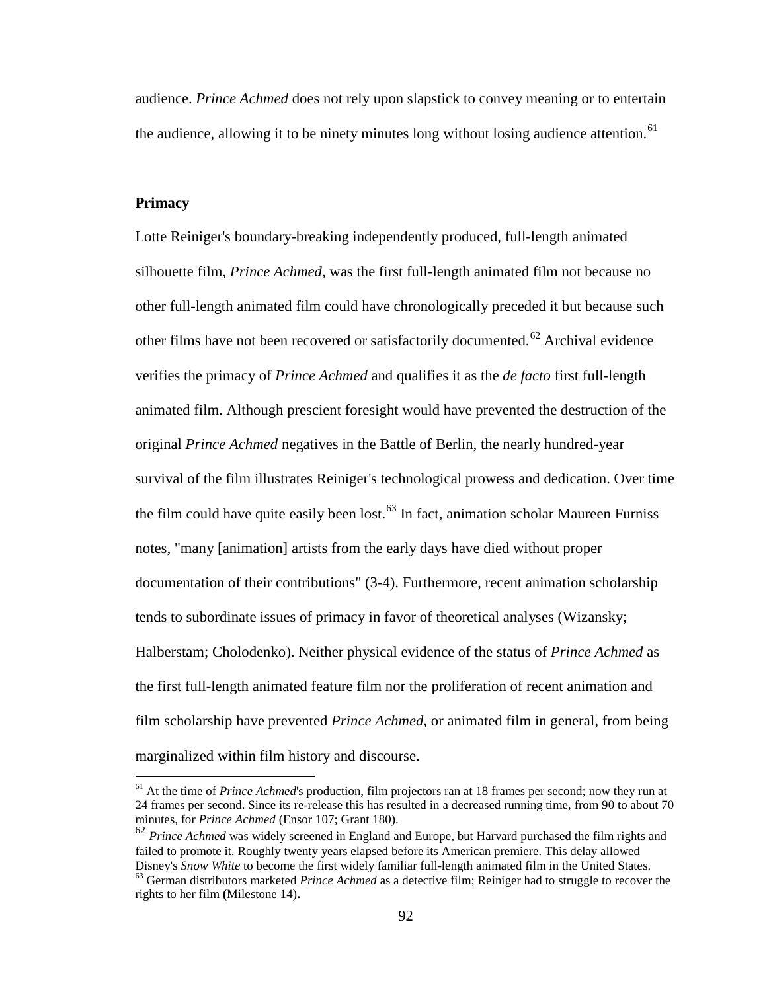audience. *Prince Achmed* does not rely upon slapstick to convey meaning or to entertain the audience, allowing it to be ninety minutes long without losing audience attention.<sup>[61](#page-108-0)</sup>

## **Primacy**

Lotte Reiniger's boundary-breaking independently produced, full-length animated silhouette film, *Prince Achmed*, was the first full-length animated film not because no other full-length animated film could have chronologically preceded it but because such other films have not been recovered or satisfactorily documented.<sup>[62](#page-108-1)</sup> Archival evidence verifies the primacy of *Prince Achmed* and qualifies it as the *de facto* first full-length animated film. Although prescient foresight would have prevented the destruction of the original *Prince Achmed* negatives in the Battle of Berlin, the nearly hundred-year survival of the film illustrates Reiniger's technological prowess and dedication. Over time the film could have quite easily been lost.<sup>[63](#page-108-2)</sup> In fact, animation scholar Maureen Furniss notes, "many [animation] artists from the early days have died without proper documentation of their contributions" (3-4). Furthermore, recent animation scholarship tends to subordinate issues of primacy in favor of theoretical analyses (Wizansky; Halberstam; Cholodenko). Neither physical evidence of the status of *Prince Achmed* as the first full-length animated feature film nor the proliferation of recent animation and film scholarship have prevented *Prince Achmed*, or animated film in general, from being marginalized within film history and discourse.

<sup>&</sup>lt;sup>61</sup> At the time of *Prince Achmed*'s production, film projectors ran at 18 frames per second; now they run at 24 frames per second. Since its re-release this has resulted in a decreased running time, from 90 to about 70 minutes, for *Prince Achmed* (Ensor 107; Grant 180).

<sup>&</sup>lt;sup>62</sup> *Prince Achmed* was widely screened in England and Europe, but Harvard purchased the film rights and failed to promote it. Roughly twenty years elapsed before its American premiere. This delay allowed<br>Disney's Snow White to become the first widely familiar full-length animated film in the United States. <sup>63</sup> German distributors marketed *Prince Achmed* as a detective film; Reiniger had to struggle to recover the

rights to her film **(**Milestone 14)**.**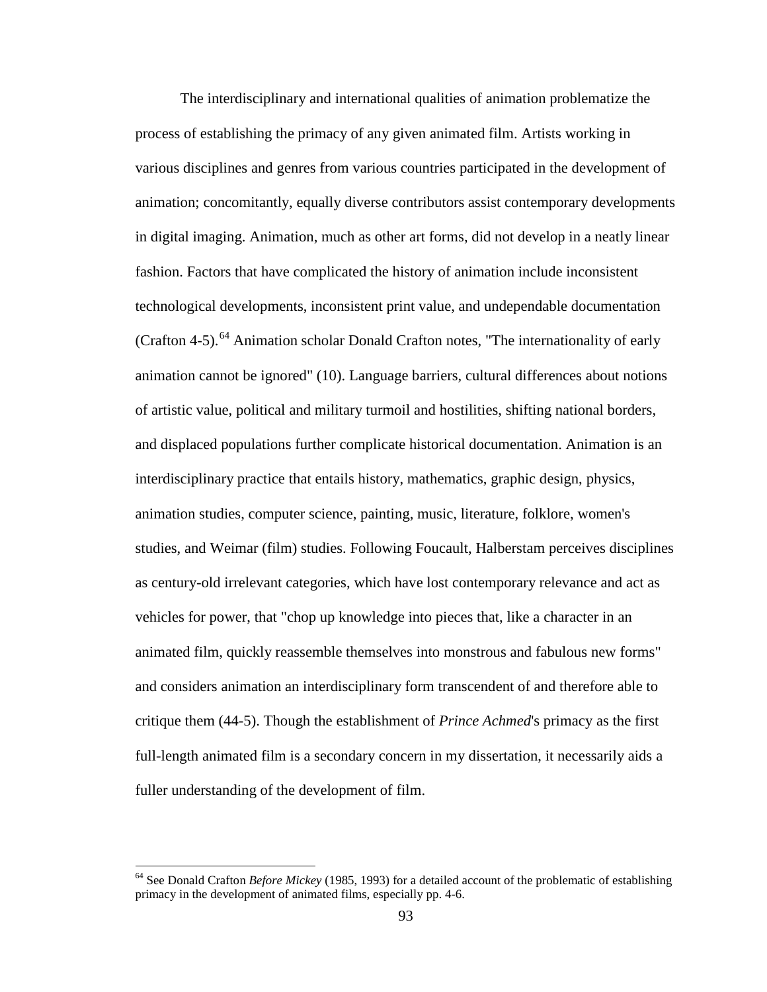The interdisciplinary and international qualities of animation problematize the process of establishing the primacy of any given animated film. Artists working in various disciplines and genres from various countries participated in the development of animation; concomitantly, equally diverse contributors assist contemporary developments in digital imaging. Animation, much as other art forms, did not develop in a neatly linear fashion. Factors that have complicated the history of animation include inconsistent technological developments, inconsistent print value, and undependable documentation (Crafton 4-5).<sup>[64](#page-109-0)</sup> Animation scholar Donald Crafton notes, "The internationality of early animation cannot be ignored" (10). Language barriers, cultural differences about notions of artistic value, political and military turmoil and hostilities, shifting national borders, and displaced populations further complicate historical documentation. Animation is an interdisciplinary practice that entails history, mathematics, graphic design, physics, animation studies, computer science, painting, music, literature, folklore, women's studies, and Weimar (film) studies. Following Foucault, Halberstam perceives disciplines as century-old irrelevant categories, which have lost contemporary relevance and act as vehicles for power, that "chop up knowledge into pieces that, like a character in an animated film, quickly reassemble themselves into monstrous and fabulous new forms" and considers animation an interdisciplinary form transcendent of and therefore able to critique them (44-5). Though the establishment of *Prince Achmed*'s primacy as the first full-length animated film is a secondary concern in my dissertation, it necessarily aids a fuller understanding of the development of film.

<span id="page-103-0"></span><sup>64</sup> See Donald Crafton *Before Mickey* (1985, 1993) for a detailed account of the problematic of establishing primacy in the development of animated films, especially pp. 4-6.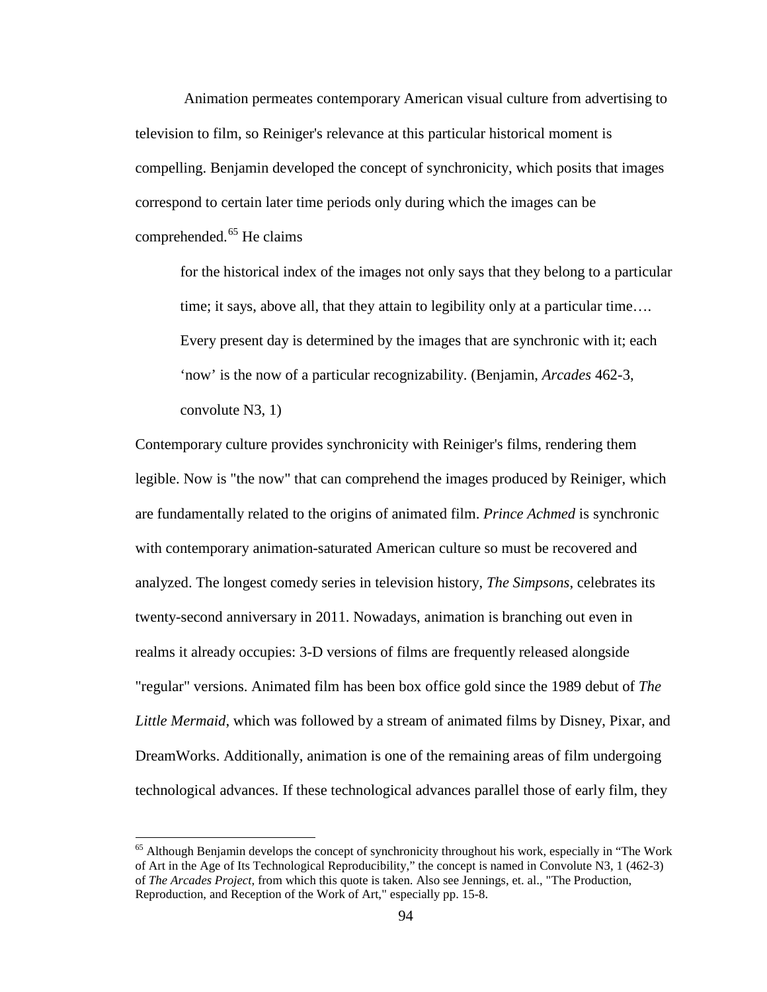Animation permeates contemporary American visual culture from advertising to television to film, so Reiniger's relevance at this particular historical moment is compelling. Benjamin developed the concept of synchronicity, which posits that images correspond to certain later time periods only during which the images can be comprehended.<sup>[65](#page-110-0)</sup> He claims

for the historical index of the images not only says that they belong to a particular time; it says, above all, that they attain to legibility only at a particular time…. Every present day is determined by the images that are synchronic with it; each 'now' is the now of a particular recognizability. (Benjamin, *Arcades* 462-3, convolute N3, 1)

Contemporary culture provides synchronicity with Reiniger's films, rendering them legible. Now is "the now" that can comprehend the images produced by Reiniger, which are fundamentally related to the origins of animated film. *Prince Achmed* is synchronic with contemporary animation-saturated American culture so must be recovered and analyzed. The longest comedy series in television history, *The Simpsons*, celebrates its twenty-second anniversary in 2011. Nowadays, animation is branching out even in realms it already occupies: 3-D versions of films are frequently released alongside "regular" versions. Animated film has been box office gold since the 1989 debut of *The Little Mermaid*, which was followed by a stream of animated films by Disney, Pixar, and DreamWorks. Additionally, animation is one of the remaining areas of film undergoing technological advances. If these technological advances parallel those of early film, they

<span id="page-104-1"></span><span id="page-104-0"></span><sup>&</sup>lt;sup>65</sup> Although Benjamin develops the concept of synchronicity throughout his work, especially in "The Work" of Art in the Age of Its Technological Reproducibility," the concept is named in Convolute N3, 1 (462-3) of *The Arcades Project*, from which this quote is taken. Also see Jennings, et. al., "The Production, Reproduction, and Reception of the Work of Art," especially pp. 15-8.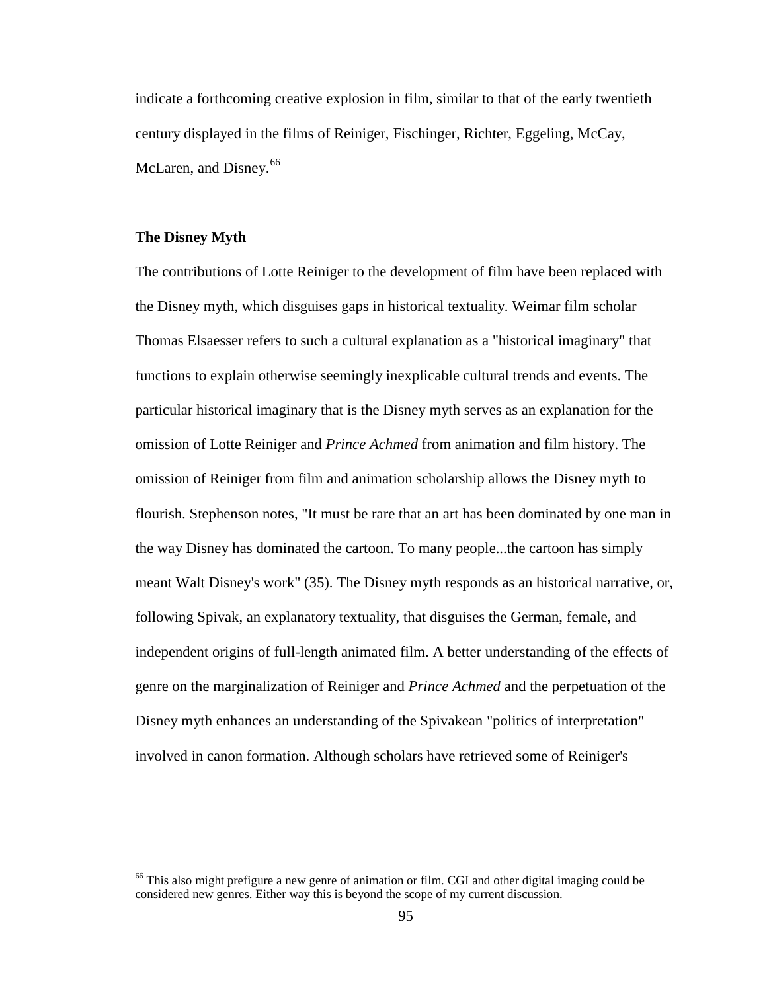indicate a forthcoming creative explosion in film, similar to that of the early twentieth century displayed in the films of Reiniger, Fischinger, Richter, Eggeling, McCay, McLaren, and Disney.<sup>[66](#page-111-0)</sup>

## **The Disney Myth**

The contributions of Lotte Reiniger to the development of film have been replaced with the Disney myth, which disguises gaps in historical textuality. Weimar film scholar Thomas Elsaesser refers to such a cultural explanation as a "historical imaginary" that functions to explain otherwise seemingly inexplicable cultural trends and events. The particular historical imaginary that is the Disney myth serves as an explanation for the omission of Lotte Reiniger and *Prince Achmed* from animation and film history. The omission of Reiniger from film and animation scholarship allows the Disney myth to flourish. Stephenson notes, "It must be rare that an art has been dominated by one man in the way Disney has dominated the cartoon. To many people...the cartoon has simply meant Walt Disney's work" (35). The Disney myth responds as an historical narrative, or, following Spivak, an explanatory textuality, that disguises the German, female, and independent origins of full-length animated film. A better understanding of the effects of genre on the marginalization of Reiniger and *Prince Achmed* and the perpetuation of the Disney myth enhances an understanding of the Spivakean "politics of interpretation" involved in canon formation. Although scholars have retrieved some of Reiniger's

<sup>&</sup>lt;sup>66</sup> This also might prefigure a new genre of animation or film. CGI and other digital imaging could be considered new genres. Either way this is beyond the scope of my current discussion.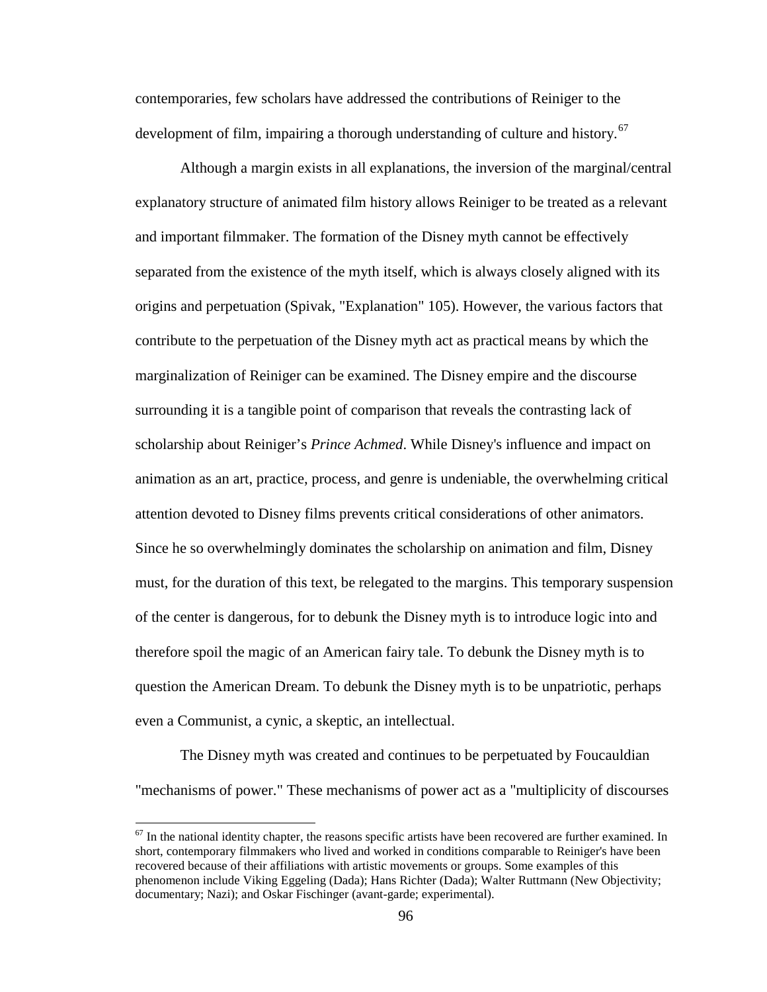contemporaries, few scholars have addressed the contributions of Reiniger to the development of film, impairing a thorough understanding of culture and history.<sup>[67](#page-112-0)</sup>

Although a margin exists in all explanations, the inversion of the marginal/central explanatory structure of animated film history allows Reiniger to be treated as a relevant and important filmmaker. The formation of the Disney myth cannot be effectively separated from the existence of the myth itself, which is always closely aligned with its origins and perpetuation (Spivak, "Explanation" 105). However, the various factors that contribute to the perpetuation of the Disney myth act as practical means by which the marginalization of Reiniger can be examined. The Disney empire and the discourse surrounding it is a tangible point of comparison that reveals the contrasting lack of scholarship about Reiniger's *Prince Achmed*. While Disney's influence and impact on animation as an art, practice, process, and genre is undeniable, the overwhelming critical attention devoted to Disney films prevents critical considerations of other animators. Since he so overwhelmingly dominates the scholarship on animation and film, Disney must, for the duration of this text, be relegated to the margins. This temporary suspension of the center is dangerous, for to debunk the Disney myth is to introduce logic into and therefore spoil the magic of an American fairy tale. To debunk the Disney myth is to question the American Dream. To debunk the Disney myth is to be unpatriotic, perhaps even a Communist, a cynic, a skeptic, an intellectual.

The Disney myth was created and continues to be perpetuated by Foucauldian "mechanisms of power." These mechanisms of power act as a "multiplicity of discourses

 $67$  In the national identity chapter, the reasons specific artists have been recovered are further examined. In short, contemporary filmmakers who lived and worked in conditions comparable to Reiniger's have been recovered because of their affiliations with artistic movements or groups. Some examples of this phenomenon include Viking Eggeling (Dada); Hans Richter (Dada); Walter Ruttmann (New Objectivity; documentary; Nazi); and Oskar Fischinger (avant-garde; experimental).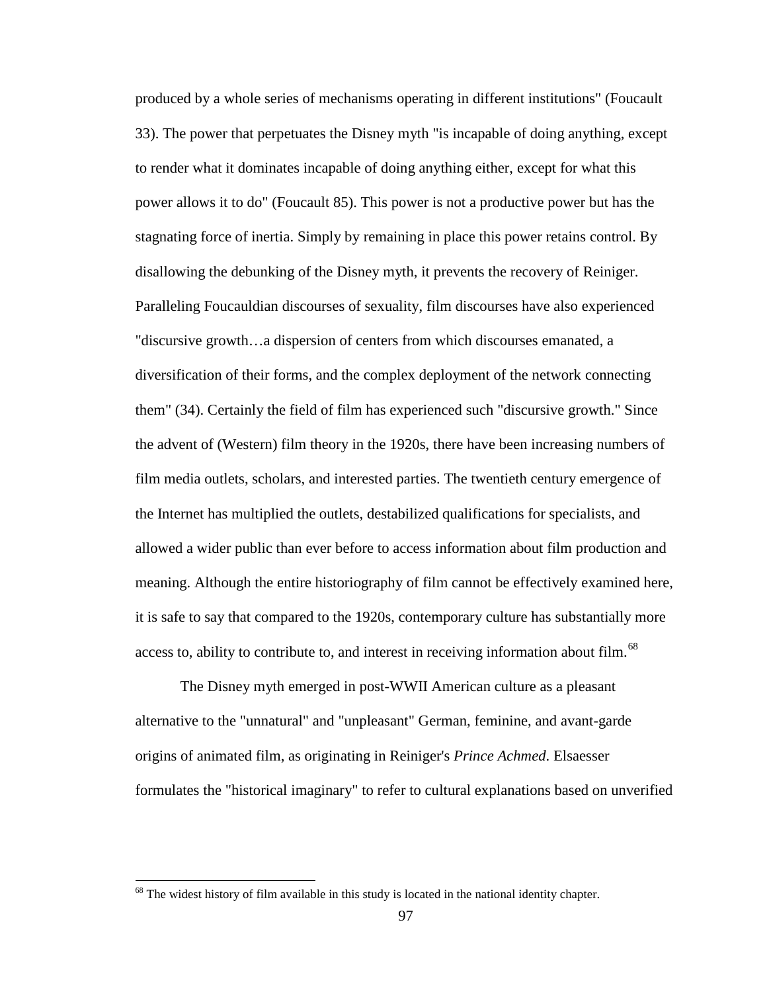produced by a whole series of mechanisms operating in different institutions" (Foucault 33). The power that perpetuates the Disney myth "is incapable of doing anything, except to render what it dominates incapable of doing anything either, except for what this power allows it to do" (Foucault 85). This power is not a productive power but has the stagnating force of inertia. Simply by remaining in place this power retains control. By disallowing the debunking of the Disney myth, it prevents the recovery of Reiniger. Paralleling Foucauldian discourses of sexuality, film discourses have also experienced "discursive growth…a dispersion of centers from which discourses emanated, a diversification of their forms, and the complex deployment of the network connecting them" (34). Certainly the field of film has experienced such "discursive growth." Since the advent of (Western) film theory in the 1920s, there have been increasing numbers of film media outlets, scholars, and interested parties. The twentieth century emergence of the Internet has multiplied the outlets, destabilized qualifications for specialists, and allowed a wider public than ever before to access information about film production and meaning. Although the entire historiography of film cannot be effectively examined here, it is safe to say that compared to the 1920s, contemporary culture has substantially more access to, ability to contribute to, and interest in receiving information about film.<sup>[68](#page-113-0)</sup>

The Disney myth emerged in post-WWII American culture as a pleasant alternative to the "unnatural" and "unpleasant" German, feminine, and avant-garde origins of animated film, as originating in Reiniger's *Prince Achmed*. Elsaesser formulates the "historical imaginary" to refer to cultural explanations based on unverified

<sup>&</sup>lt;sup>68</sup> The widest history of film available in this study is located in the national identity chapter.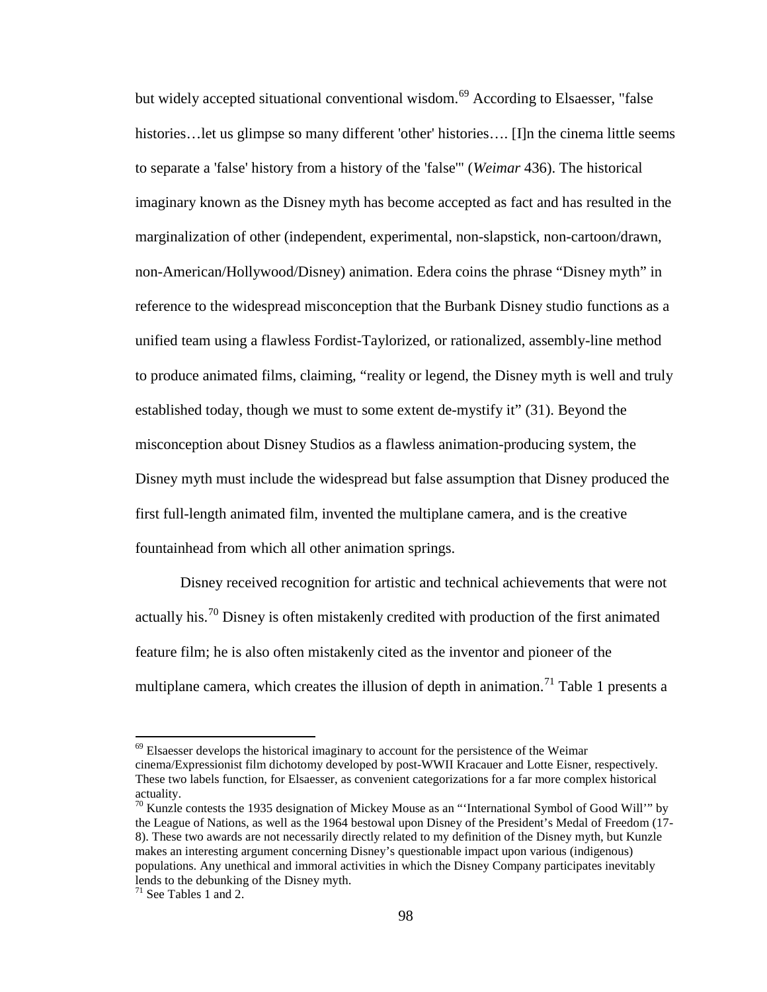but widely accepted situational conventional wisdom.<sup>[69](#page-114-0)</sup> According to Elsaesser, "false histories... let us glimpse so many different 'other' histories.... [I]n the cinema little seems to separate a 'false' history from a history of the 'false'" (*Weimar* 436). The historical imaginary known as the Disney myth has become accepted as fact and has resulted in the marginalization of other (independent, experimental, non-slapstick, non-cartoon/drawn, non-American/Hollywood/Disney) animation. Edera coins the phrase "Disney myth" in reference to the widespread misconception that the Burbank Disney studio functions as a unified team using a flawless Fordist-Taylorized, or rationalized, assembly-line method to produce animated films, claiming, "reality or legend, the Disney myth is well and truly established today, though we must to some extent de-mystify it" (31). Beyond the misconception about Disney Studios as a flawless animation-producing system, the Disney myth must include the widespread but false assumption that Disney produced the first full-length animated film, invented the multiplane camera, and is the creative fountainhead from which all other animation springs.

Disney received recognition for artistic and technical achievements that were not actually his.<sup>[70](#page-114-1)</sup> Disney is often mistakenly credited with production of the first animated feature film; he is also often mistakenly cited as the inventor and pioneer of the multiplane camera, which creates the illusion of depth in animation.<sup>[71](#page-114-2)</sup> Table 1 presents a

 $69$  Elsaesser develops the historical imaginary to account for the persistence of the Weimar cinema/Expressionist film dichotomy developed by post-WWII Kracauer and Lotte Eisner, respectively. These two labels function, for Elsaesser, as convenient categorizations for a far more complex historical actuality.

<sup>&</sup>lt;sup>70</sup> Kunzle contests the 1935 designation of Mickey Mouse as an "'International Symbol of Good Will'" by the League of Nations, as well as the 1964 bestowal upon Disney of the President's Medal of Freedom (17- 8). These two awards are not necessarily directly related to my definition of the Disney myth, but Kunzle makes an interesting argument concerning Disney's questionable impact upon various (indigenous) populations. Any unethical and immoral activities in which the Disney Company participates inevitably lends to the debunking of the Disney myth.

 $71$  See Tables 1 and 2.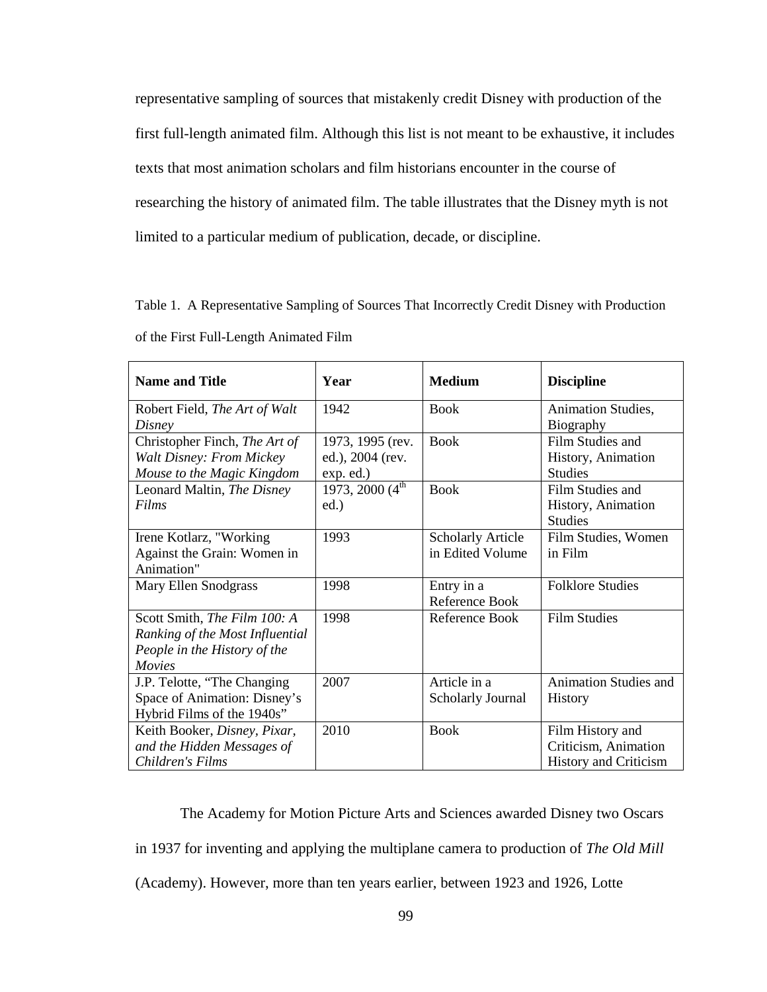representative sampling of sources that mistakenly credit Disney with production of the first full-length animated film. Although this list is not meant to be exhaustive, it includes texts that most animation scholars and film historians encounter in the course of researching the history of animated film. The table illustrates that the Disney myth is not limited to a particular medium of publication, decade, or discipline.

|                                        | Table 1. A Representative Sampling of Sources That Incorrectly Credit Disney with Production |  |  |
|----------------------------------------|----------------------------------------------------------------------------------------------|--|--|
| of the First Full-Length Animated Film |                                                                                              |  |  |

| <b>Name and Title</b>           | Year                             | <b>Medium</b>            | <b>Discipline</b>            |
|---------------------------------|----------------------------------|--------------------------|------------------------------|
| Robert Field, The Art of Walt   | 1942                             | <b>Book</b>              | Animation Studies,           |
| Disney                          |                                  |                          | Biography                    |
| Christopher Finch, The Art of   | 1973, 1995 (rev.                 | <b>Book</b>              | Film Studies and             |
| <b>Walt Disney: From Mickey</b> | ed.), 2004 (rev.                 |                          | History, Animation           |
| Mouse to the Magic Kingdom      | exp. ed.)                        |                          | <b>Studies</b>               |
| Leonard Maltin, The Disney      | 1973, 2000 $\overline{(4^{th}})$ | <b>Book</b>              | Film Studies and             |
| Films                           | ed.)                             |                          | History, Animation           |
|                                 |                                  |                          | <b>Studies</b>               |
| Irene Kotlarz, "Working         | 1993                             | <b>Scholarly Article</b> | Film Studies, Women          |
| Against the Grain: Women in     |                                  | in Edited Volume         | in Film                      |
| Animation"                      |                                  |                          |                              |
| Mary Ellen Snodgrass            | 1998                             | Entry in a               | <b>Folklore Studies</b>      |
|                                 |                                  | Reference Book           |                              |
| Scott Smith, The Film 100: A    | 1998                             | Reference Book           | <b>Film Studies</b>          |
| Ranking of the Most Influential |                                  |                          |                              |
| People in the History of the    |                                  |                          |                              |
| <i>Movies</i>                   |                                  |                          |                              |
| J.P. Telotte, "The Changing     | 2007                             | Article in a             | <b>Animation Studies and</b> |
| Space of Animation: Disney's    |                                  | <b>Scholarly Journal</b> | History                      |
| Hybrid Films of the 1940s"      |                                  |                          |                              |
| Keith Booker, Disney, Pixar,    | 2010                             | <b>Book</b>              | Film History and             |
| and the Hidden Messages of      |                                  |                          | Criticism, Animation         |
| Children's Films                |                                  |                          | <b>History and Criticism</b> |

The Academy for Motion Picture Arts and Sciences awarded Disney two Oscars in 1937 for inventing and applying the multiplane camera to production of *The Old Mill*  (Academy). However, more than ten years earlier, between 1923 and 1926, Lotte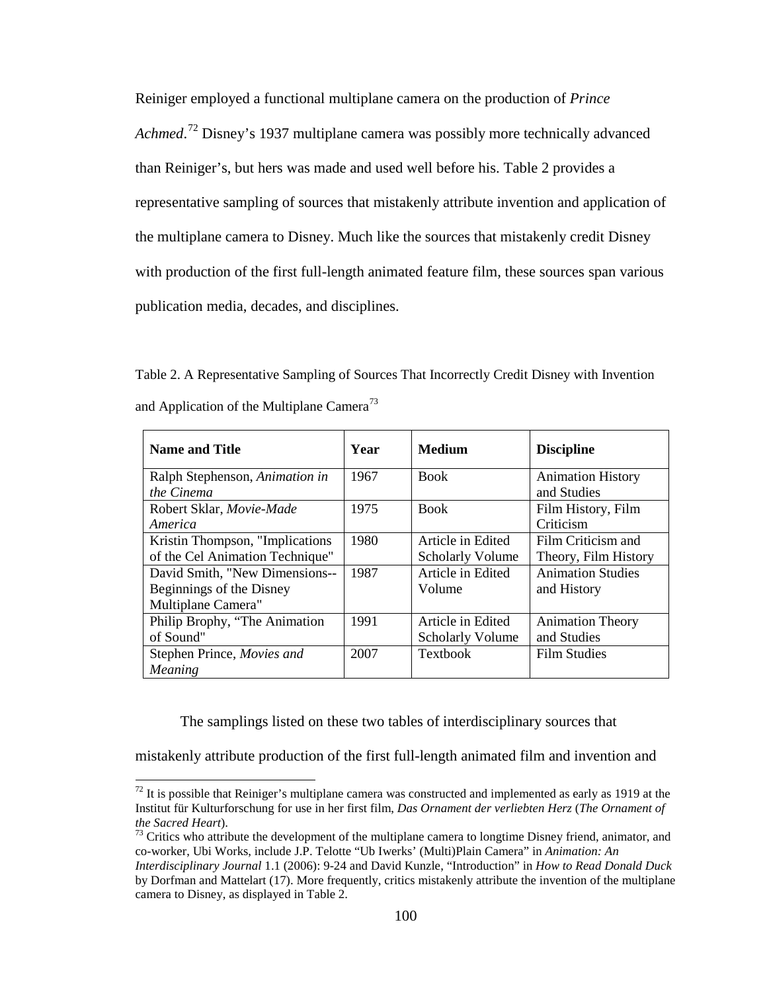Reiniger employed a functional multiplane camera on the production of *Prince*  Achmed.<sup>[72](#page-116-0)</sup> Disney's 1937 multiplane camera was possibly more technically advanced than Reiniger's, but hers was made and used well before his. Table 2 provides a representative sampling of sources that mistakenly attribute invention and application of the multiplane camera to Disney. Much like the sources that mistakenly credit Disney with production of the first full-length animated feature film, these sources span various publication media, decades, and disciplines.

Table 2. A Representative Sampling of Sources That Incorrectly Credit Disney with Invention and Application of the Multiplane Camera<sup>[73](#page-116-1)</sup>

| <b>Name and Title</b>            | Year | <b>Medium</b>           | <b>Discipline</b>        |
|----------------------------------|------|-------------------------|--------------------------|
| Ralph Stephenson, Animation in   | 1967 | <b>Book</b>             | <b>Animation History</b> |
| the Cinema                       |      |                         | and Studies              |
| Robert Sklar, Movie-Made         | 1975 | <b>Book</b>             | Film History, Film       |
| America                          |      |                         | Criticism                |
| Kristin Thompson, "Implications" | 1980 | Article in Edited       | Film Criticism and       |
| of the Cel Animation Technique"  |      | <b>Scholarly Volume</b> | Theory, Film History     |
| David Smith, "New Dimensions--   | 1987 | Article in Edited       | <b>Animation Studies</b> |
| Beginnings of the Disney         |      | Volume                  | and History              |
| Multiplane Camera"               |      |                         |                          |
| Philip Brophy, "The Animation"   | 1991 | Article in Edited       | <b>Animation Theory</b>  |
| of Sound"                        |      | <b>Scholarly Volume</b> | and Studies              |
| Stephen Prince, Movies and       | 2007 | <b>Textbook</b>         | <b>Film Studies</b>      |
| Meaning                          |      |                         |                          |

The samplings listed on these two tables of interdisciplinary sources that

mistakenly attribute production of the first full-length animated film and invention and

 $^{72}$  It is possible that Reiniger's multiplane camera was constructed and implemented as early as 1919 at the Institut für Kulturforschung for use in her first film, *Das Ornament der verliebten Herz* (*The Ornament of the Sacred Heart*).<br><sup>73</sup> Critics who attribute the development of the multiplane camera to longtime Disney friend, animator, and

co-worker, Ubi Works, include J.P. Telotte "Ub Iwerks' (Multi)Plain Camera" in *Animation: An* 

*Interdisciplinary Journal* 1.1 (2006): 9-24 and David Kunzle, "Introduction" in *How to Read Donald Duck*  by Dorfman and Mattelart (17). More frequently, critics mistakenly attribute the invention of the multiplane camera to Disney, as displayed in Table 2.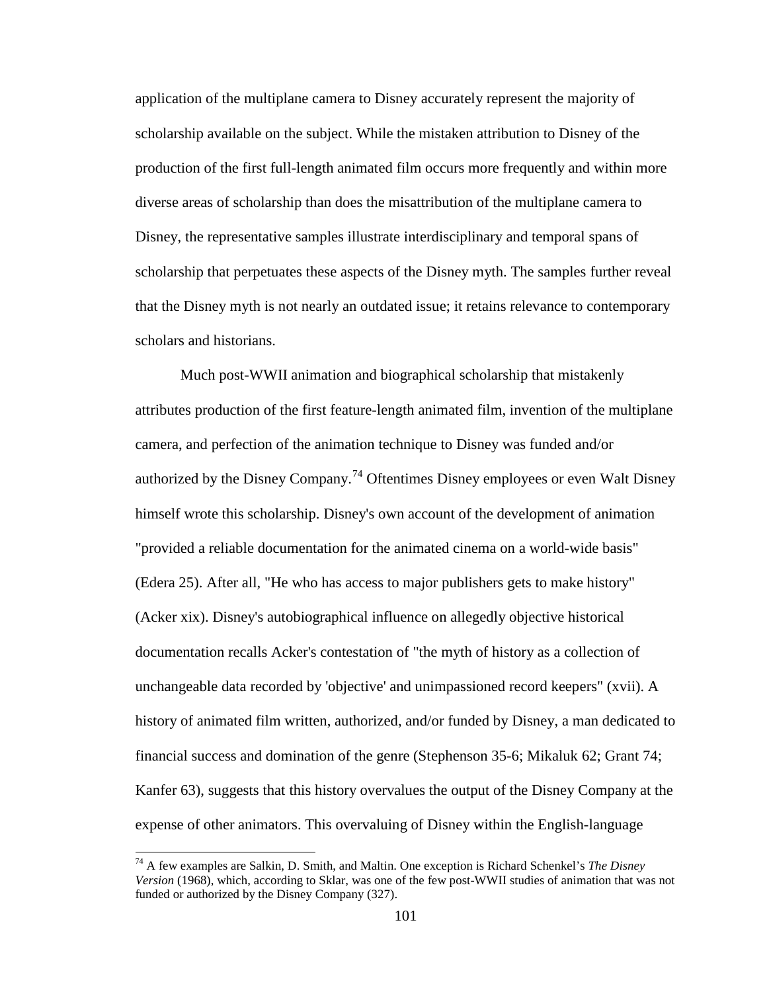application of the multiplane camera to Disney accurately represent the majority of scholarship available on the subject. While the mistaken attribution to Disney of the production of the first full-length animated film occurs more frequently and within more diverse areas of scholarship than does the misattribution of the multiplane camera to Disney, the representative samples illustrate interdisciplinary and temporal spans of scholarship that perpetuates these aspects of the Disney myth. The samples further reveal that the Disney myth is not nearly an outdated issue; it retains relevance to contemporary scholars and historians.

Much post-WWII animation and biographical scholarship that mistakenly attributes production of the first feature-length animated film, invention of the multiplane camera, and perfection of the animation technique to Disney was funded and/or authorized by the Disney Company.<sup>[74](#page-117-0)</sup> Oftentimes Disney employees or even Walt Disney himself wrote this scholarship. Disney's own account of the development of animation "provided a reliable documentation for the animated cinema on a world-wide basis" (Edera 25). After all, "He who has access to major publishers gets to make history" (Acker xix). Disney's autobiographical influence on allegedly objective historical documentation recalls Acker's contestation of "the myth of history as a collection of unchangeable data recorded by 'objective' and unimpassioned record keepers" (xvii). A history of animated film written, authorized, and/or funded by Disney, a man dedicated to financial success and domination of the genre (Stephenson 35-6; Mikaluk 62; Grant 74; Kanfer 63), suggests that this history overvalues the output of the Disney Company at the expense of other animators. This overvaluing of Disney within the English-language

<sup>74</sup> A few examples are Salkin, D. Smith, and Maltin. One exception is Richard Schenkel's *The Disney Version* (1968), which, according to Sklar, was one of the few post-WWII studies of animation that was not funded or authorized by the Disney Company (327).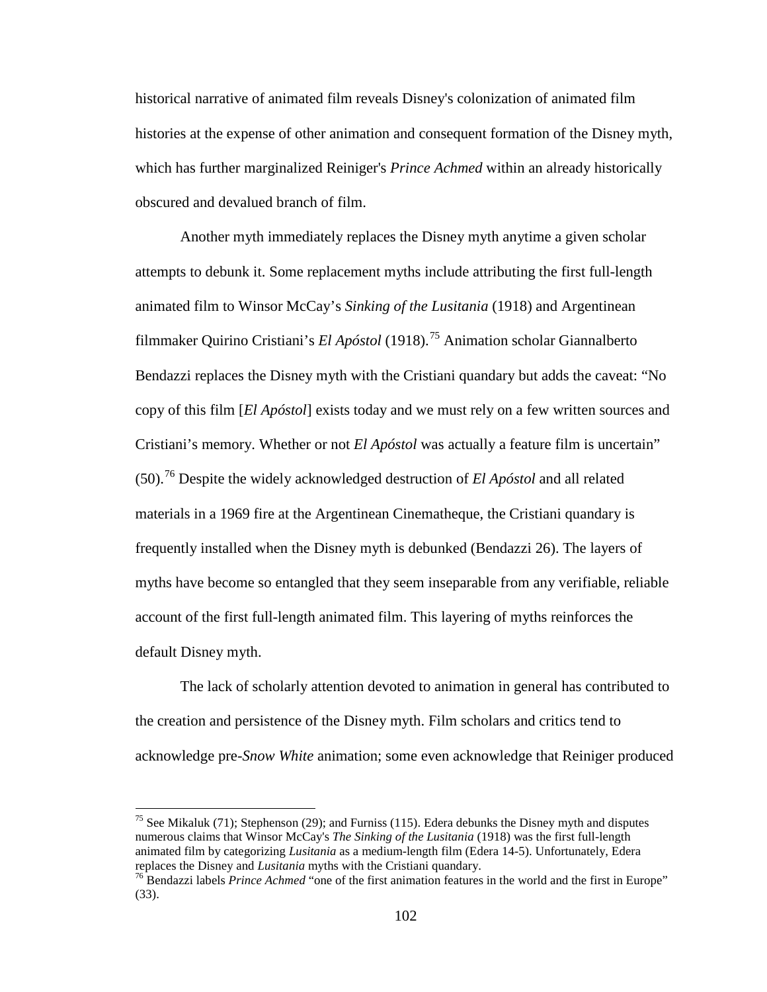historical narrative of animated film reveals Disney's colonization of animated film histories at the expense of other animation and consequent formation of the Disney myth, which has further marginalized Reiniger's *Prince Achmed* within an already historically obscured and devalued branch of film.

Another myth immediately replaces the Disney myth anytime a given scholar attempts to debunk it. Some replacement myths include attributing the first full-length animated film to Winsor McCay's *Sinking of the Lusitania* (1918) and Argentinean filmmaker Quirino Cristiani's *El Apóstol* (1918).[75](#page-118-0) Animation scholar Giannalberto Bendazzi replaces the Disney myth with the Cristiani quandary but adds the caveat: "No copy of this film [*El Apóstol*] exists today and we must rely on a few written sources and Cristiani's memory. Whether or not *El Apóstol* was actually a feature film is uncertain" (50).[76](#page-118-1) Despite the widely acknowledged destruction of *El Apóstol* and all related materials in a 1969 fire at the Argentinean Cinematheque, the Cristiani quandary is frequently installed when the Disney myth is debunked (Bendazzi 26). The layers of myths have become so entangled that they seem inseparable from any verifiable, reliable account of the first full-length animated film. This layering of myths reinforces the default Disney myth.

The lack of scholarly attention devoted to animation in general has contributed to the creation and persistence of the Disney myth. Film scholars and critics tend to acknowledge pre-*Snow White* animation; some even acknowledge that Reiniger produced

<sup>&</sup>lt;sup>75</sup> See Mikaluk (71); Stephenson (29); and Furniss (115). Edera debunks the Disney myth and disputes numerous claims that Winsor McCay's *The Sinking of the Lusitania* (1918) was the first full-length animated film by categorizing *Lusitania* as a medium-length film (Edera 14-5). Unfortunately, Edera

replaces the Disney and *Lusitania* myths with the Cristiani quandary.<br><sup>76</sup> Bendazzi labels *Prince Achmed* "one of the first animation features in the world and the first in Europe" (33).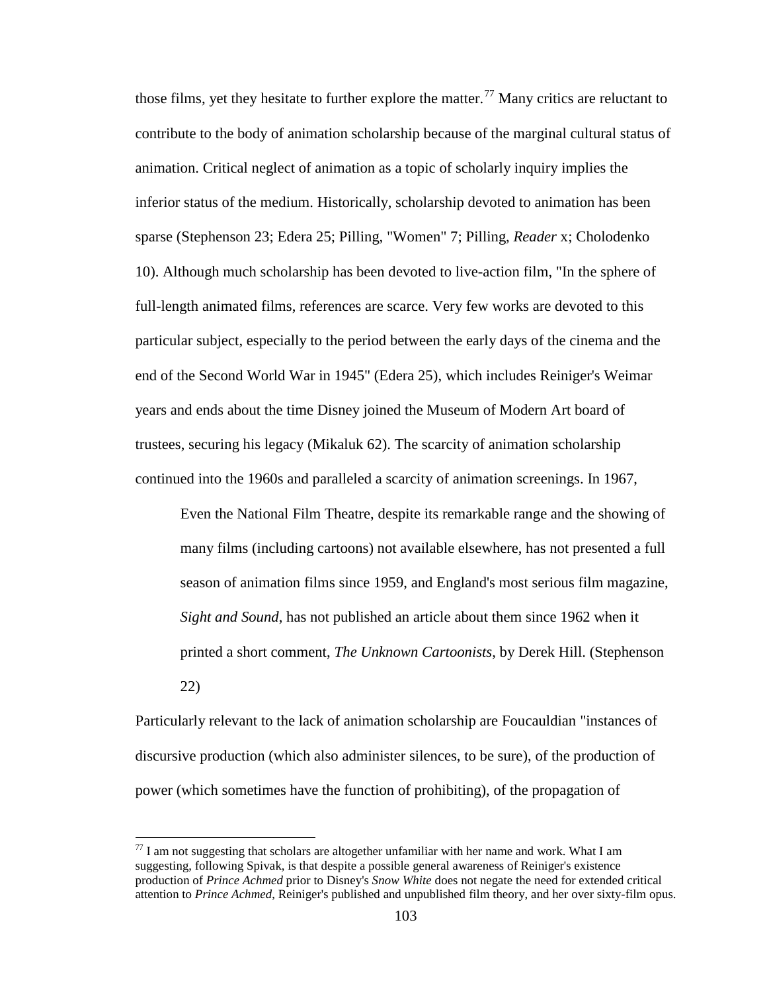those films, yet they hesitate to further explore the matter.<sup>[77](#page-119-0)</sup> Many critics are reluctant to contribute to the body of animation scholarship because of the marginal cultural status of animation. Critical neglect of animation as a topic of scholarly inquiry implies the inferior status of the medium. Historically, scholarship devoted to animation has been sparse (Stephenson 23; Edera 25; Pilling, "Women" 7; Pilling, *Reader* x; Cholodenko 10). Although much scholarship has been devoted to live-action film, "In the sphere of full-length animated films, references are scarce. Very few works are devoted to this particular subject, especially to the period between the early days of the cinema and the end of the Second World War in 1945" (Edera 25), which includes Reiniger's Weimar years and ends about the time Disney joined the Museum of Modern Art board of trustees, securing his legacy (Mikaluk 62). The scarcity of animation scholarship continued into the 1960s and paralleled a scarcity of animation screenings. In 1967,

Even the National Film Theatre, despite its remarkable range and the showing of many films (including cartoons) not available elsewhere, has not presented a full season of animation films since 1959, and England's most serious film magazine, *Sight and Sound*, has not published an article about them since 1962 when it printed a short comment, *The Unknown Cartoonists*, by Derek Hill. (Stephenson 22)

Particularly relevant to the lack of animation scholarship are Foucauldian "instances of discursive production (which also administer silences, to be sure), of the production of power (which sometimes have the function of prohibiting), of the propagation of

 $^{77}$  I am not suggesting that scholars are altogether unfamiliar with her name and work. What I am suggesting, following Spivak, is that despite a possible general awareness of Reiniger's existence production of *Prince Achmed* prior to Disney's *Snow White* does not negate the need for extended critical attention to *Prince Achmed*, Reiniger's published and unpublished film theory, and her over sixty-film opus.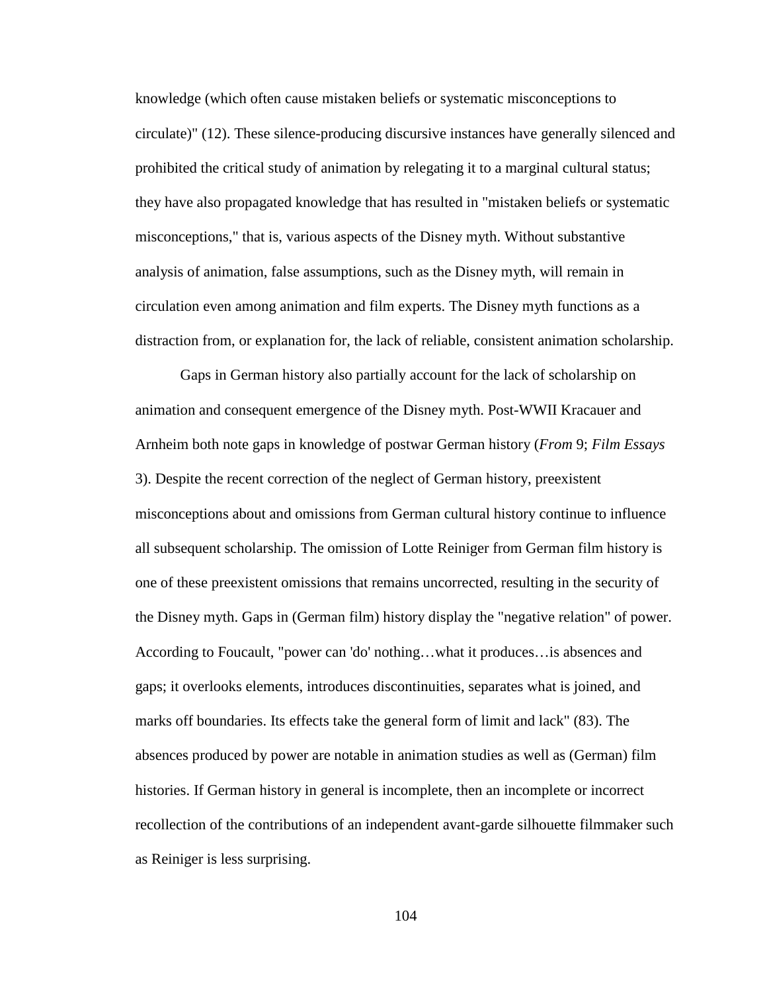knowledge (which often cause mistaken beliefs or systematic misconceptions to circulate)" (12). These silence-producing discursive instances have generally silenced and prohibited the critical study of animation by relegating it to a marginal cultural status; they have also propagated knowledge that has resulted in "mistaken beliefs or systematic misconceptions," that is, various aspects of the Disney myth. Without substantive analysis of animation, false assumptions, such as the Disney myth, will remain in circulation even among animation and film experts. The Disney myth functions as a distraction from, or explanation for, the lack of reliable, consistent animation scholarship.

<span id="page-114-0"></span>Gaps in German history also partially account for the lack of scholarship on animation and consequent emergence of the Disney myth. Post-WWII Kracauer and Arnheim both note gaps in knowledge of postwar German history (*From* 9; *Film Essays* 3). Despite the recent correction of the neglect of German history, preexistent misconceptions about and omissions from German cultural history continue to influence all subsequent scholarship. The omission of Lotte Reiniger from German film history is one of these preexistent omissions that remains uncorrected, resulting in the security of the Disney myth. Gaps in (German film) history display the "negative relation" of power. According to Foucault, "power can 'do' nothing…what it produces…is absences and gaps; it overlooks elements, introduces discontinuities, separates what is joined, and marks off boundaries. Its effects take the general form of limit and lack" (83). The absences produced by power are notable in animation studies as well as (German) film histories. If German history in general is incomplete, then an incomplete or incorrect recollection of the contributions of an independent avant-garde silhouette filmmaker such as Reiniger is less surprising.

<span id="page-114-2"></span><span id="page-114-1"></span>104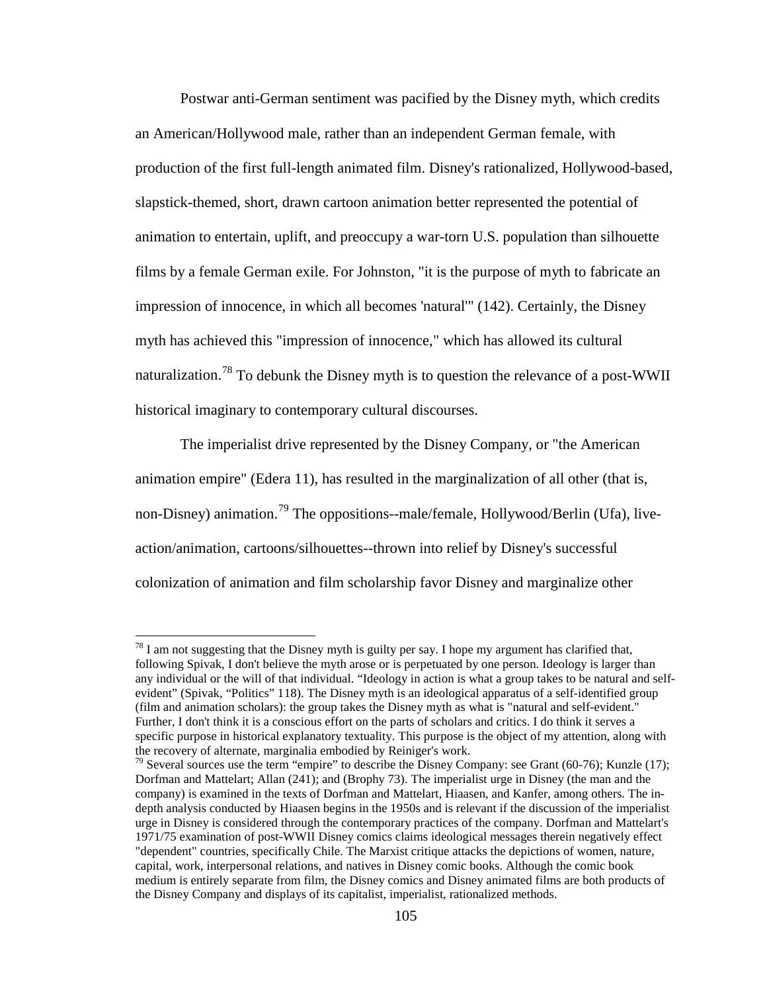Postwar anti-German sentiment was pacified by the Disney myth, which credits an American/Hollywood male, rather than an independent German female, with production of the first full-length animated film. Disney's rationalized, Hollywood-based, slapstick-themed, short, drawn cartoon animation better represented the potential of animation to entertain, uplift, and preoccupy a war-torn U.S. population than silhouette films by a female German exile. For Johnston, "it is the purpose of myth to fabricate an impression of innocence, in which all becomes 'natural'" (142). Certainly, the Disney myth has achieved this "impression of innocence," which has allowed its cultural naturalization.<sup>[78](#page-121-0)</sup> To debunk the Disney myth is to question the relevance of a post-WWII historical imaginary to contemporary cultural discourses.

The imperialist drive represented by the Disney Company, or "the American animation empire" (Edera 11), has resulted in the marginalization of all other (that is, non-Disney) animation.<sup>[79](#page-121-1)</sup> The oppositions--male/female, Hollywood/Berlin (Ufa), liveaction/animation, cartoons/silhouettes--thrown into relief by Disney's successful colonization of animation and film scholarship favor Disney and marginalize other

 $^{78}$  I am not suggesting that the Disney myth is guilty per say. I hope my argument has clarified that, following Spivak, I don't believe the myth arose or is perpetuated by one person. Ideology is larger than any individual or the will of that individual. "Ideology in action is what a group takes to be natural and selfevident" (Spivak, "Politics" 118). The Disney myth is an ideological apparatus of a self-identified group (film and animation scholars): the group takes the Disney myth as what is "natural and self-evident." Further, I don't think it is a conscious effort on the parts of scholars and critics. I do think it serves a specific purpose in historical explanatory textuality. This purpose is the object of my attention, along with the recovery of alternate, marginalia embodied by Reiniger's work.

 $^{79}$  Several sources use the term "empire" to describe the Disney Company: see Grant (60-76); Kunzle (17); Dorfman and Mattelart; Allan (241); and (Brophy 73). The imperialist urge in Disney (the man and the company) is examined in the texts of Dorfman and Mattelart, Hiaasen, and Kanfer, among others. The indepth analysis conducted by Hiaasen begins in the 1950s and is relevant if the discussion of the imperialist urge in Disney is considered through the contemporary practices of the company. Dorfman and Mattelart's 1971/75 examination of post-WWII Disney comics claims ideological messages therein negatively effect "dependent" countries, specifically Chile. The Marxist critique attacks the depictions of women, nature, capital, work, interpersonal relations, and natives in Disney comic books. Although the comic book medium is entirely separate from film, the Disney comics and Disney animated films are both products of the Disney Company and displays of its capitalist, imperialist, rationalized methods.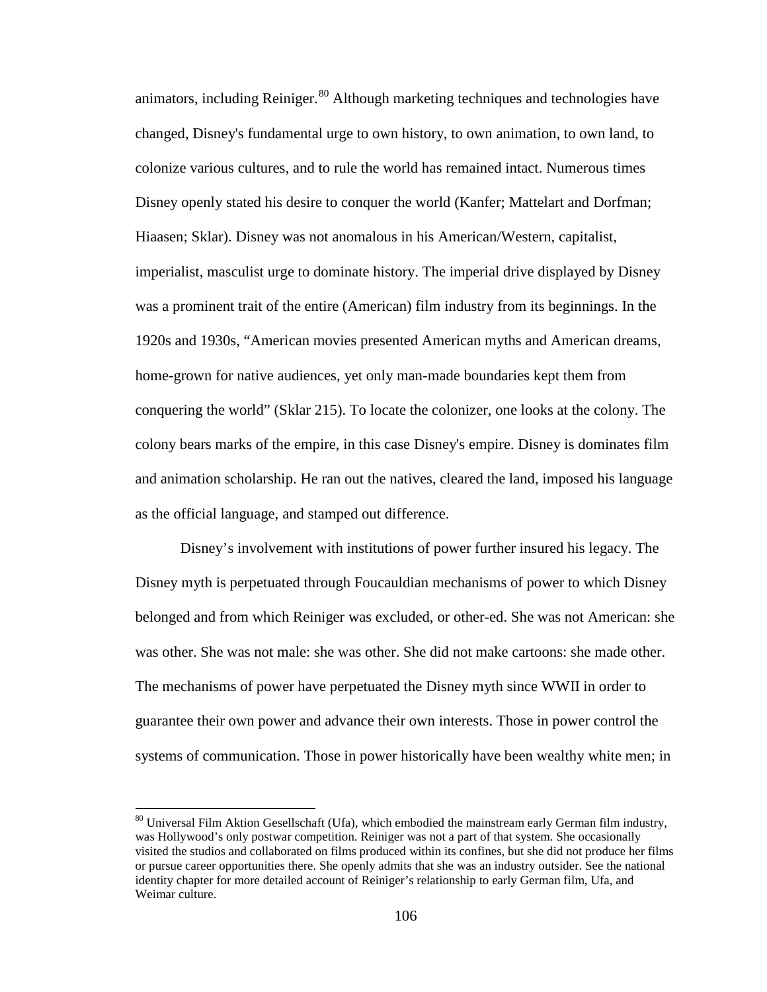animators, including Reiniger.<sup>[80](#page-122-0)</sup> Although marketing techniques and technologies have changed, Disney's fundamental urge to own history, to own animation, to own land, to colonize various cultures, and to rule the world has remained intact. Numerous times Disney openly stated his desire to conquer the world (Kanfer; Mattelart and Dorfman; Hiaasen; Sklar). Disney was not anomalous in his American/Western, capitalist, imperialist, masculist urge to dominate history. The imperial drive displayed by Disney was a prominent trait of the entire (American) film industry from its beginnings. In the 1920s and 1930s, "American movies presented American myths and American dreams, home-grown for native audiences, yet only man-made boundaries kept them from conquering the world" (Sklar 215). To locate the colonizer, one looks at the colony. The colony bears marks of the empire, in this case Disney's empire. Disney is dominates film and animation scholarship. He ran out the natives, cleared the land, imposed his language as the official language, and stamped out difference.

Disney's involvement with institutions of power further insured his legacy. The Disney myth is perpetuated through Foucauldian mechanisms of power to which Disney belonged and from which Reiniger was excluded, or other-ed. She was not American: she was other. She was not male: she was other. She did not make cartoons: she made other. The mechanisms of power have perpetuated the Disney myth since WWII in order to guarantee their own power and advance their own interests. Those in power control the systems of communication. Those in power historically have been wealthy white men; in

<span id="page-116-1"></span><span id="page-116-0"></span><sup>&</sup>lt;sup>80</sup> Universal Film Aktion Gesellschaft (Ufa), which embodied the mainstream early German film industry, was Hollywood's only postwar competition. Reiniger was not a part of that system. She occasionally visited the studios and collaborated on films produced within its confines, but she did not produce her films or pursue career opportunities there. She openly admits that she was an industry outsider. See the national identity chapter for more detailed account of Reiniger's relationship to early German film, Ufa, and Weimar culture.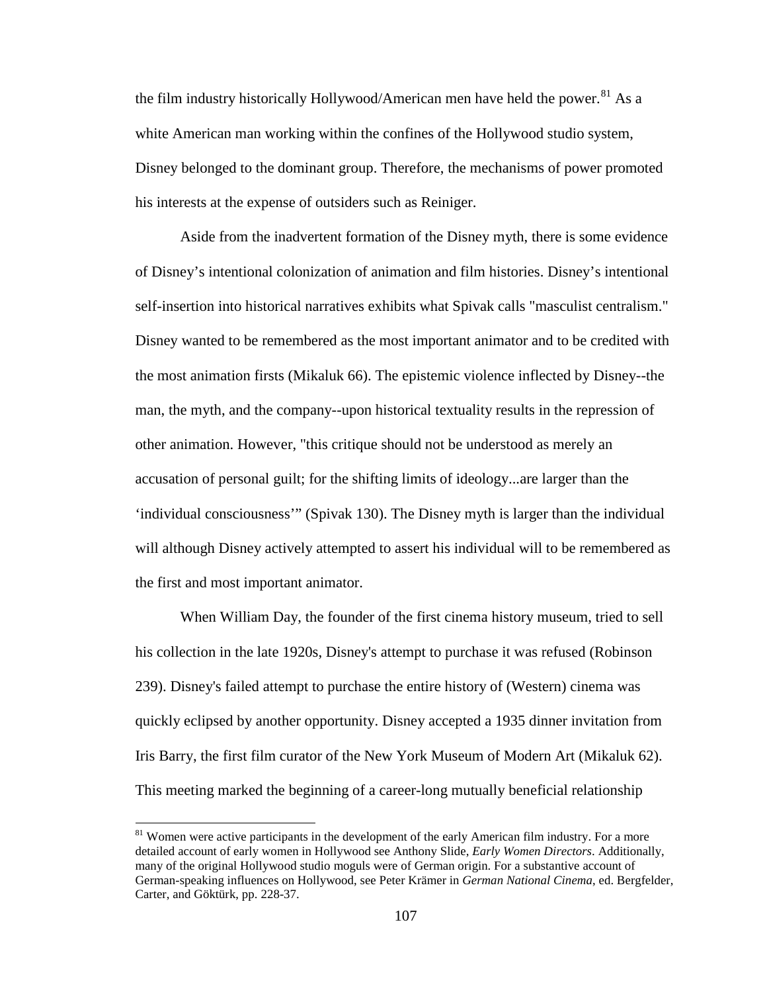the film industry historically Hollywood/American men have held the power.<sup>[81](#page-123-0)</sup> As a white American man working within the confines of the Hollywood studio system, Disney belonged to the dominant group. Therefore, the mechanisms of power promoted his interests at the expense of outsiders such as Reiniger.

Aside from the inadvertent formation of the Disney myth, there is some evidence of Disney's intentional colonization of animation and film histories. Disney's intentional self-insertion into historical narratives exhibits what Spivak calls "masculist centralism." Disney wanted to be remembered as the most important animator and to be credited with the most animation firsts (Mikaluk 66). The epistemic violence inflected by Disney--the man, the myth, and the company--upon historical textuality results in the repression of other animation. However, "this critique should not be understood as merely an accusation of personal guilt; for the shifting limits of ideology...are larger than the 'individual consciousness'" (Spivak 130). The Disney myth is larger than the individual will although Disney actively attempted to assert his individual will to be remembered as the first and most important animator.

When William Day, the founder of the first cinema history museum, tried to sell his collection in the late 1920s, Disney's attempt to purchase it was refused (Robinson 239). Disney's failed attempt to purchase the entire history of (Western) cinema was quickly eclipsed by another opportunity. Disney accepted a 1935 dinner invitation from Iris Barry, the first film curator of the New York Museum of Modern Art (Mikaluk 62). This meeting marked the beginning of a career-long mutually beneficial relationship

<span id="page-117-0"></span><sup>&</sup>lt;sup>81</sup> Women were active participants in the development of the early American film industry. For a more detailed account of early women in Hollywood see Anthony Slide, *Early Women Directors*. Additionally, many of the original Hollywood studio moguls were of German origin. For a substantive account of German-speaking influences on Hollywood, see Peter Krämer in *German National Cinema*, ed. Bergfelder, Carter, and Göktürk, pp. 228-37.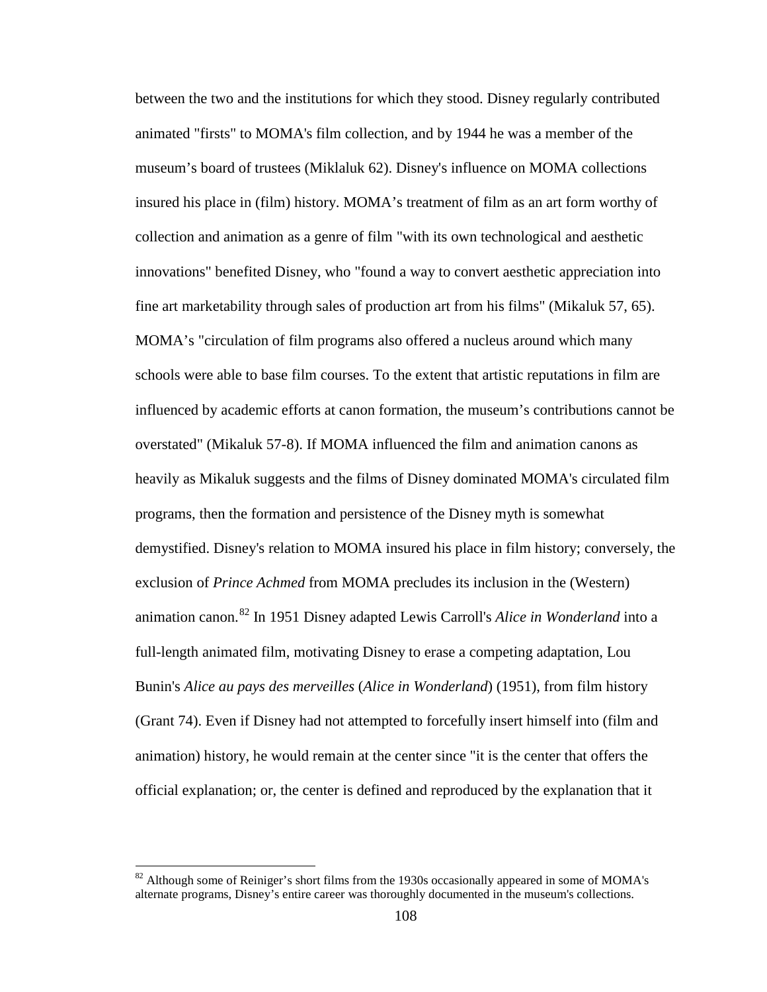between the two and the institutions for which they stood. Disney regularly contributed animated "firsts" to MOMA's film collection, and by 1944 he was a member of the museum's board of trustees (Miklaluk 62). Disney's influence on MOMA collections insured his place in (film) history. MOMA's treatment of film as an art form worthy of collection and animation as a genre of film "with its own technological and aesthetic innovations" benefited Disney, who "found a way to convert aesthetic appreciation into fine art marketability through sales of production art from his films" (Mikaluk 57, 65). MOMA's "circulation of film programs also offered a nucleus around which many schools were able to base film courses. To the extent that artistic reputations in film are influenced by academic efforts at canon formation, the museum's contributions cannot be overstated" (Mikaluk 57-8). If MOMA influenced the film and animation canons as heavily as Mikaluk suggests and the films of Disney dominated MOMA's circulated film programs, then the formation and persistence of the Disney myth is somewhat demystified. Disney's relation to MOMA insured his place in film history; conversely, the exclusion of *Prince Achmed* from MOMA precludes its inclusion in the (Western) animation canon.[82](#page-124-0) In 1951 Disney adapted Lewis Carroll's *Alice in Wonderland* into a full-length animated film, motivating Disney to erase a competing adaptation, Lou Bunin's *Alice au pays des merveilles* (*Alice in Wonderland*) (1951), from film history (Grant 74). Even if Disney had not attempted to forcefully insert himself into (film and animation) history, he would remain at the center since "it is the center that offers the official explanation; or, the center is defined and reproduced by the explanation that it

<span id="page-118-1"></span><span id="page-118-0"></span><sup>&</sup>lt;sup>82</sup> Although some of Reiniger's short films from the 1930s occasionally appeared in some of MOMA's alternate programs, Disney's entire career was thoroughly documented in the museum's collections.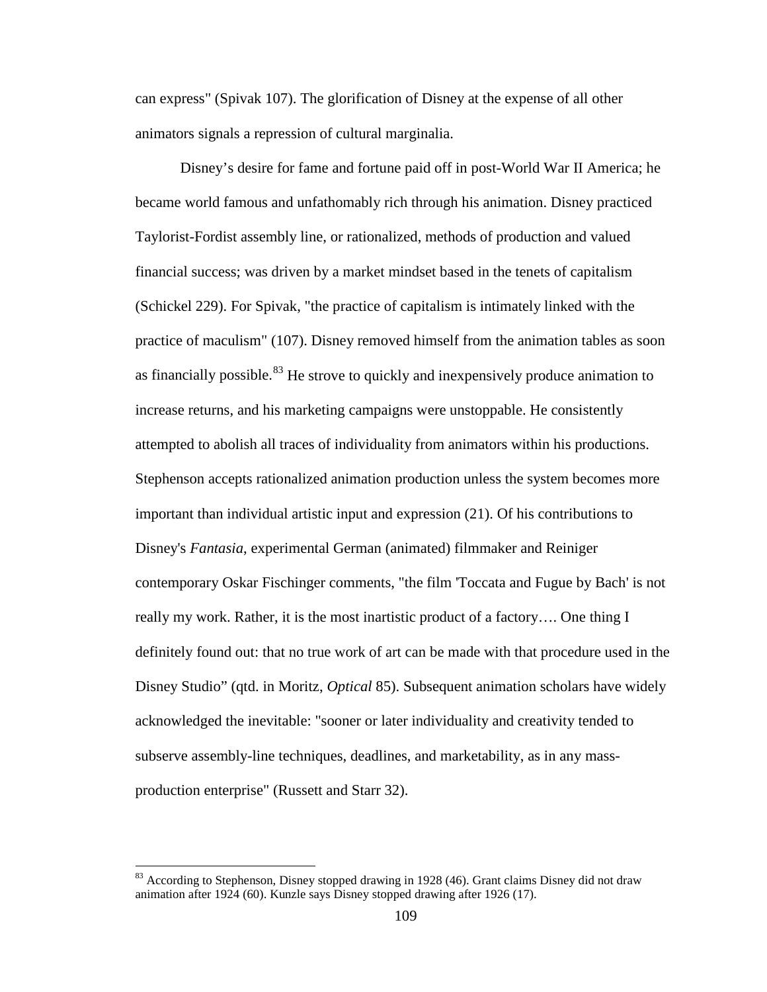can express" (Spivak 107). The glorification of Disney at the expense of all other animators signals a repression of cultural marginalia.

Disney's desire for fame and fortune paid off in post-World War II America; he became world famous and unfathomably rich through his animation. Disney practiced Taylorist-Fordist assembly line, or rationalized, methods of production and valued financial success; was driven by a market mindset based in the tenets of capitalism (Schickel 229). For Spivak, "the practice of capitalism is intimately linked with the practice of maculism" (107). Disney removed himself from the animation tables as soon as financially possible.<sup>[83](#page-125-0)</sup> He strove to quickly and inexpensively produce animation to increase returns, and his marketing campaigns were unstoppable. He consistently attempted to abolish all traces of individuality from animators within his productions. Stephenson accepts rationalized animation production unless the system becomes more important than individual artistic input and expression (21). Of his contributions to Disney's *Fantasia*, experimental German (animated) filmmaker and Reiniger contemporary Oskar Fischinger comments, "the film 'Toccata and Fugue by Bach' is not really my work. Rather, it is the most inartistic product of a factory…. One thing I definitely found out: that no true work of art can be made with that procedure used in the Disney Studio" (qtd. in Moritz, *Optical* 85). Subsequent animation scholars have widely acknowledged the inevitable: "sooner or later individuality and creativity tended to subserve assembly-line techniques, deadlines, and marketability, as in any massproduction enterprise" (Russett and Starr 32).

<span id="page-119-0"></span> $83$  According to Stephenson, Disney stopped drawing in 1928 (46). Grant claims Disney did not draw animation after 1924 (60). Kunzle says Disney stopped drawing after 1926 (17).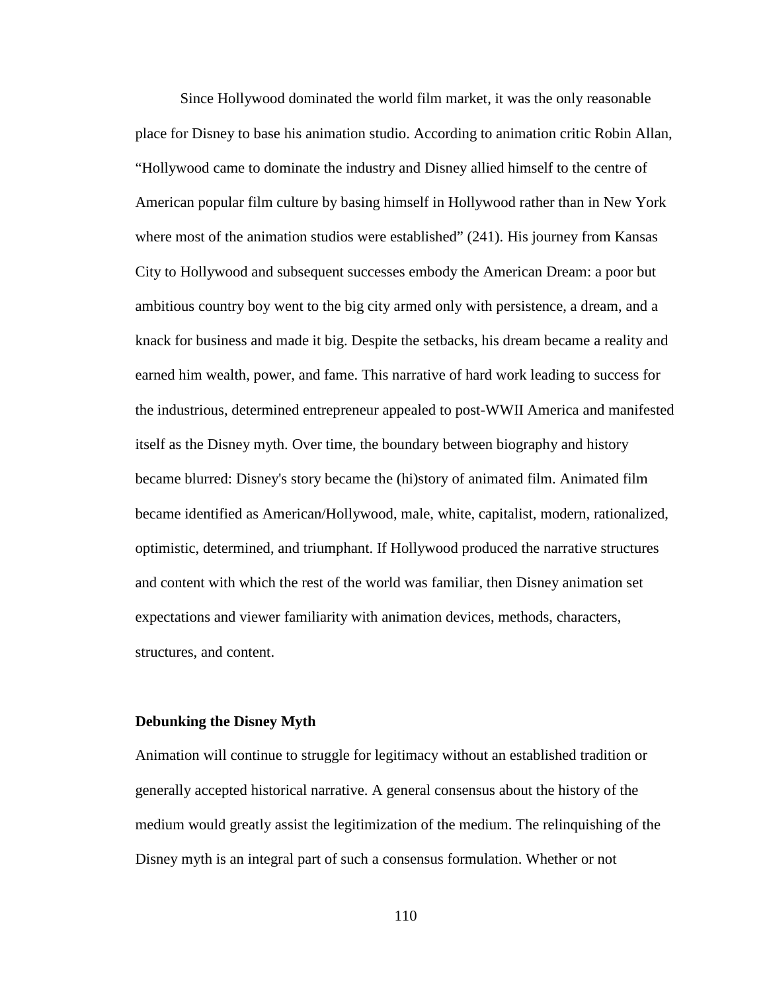Since Hollywood dominated the world film market, it was the only reasonable place for Disney to base his animation studio. According to animation critic Robin Allan, "Hollywood came to dominate the industry and Disney allied himself to the centre of American popular film culture by basing himself in Hollywood rather than in New York where most of the animation studios were established" (241). His journey from Kansas City to Hollywood and subsequent successes embody the American Dream: a poor but ambitious country boy went to the big city armed only with persistence, a dream, and a knack for business and made it big. Despite the setbacks, his dream became a reality and earned him wealth, power, and fame. This narrative of hard work leading to success for the industrious, determined entrepreneur appealed to post-WWII America and manifested itself as the Disney myth. Over time, the boundary between biography and history became blurred: Disney's story became the (hi)story of animated film. Animated film became identified as American/Hollywood, male, white, capitalist, modern, rationalized, optimistic, determined, and triumphant. If Hollywood produced the narrative structures and content with which the rest of the world was familiar, then Disney animation set expectations and viewer familiarity with animation devices, methods, characters, structures, and content.

## **Debunking the Disney Myth**

Animation will continue to struggle for legitimacy without an established tradition or generally accepted historical narrative. A general consensus about the history of the medium would greatly assist the legitimization of the medium. The relinquishing of the Disney myth is an integral part of such a consensus formulation. Whether or not

110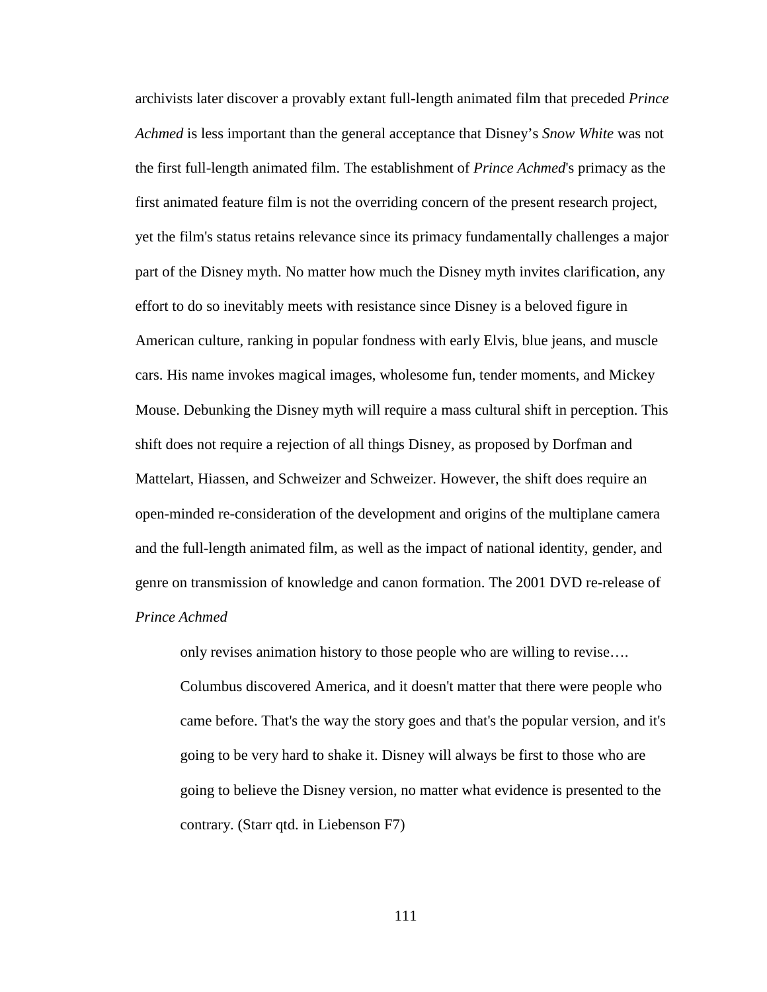archivists later discover a provably extant full-length animated film that preceded *Prince Achmed* is less important than the general acceptance that Disney's *Snow White* was not the first full-length animated film. The establishment of *Prince Achmed*'s primacy as the first animated feature film is not the overriding concern of the present research project, yet the film's status retains relevance since its primacy fundamentally challenges a major part of the Disney myth. No matter how much the Disney myth invites clarification, any effort to do so inevitably meets with resistance since Disney is a beloved figure in American culture, ranking in popular fondness with early Elvis, blue jeans, and muscle cars. His name invokes magical images, wholesome fun, tender moments, and Mickey Mouse. Debunking the Disney myth will require a mass cultural shift in perception. This shift does not require a rejection of all things Disney, as proposed by Dorfman and Mattelart, Hiassen, and Schweizer and Schweizer. However, the shift does require an open-minded re-consideration of the development and origins of the multiplane camera and the full-length animated film, as well as the impact of national identity, gender, and genre on transmission of knowledge and canon formation. The 2001 DVD re-release of *Prince Achmed*

<span id="page-121-1"></span><span id="page-121-0"></span>only revises animation history to those people who are willing to revise…. Columbus discovered America, and it doesn't matter that there were people who came before. That's the way the story goes and that's the popular version, and it's going to be very hard to shake it. Disney will always be first to those who are going to believe the Disney version, no matter what evidence is presented to the contrary. (Starr qtd. in Liebenson F7)

111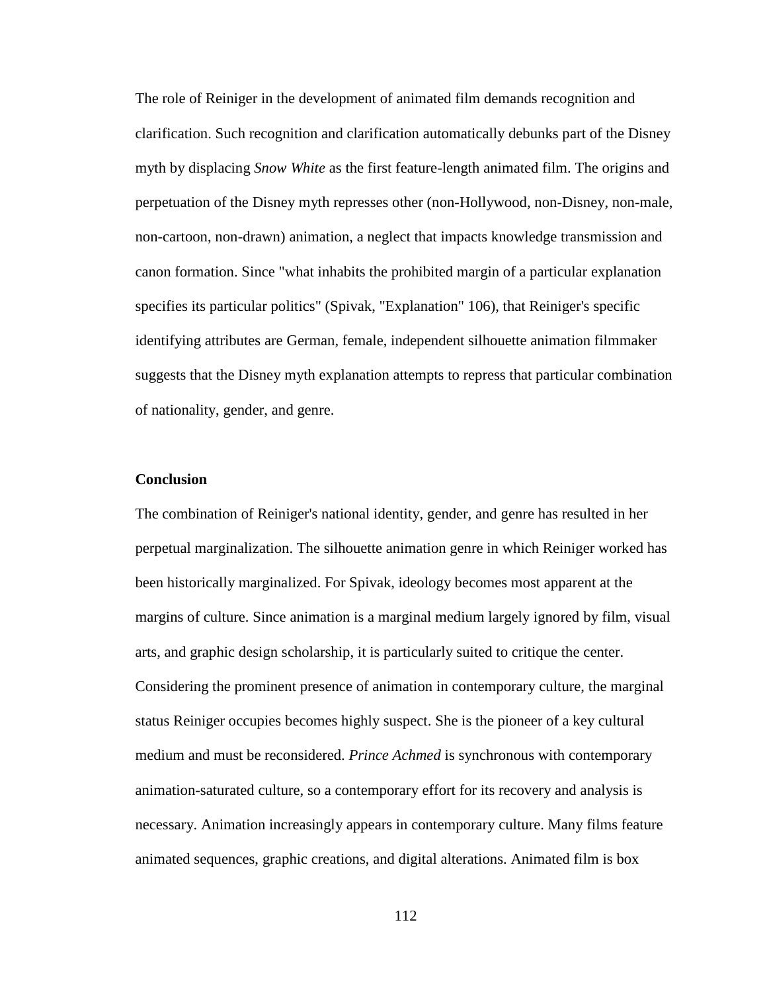The role of Reiniger in the development of animated film demands recognition and clarification. Such recognition and clarification automatically debunks part of the Disney myth by displacing *Snow White* as the first feature-length animated film. The origins and perpetuation of the Disney myth represses other (non-Hollywood, non-Disney, non-male, non-cartoon, non-drawn) animation, a neglect that impacts knowledge transmission and canon formation. Since "what inhabits the prohibited margin of a particular explanation specifies its particular politics" (Spivak, "Explanation" 106), that Reiniger's specific identifying attributes are German, female, independent silhouette animation filmmaker suggests that the Disney myth explanation attempts to repress that particular combination of nationality, gender, and genre.

## **Conclusion**

<span id="page-122-0"></span>The combination of Reiniger's national identity, gender, and genre has resulted in her perpetual marginalization. The silhouette animation genre in which Reiniger worked has been historically marginalized. For Spivak, ideology becomes most apparent at the margins of culture. Since animation is a marginal medium largely ignored by film, visual arts, and graphic design scholarship, it is particularly suited to critique the center. Considering the prominent presence of animation in contemporary culture, the marginal status Reiniger occupies becomes highly suspect. She is the pioneer of a key cultural medium and must be reconsidered. *Prince Achmed* is synchronous with contemporary animation-saturated culture, so a contemporary effort for its recovery and analysis is necessary. Animation increasingly appears in contemporary culture. Many films feature animated sequences, graphic creations, and digital alterations. Animated film is box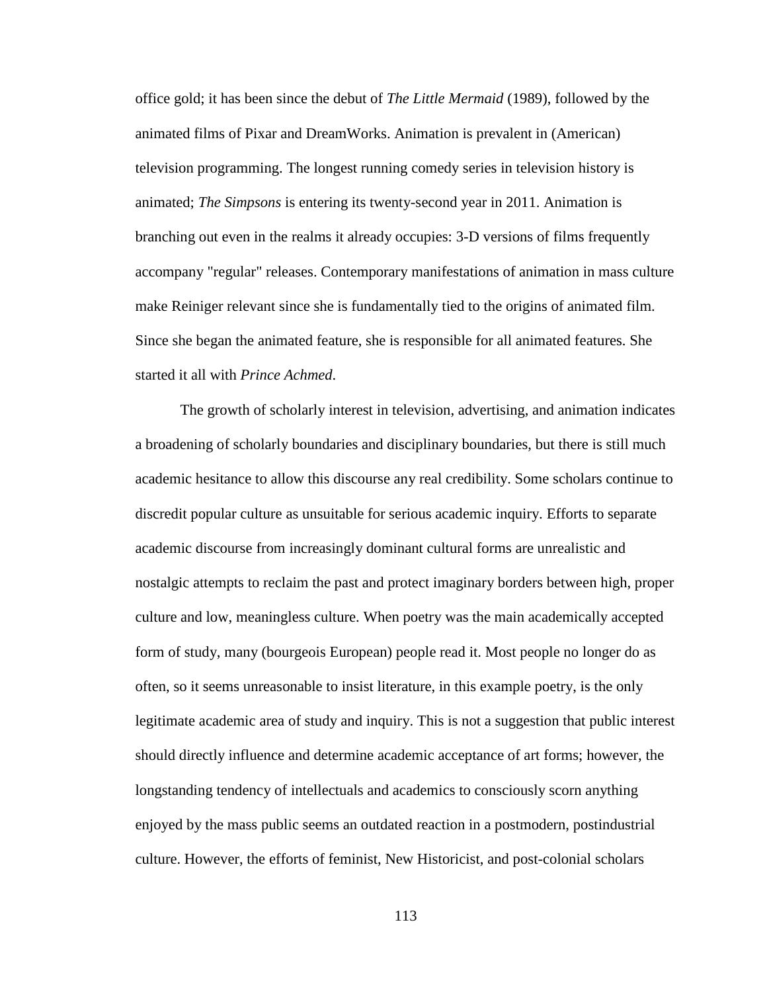office gold; it has been since the debut of *The Little Mermaid* (1989), followed by the animated films of Pixar and DreamWorks. Animation is prevalent in (American) television programming. The longest running comedy series in television history is animated; *The Simpsons* is entering its twenty-second year in 2011. Animation is branching out even in the realms it already occupies: 3-D versions of films frequently accompany "regular" releases. Contemporary manifestations of animation in mass culture make Reiniger relevant since she is fundamentally tied to the origins of animated film. Since she began the animated feature, she is responsible for all animated features. She started it all with *Prince Achmed*.

The growth of scholarly interest in television, advertising, and animation indicates a broadening of scholarly boundaries and disciplinary boundaries, but there is still much academic hesitance to allow this discourse any real credibility. Some scholars continue to discredit popular culture as unsuitable for serious academic inquiry. Efforts to separate academic discourse from increasingly dominant cultural forms are unrealistic and nostalgic attempts to reclaim the past and protect imaginary borders between high, proper culture and low, meaningless culture. When poetry was the main academically accepted form of study, many (bourgeois European) people read it. Most people no longer do as often, so it seems unreasonable to insist literature, in this example poetry, is the only legitimate academic area of study and inquiry. This is not a suggestion that public interest should directly influence and determine academic acceptance of art forms; however, the longstanding tendency of intellectuals and academics to consciously scorn anything enjoyed by the mass public seems an outdated reaction in a postmodern, postindustrial culture. However, the efforts of feminist, New Historicist, and post-colonial scholars

<span id="page-123-0"></span>113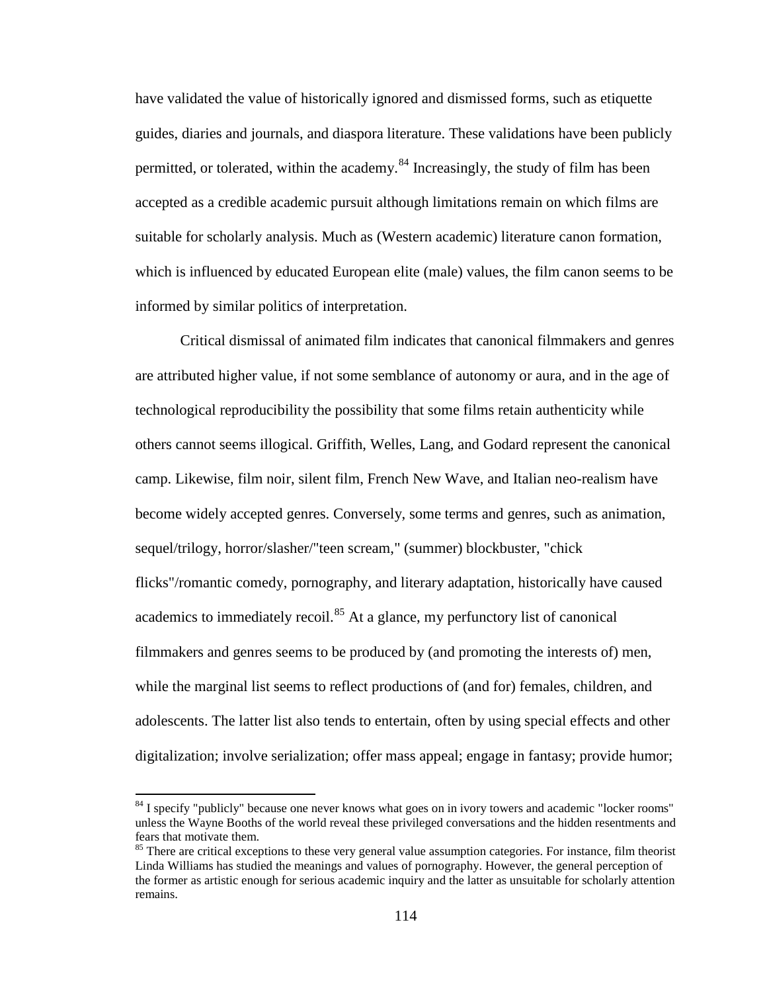have validated the value of historically ignored and dismissed forms, such as etiquette guides, diaries and journals, and diaspora literature. These validations have been publicly permitted, or tolerated, within the academy.<sup>[84](#page-130-0)</sup> Increasingly, the study of film has been accepted as a credible academic pursuit although limitations remain on which films are suitable for scholarly analysis. Much as (Western academic) literature canon formation, which is influenced by educated European elite (male) values, the film canon seems to be informed by similar politics of interpretation.

Critical dismissal of animated film indicates that canonical filmmakers and genres are attributed higher value, if not some semblance of autonomy or aura, and in the age of technological reproducibility the possibility that some films retain authenticity while others cannot seems illogical. Griffith, Welles, Lang, and Godard represent the canonical camp. Likewise, film noir, silent film, French New Wave, and Italian neo-realism have become widely accepted genres. Conversely, some terms and genres, such as animation, sequel/trilogy, horror/slasher/"teen scream," (summer) blockbuster, "chick flicks"/romantic comedy, pornography, and literary adaptation, historically have caused academics to immediately recoil.<sup>[85](#page-130-1)</sup> At a glance, my perfunctory list of canonical filmmakers and genres seems to be produced by (and promoting the interests of) men, while the marginal list seems to reflect productions of (and for) females, children, and adolescents. The latter list also tends to entertain, often by using special effects and other digitalization; involve serialization; offer mass appeal; engage in fantasy; provide humor;

<sup>&</sup>lt;sup>84</sup> I specify "publicly" because one never knows what goes on in ivory towers and academic "locker rooms" unless the Wayne Booths of the world reveal these privileged conversations and the hidden resentments and fears that motivate them.

<span id="page-124-0"></span><sup>&</sup>lt;sup>85</sup> There are critical exceptions to these very general value assumption categories. For instance, film theorist Linda Williams has studied the meanings and values of pornography. However, the general perception of the former as artistic enough for serious academic inquiry and the latter as unsuitable for scholarly attention remains.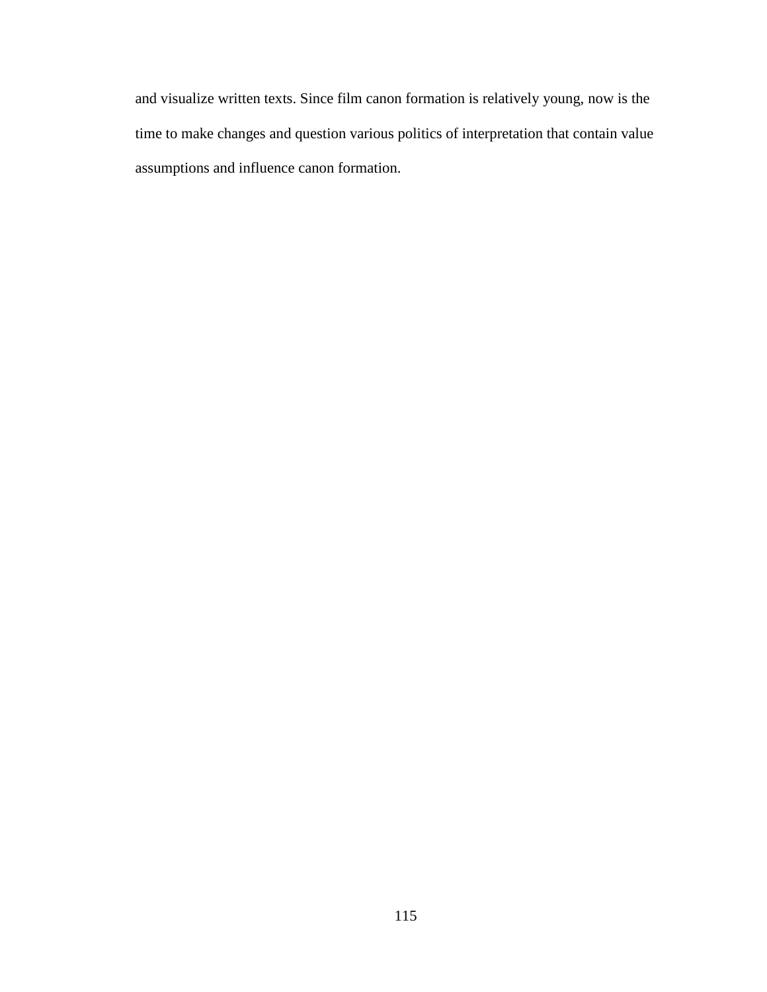<span id="page-125-0"></span>and visualize written texts. Since film canon formation is relatively young, now is the time to make changes and question various politics of interpretation that contain value assumptions and influence canon formation.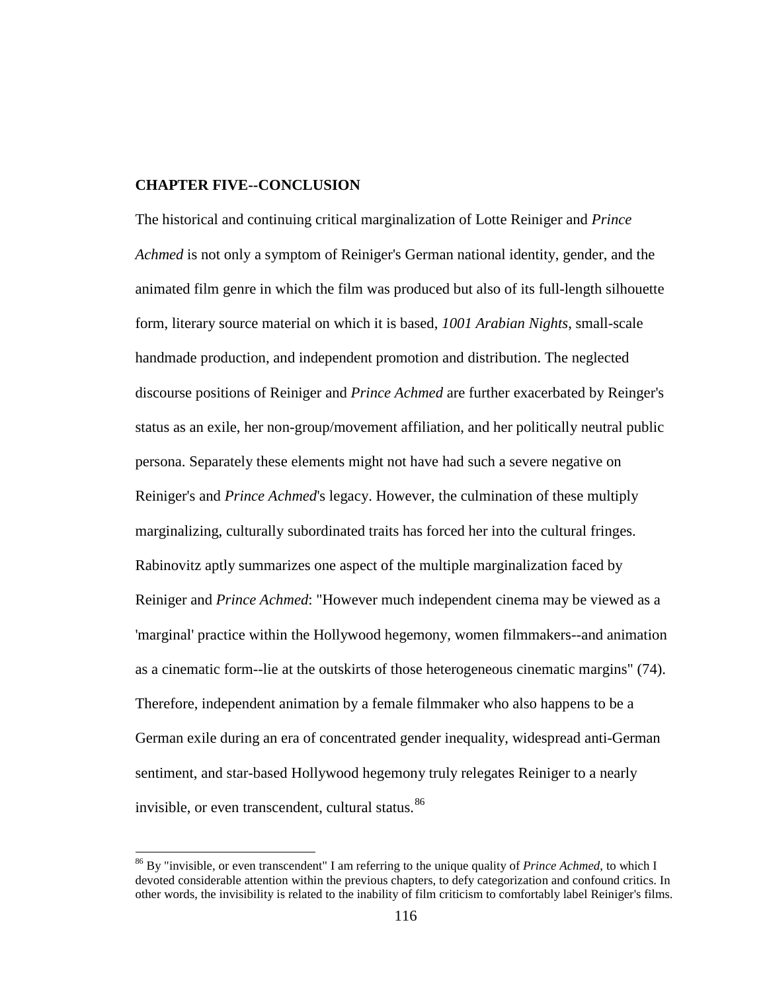## **CHAPTER FIVE--CONCLUSION**

The historical and continuing critical marginalization of Lotte Reiniger and *Prince Achmed* is not only a symptom of Reiniger's German national identity, gender, and the animated film genre in which the film was produced but also of its full-length silhouette form, literary source material on which it is based, *1001 Arabian Nights*, small-scale handmade production, and independent promotion and distribution. The neglected discourse positions of Reiniger and *Prince Achmed* are further exacerbated by Reinger's status as an exile, her non-group/movement affiliation, and her politically neutral public persona. Separately these elements might not have had such a severe negative on Reiniger's and *Prince Achmed*'s legacy. However, the culmination of these multiply marginalizing, culturally subordinated traits has forced her into the cultural fringes. Rabinovitz aptly summarizes one aspect of the multiple marginalization faced by Reiniger and *Prince Achmed*: "However much independent cinema may be viewed as a 'marginal' practice within the Hollywood hegemony, women filmmakers--and animation as a cinematic form--lie at the outskirts of those heterogeneous cinematic margins" (74). Therefore, independent animation by a female filmmaker who also happens to be a German exile during an era of concentrated gender inequality, widespread anti-German sentiment, and star-based Hollywood hegemony truly relegates Reiniger to a nearly invisible, or even transcendent, cultural status.<sup>[86](#page-133-0)</sup>

<sup>86</sup> By "invisible, or even transcendent" I am referring to the unique quality of *Prince Achmed*, to which I devoted considerable attention within the previous chapters, to defy categorization and confound critics. In other words, the invisibility is related to the inability of film criticism to comfortably label Reiniger's films.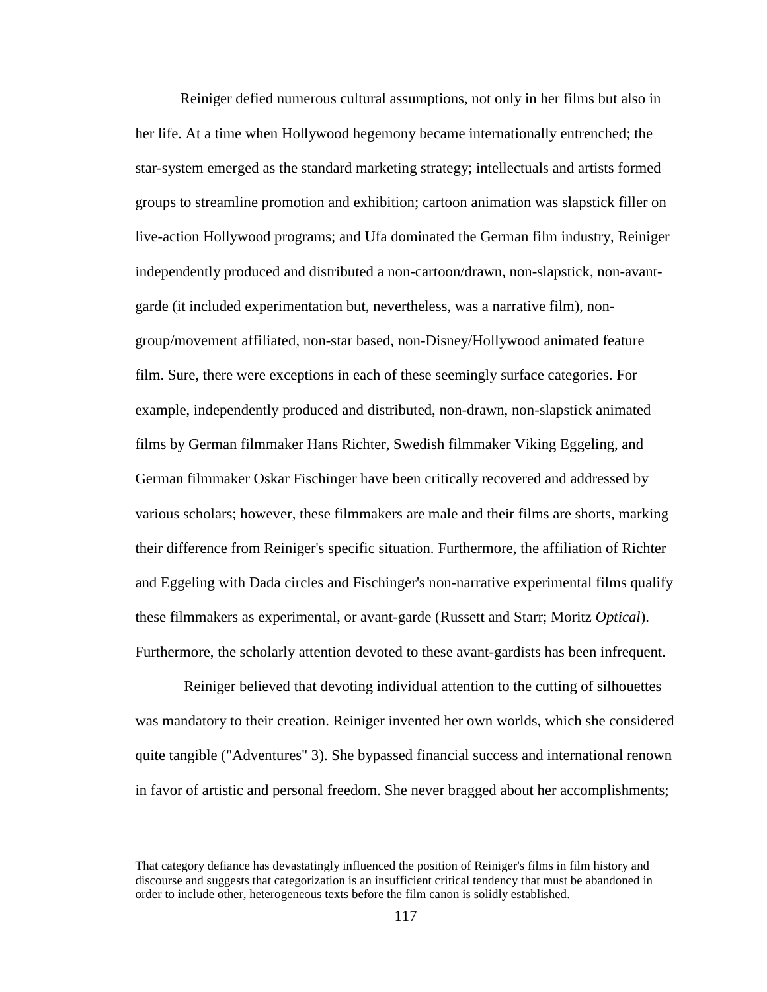Reiniger defied numerous cultural assumptions, not only in her films but also in her life. At a time when Hollywood hegemony became internationally entrenched; the star-system emerged as the standard marketing strategy; intellectuals and artists formed groups to streamline promotion and exhibition; cartoon animation was slapstick filler on live-action Hollywood programs; and Ufa dominated the German film industry, Reiniger independently produced and distributed a non-cartoon/drawn, non-slapstick, non-avantgarde (it included experimentation but, nevertheless, was a narrative film), nongroup/movement affiliated, non-star based, non-Disney/Hollywood animated feature film. Sure, there were exceptions in each of these seemingly surface categories. For example, independently produced and distributed, non-drawn, non-slapstick animated films by German filmmaker Hans Richter, Swedish filmmaker Viking Eggeling, and German filmmaker Oskar Fischinger have been critically recovered and addressed by various scholars; however, these filmmakers are male and their films are shorts, marking their difference from Reiniger's specific situation. Furthermore, the affiliation of Richter and Eggeling with Dada circles and Fischinger's non-narrative experimental films qualify these filmmakers as experimental, or avant-garde (Russett and Starr; Moritz *Optical*). Furthermore, the scholarly attention devoted to these avant-gardists has been infrequent.

Reiniger believed that devoting individual attention to the cutting of silhouettes was mandatory to their creation. Reiniger invented her own worlds, which she considered quite tangible ("Adventures" 3). She bypassed financial success and international renown in favor of artistic and personal freedom. She never bragged about her accomplishments;

That category defiance has devastatingly influenced the position of Reiniger's films in film history and discourse and suggests that categorization is an insufficient critical tendency that must be abandoned in order to include other, heterogeneous texts before the film canon is solidly established.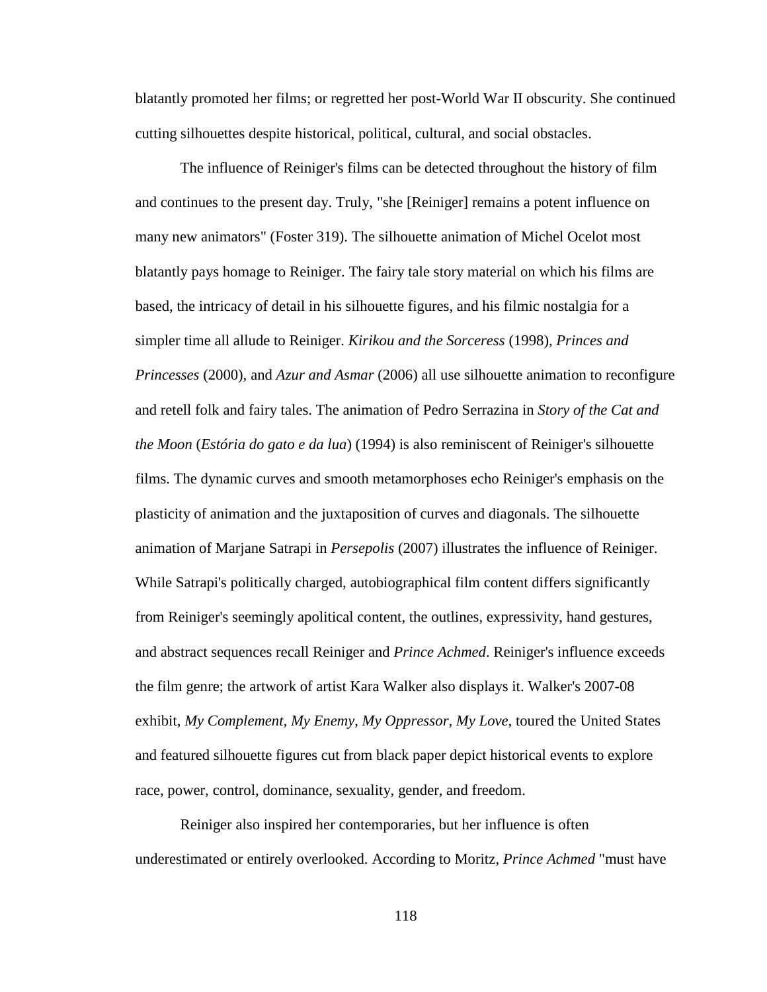blatantly promoted her films; or regretted her post-World War II obscurity. She continued cutting silhouettes despite historical, political, cultural, and social obstacles.

The influence of Reiniger's films can be detected throughout the history of film and continues to the present day. Truly, "she [Reiniger] remains a potent influence on many new animators" (Foster 319). The silhouette animation of Michel Ocelot most blatantly pays homage to Reiniger. The fairy tale story material on which his films are based, the intricacy of detail in his silhouette figures, and his filmic nostalgia for a simpler time all allude to Reiniger. *Kirikou and the Sorceress* (1998), *Princes and Princesses* (2000), and *Azur and Asmar* (2006) all use silhouette animation to reconfigure and retell folk and fairy tales. The animation of Pedro Serrazina in *Story of the Cat and the Moon* (*Estória do gato e da lua*) (1994) is also reminiscent of Reiniger's silhouette films. The dynamic curves and smooth metamorphoses echo Reiniger's emphasis on the plasticity of animation and the juxtaposition of curves and diagonals. The silhouette animation of Marjane Satrapi in *Persepolis* (2007) illustrates the influence of Reiniger. While Satrapi's politically charged, autobiographical film content differs significantly from Reiniger's seemingly apolitical content, the outlines, expressivity, hand gestures, and abstract sequences recall Reiniger and *Prince Achmed*. Reiniger's influence exceeds the film genre; the artwork of artist Kara Walker also displays it. Walker's 2007-08 exhibit, *My Complement, My Enemy, My Oppressor, My Love*, toured the United States and featured silhouette figures cut from black paper depict historical events to explore race, power, control, dominance, sexuality, gender, and freedom.

Reiniger also inspired her contemporaries, but her influence is often underestimated or entirely overlooked. According to Moritz, *Prince Achmed* "must have

118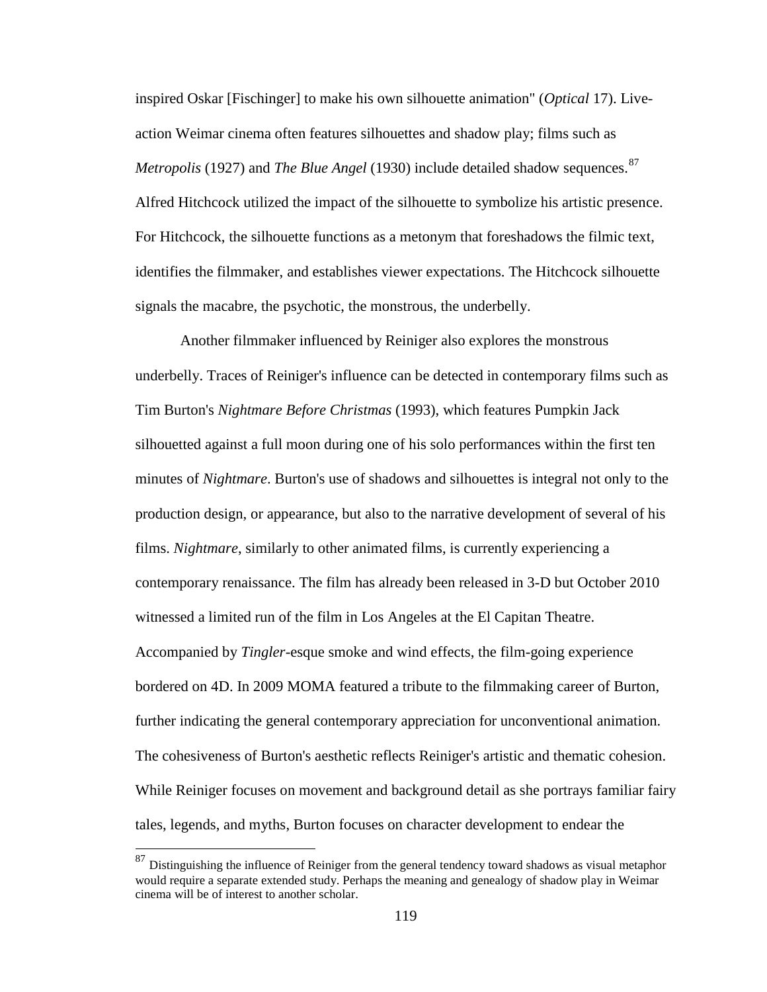inspired Oskar [Fischinger] to make his own silhouette animation" (*Optical* 17). Liveaction Weimar cinema often features silhouettes and shadow play; films such as *Metropolis* (1927) and *The Blue Angel* (1930) include detailed shadow sequences.<sup>[87](#page-136-0)</sup> Alfred Hitchcock utilized the impact of the silhouette to symbolize his artistic presence. For Hitchcock, the silhouette functions as a metonym that foreshadows the filmic text, identifies the filmmaker, and establishes viewer expectations. The Hitchcock silhouette signals the macabre, the psychotic, the monstrous, the underbelly.

Another filmmaker influenced by Reiniger also explores the monstrous underbelly. Traces of Reiniger's influence can be detected in contemporary films such as Tim Burton's *Nightmare Before Christmas* (1993), which features Pumpkin Jack silhouetted against a full moon during one of his solo performances within the first ten minutes of *Nightmare*. Burton's use of shadows and silhouettes is integral not only to the production design, or appearance, but also to the narrative development of several of his films. *Nightmare*, similarly to other animated films, is currently experiencing a contemporary renaissance. The film has already been released in 3-D but October 2010 witnessed a limited run of the film in Los Angeles at the El Capitan Theatre. Accompanied by *Tingler*-esque smoke and wind effects, the film-going experience bordered on 4D. In 2009 MOMA featured a tribute to the filmmaking career of Burton, further indicating the general contemporary appreciation for unconventional animation. The cohesiveness of Burton's aesthetic reflects Reiniger's artistic and thematic cohesion. While Reiniger focuses on movement and background detail as she portrays familiar fairy tales, legends, and myths, Burton focuses on character development to endear the

 $87$  Distinguishing the influence of Reiniger from the general tendency toward shadows as visual metaphor would require a separate extended study. Perhaps the meaning and genealogy of shadow play in Weimar cinema will be of interest to another scholar.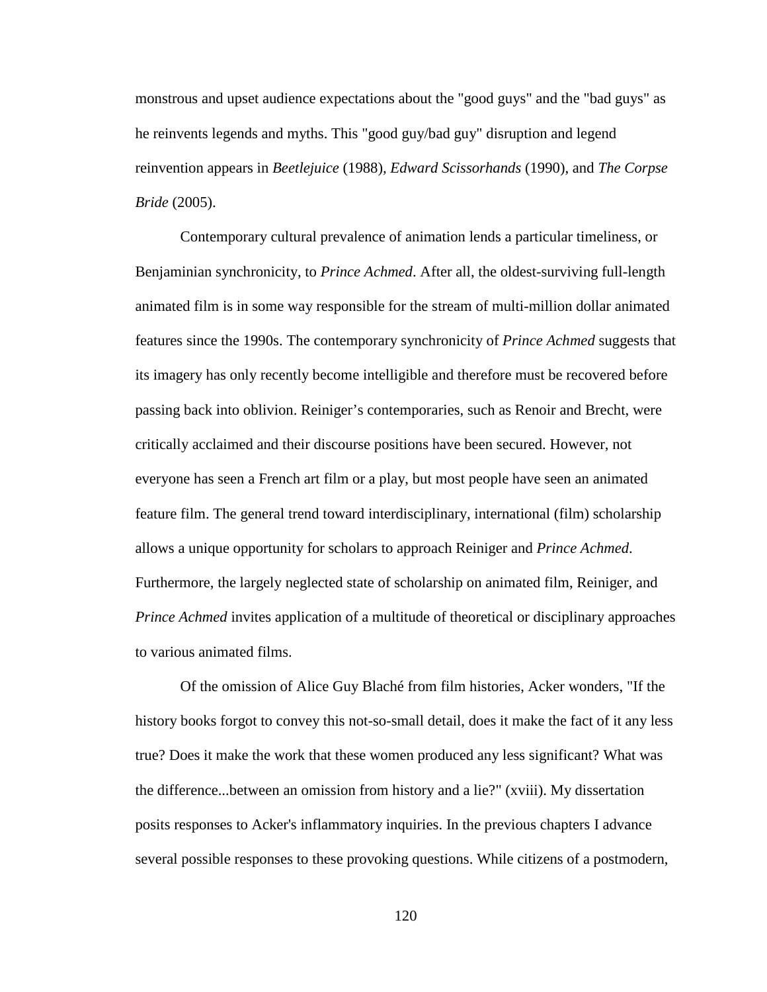monstrous and upset audience expectations about the "good guys" and the "bad guys" as he reinvents legends and myths. This "good guy/bad guy" disruption and legend reinvention appears in *Beetlejuice* (1988)*, Edward Scissorhands* (1990), and *The Corpse Bride* (2005).

Contemporary cultural prevalence of animation lends a particular timeliness, or Benjaminian synchronicity, to *Prince Achmed*. After all, the oldest-surviving full-length animated film is in some way responsible for the stream of multi-million dollar animated features since the 1990s. The contemporary synchronicity of *Prince Achmed* suggests that its imagery has only recently become intelligible and therefore must be recovered before passing back into oblivion. Reiniger's contemporaries, such as Renoir and Brecht, were critically acclaimed and their discourse positions have been secured. However, not everyone has seen a French art film or a play, but most people have seen an animated feature film. The general trend toward interdisciplinary, international (film) scholarship allows a unique opportunity for scholars to approach Reiniger and *Prince Achmed*. Furthermore, the largely neglected state of scholarship on animated film, Reiniger, and *Prince Achmed* invites application of a multitude of theoretical or disciplinary approaches to various animated films.

<span id="page-130-1"></span><span id="page-130-0"></span>Of the omission of Alice Guy Blaché from film histories, Acker wonders, "If the history books forgot to convey this not-so-small detail, does it make the fact of it any less true? Does it make the work that these women produced any less significant? What was the difference...between an omission from history and a lie?" (xviii). My dissertation posits responses to Acker's inflammatory inquiries. In the previous chapters I advance several possible responses to these provoking questions. While citizens of a postmodern,

120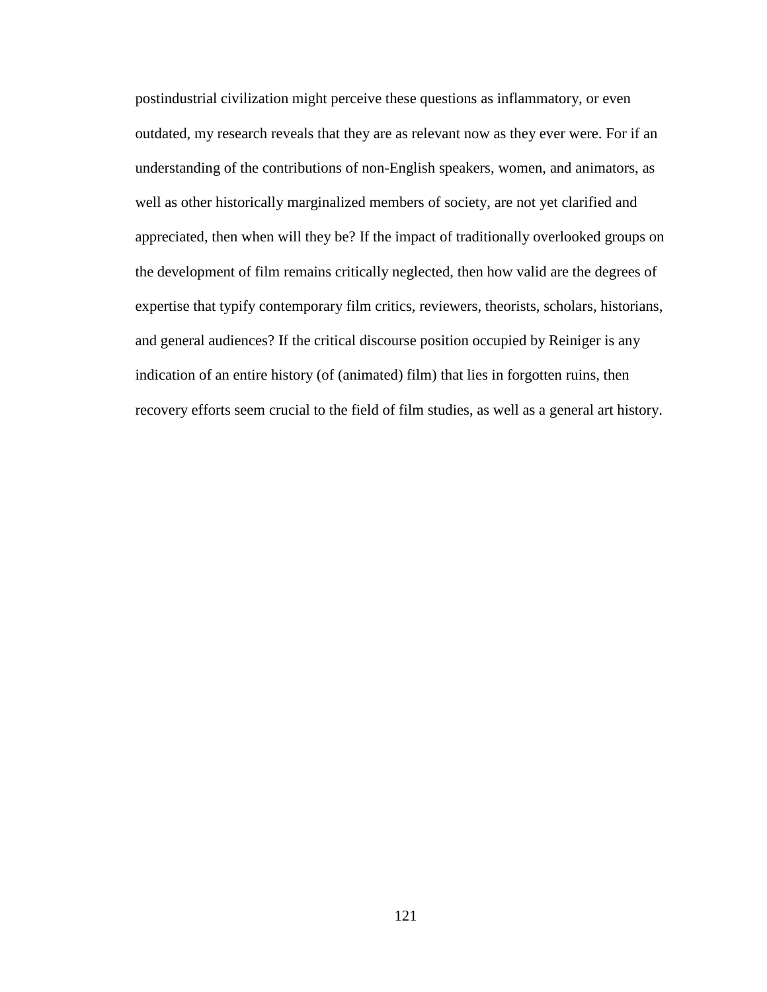postindustrial civilization might perceive these questions as inflammatory, or even outdated, my research reveals that they are as relevant now as they ever were. For if an understanding of the contributions of non-English speakers, women, and animators, as well as other historically marginalized members of society, are not yet clarified and appreciated, then when will they be? If the impact of traditionally overlooked groups on the development of film remains critically neglected, then how valid are the degrees of expertise that typify contemporary film critics, reviewers, theorists, scholars, historians, and general audiences? If the critical discourse position occupied by Reiniger is any indication of an entire history (of (animated) film) that lies in forgotten ruins, then recovery efforts seem crucial to the field of film studies, as well as a general art history.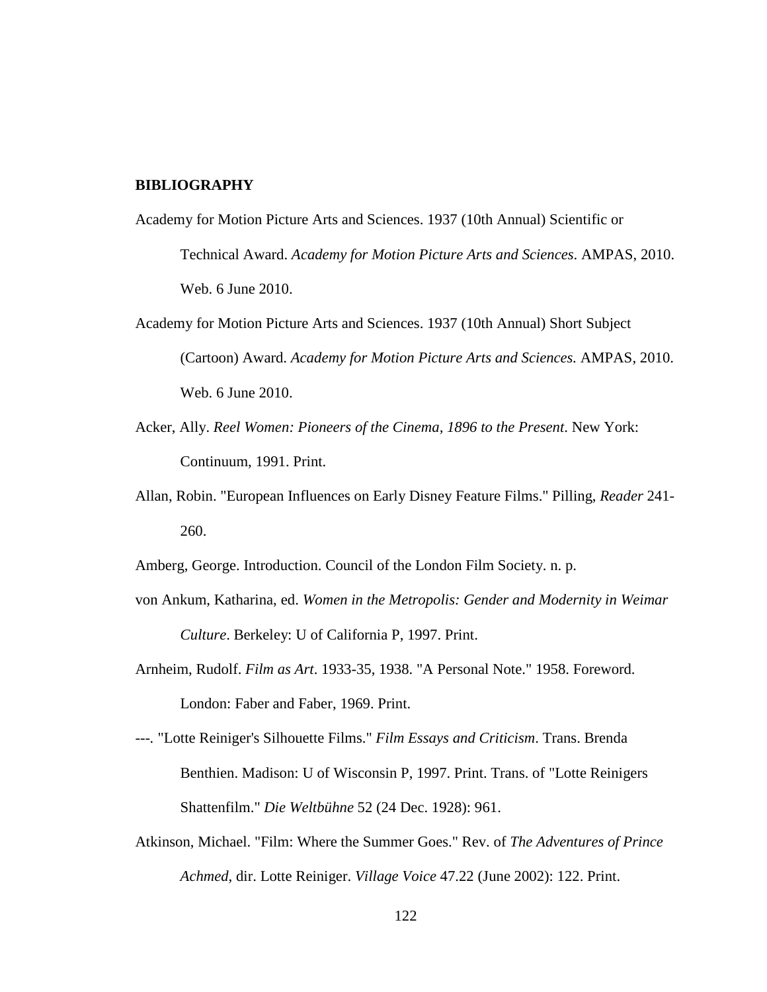## **BIBLIOGRAPHY**

- Academy for Motion Picture Arts and Sciences. 1937 (10th Annual) Scientific or Technical Award. *Academy for Motion Picture Arts and Sciences*. AMPAS, 2010. Web. 6 June 2010.
- Academy for Motion Picture Arts and Sciences. 1937 (10th Annual) Short Subject (Cartoon) Award. *Academy for Motion Picture Arts and Sciences.* AMPAS, 2010. Web. 6 June 2010.
- Acker, Ally. *Reel Women: Pioneers of the Cinema, 1896 to the Present*. New York: Continuum, 1991. Print.
- Allan, Robin. "European Influences on Early Disney Feature Films." Pilling, *Reader* 241- 260.

Amberg, George. Introduction. Council of the London Film Society. n. p.

- von Ankum, Katharina, ed. *Women in the Metropolis: Gender and Modernity in Weimar Culture*. Berkeley: U of California P, 1997. Print.
- Arnheim, Rudolf. *Film as Art*. 1933-35, 1938. "A Personal Note." 1958. Foreword. London: Faber and Faber, 1969. Print.
- *---.* "Lotte Reiniger's Silhouette Films." *Film Essays and Criticism*. Trans. Brenda Benthien. Madison: U of Wisconsin P, 1997. Print. Trans. of "Lotte Reinigers Shattenfilm." *Die Weltbühne* 52 (24 Dec. 1928): 961.
- Atkinson, Michael. "Film: Where the Summer Goes." Rev. of *The Adventures of Prince Achmed*, dir. Lotte Reiniger. *Village Voice* 47.22 (June 2002): 122. Print.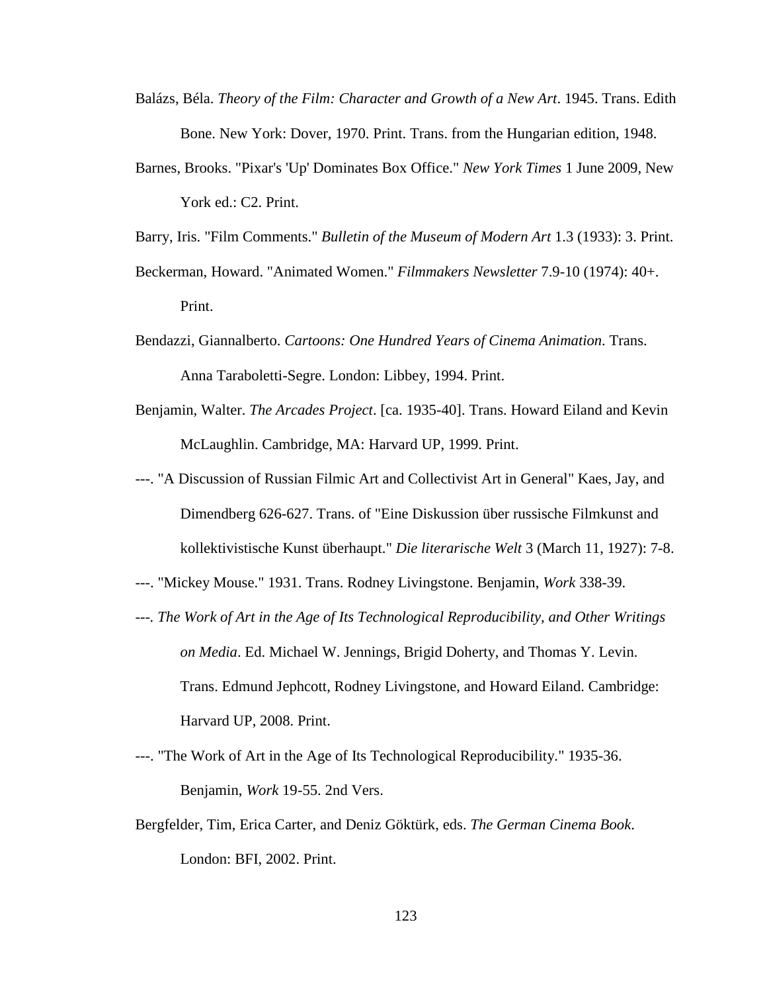- Balázs, Béla. *Theory of the Film: Character and Growth of a New Art*. 1945. Trans. Edith Bone. New York: Dover, 1970. Print. Trans. from the Hungarian edition, 1948.
- Barnes, Brooks. "Pixar's 'Up' Dominates Box Office." *New York Times* 1 June 2009*,* New York ed.: C2. Print.

Barry, Iris. "Film Comments." *Bulletin of the Museum of Modern Art* 1.3 (1933): 3. Print.

- Beckerman, Howard. "Animated Women." *Filmmakers Newsletter* 7.9-10 (1974): 40+. Print.
- Bendazzi, Giannalberto. *Cartoons: One Hundred Years of Cinema Animation*. Trans. Anna Taraboletti-Segre. London: Libbey, 1994. Print.
- Benjamin, Walter. *The Arcades Project*. [ca. 1935-40]. Trans. Howard Eiland and Kevin McLaughlin. Cambridge, MA: Harvard UP, 1999. Print.
- ---. "A Discussion of Russian Filmic Art and Collectivist Art in General" Kaes, Jay, and Dimendberg 626-627. Trans. of "Eine Diskussion über russische Filmkunst and kollektivistische Kunst überhaupt." *Die literarische Welt* 3 (March 11, 1927): 7-8.
- ---. "Mickey Mouse." 1931. Trans. Rodney Livingstone. Benjamin, *Work* 338-39.
- *---. The Work of Art in the Age of Its Technological Reproducibility, and Other Writings on Media*. Ed. Michael W. Jennings, Brigid Doherty, and Thomas Y. Levin. Trans. Edmund Jephcott, Rodney Livingstone, and Howard Eiland. Cambridge: Harvard UP, 2008. Print.
- ---. "The Work of Art in the Age of Its Technological Reproducibility." 1935-36. Benjamin, *Work* 19-55. 2nd Vers.
- <span id="page-133-0"></span>Bergfelder, Tim, Erica Carter, and Deniz Göktürk, eds. *The German Cinema Book*. London: BFI, 2002. Print.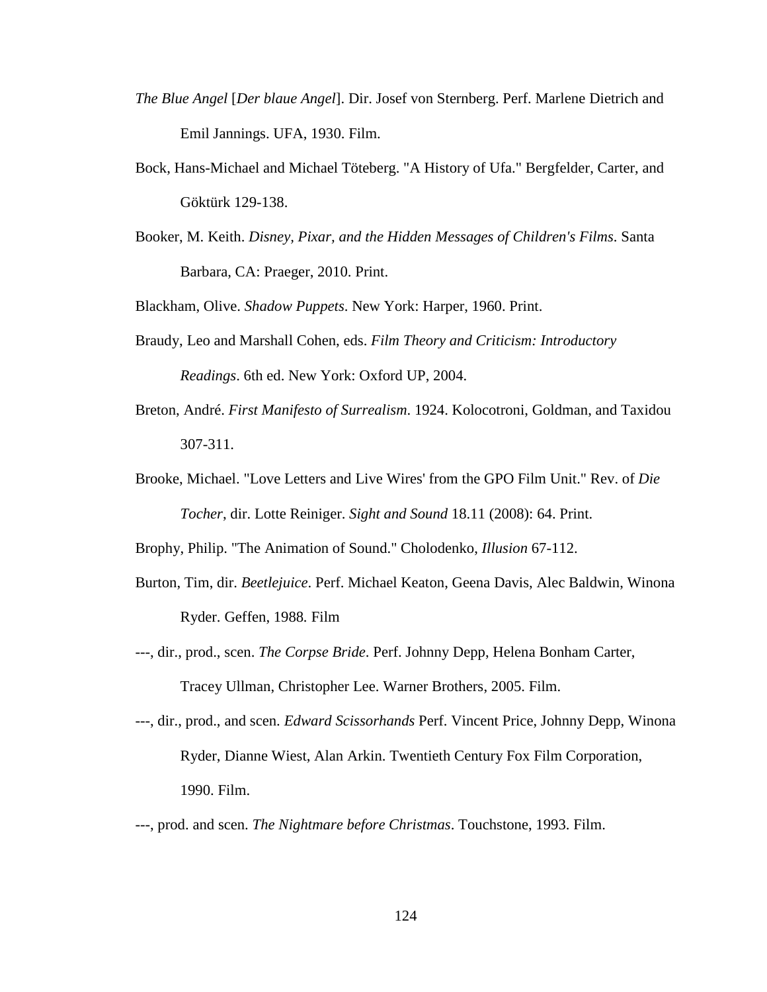- *The Blue Angel* [*Der blaue Angel*]. Dir. Josef von Sternberg. Perf. Marlene Dietrich and Emil Jannings. UFA, 1930. Film.
- Bock, Hans-Michael and Michael Töteberg. "A History of Ufa." Bergfelder, Carter, and Göktürk 129-138.
- Booker, M. Keith. *Disney, Pixar, and the Hidden Messages of Children's Films*. Santa Barbara, CA: Praeger, 2010. Print.

Blackham, Olive. *Shadow Puppets*. New York: Harper, 1960. Print.

- Braudy, Leo and Marshall Cohen, eds. *Film Theory and Criticism: Introductory Readings*. 6th ed. New York: Oxford UP, 2004.
- Breton, André. *First Manifesto of Surrealism*. 1924. Kolocotroni, Goldman, and Taxidou 307-311.
- Brooke, Michael. "Love Letters and Live Wires' from the GPO Film Unit." Rev. of *Die Tocher*, dir. Lotte Reiniger. *Sight and Sound* 18.11 (2008): 64. Print.

Brophy, Philip. "The Animation of Sound." Cholodenko, *Illusion* 67-112.

- Burton, Tim, dir. *Beetlejuice*. Perf. Michael Keaton, Geena Davis, Alec Baldwin, Winona Ryder. Geffen, 1988*.* Film
- ---, dir., prod., scen. *The Corpse Bride*. Perf. Johnny Depp, Helena Bonham Carter, Tracey Ullman, Christopher Lee. Warner Brothers, 2005. Film.
- ---, dir., prod., and scen. *Edward Scissorhands* Perf. Vincent Price, Johnny Depp, Winona Ryder, Dianne Wiest, Alan Arkin. Twentieth Century Fox Film Corporation, 1990. Film.
- ---, prod. and scen. *The Nightmare before Christmas*. Touchstone, 1993. Film.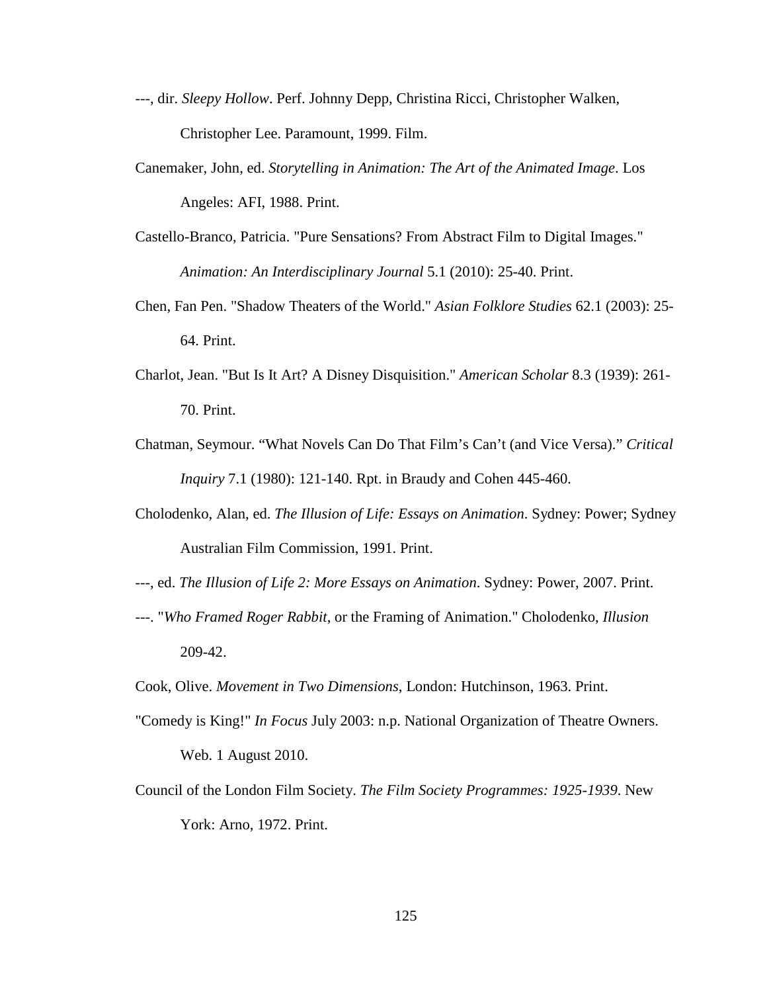- ---, dir. *Sleepy Hollow*. Perf. Johnny Depp, Christina Ricci, Christopher Walken, Christopher Lee. Paramount, 1999. Film.
- Canemaker, John, ed. *Storytelling in Animation: The Art of the Animated Image*. Los Angeles: AFI, 1988. Print.
- Castello-Branco, Patricia. "Pure Sensations? From Abstract Film to Digital Images." *Animation: An Interdisciplinary Journal* 5.1 (2010): 25-40. Print.
- Chen, Fan Pen. "Shadow Theaters of the World." *Asian Folklore Studies* 62.1 (2003): 25- 64. Print.
- Charlot, Jean. "But Is It Art? A Disney Disquisition." *American Scholar* 8.3 (1939): 261- 70. Print.
- Chatman, Seymour. "What Novels Can Do That Film's Can't (and Vice Versa)." *Critical Inquiry* 7.1 (1980): 121-140. Rpt. in Braudy and Cohen 445-460.
- Cholodenko, Alan, ed. *The Illusion of Life: Essays on Animation*. Sydney: Power; Sydney Australian Film Commission, 1991. Print.
- ---, ed. *The Illusion of Life 2: More Essays on Animation*. Sydney: Power, 2007. Print.
- ---. "*Who Framed Roger Rabbit*, or the Framing of Animation." Cholodenko, *Illusion* 209-42.
- Cook, Olive. *Movement in Two Dimensions*, London: Hutchinson, 1963. Print.
- "Comedy is King!" *In Focus* July 2003: n.p. National Organization of Theatre Owners. Web. 1 August 2010.
- Council of the London Film Society. *The Film Society Programmes: 1925-1939*. New York: Arno, 1972. Print.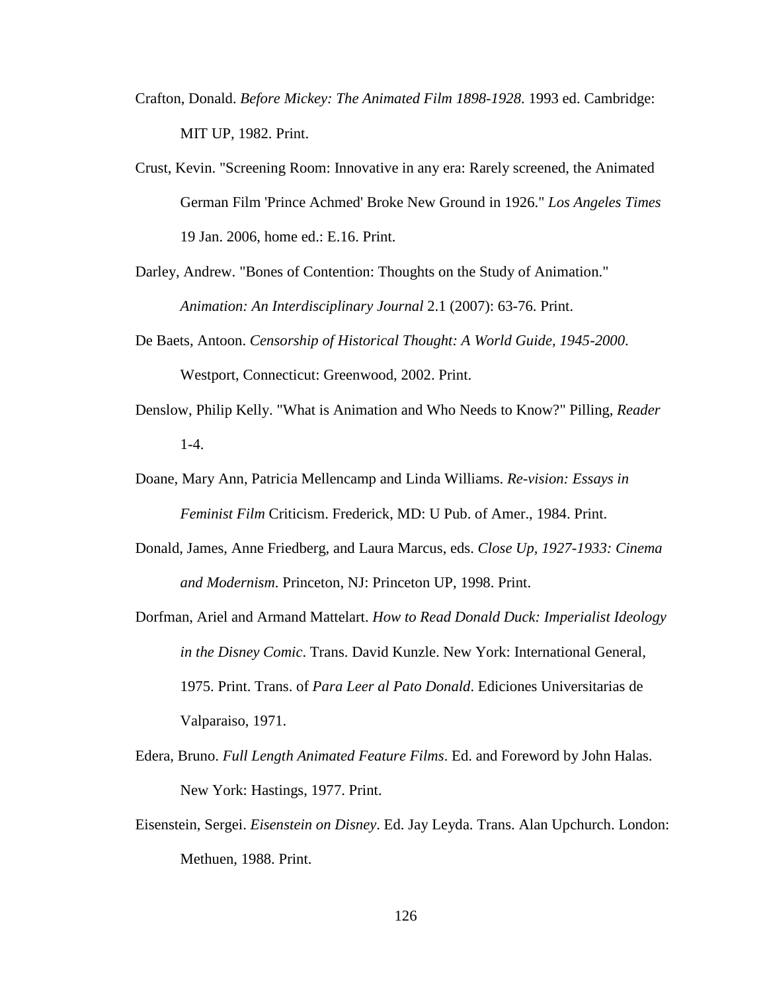- Crafton, Donald. *Before Mickey: The Animated Film 1898-1928*. 1993 ed. Cambridge: MIT UP, 1982. Print.
- Crust, Kevin. "Screening Room: Innovative in any era: Rarely screened, the Animated German Film 'Prince Achmed' Broke New Ground in 1926." *Los Angeles Times* 19 Jan. 2006, home ed.: E.16. Print.

Darley, Andrew. "Bones of Contention: Thoughts on the Study of Animation." *Animation: An Interdisciplinary Journal* 2.1 (2007): 63-76. Print.

- De Baets, Antoon. *Censorship of Historical Thought: A World Guide, 1945-2000*. Westport, Connecticut: Greenwood, 2002. Print.
- Denslow, Philip Kelly. "What is Animation and Who Needs to Know?" Pilling, *Reader*  $1-4.$
- Doane, Mary Ann, Patricia Mellencamp and Linda Williams. *Re-vision: Essays in Feminist Film* Criticism. Frederick, MD: U Pub. of Amer., 1984. Print.
- Donald, James, Anne Friedberg, and Laura Marcus, eds. *Close Up, 1927-1933: Cinema and Modernism*. Princeton, NJ: Princeton UP, 1998. Print.
- Dorfman, Ariel and Armand Mattelart. *How to Read Donald Duck: Imperialist Ideology in the Disney Comic*. Trans. David Kunzle. New York: International General, 1975. Print. Trans. of *Para Leer al Pato Donald*. Ediciones Universitarias de Valparaiso, 1971.
- Edera, Bruno. *Full Length Animated Feature Films*. Ed. and Foreword by John Halas. New York: Hastings, 1977. Print.
- <span id="page-136-0"></span>Eisenstein, Sergei. *Eisenstein on Disney*. Ed. Jay Leyda. Trans. Alan Upchurch. London: Methuen, 1988. Print.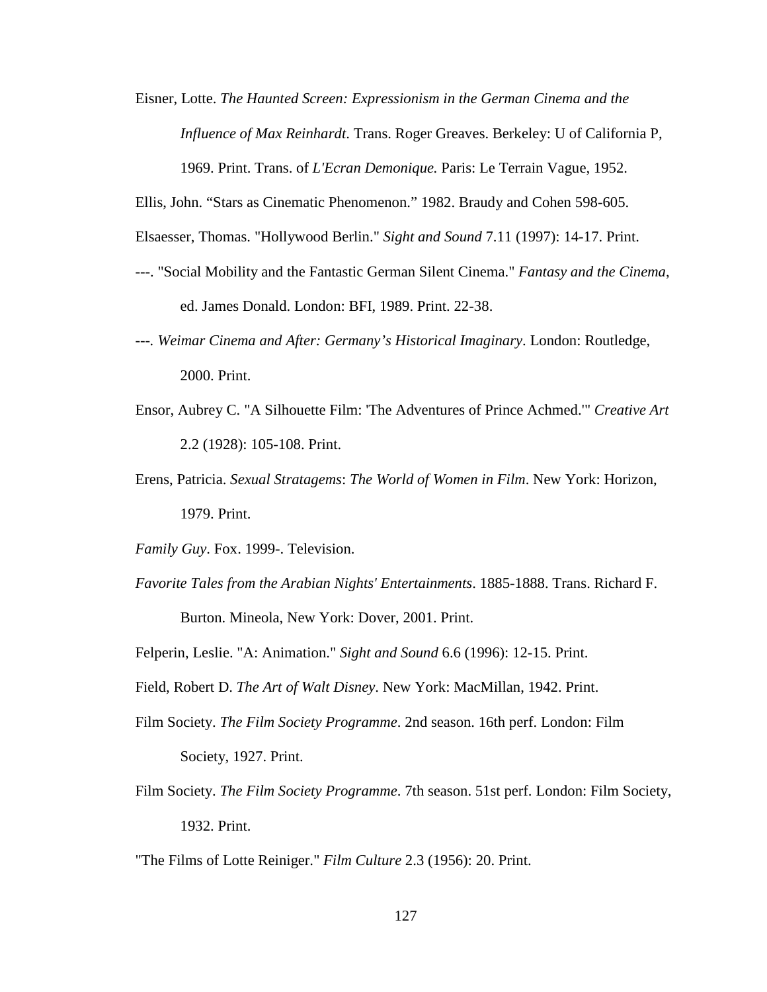Eisner, Lotte. *The Haunted Screen: Expressionism in the German Cinema and the Influence of Max Reinhardt*. Trans. Roger Greaves. Berkeley: U of California P, 1969. Print. Trans. of *L'Ecran Demonique.* Paris: Le Terrain Vague, 1952.

Ellis, John. "Stars as Cinematic Phenomenon." 1982. Braudy and Cohen 598-605.

Elsaesser, Thomas. "Hollywood Berlin." *Sight and Sound* 7.11 (1997): 14-17. Print.

- ---. "Social Mobility and the Fantastic German Silent Cinema." *Fantasy and the Cinema*, ed. James Donald. London: BFI, 1989. Print. 22-38.
- *---. Weimar Cinema and After: Germany's Historical Imaginary*. London: Routledge, 2000. Print.
- Ensor, Aubrey C. "A Silhouette Film: 'The Adventures of Prince Achmed.'" *Creative Art* 2.2 (1928): 105-108. Print.
- Erens, Patricia. *Sexual Stratagems*: *The World of Women in Film*. New York: Horizon, 1979. Print.

*Family Guy*. Fox. 1999-. Television.

*Favorite Tales from the Arabian Nights' Entertainments*. 1885-1888. Trans. Richard F.

Burton. Mineola, New York: Dover, 2001. Print.

Felperin, Leslie. "A: Animation." *Sight and Sound* 6.6 (1996): 12-15. Print.

Field, Robert D. *The Art of Walt Disney*. New York: MacMillan, 1942. Print.

- Film Society. *The Film Society Programme*. 2nd season. 16th perf. London: Film Society, 1927. Print.
- Film Society. *The Film Society Programme*. 7th season. 51st perf. London: Film Society, 1932. Print.

"The Films of Lotte Reiniger." *Film Culture* 2.3 (1956): 20. Print.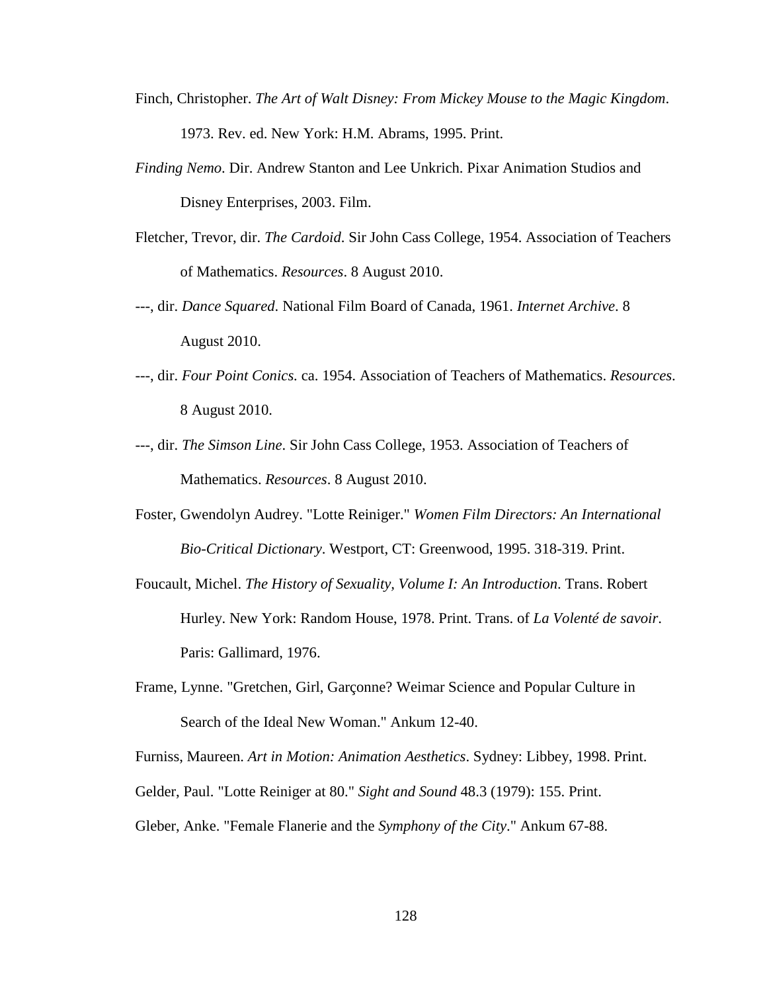- Finch, Christopher. *The Art of Walt Disney: From Mickey Mouse to the Magic Kingdom*. 1973. Rev. ed. New York: H.M. Abrams, 1995. Print.
- *Finding Nemo*. Dir. Andrew Stanton and Lee Unkrich. Pixar Animation Studios and Disney Enterprises, 2003. Film.
- Fletcher, Trevor, dir. *The Cardoid*. Sir John Cass College, 1954. Association of Teachers of Mathematics. *Resources*. 8 August 2010.
- ---, dir. *Dance Squared*. National Film Board of Canada, 1961. *Internet Archive*. 8 August 2010.
- ---, dir. *Four Point Conics.* ca. 1954. Association of Teachers of Mathematics. *Resources*. 8 August 2010.
- ---, dir. *The Simson Line*. Sir John Cass College, 1953. Association of Teachers of Mathematics. *Resources*. 8 August 2010.
- Foster, Gwendolyn Audrey. "Lotte Reiniger." *Women Film Directors: An International Bio-Critical Dictionary*. Westport, CT: Greenwood, 1995. 318-319. Print.
- Foucault, Michel. *The History of Sexuality, Volume I: An Introduction*. Trans. Robert Hurley. New York: Random House, 1978. Print. Trans. of *La Volenté de savoir*. Paris: Gallimard, 1976.
- Frame, Lynne. "Gretchen, Girl, Garçonne? Weimar Science and Popular Culture in Search of the Ideal New Woman." Ankum 12-40.

Furniss, Maureen. *Art in Motion: Animation Aesthetics*. Sydney: Libbey, 1998. Print.

Gelder, Paul. "Lotte Reiniger at 80." *Sight and Sound* 48.3 (1979): 155. Print.

Gleber, Anke. "Female Flanerie and the *Symphony of the City*." Ankum 67-88.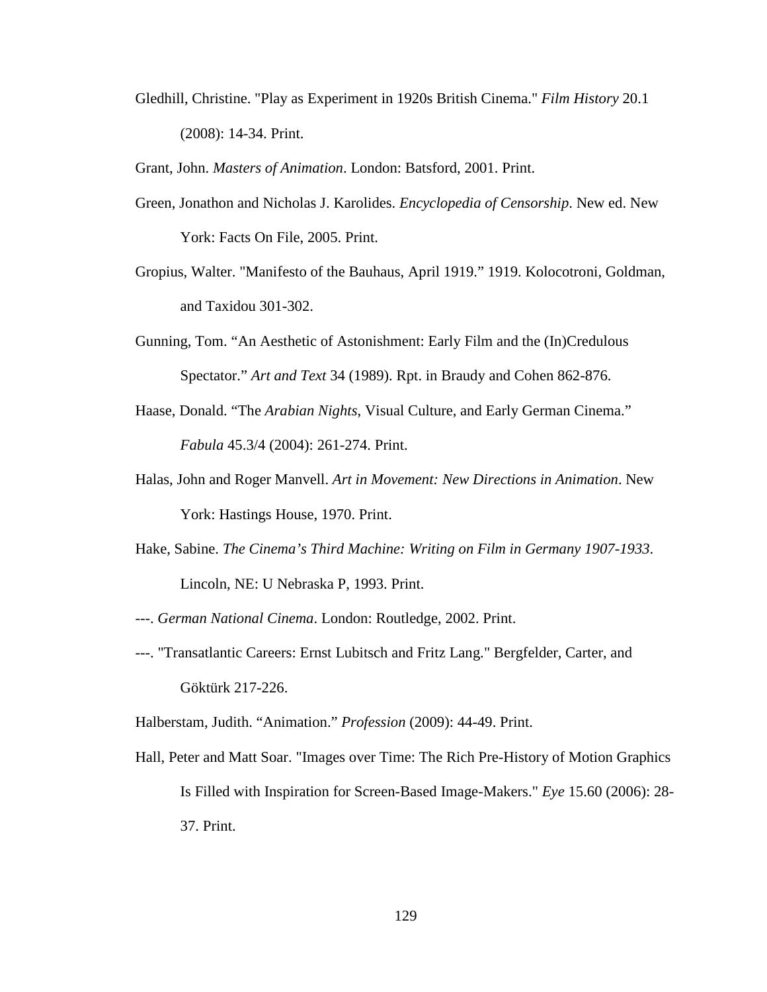Gledhill, Christine. "Play as Experiment in 1920s British Cinema." *Film History* 20.1 (2008): 14-34. Print.

Grant, John. *Masters of Animation*. London: Batsford, 2001. Print.

- Green, Jonathon and Nicholas J. Karolides. *Encyclopedia of Censorship*. New ed. New York: Facts On File, 2005. Print.
- Gropius, Walter. "Manifesto of the Bauhaus, April 1919." 1919. Kolocotroni, Goldman, and Taxidou 301-302.
- Gunning, Tom. "An Aesthetic of Astonishment: Early Film and the (In)Credulous Spectator." *Art and Text* 34 (1989). Rpt. in Braudy and Cohen 862-876.
- Haase, Donald. "The *Arabian Nights*, Visual Culture, and Early German Cinema." *Fabula* 45.3/4 (2004): 261-274. Print.
- Halas, John and Roger Manvell. *Art in Movement: New Directions in Animation*. New York: Hastings House, 1970. Print.
- Hake, Sabine. *The Cinema's Third Machine: Writing on Film in Germany 1907-1933*. Lincoln, NE: U Nebraska P, 1993. Print.
- ---. *German National Cinema*. London: Routledge, 2002. Print.
- ---. "Transatlantic Careers: Ernst Lubitsch and Fritz Lang." Bergfelder, Carter, and Göktürk 217-226.

Halberstam, Judith. "Animation." *Profession* (2009): 44-49. Print.

Hall, Peter and Matt Soar. "Images over Time: The Rich Pre-History of Motion Graphics Is Filled with Inspiration for Screen-Based Image-Makers." *Eye* 15.60 (2006): 28- 37. Print.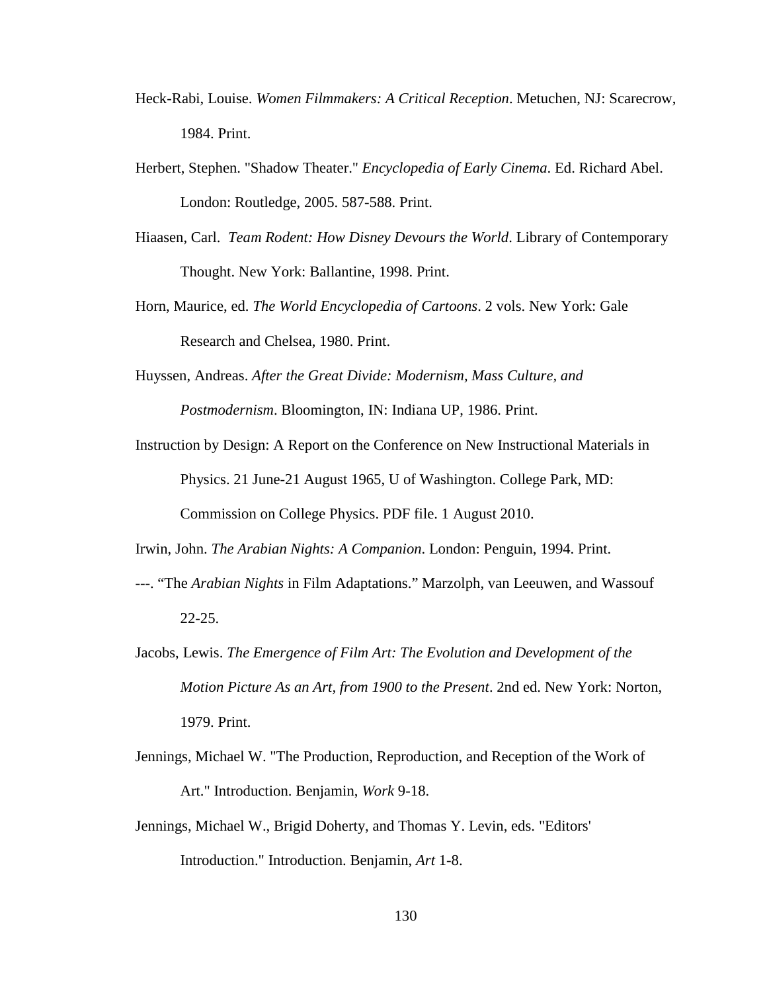- Heck-Rabi, Louise. *Women Filmmakers: A Critical Reception*. Metuchen, NJ: Scarecrow, 1984. Print.
- Herbert, Stephen. "Shadow Theater." *Encyclopedia of Early Cinema*. Ed. Richard Abel. London: Routledge, 2005. 587-588. Print.
- Hiaasen, Carl. *Team Rodent: How Disney Devours the World*. Library of Contemporary Thought. New York: Ballantine, 1998. Print.
- Horn, Maurice, ed. *The World Encyclopedia of Cartoons*. 2 vols. New York: Gale Research and Chelsea, 1980. Print.
- Huyssen, Andreas. *After the Great Divide: Modernism, Mass Culture, and Postmodernism*. Bloomington, IN: Indiana UP, 1986. Print.
- Instruction by Design: A Report on the Conference on New Instructional Materials in Physics. 21 June-21 August 1965, U of Washington. College Park, MD: Commission on College Physics. PDF file. 1 August 2010.

Irwin, John. *The Arabian Nights: A Companion*. London: Penguin, 1994. Print.

- ---. "The *Arabian Nights* in Film Adaptations." Marzolph, van Leeuwen, and Wassouf 22-25.
- Jacobs, Lewis. *The Emergence of Film Art: The Evolution and Development of the Motion Picture As an Art, from 1900 to the Present*. 2nd ed. New York: Norton, 1979. Print.
- Jennings, Michael W. "The Production, Reproduction, and Reception of the Work of Art." Introduction. Benjamin, *Work* 9-18.
- Jennings, Michael W., Brigid Doherty, and Thomas Y. Levin, eds. "Editors' Introduction." Introduction. Benjamin, *Art* 1-8.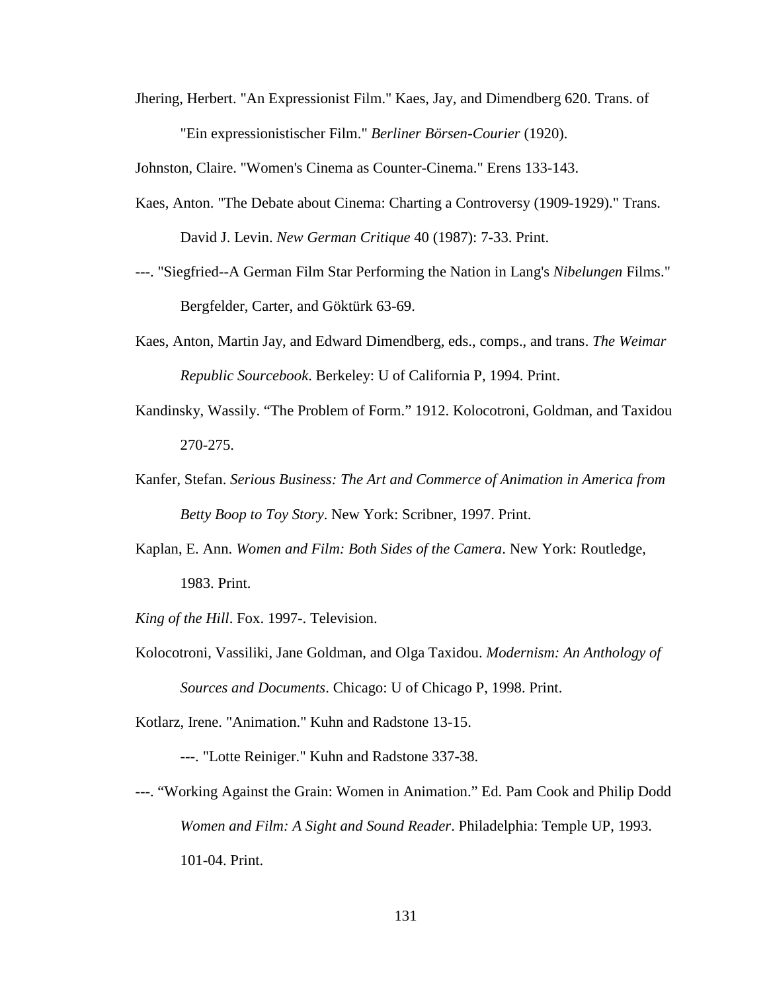Jhering, Herbert. "An Expressionist Film." Kaes, Jay, and Dimendberg 620. Trans. of "Ein expressionistischer Film." *Berliner Börsen-Courier* (1920).

Johnston, Claire. "Women's Cinema as Counter-Cinema." Erens 133-143.

- Kaes, Anton. "The Debate about Cinema: Charting a Controversy (1909-1929)." Trans. David J. Levin. *New German Critique* 40 (1987): 7-33. Print.
- ---. "Siegfried--A German Film Star Performing the Nation in Lang's *Nibelungen* Films." Bergfelder, Carter, and Göktürk 63-69.
- Kaes, Anton, Martin Jay, and Edward Dimendberg, eds., comps., and trans. *The Weimar Republic Sourcebook*. Berkeley: U of California P, 1994. Print.
- Kandinsky, Wassily. "The Problem of Form." 1912. Kolocotroni, Goldman, and Taxidou 270-275.
- Kanfer, Stefan. *Serious Business: The Art and Commerce of Animation in America from Betty Boop to Toy Story*. New York: Scribner, 1997. Print.
- Kaplan, E. Ann. *Women and Film: Both Sides of the Camera*. New York: Routledge, 1983. Print.
- *King of the Hill*. Fox. 1997-. Television.
- Kolocotroni, Vassiliki, Jane Goldman, and Olga Taxidou. *Modernism: An Anthology of Sources and Documents*. Chicago: U of Chicago P, 1998. Print.

Kotlarz, Irene. "Animation." Kuhn and Radstone 13-15.

---. "Lotte Reiniger." Kuhn and Radstone 337-38.

---. "Working Against the Grain: Women in Animation." Ed. Pam Cook and Philip Dodd *Women and Film: A Sight and Sound Reader*. Philadelphia: Temple UP, 1993. 101-04. Print.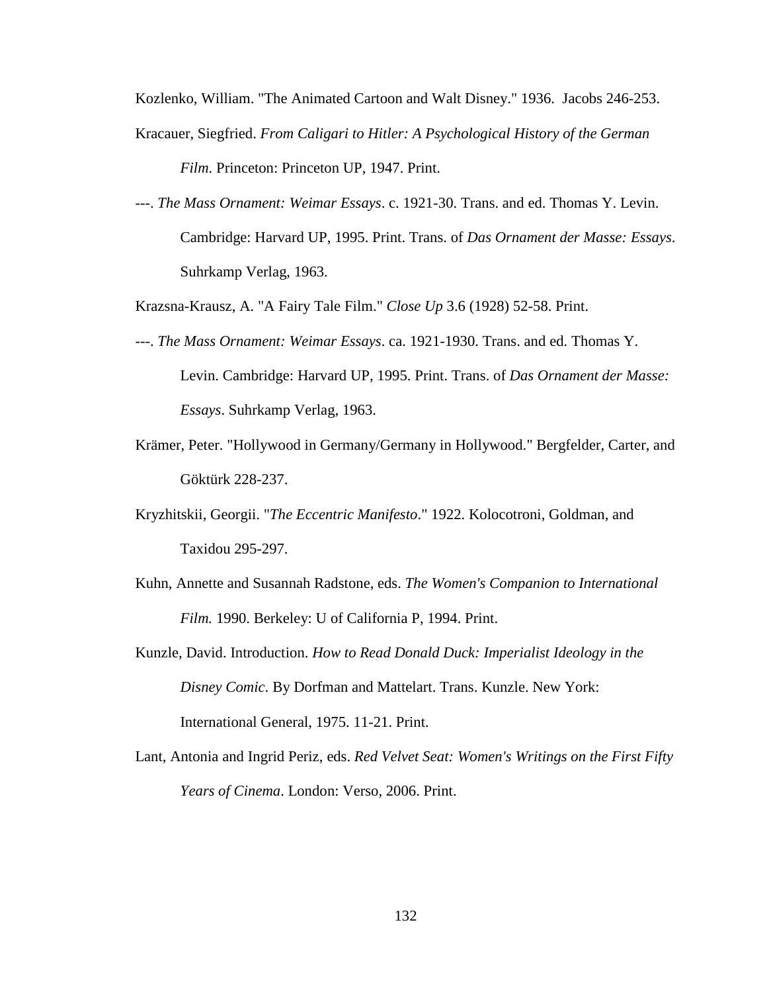Kozlenko, William. "The Animated Cartoon and Walt Disney." 1936. Jacobs 246-253.

- Kracauer, Siegfried. *From Caligari to Hitler: A Psychological History of the German Film*. Princeton: Princeton UP, 1947. Print.
- ---. *The Mass Ornament: Weimar Essays*. c. 1921-30. Trans. and ed. Thomas Y. Levin. Cambridge: Harvard UP, 1995. Print. Trans. of *Das Ornament der Masse: Essays*. Suhrkamp Verlag, 1963.

Krazsna-Krausz, A. "A Fairy Tale Film." *Close Up* 3.6 (1928) 52-58. Print.

- ---. *The Mass Ornament: Weimar Essays*. ca. 1921-1930. Trans. and ed. Thomas Y. Levin. Cambridge: Harvard UP, 1995. Print. Trans. of *Das Ornament der Masse: Essays*. Suhrkamp Verlag, 1963.
- Krämer, Peter. "Hollywood in Germany/Germany in Hollywood." Bergfelder, Carter, and Göktürk 228-237.
- Kryzhitskii, Georgii. "*The Eccentric Manifesto*." 1922. Kolocotroni, Goldman, and Taxidou 295-297.
- Kuhn, Annette and Susannah Radstone, eds. *The Women's Companion to International Film.* 1990. Berkeley: U of California P, 1994. Print.
- Kunzle, David. Introduction. *How to Read Donald Duck: Imperialist Ideology in the Disney Comic*. By Dorfman and Mattelart. Trans. Kunzle. New York: International General, 1975. 11-21. Print.
- Lant, Antonia and Ingrid Periz, eds. *Red Velvet Seat: Women's Writings on the First Fifty Years of Cinema*. London: Verso, 2006. Print.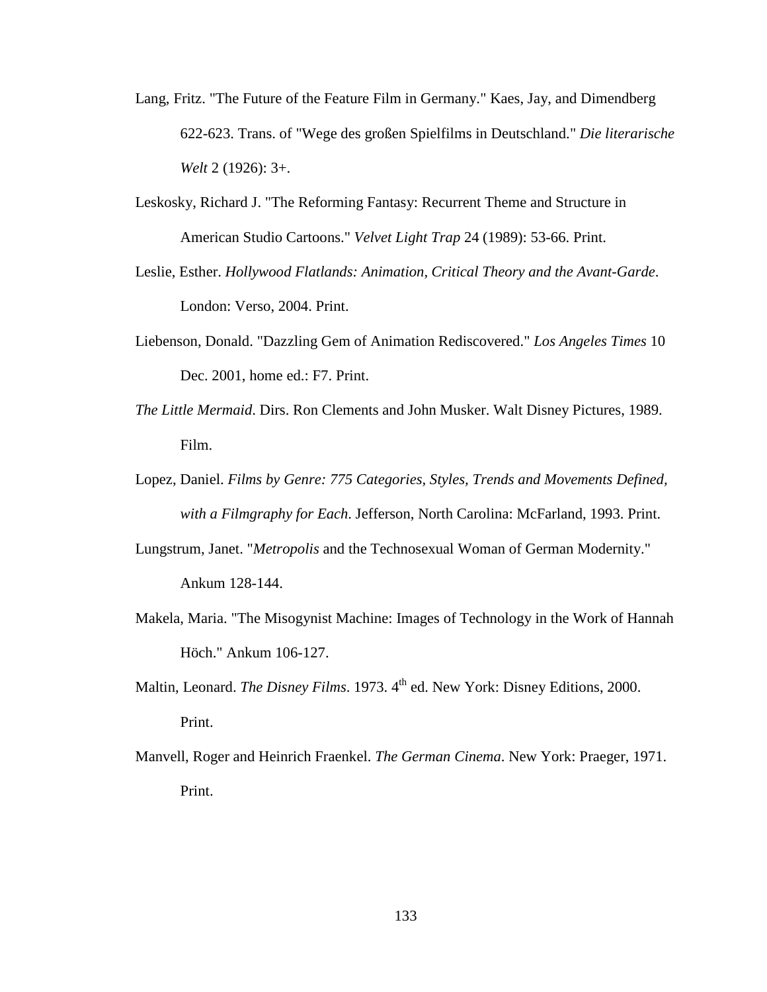- Lang, Fritz. "The Future of the Feature Film in Germany." Kaes, Jay, and Dimendberg 622-623. Trans. of "Wege des großen Spielfilms in Deutschland." *Die literarische Welt* 2 (1926): 3+.
- Leskosky, Richard J. "The Reforming Fantasy: Recurrent Theme and Structure in American Studio Cartoons." *Velvet Light Trap* 24 (1989): 53-66. Print.
- Leslie, Esther. *Hollywood Flatlands: Animation, Critical Theory and the Avant-Garde*. London: Verso, 2004. Print.
- Liebenson, Donald. "Dazzling Gem of Animation Rediscovered." *Los Angeles Times* 10 Dec. 2001, home ed.: F7. Print.
- *The Little Mermaid*. Dirs. Ron Clements and John Musker. Walt Disney Pictures, 1989. Film.
- Lopez, Daniel. *Films by Genre: 775 Categories, Styles, Trends and Movements Defined, with a Filmgraphy for Each*. Jefferson, North Carolina: McFarland, 1993. Print.
- Lungstrum, Janet. "*Metropolis* and the Technosexual Woman of German Modernity." Ankum 128-144.
- Makela, Maria. "The Misogynist Machine: Images of Technology in the Work of Hannah Höch." Ankum 106-127.
- Maltin, Leonard. *The Disney Films*. 1973. 4<sup>th</sup> ed. New York: Disney Editions, 2000. Print.
- Manvell, Roger and Heinrich Fraenkel. *The German Cinema*. New York: Praeger, 1971. Print.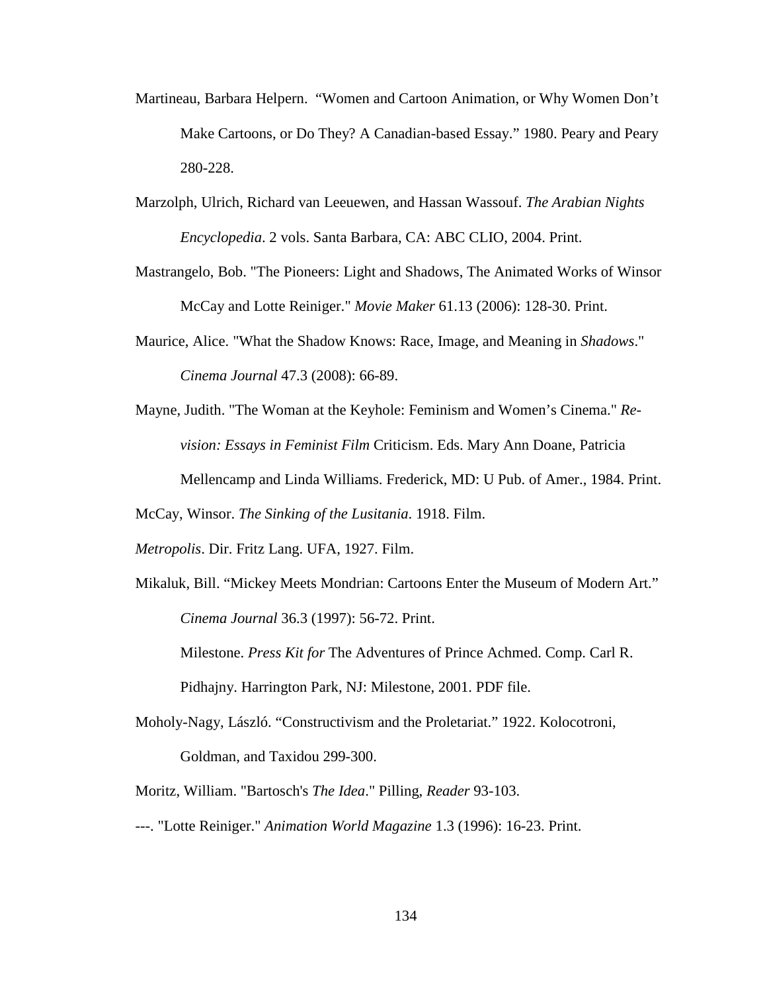- Martineau, Barbara Helpern. "Women and Cartoon Animation, or Why Women Don't Make Cartoons, or Do They? A Canadian-based Essay." 1980. Peary and Peary 280-228.
- Marzolph, Ulrich, Richard van Leeuewen, and Hassan Wassouf. *The Arabian Nights Encyclopedia*. 2 vols. Santa Barbara, CA: ABC CLIO, 2004. Print.
- Mastrangelo, Bob. "The Pioneers: Light and Shadows, The Animated Works of Winsor McCay and Lotte Reiniger." *Movie Maker* 61.13 (2006): 128-30. Print.
- Maurice, Alice. "What the Shadow Knows: Race, Image, and Meaning in *Shadows*." *Cinema Journal* 47.3 (2008): 66-89.
- Mayne, Judith. "The Woman at the Keyhole: Feminism and Women's Cinema." *Revision: Essays in Feminist Film* Criticism. Eds. Mary Ann Doane, Patricia

Mellencamp and Linda Williams. Frederick, MD: U Pub. of Amer., 1984. Print.

McCay, Winsor. *The Sinking of the Lusitania*. 1918. Film.

- *Metropolis*. Dir. Fritz Lang. UFA, 1927. Film.
- Mikaluk, Bill. "Mickey Meets Mondrian: Cartoons Enter the Museum of Modern Art." *Cinema Journal* 36.3 (1997): 56-72. Print.

Milestone. *Press Kit for* The Adventures of Prince Achmed. Comp. Carl R. Pidhajny. Harrington Park, NJ: Milestone, 2001. PDF file.

- Moholy-Nagy, László. "Constructivism and the Proletariat." 1922. Kolocotroni, Goldman, and Taxidou 299-300.
- Moritz, William. "Bartosch's *The Idea*." Pilling, *Reader* 93-103.
- ---. "Lotte Reiniger." *Animation World Magazine* 1.3 (1996): 16-23. Print.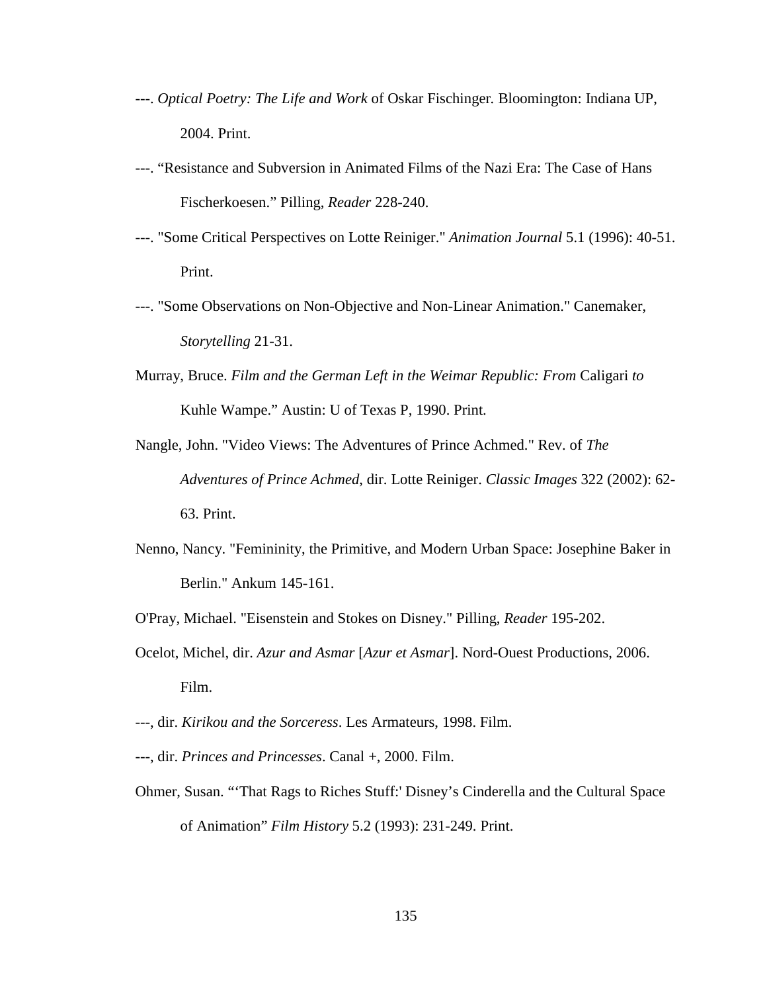- ---. *Optical Poetry: The Life and Work* of Oskar Fischinger*.* Bloomington: Indiana UP, 2004. Print.
- ---. "Resistance and Subversion in Animated Films of the Nazi Era: The Case of Hans Fischerkoesen." Pilling, *Reader* 228-240.
- ---. "Some Critical Perspectives on Lotte Reiniger." *Animation Journal* 5.1 (1996): 40-51. Print.
- ---. "Some Observations on Non-Objective and Non-Linear Animation." Canemaker, *Storytelling* 21-31.
- Murray, Bruce. *Film and the German Left in the Weimar Republic: From* Caligari *to*  Kuhle Wampe." Austin: U of Texas P, 1990. Print.
- Nangle, John. "Video Views: The Adventures of Prince Achmed." Rev. of *The Adventures of Prince Achmed*, dir. Lotte Reiniger. *Classic Images* 322 (2002): 62- 63. Print.
- Nenno, Nancy. "Femininity, the Primitive, and Modern Urban Space: Josephine Baker in Berlin." Ankum 145-161.
- O'Pray, Michael. "Eisenstein and Stokes on Disney." Pilling, *Reader* 195-202.
- Ocelot, Michel, dir. *Azur and Asmar* [*Azur et Asmar*]. Nord-Ouest Productions, 2006. Film.
- ---, dir. *Kirikou and the Sorceress*. Les Armateurs, 1998. Film.
- ---, dir. *Princes and Princesses*. Canal +, 2000. Film.
- Ohmer, Susan. "'That Rags to Riches Stuff:' Disney's Cinderella and the Cultural Space of Animation" *Film History* 5.2 (1993): 231-249. Print.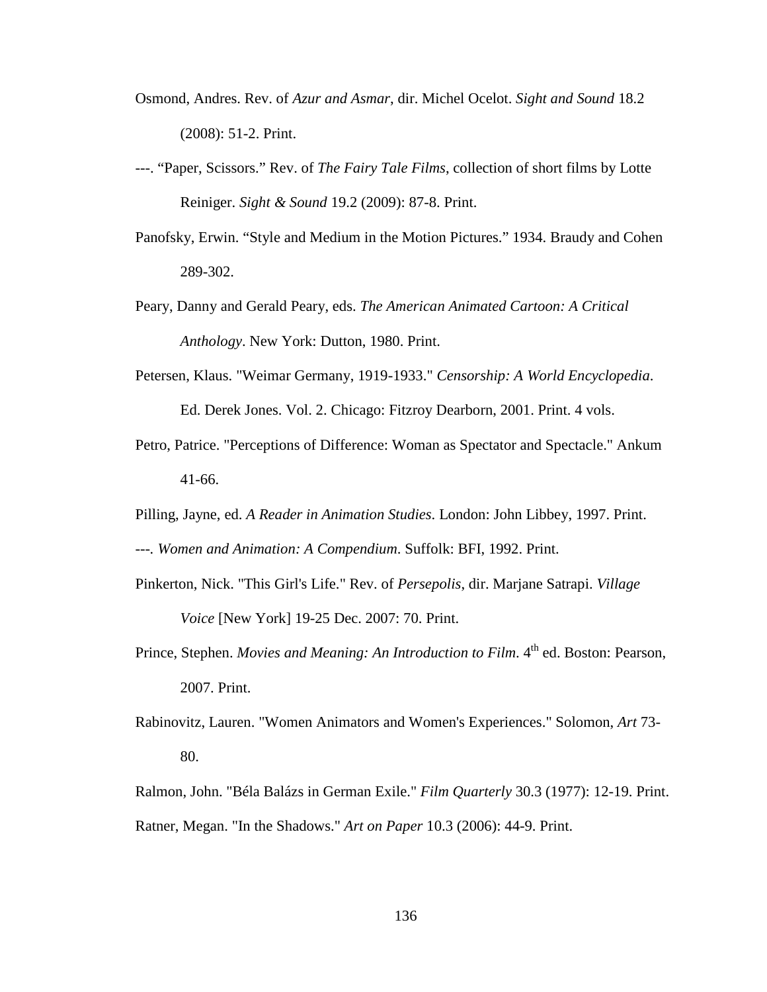- Osmond, Andres. Rev. of *Azur and Asmar*, dir. Michel Ocelot. *Sight and Sound* 18.2 (2008): 51-2. Print.
- ---. "Paper, Scissors." Rev. of *The Fairy Tale Films*, collection of short films by Lotte Reiniger. *Sight & Sound* 19.2 (2009): 87-8. Print.
- Panofsky, Erwin. "Style and Medium in the Motion Pictures." 1934. Braudy and Cohen 289-302.
- Peary, Danny and Gerald Peary, eds. *The American Animated Cartoon: A Critical Anthology*. New York: Dutton, 1980. Print.
- Petersen, Klaus. "Weimar Germany, 1919-1933." *Censorship: A World Encyclopedia*. Ed. Derek Jones. Vol. 2. Chicago: Fitzroy Dearborn, 2001. Print. 4 vols.
- Petro, Patrice. "Perceptions of Difference: Woman as Spectator and Spectacle." Ankum 41-66.
- Pilling, Jayne, ed. *A Reader in Animation Studies*. London: John Libbey, 1997. Print.
- *---. Women and Animation: A Compendium*. Suffolk: BFI, 1992. Print.
- Pinkerton, Nick. "This Girl's Life." Rev. of *Persepolis*, dir. Marjane Satrapi. *Village Voice* [New York] 19-25 Dec. 2007: 70. Print.
- Prince, Stephen. *Movies and Meaning: An Introduction to Film*. 4<sup>th</sup> ed. Boston: Pearson, 2007. Print.
- Rabinovitz, Lauren. "Women Animators and Women's Experiences." Solomon, *Art* 73- 80.
- Ralmon, John. "Béla Balázs in German Exile." *Film Quarterly* 30.3 (1977): 12-19. Print. Ratner, Megan. "In the Shadows." *Art on Paper* 10.3 (2006): 44-9. Print.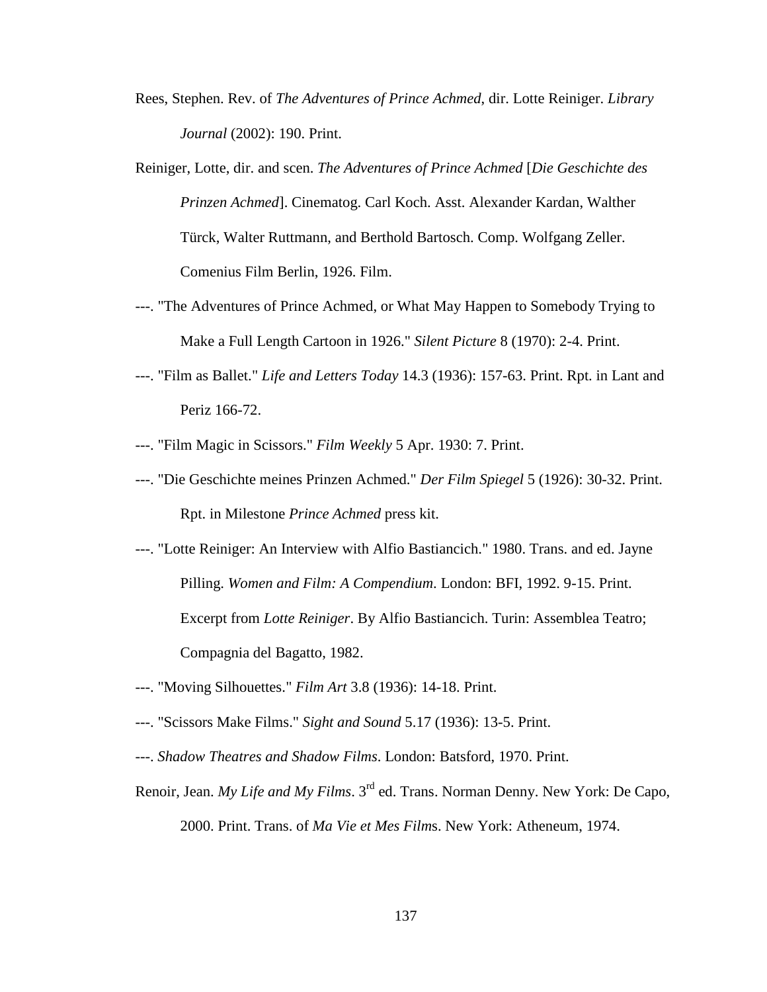- Rees, Stephen. Rev. of *The Adventures of Prince Achmed*, dir. Lotte Reiniger. *Library Journal* (2002): 190. Print.
- Reiniger, Lotte, dir. and scen. *The Adventures of Prince Achmed* [*Die Geschichte des Prinzen Achmed*]. Cinematog. Carl Koch. Asst. Alexander Kardan, Walther Türck, Walter Ruttmann, and Berthold Bartosch. Comp. Wolfgang Zeller. Comenius Film Berlin, 1926. Film.
- ---. "The Adventures of Prince Achmed, or What May Happen to Somebody Trying to Make a Full Length Cartoon in 1926." *Silent Picture* 8 (1970): 2-4. Print.
- ---. "Film as Ballet." *Life and Letters Today* 14.3 (1936): 157-63. Print. Rpt. in Lant and Periz 166-72.
- ---. "Film Magic in Scissors." *Film Weekly* 5 Apr. 1930: 7. Print.
- ---. "Die Geschichte meines Prinzen Achmed." *Der Film Spiegel* 5 (1926): 30-32. Print. Rpt. in Milestone *Prince Achmed* press kit.
- ---. "Lotte Reiniger: An Interview with Alfio Bastiancich." 1980. Trans. and ed. Jayne Pilling. *Women and Film: A Compendium*. London: BFI, 1992. 9-15. Print. Excerpt from *Lotte Reiniger*. By Alfio Bastiancich. Turin: Assemblea Teatro; Compagnia del Bagatto, 1982.
- ---. "Moving Silhouettes." *Film Art* 3.8 (1936): 14-18. Print.
- ---. "Scissors Make Films." *Sight and Sound* 5.17 (1936): 13-5. Print.
- ---. *Shadow Theatres and Shadow Films*. London: Batsford, 1970. Print.
- Renoir, Jean. *My Life and My Films*. 3rd ed. Trans. Norman Denny. New York: De Capo, 2000. Print. Trans. of *Ma Vie et Mes Film*s. New York: Atheneum, 1974.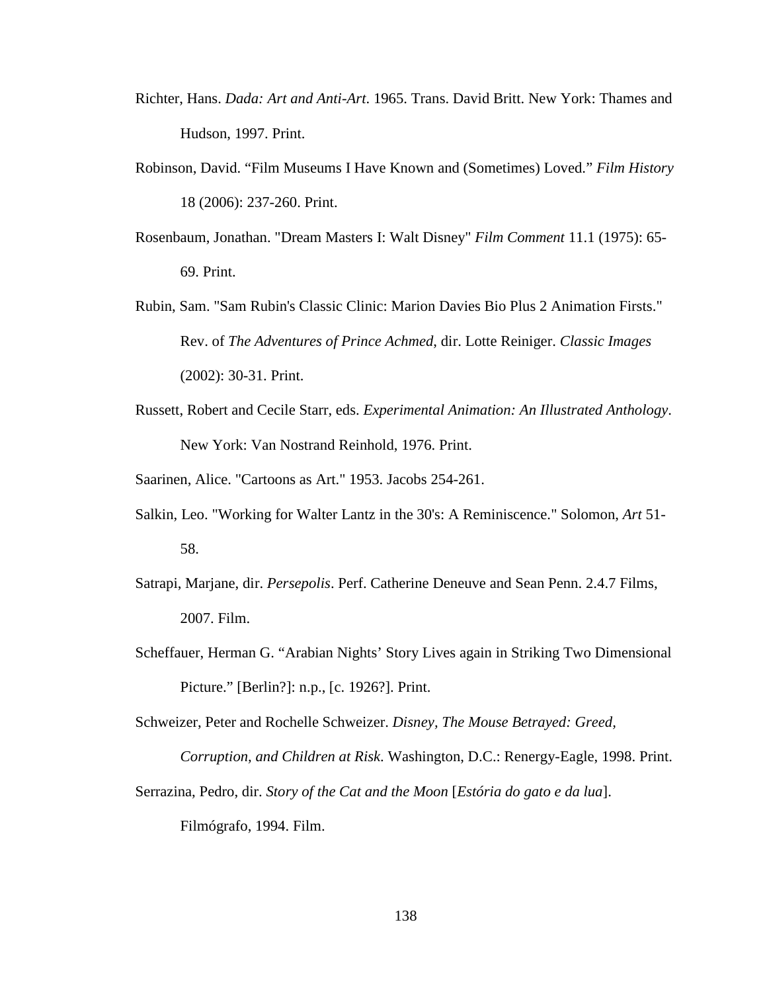- Richter, Hans. *Dada: Art and Anti-Art*. 1965. Trans. David Britt. New York: Thames and Hudson, 1997. Print.
- Robinson, David. "Film Museums I Have Known and (Sometimes) Loved." *Film History* 18 (2006): 237-260. Print.
- Rosenbaum, Jonathan. "Dream Masters I: Walt Disney" *Film Comment* 11.1 (1975): 65- 69. Print.
- Rubin, Sam. "Sam Rubin's Classic Clinic: Marion Davies Bio Plus 2 Animation Firsts." Rev. of *The Adventures of Prince Achmed*, dir. Lotte Reiniger. *Classic Images* (2002): 30-31. Print.
- Russett, Robert and Cecile Starr, eds. *Experimental Animation: An Illustrated Anthology*. New York: Van Nostrand Reinhold, 1976. Print.

Saarinen, Alice. "Cartoons as Art." 1953. Jacobs 254-261.

- Salkin, Leo. "Working for Walter Lantz in the 30's: A Reminiscence." Solomon, *Art* 51- 58.
- Satrapi, Marjane, dir. *Persepolis*. Perf. Catherine Deneuve and Sean Penn. 2.4.7 Films, 2007. Film.
- Scheffauer, Herman G. "Arabian Nights' Story Lives again in Striking Two Dimensional Picture." [Berlin?]: n.p., [c. 1926?]. Print.

Schweizer, Peter and Rochelle Schweizer. *Disney, The Mouse Betrayed: Greed, Corruption, and Children at Risk*. Washington, D.C.: Renergy-Eagle, 1998. Print.

Serrazina, Pedro, dir. *Story of the Cat and the Moon* [*Estória do gato e da lua*]. Filmógrafo, 1994. Film.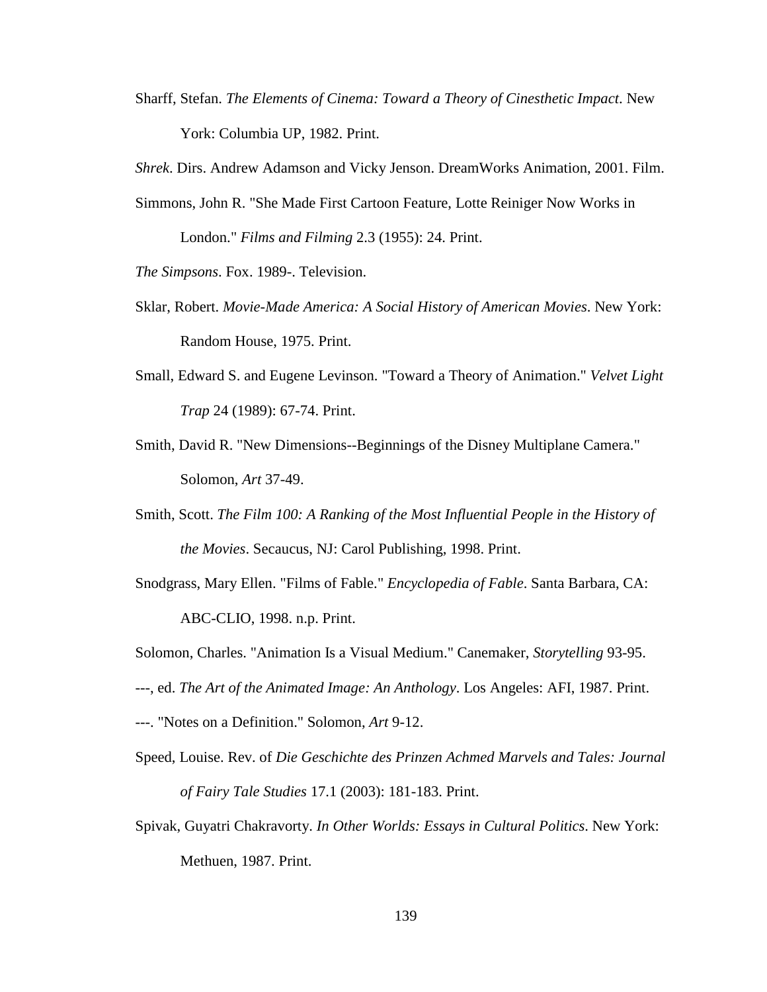Sharff, Stefan. *The Elements of Cinema: Toward a Theory of Cinesthetic Impact*. New York: Columbia UP, 1982. Print.

*Shrek*. Dirs. Andrew Adamson and Vicky Jenson. DreamWorks Animation, 2001. Film.

Simmons, John R. "She Made First Cartoon Feature, Lotte Reiniger Now Works in

London." *Films and Filming* 2.3 (1955): 24. Print.

*The Simpsons*. Fox. 1989-. Television.

- Sklar, Robert. *Movie-Made America: A Social History of American Movies*. New York: Random House, 1975. Print.
- Small, Edward S. and Eugene Levinson. "Toward a Theory of Animation." *Velvet Light Trap* 24 (1989): 67-74. Print.
- Smith, David R. "New Dimensions--Beginnings of the Disney Multiplane Camera." Solomon, *Art* 37-49.
- Smith, Scott. *The Film 100: A Ranking of the Most Influential People in the History of the Movies*. Secaucus, NJ: Carol Publishing, 1998. Print.
- Snodgrass, Mary Ellen. "Films of Fable." *Encyclopedia of Fable*. Santa Barbara, CA: ABC-CLIO, 1998. n.p. Print.
- Solomon, Charles. "Animation Is a Visual Medium." Canemaker, *Storytelling* 93-95.
- ---, ed. *The Art of the Animated Image: An Anthology*. Los Angeles: AFI, 1987. Print.
- ---. "Notes on a Definition." Solomon, *Art* 9-12.
- Speed, Louise. Rev. of *Die Geschichte des Prinzen Achmed Marvels and Tales: Journal of Fairy Tale Studies* 17.1 (2003): 181-183. Print.
- Spivak, Guyatri Chakravorty. *In Other Worlds: Essays in Cultural Politics*. New York: Methuen, 1987. Print.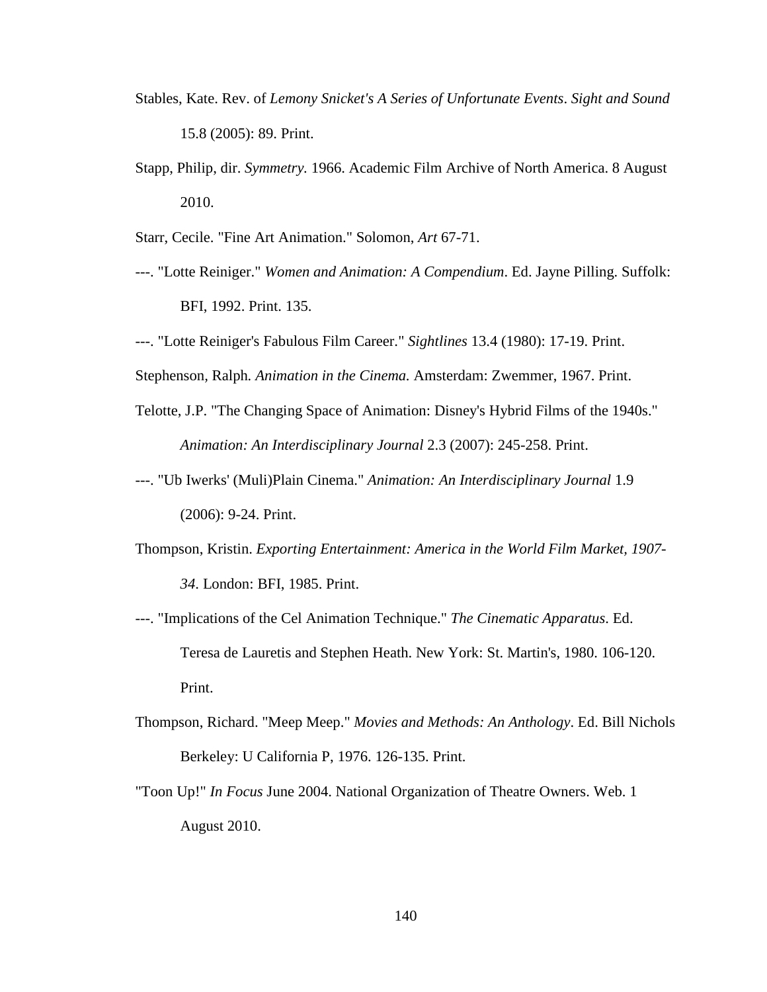- Stables, Kate. Rev. of *Lemony Snicket's A Series of Unfortunate Events*. *Sight and Sound* 15.8 (2005): 89. Print.
- Stapp, Philip, dir. *Symmetry.* 1966. Academic Film Archive of North America. 8 August 2010.
- Starr, Cecile. "Fine Art Animation." Solomon, *Art* 67-71.
- ---. "Lotte Reiniger." *Women and Animation: A Compendium*. Ed. Jayne Pilling. Suffolk: BFI, 1992. Print. 135.
- ---. "Lotte Reiniger's Fabulous Film Career." *Sightlines* 13.4 (1980): 17-19. Print.

Stephenson*,* Ralph*. Animation in the Cinema.* Amsterdam: Zwemmer, 1967. Print.

- Telotte, J.P. "The Changing Space of Animation: Disney's Hybrid Films of the 1940s." *Animation: An Interdisciplinary Journal* 2.3 (2007): 245-258. Print.
- ---. "Ub Iwerks' (Muli)Plain Cinema." *Animation: An Interdisciplinary Journal* 1.9 (2006): 9-24. Print.
- Thompson, Kristin. *Exporting Entertainment: America in the World Film Market, 1907- 34*. London: BFI, 1985. Print.
- ---. "Implications of the Cel Animation Technique." *The Cinematic Apparatus*. Ed. Teresa de Lauretis and Stephen Heath. New York: St. Martin's, 1980. 106-120. Print.
- Thompson, Richard. "Meep Meep." *Movies and Methods: An Anthology*. Ed. Bill Nichols Berkeley: U California P, 1976. 126-135. Print.
- "Toon Up!" *In Focus* June 2004. National Organization of Theatre Owners. Web. 1 August 2010.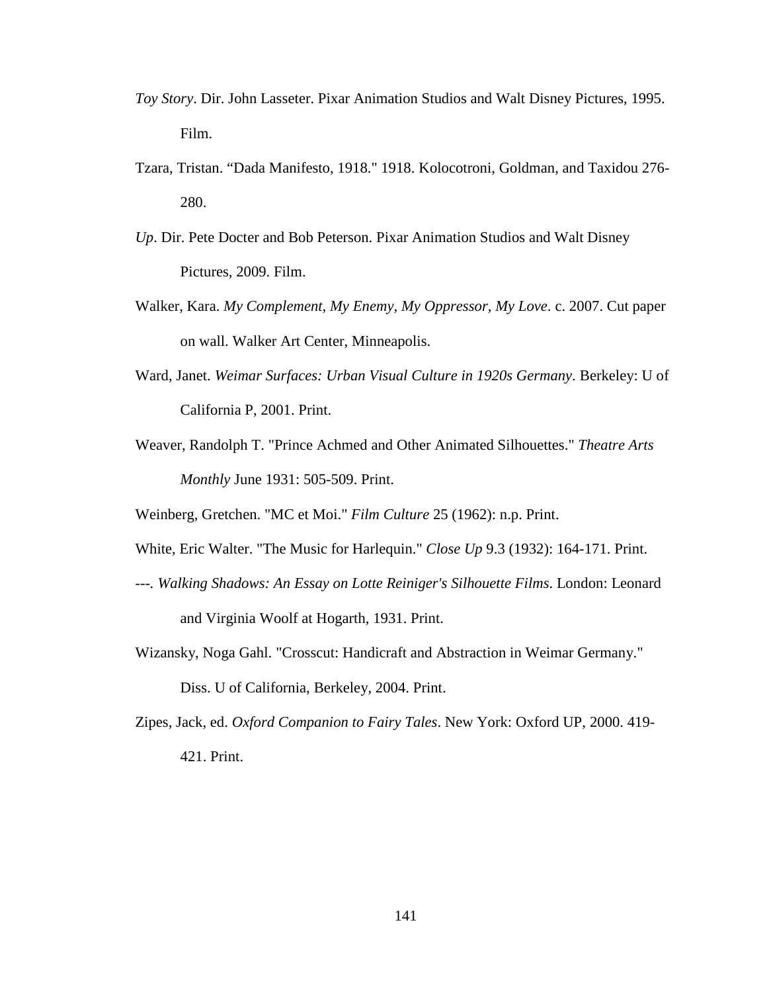- *Toy Story*. Dir. John Lasseter. Pixar Animation Studios and Walt Disney Pictures, 1995. Film.
- Tzara, Tristan. "Dada Manifesto, 1918." 1918. Kolocotroni, Goldman, and Taxidou 276- 280.
- *Up*. Dir. Pete Docter and Bob Peterson. Pixar Animation Studios and Walt Disney Pictures, 2009. Film.
- Walker, Kara. *My Complement, My Enemy, My Oppressor, My Love*. c. 2007. Cut paper on wall. Walker Art Center, Minneapolis.
- Ward, Janet. *Weimar Surfaces: Urban Visual Culture in 1920s Germany*. Berkeley: U of California P, 2001. Print.
- Weaver, Randolph T. "Prince Achmed and Other Animated Silhouettes." *Theatre Arts Monthly* June 1931: 505-509. Print.

Weinberg, Gretchen. "MC et Moi." *Film Culture* 25 (1962): n.p. Print.

- White, Eric Walter. "The Music for Harlequin." *Close Up* 9.3 (1932): 164-171. Print.
- *---. Walking Shadows: An Essay on Lotte Reiniger's Silhouette Films*. London: Leonard and Virginia Woolf at Hogarth, 1931. Print.
- Wizansky, Noga Gahl. "Crosscut: Handicraft and Abstraction in Weimar Germany." Diss. U of California, Berkeley, 2004. Print.
- Zipes, Jack, ed. *Oxford Companion to Fairy Tales*. New York: Oxford UP, 2000. 419- 421. Print.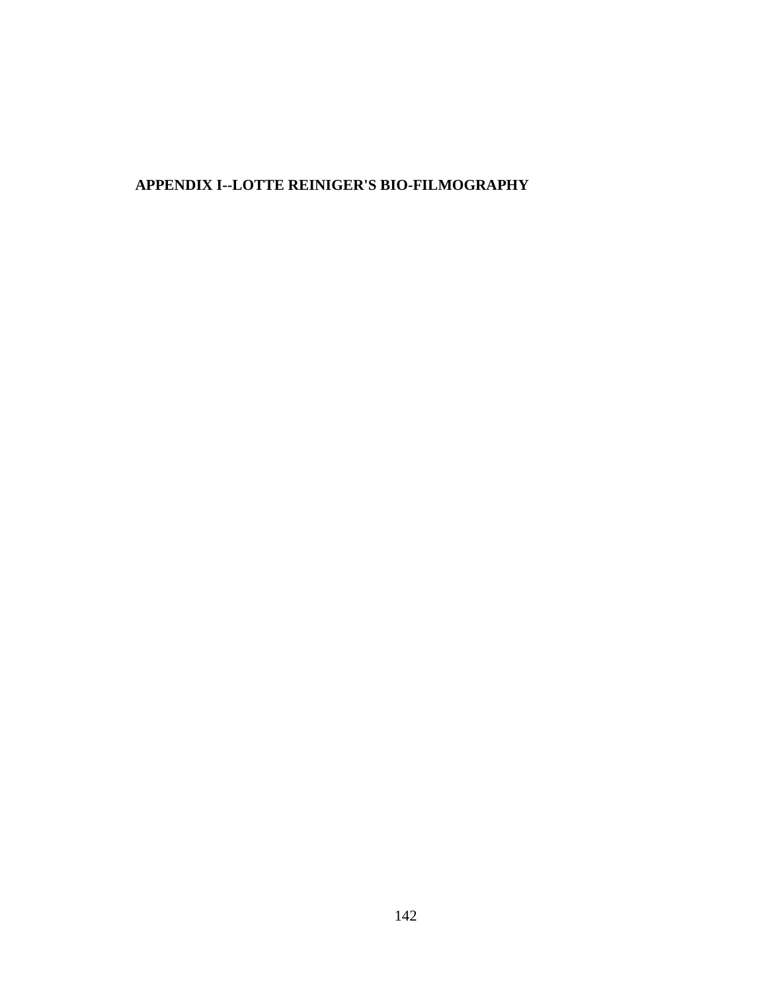# **APPENDIX I--LOTTE REINIGER'S BIO-FILMOGRAPHY**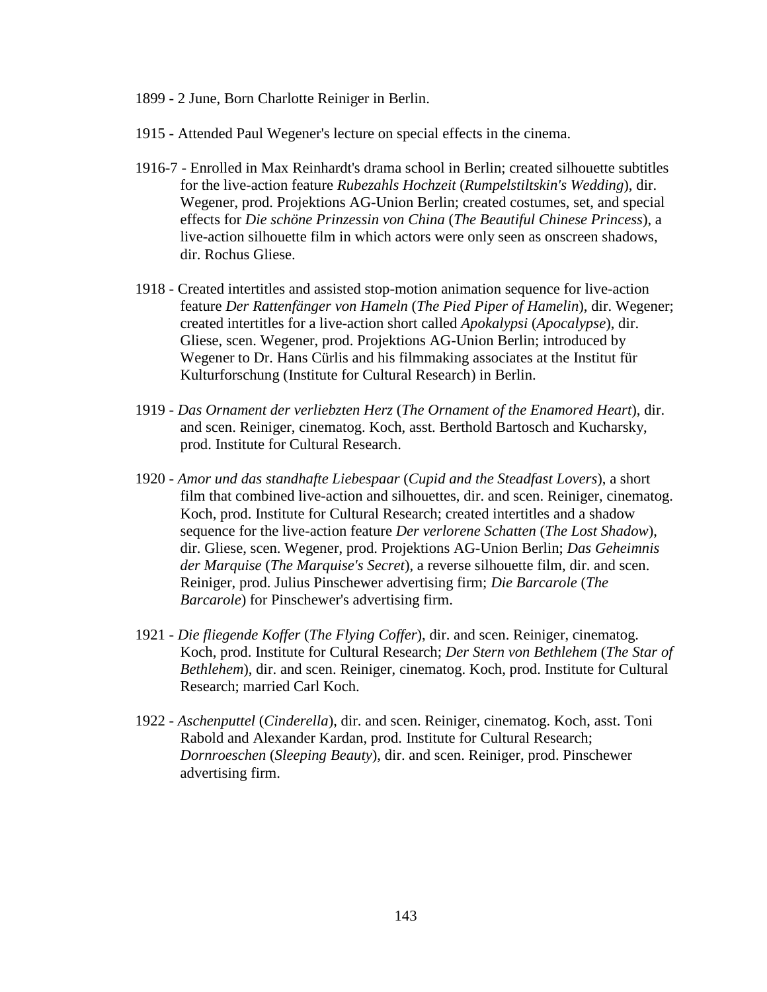- 1899 2 June, Born Charlotte Reiniger in Berlin.
- 1915 Attended Paul Wegener's lecture on special effects in the cinema.
- 1916-7 Enrolled in Max Reinhardt's drama school in Berlin; created silhouette subtitles for the live-action feature *Rubezahls Hochzeit* (*Rumpelstiltskin's Wedding*), dir. Wegener, prod. Projektions AG-Union Berlin; created costumes, set, and special effects for *Die schöne Prinzessin von China* (*The Beautiful Chinese Princess*), a live-action silhouette film in which actors were only seen as onscreen shadows, dir. Rochus Gliese.
- 1918 Created intertitles and assisted stop-motion animation sequence for live-action feature *Der Rattenfänger von Hameln* (*The Pied Piper of Hamelin*), dir. Wegener; created intertitles for a live-action short called *Apokalypsi* (*Apocalypse*), dir. Gliese, scen. Wegener, prod. Projektions AG-Union Berlin; introduced by Wegener to Dr. Hans Cürlis and his filmmaking associates at the Institut für Kulturforschung (Institute for Cultural Research) in Berlin.
- 1919 *Das Ornament der verliebzten Herz* (*The Ornament of the Enamored Heart*), dir. and scen. Reiniger, cinematog. Koch, asst. Berthold Bartosch and Kucharsky, prod. Institute for Cultural Research.
- 1920 *Amor und das standhafte Liebespaar* (*Cupid and the Steadfast Lovers*), a short film that combined live-action and silhouettes, dir. and scen. Reiniger, cinematog. Koch, prod. Institute for Cultural Research; created intertitles and a shadow sequence for the live-action feature *Der verlorene Schatten* (*The Lost Shadow*), dir. Gliese, scen. Wegener, prod. Projektions AG-Union Berlin; *Das Geheimnis der Marquise* (*The Marquise's Secret*), a reverse silhouette film, dir. and scen. Reiniger, prod. Julius Pinschewer advertising firm; *Die Barcarole* (*The Barcarole*) for Pinschewer's advertising firm.
- 1921 *Die fliegende Koffer* (*The Flying Coffer*), dir. and scen. Reiniger, cinematog. Koch, prod. Institute for Cultural Research; *Der Stern von Bethlehem* (*The Star of Bethlehem*), dir. and scen. Reiniger, cinematog. Koch, prod. Institute for Cultural Research; married Carl Koch.
- 1922 *Aschenputtel* (*Cinderella*), dir. and scen. Reiniger, cinematog. Koch, asst. Toni Rabold and Alexander Kardan, prod. Institute for Cultural Research; *Dornroeschen* (*Sleeping Beauty*), dir. and scen. Reiniger, prod. Pinschewer advertising firm.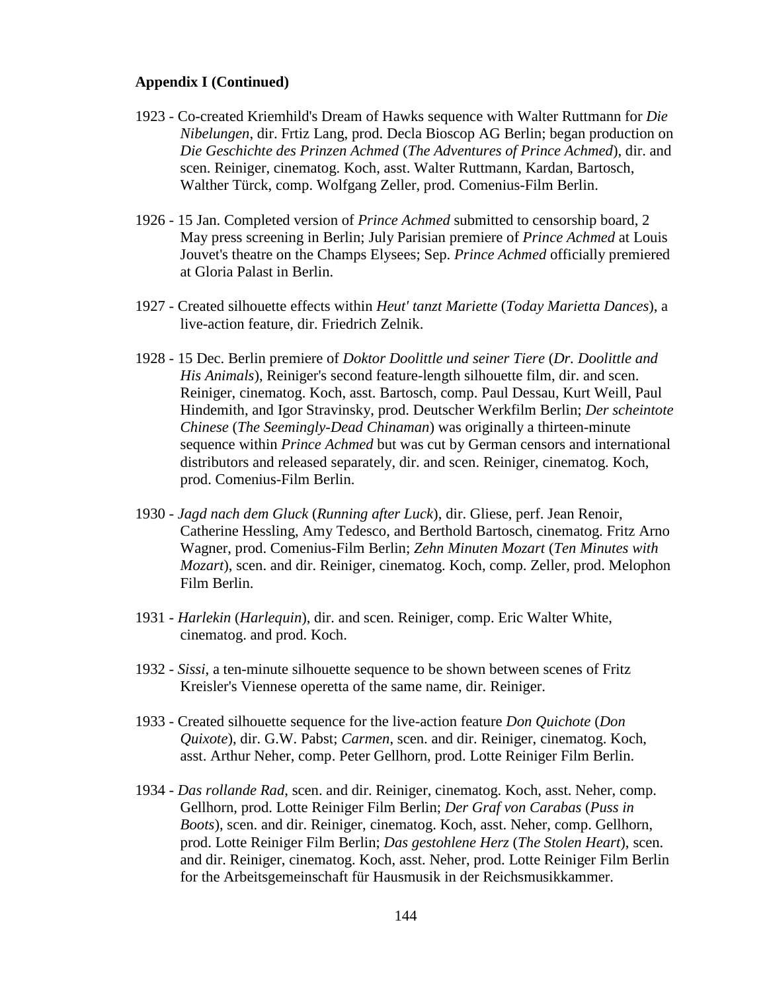- 1923 Co-created Kriemhild's Dream of Hawks sequence with Walter Ruttmann for *Die Nibelungen*, dir. Frtiz Lang, prod. Decla Bioscop AG Berlin; began production on *Die Geschichte des Prinzen Achmed* (*The Adventures of Prince Achmed*), dir. and scen. Reiniger, cinematog. Koch, asst. Walter Ruttmann, Kardan, Bartosch, Walther Türck, comp. Wolfgang Zeller, prod. Comenius-Film Berlin.
- 1926 15 Jan. Completed version of *Prince Achmed* submitted to censorship board, 2 May press screening in Berlin; July Parisian premiere of *Prince Achmed* at Louis Jouvet's theatre on the Champs Elysees; Sep. *Prince Achmed* officially premiered at Gloria Palast in Berlin.
- 1927 Created silhouette effects within *Heut' tanzt Mariette* (*Today Marietta Dances*), a live-action feature, dir. Friedrich Zelnik.
- 1928 15 Dec. Berlin premiere of *Doktor Doolittle und seiner Tiere* (*Dr. Doolittle and His Animals*), Reiniger's second feature-length silhouette film, dir. and scen. Reiniger, cinematog. Koch, asst. Bartosch, comp. Paul Dessau, Kurt Weill, Paul Hindemith, and Igor Stravinsky, prod. Deutscher Werkfilm Berlin; *Der scheintote Chinese* (*The Seemingly-Dead Chinaman*) was originally a thirteen-minute sequence within *Prince Achmed* but was cut by German censors and international distributors and released separately, dir. and scen. Reiniger, cinematog. Koch, prod. Comenius-Film Berlin.
- 1930 *Jagd nach dem Gluck* (*Running after Luck*), dir. Gliese, perf. Jean Renoir, Catherine Hessling, Amy Tedesco, and Berthold Bartosch, cinematog. Fritz Arno Wagner, prod. Comenius-Film Berlin; *Zehn Minuten Mozart* (*Ten Minutes with Mozart*), scen. and dir. Reiniger, cinematog. Koch, comp. Zeller, prod. Melophon Film Berlin.
- 1931 *Harlekin* (*Harlequin*), dir. and scen. Reiniger, comp. Eric Walter White, cinematog. and prod. Koch.
- 1932 *Sissi*, a ten-minute silhouette sequence to be shown between scenes of Fritz Kreisler's Viennese operetta of the same name, dir. Reiniger.
- 1933 Created silhouette sequence for the live-action feature *Don Quichote* (*Don Quixote*), dir. G.W. Pabst; *Carmen*, scen. and dir. Reiniger, cinematog. Koch, asst. Arthur Neher, comp. Peter Gellhorn, prod. Lotte Reiniger Film Berlin.
- 1934 *Das rollande Rad*, scen. and dir. Reiniger, cinematog. Koch, asst. Neher, comp. Gellhorn, prod. Lotte Reiniger Film Berlin; *Der Graf von Carabas* (*Puss in Boots*), scen. and dir. Reiniger, cinematog. Koch, asst. Neher, comp. Gellhorn, prod. Lotte Reiniger Film Berlin; *Das gestohlene Herz* (*The Stolen Heart*), scen. and dir. Reiniger, cinematog. Koch, asst. Neher, prod. Lotte Reiniger Film Berlin for the Arbeitsgemeinschaft für Hausmusik in der Reichsmusikkammer.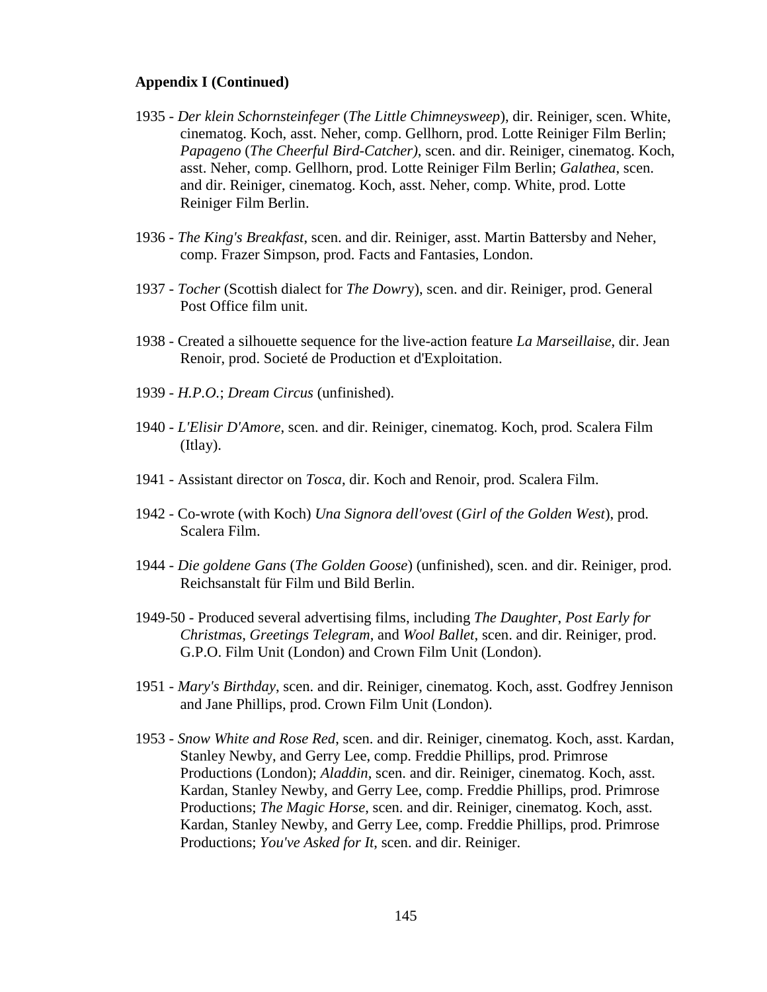- 1935 *Der klein Schornsteinfeger* (*The Little Chimneysweep*), dir. Reiniger, scen. White, cinematog. Koch, asst. Neher, comp. Gellhorn, prod. Lotte Reiniger Film Berlin; *Papageno* (*The Cheerful Bird-Catcher)*, scen. and dir. Reiniger, cinematog. Koch, asst. Neher, comp. Gellhorn, prod. Lotte Reiniger Film Berlin; *Galathea*, scen. and dir. Reiniger, cinematog. Koch, asst. Neher, comp. White, prod. Lotte Reiniger Film Berlin.
- 1936 *The King's Breakfast*, scen. and dir. Reiniger, asst. Martin Battersby and Neher, comp. Frazer Simpson, prod. Facts and Fantasies, London.
- 1937 *Tocher* (Scottish dialect for *The Dowr*y), scen. and dir. Reiniger, prod. General Post Office film unit.
- 1938 Created a silhouette sequence for the live-action feature *La Marseillaise*, dir. Jean Renoir, prod. Societé de Production et d'Exploitation.
- 1939 *H.P.O.*; *Dream Circus* (unfinished).
- 1940 *L'Elisir D'Amore*, scen. and dir. Reiniger, cinematog. Koch, prod. Scalera Film (Itlay).
- 1941 Assistant director on *Tosca*, dir. Koch and Renoir, prod. Scalera Film.
- 1942 Co-wrote (with Koch) *Una Signora dell'ovest* (*Girl of the Golden West*), prod. Scalera Film.
- 1944 *Die goldene Gans* (*The Golden Goose*) (unfinished), scen. and dir. Reiniger, prod. Reichsanstalt für Film und Bild Berlin.
- 1949-50 Produced several advertising films, including *The Daughter*, *Post Early for Christmas*, *Greetings Telegram*, and *Wool Ballet*, scen. and dir. Reiniger, prod. G.P.O. Film Unit (London) and Crown Film Unit (London).
- 1951 *Mary's Birthday*, scen. and dir. Reiniger, cinematog. Koch, asst. Godfrey Jennison and Jane Phillips, prod. Crown Film Unit (London).
- 1953 *Snow White and Rose Red*, scen. and dir. Reiniger, cinematog. Koch, asst. Kardan, Stanley Newby, and Gerry Lee, comp. Freddie Phillips, prod. Primrose Productions (London); *Aladdin*, scen. and dir. Reiniger, cinematog. Koch, asst. Kardan, Stanley Newby, and Gerry Lee, comp. Freddie Phillips, prod. Primrose Productions; *The Magic Horse*, scen. and dir. Reiniger, cinematog. Koch, asst. Kardan, Stanley Newby, and Gerry Lee, comp. Freddie Phillips, prod. Primrose Productions; *You've Asked for It*, scen. and dir. Reiniger.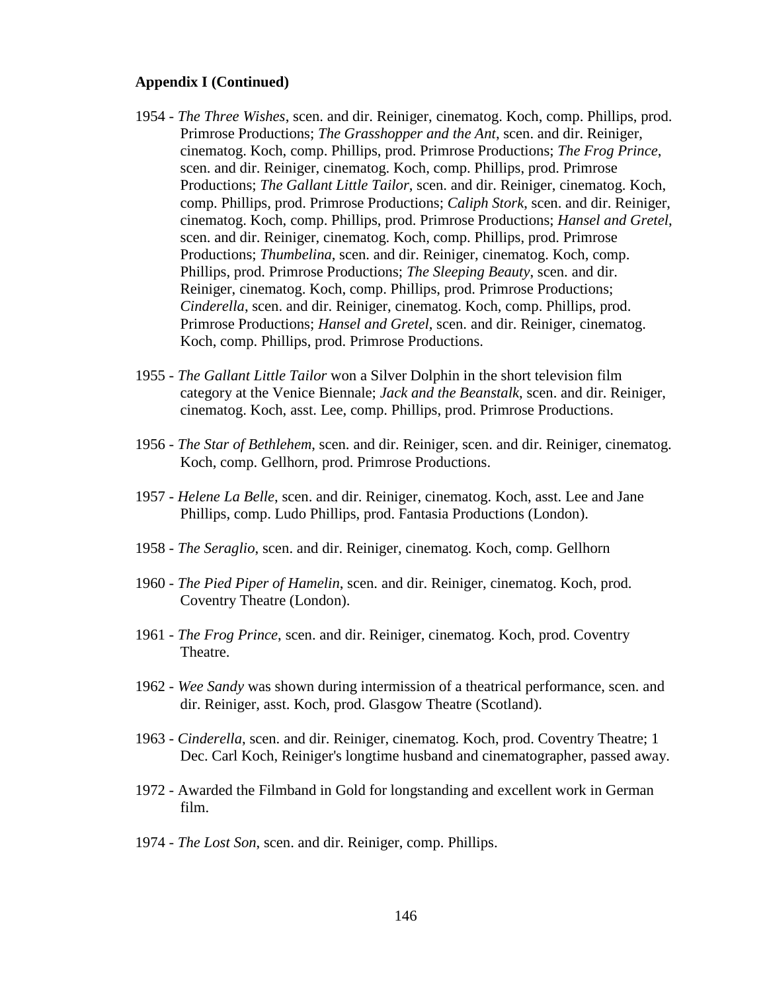- 1954 *The Three Wishes*, scen. and dir. Reiniger, cinematog. Koch, comp. Phillips, prod. Primrose Productions; *The Grasshopper and the Ant*, scen. and dir. Reiniger, cinematog. Koch, comp. Phillips, prod. Primrose Productions; *The Frog Prince*, scen. and dir. Reiniger, cinematog. Koch, comp. Phillips, prod. Primrose Productions; *The Gallant Little Tailor*, scen. and dir. Reiniger, cinematog. Koch, comp. Phillips, prod. Primrose Productions; *Caliph Stork*, scen. and dir. Reiniger, cinematog. Koch, comp. Phillips, prod. Primrose Productions; *Hansel and Gretel*, scen. and dir. Reiniger, cinematog. Koch, comp. Phillips, prod. Primrose Productions; *Thumbelina*, scen. and dir. Reiniger, cinematog. Koch, comp. Phillips, prod. Primrose Productions; *The Sleeping Beauty*, scen. and dir. Reiniger, cinematog. Koch, comp. Phillips, prod. Primrose Productions; *Cinderella*, scen. and dir. Reiniger, cinematog. Koch, comp. Phillips, prod. Primrose Productions; *Hansel and Gretel*, scen. and dir. Reiniger, cinematog. Koch, comp. Phillips, prod. Primrose Productions.
- 1955 *The Gallant Little Tailor* won a Silver Dolphin in the short television film category at the Venice Biennale; *Jack and the Beanstalk*, scen. and dir. Reiniger, cinematog. Koch, asst. Lee, comp. Phillips, prod. Primrose Productions.
- 1956 *The Star of Bethlehem*, scen. and dir. Reiniger, scen. and dir. Reiniger, cinematog. Koch, comp. Gellhorn, prod. Primrose Productions.
- 1957 *Helene La Belle*, scen. and dir. Reiniger, cinematog. Koch, asst. Lee and Jane Phillips, comp. Ludo Phillips, prod. Fantasia Productions (London).
- 1958 *The Seraglio*, scen. and dir. Reiniger, cinematog. Koch, comp. Gellhorn
- 1960 *The Pied Piper of Hamelin*, scen. and dir. Reiniger, cinematog. Koch, prod. Coventry Theatre (London).
- 1961 *The Frog Prince*, scen. and dir. Reiniger, cinematog. Koch, prod. Coventry Theatre.
- 1962 *Wee Sandy* was shown during intermission of a theatrical performance, scen. and dir. Reiniger, asst. Koch, prod. Glasgow Theatre (Scotland).
- 1963 *Cinderella*, scen. and dir. Reiniger, cinematog. Koch, prod. Coventry Theatre; 1 Dec. Carl Koch, Reiniger's longtime husband and cinematographer, passed away.
- 1972 Awarded the Filmband in Gold for longstanding and excellent work in German film.
- 1974 *The Lost Son*, scen. and dir. Reiniger, comp. Phillips.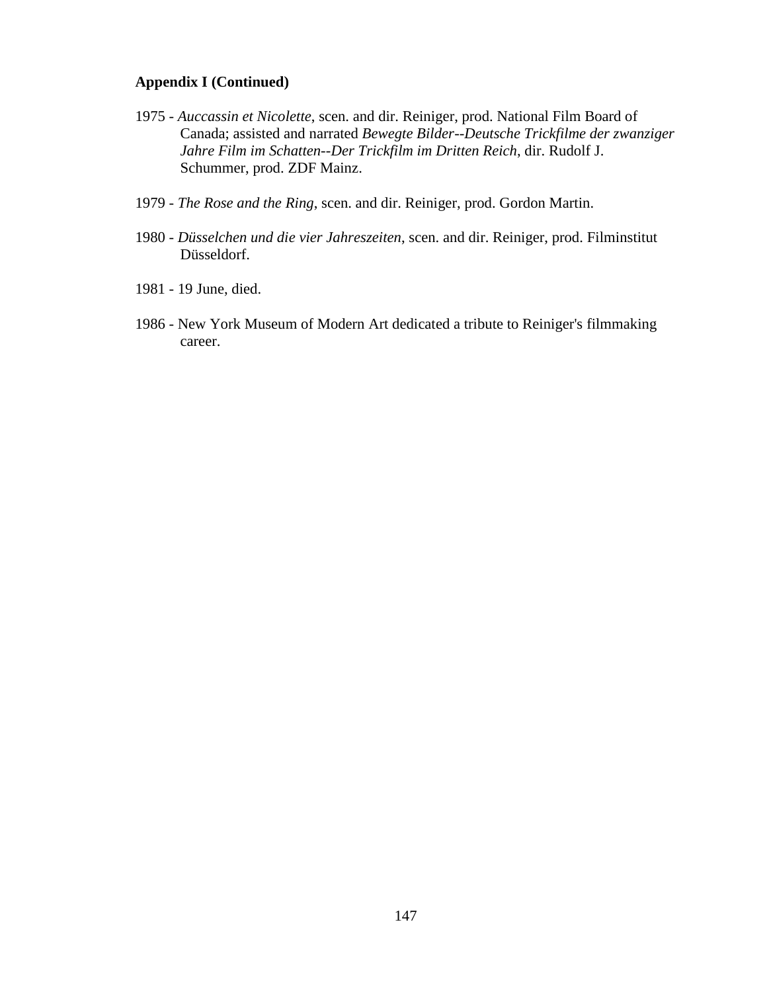- 1975 *Auccassin et Nicolette*, scen. and dir. Reiniger, prod. National Film Board of Canada; assisted and narrated *Bewegte Bilder--Deutsche Trickfilme der zwanziger Jahre Film im Schatten--Der Trickfilm im Dritten Reich*, dir. Rudolf J. Schummer, prod. ZDF Mainz.
- 1979 *The Rose and the Ring*, scen. and dir. Reiniger, prod. Gordon Martin.
- 1980 *Düsselchen und die vier Jahreszeiten*, scen. and dir. Reiniger, prod. Filminstitut Düsseldorf.
- 1981 19 June, died.
- 1986 New York Museum of Modern Art dedicated a tribute to Reiniger's filmmaking career.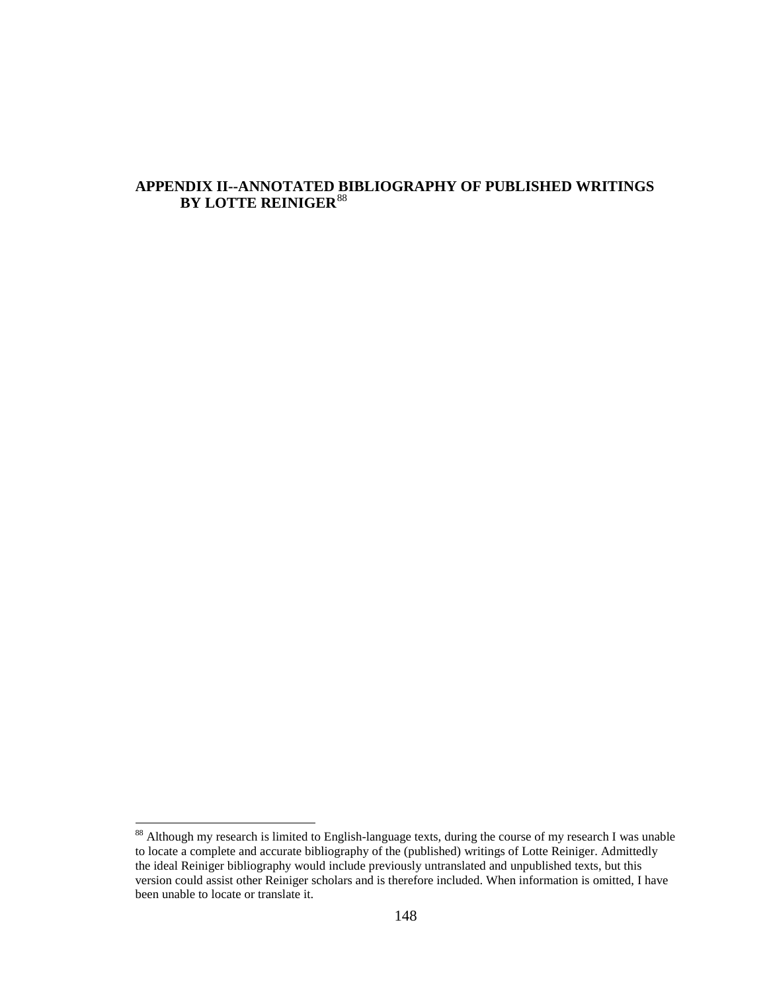## **APPENDIX II--ANNOTATED BIBLIOGRAPHY OF PUBLISHED WRITINGS BY LOTTE REINIGER**[88](#page-160-0)

<sup>&</sup>lt;sup>88</sup> Although my research is limited to English-language texts, during the course of my research I was unable to locate a complete and accurate bibliography of the (published) writings of Lotte Reiniger. Admittedly the ideal Reiniger bibliography would include previously untranslated and unpublished texts, but this version could assist other Reiniger scholars and is therefore included. When information is omitted, I have been unable to locate or translate it.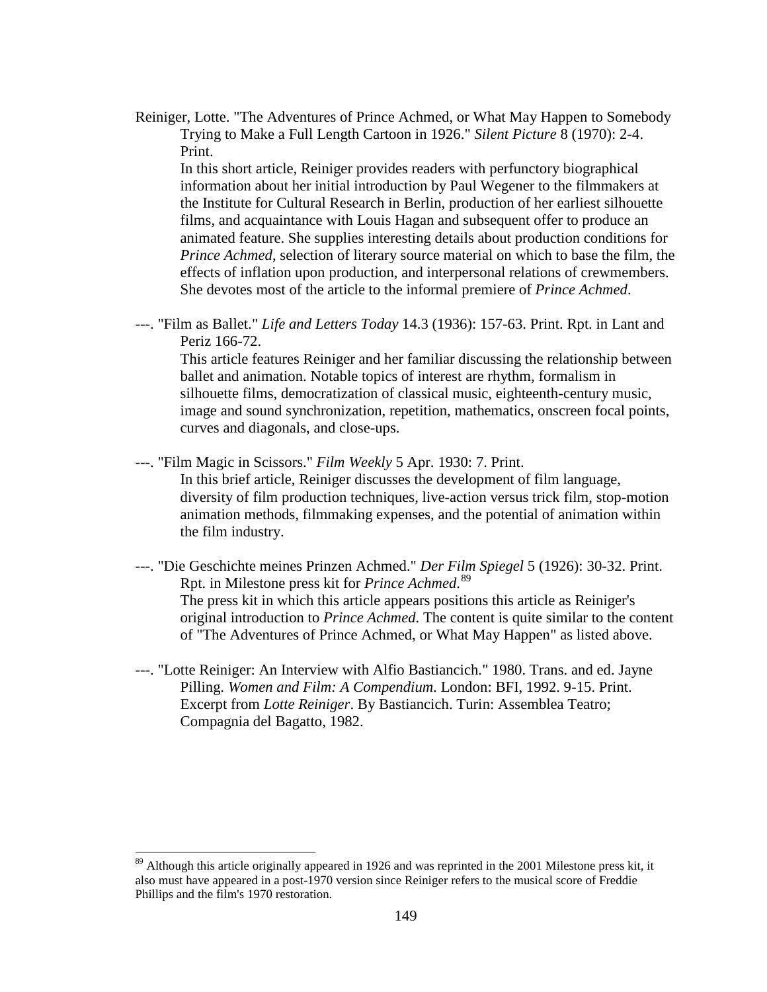Reiniger, Lotte. "The Adventures of Prince Achmed, or What May Happen to Somebody Trying to Make a Full Length Cartoon in 1926." *Silent Picture* 8 (1970): 2-4. Print.

In this short article, Reiniger provides readers with perfunctory biographical information about her initial introduction by Paul Wegener to the filmmakers at the Institute for Cultural Research in Berlin, production of her earliest silhouette films, and acquaintance with Louis Hagan and subsequent offer to produce an animated feature. She supplies interesting details about production conditions for *Prince Achmed*, selection of literary source material on which to base the film, the effects of inflation upon production, and interpersonal relations of crewmembers. She devotes most of the article to the informal premiere of *Prince Achmed*.

---. "Film as Ballet." *Life and Letters Today* 14.3 (1936): 157-63. Print. Rpt. in Lant and Periz 166-72.

This article features Reiniger and her familiar discussing the relationship between ballet and animation. Notable topics of interest are rhythm, formalism in silhouette films, democratization of classical music, eighteenth-century music, image and sound synchronization, repetition, mathematics, onscreen focal points, curves and diagonals, and close-ups.

- ---. "Film Magic in Scissors." *Film Weekly* 5 Apr. 1930: 7. Print. In this brief article, Reiniger discusses the development of film language, diversity of film production techniques, live-action versus trick film, stop-motion animation methods, filmmaking expenses, and the potential of animation within the film industry.
- ---. "Die Geschichte meines Prinzen Achmed." *Der Film Spiegel* 5 (1926): 30-32. Print. Rpt. in Milestone press kit for *Prince Achmed*. [89](#page-160-1) The press kit in which this article appears positions this article as Reiniger's original introduction to *Prince Achmed*. The content is quite similar to the content of "The Adventures of Prince Achmed, or What May Happen" as listed above.
- ---. "Lotte Reiniger: An Interview with Alfio Bastiancich." 1980. Trans. and ed. Jayne Pilling. *Women and Film: A Compendium*. London: BFI, 1992. 9-15. Print. Excerpt from *Lotte Reiniger*. By Bastiancich. Turin: Assemblea Teatro; Compagnia del Bagatto, 1982.

 $89$  Although this article originally appeared in 1926 and was reprinted in the 2001 Milestone press kit, it also must have appeared in a post-1970 version since Reiniger refers to the musical score of Freddie Phillips and the film's 1970 restoration.